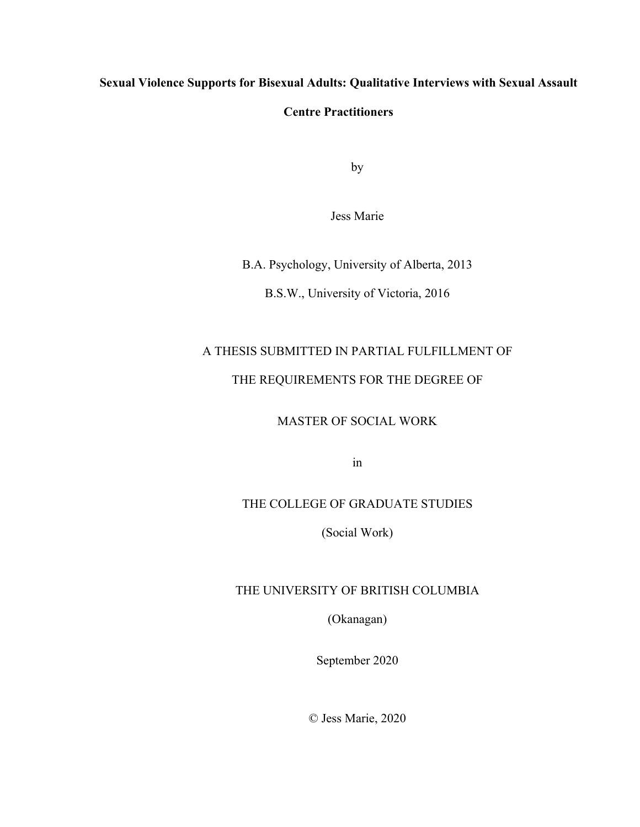# **Sexual Violence Supports for Bisexual Adults: Qualitative Interviews with Sexual Assault**

## **Centre Practitioners**

by

Jess Marie

B.A. Psychology, University of Alberta, 2013

B.S.W., University of Victoria, 2016

# A THESIS SUBMITTED IN PARTIAL FULFILLMENT OF THE REQUIREMENTS FOR THE DEGREE OF

MASTER OF SOCIAL WORK

in

### THE COLLEGE OF GRADUATE STUDIES

(Social Work)

#### THE UNIVERSITY OF BRITISH COLUMBIA

(Okanagan)

September 2020

© Jess Marie, 2020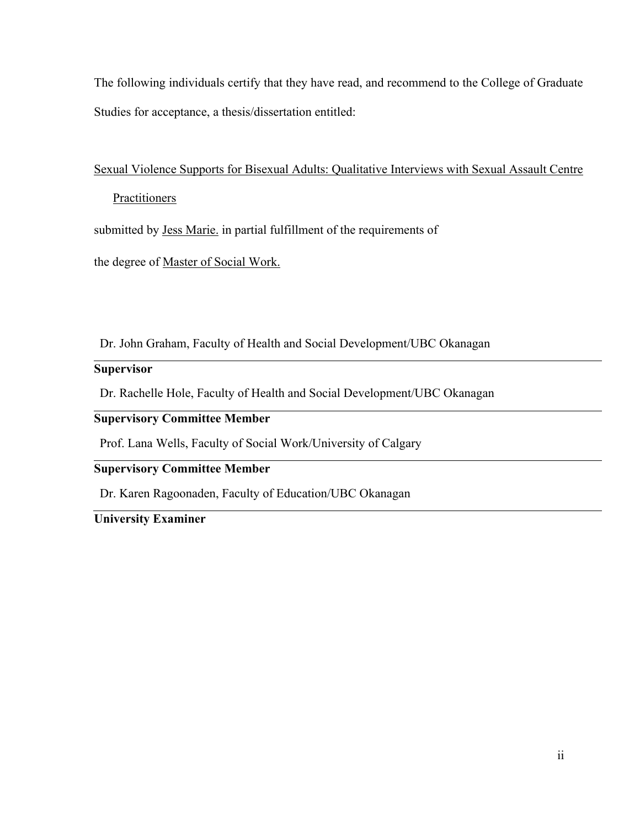The following individuals certify that they have read, and recommend to the College of Graduate Studies for acceptance, a thesis/dissertation entitled:

# Sexual Violence Supports for Bisexual Adults: Qualitative Interviews with Sexual Assault Centre

# **Practitioners**

submitted by Jess Marie. in partial fulfillment of the requirements of

the degree of Master of Social Work.

Dr. John Graham, Faculty of Health and Social Development/UBC Okanagan

## **Supervisor**

Dr. Rachelle Hole, Faculty of Health and Social Development/UBC Okanagan

# **Supervisory Committee Member**

Prof. Lana Wells, Faculty of Social Work/University of Calgary

# **Supervisory Committee Member**

Dr. Karen Ragoonaden, Faculty of Education/UBC Okanagan

# **University Examiner**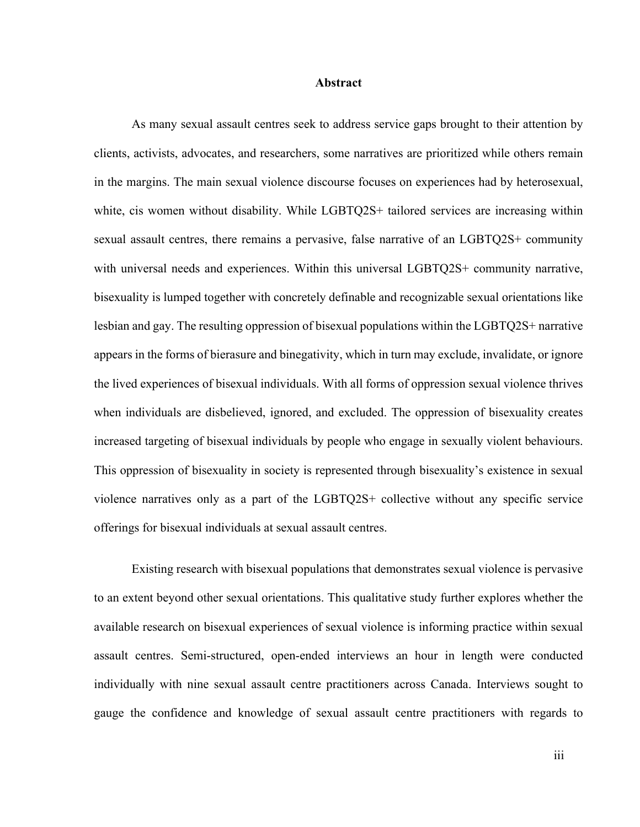#### **Abstract**

As many sexual assault centres seek to address service gaps brought to their attention by clients, activists, advocates, and researchers, some narratives are prioritized while others remain in the margins. The main sexual violence discourse focuses on experiences had by heterosexual, white, cis women without disability. While LGBTQ2S+ tailored services are increasing within sexual assault centres, there remains a pervasive, false narrative of an LGBTQ2S+ community with universal needs and experiences. Within this universal LGBTQ2S+ community narrative, bisexuality is lumped together with concretely definable and recognizable sexual orientations like lesbian and gay. The resulting oppression of bisexual populations within the LGBTQ2S+ narrative appears in the forms of bierasure and binegativity, which in turn may exclude, invalidate, or ignore the lived experiences of bisexual individuals. With all forms of oppression sexual violence thrives when individuals are disbelieved, ignored, and excluded. The oppression of bisexuality creates increased targeting of bisexual individuals by people who engage in sexually violent behaviours. This oppression of bisexuality in society is represented through bisexuality's existence in sexual violence narratives only as a part of the LGBTQ2S+ collective without any specific service offerings for bisexual individuals at sexual assault centres.

Existing research with bisexual populations that demonstrates sexual violence is pervasive to an extent beyond other sexual orientations. This qualitative study further explores whether the available research on bisexual experiences of sexual violence is informing practice within sexual assault centres. Semi-structured, open-ended interviews an hour in length were conducted individually with nine sexual assault centre practitioners across Canada. Interviews sought to gauge the confidence and knowledge of sexual assault centre practitioners with regards to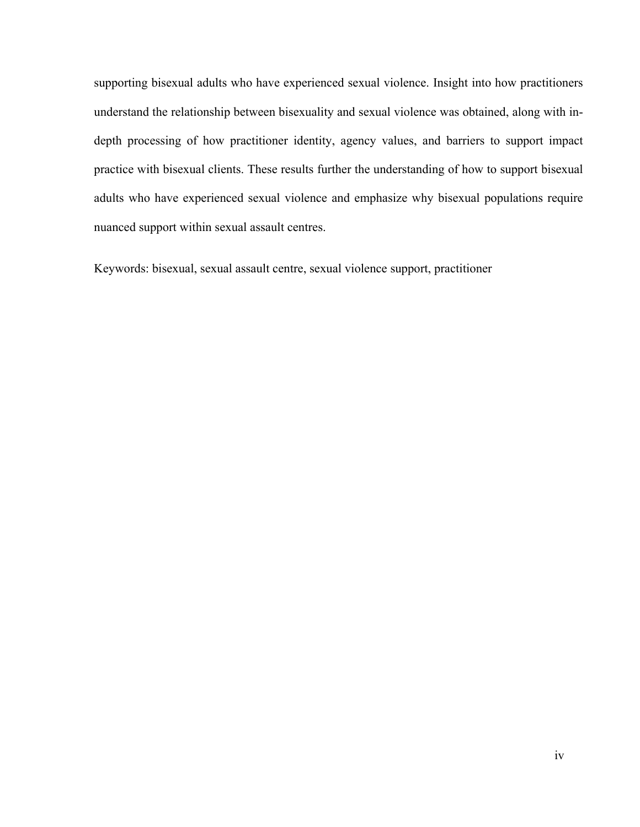supporting bisexual adults who have experienced sexual violence. Insight into how practitioners understand the relationship between bisexuality and sexual violence was obtained, along with indepth processing of how practitioner identity, agency values, and barriers to support impact practice with bisexual clients. These results further the understanding of how to support bisexual adults who have experienced sexual violence and emphasize why bisexual populations require nuanced support within sexual assault centres.

Keywords: bisexual, sexual assault centre, sexual violence support, practitioner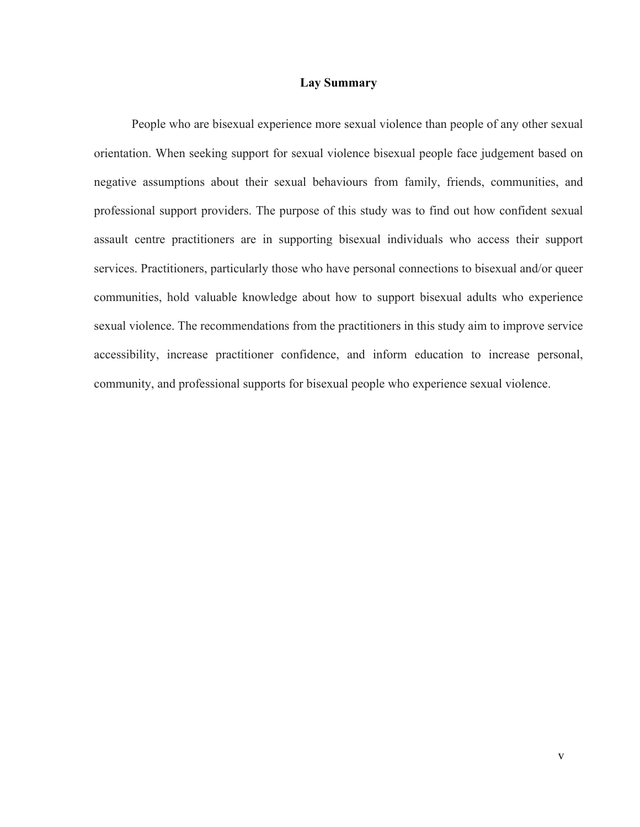#### **Lay Summary**

People who are bisexual experience more sexual violence than people of any other sexual orientation. When seeking support for sexual violence bisexual people face judgement based on negative assumptions about their sexual behaviours from family, friends, communities, and professional support providers. The purpose of this study was to find out how confident sexual assault centre practitioners are in supporting bisexual individuals who access their support services. Practitioners, particularly those who have personal connections to bisexual and/or queer communities, hold valuable knowledge about how to support bisexual adults who experience sexual violence. The recommendations from the practitioners in this study aim to improve service accessibility, increase practitioner confidence, and inform education to increase personal, community, and professional supports for bisexual people who experience sexual violence.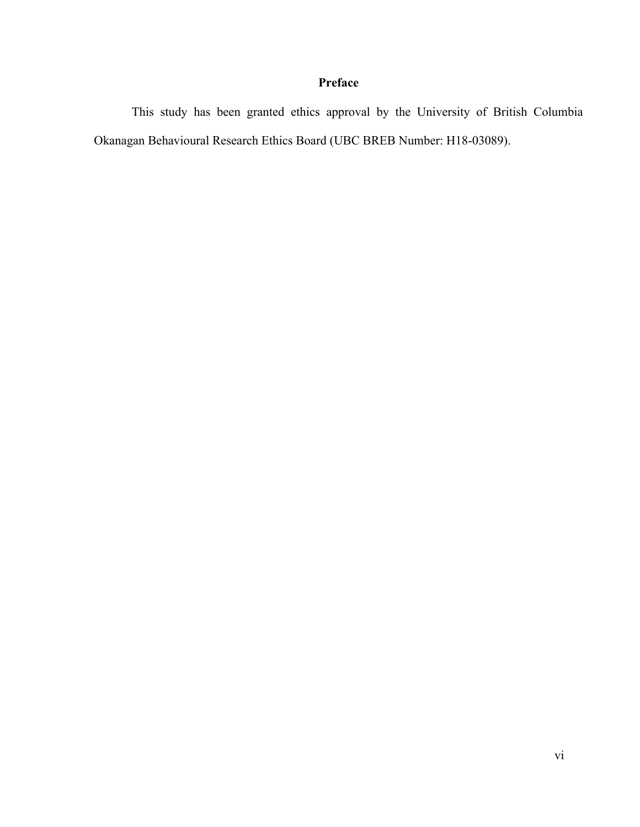# **Preface**

This study has been granted ethics approval by the University of British Columbia Okanagan Behavioural Research Ethics Board (UBC BREB Number: H18-03089).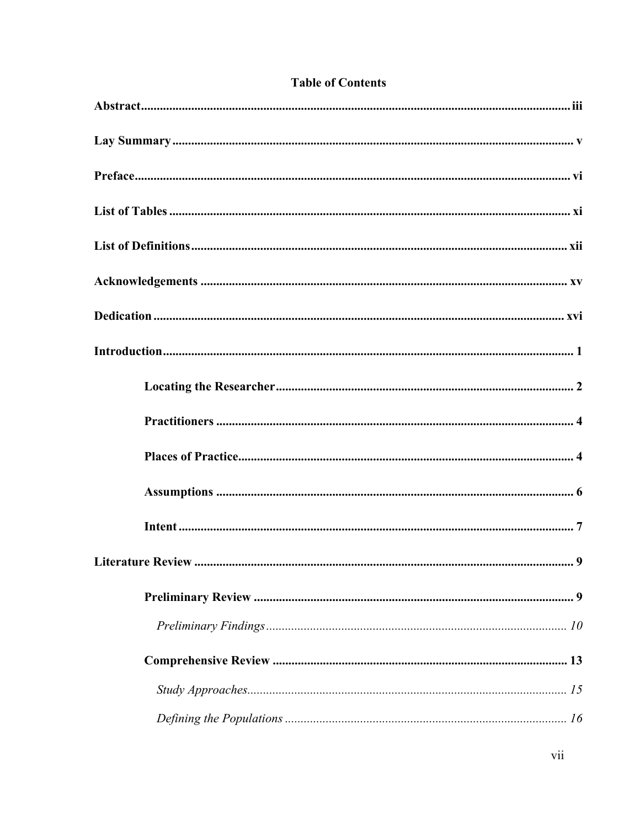# **Table of Contents**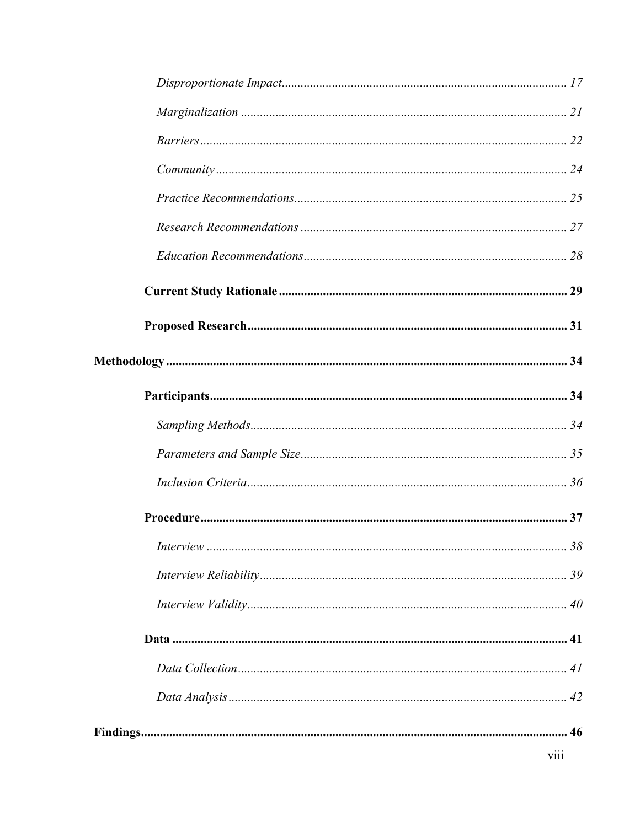| viii |
|------|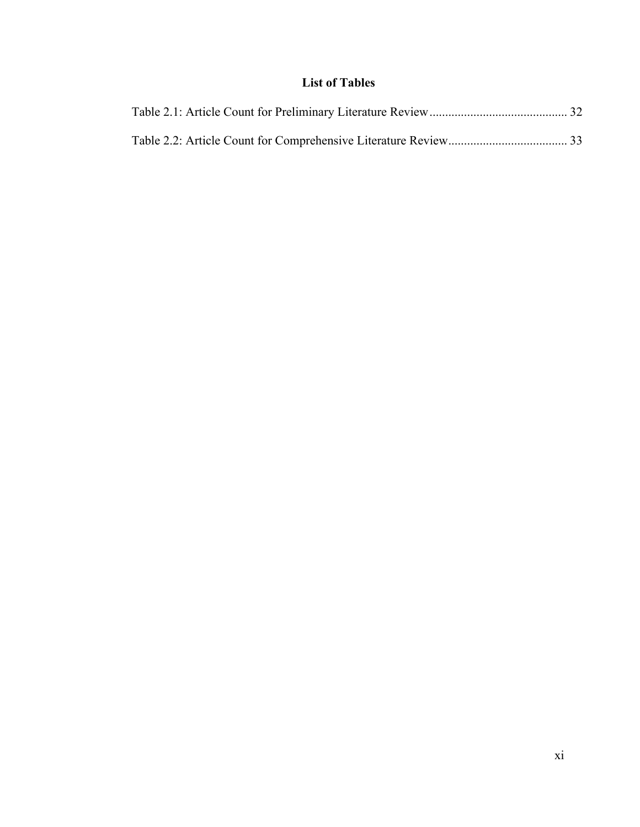# **List of Tables**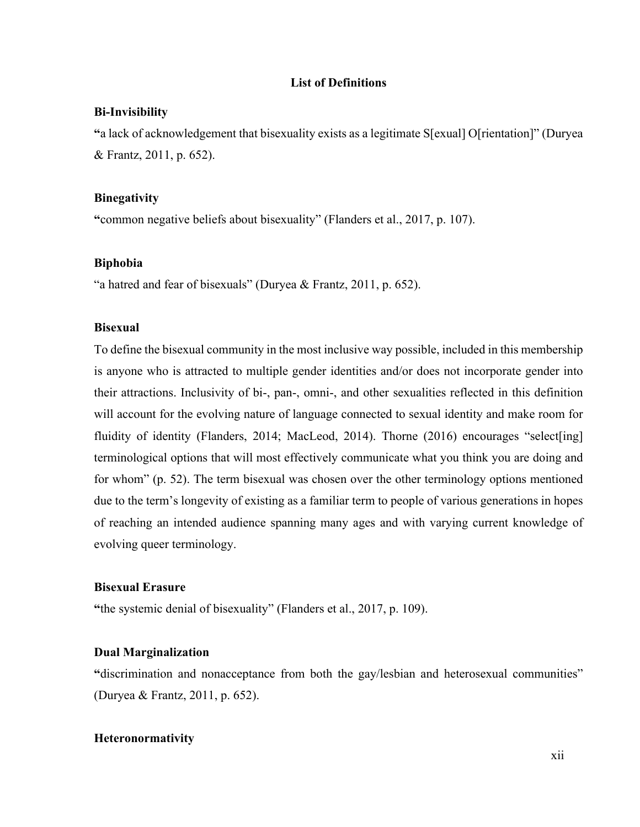#### **List of Definitions**

#### **Bi-Invisibility**

**"**a lack of acknowledgement that bisexuality exists as a legitimate S[exual] O[rientation]" (Duryea & Frantz, 2011, p. 652).

#### **Binegativity**

**"**common negative beliefs about bisexuality" (Flanders et al., 2017, p. 107).

#### **Biphobia**

"a hatred and fear of bisexuals" (Duryea & Frantz, 2011, p. 652).

### **Bisexual**

To define the bisexual community in the most inclusive way possible, included in this membership is anyone who is attracted to multiple gender identities and/or does not incorporate gender into their attractions. Inclusivity of bi-, pan-, omni-, and other sexualities reflected in this definition will account for the evolving nature of language connected to sexual identity and make room for fluidity of identity (Flanders, 2014; MacLeod, 2014). Thorne (2016) encourages "select[ing] terminological options that will most effectively communicate what you think you are doing and for whom" (p. 52). The term bisexual was chosen over the other terminology options mentioned due to the term's longevity of existing as a familiar term to people of various generations in hopes of reaching an intended audience spanning many ages and with varying current knowledge of evolving queer terminology.

#### **Bisexual Erasure**

**"**the systemic denial of bisexuality" (Flanders et al., 2017, p. 109).

#### **Dual Marginalization**

**"**discrimination and nonacceptance from both the gay/lesbian and heterosexual communities" (Duryea & Frantz, 2011, p. 652).

### **Heteronormativity**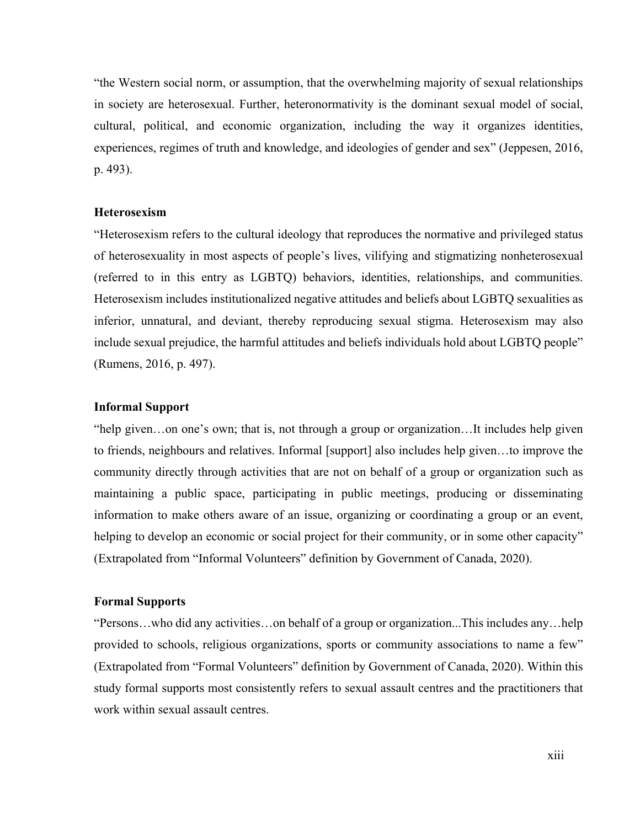"the Western social norm, or assumption, that the overwhelming majority of sexual relationships in society are heterosexual. Further, heteronormativity is the dominant sexual model of social, cultural, political, and economic organization, including the way it organizes identities, experiences, regimes of truth and knowledge, and ideologies of gender and sex" (Jeppesen, 2016, p. 493).

#### **Heterosexism**

"Heterosexism refers to the cultural ideology that reproduces the normative and privileged status of heterosexuality in most aspects of people's lives, vilifying and stigmatizing nonheterosexual (referred to in this entry as LGBTQ) behaviors, identities, relationships, and communities. Heterosexism includes institutionalized negative attitudes and beliefs about LGBTQ sexualities as inferior, unnatural, and deviant, thereby reproducing sexual stigma. Heterosexism may also include sexual prejudice, the harmful attitudes and beliefs individuals hold about LGBTQ people" (Rumens, 2016, p. 497).

#### **Informal Support**

"help given…on one's own; that is, not through a group or organization…It includes help given to friends, neighbours and relatives. Informal [support] also includes help given…to improve the community directly through activities that are not on behalf of a group or organization such as maintaining a public space, participating in public meetings, producing or disseminating information to make others aware of an issue, organizing or coordinating a group or an event, helping to develop an economic or social project for their community, or in some other capacity" (Extrapolated from "Informal Volunteers" definition by Government of Canada, 2020).

#### **Formal Supports**

"Persons…who did any activities…on behalf of a group or organization...This includes any…help provided to schools, religious organizations, sports or community associations to name a few" (Extrapolated from "Formal Volunteers" definition by Government of Canada, 2020). Within this study formal supports most consistently refers to sexual assault centres and the practitioners that work within sexual assault centres.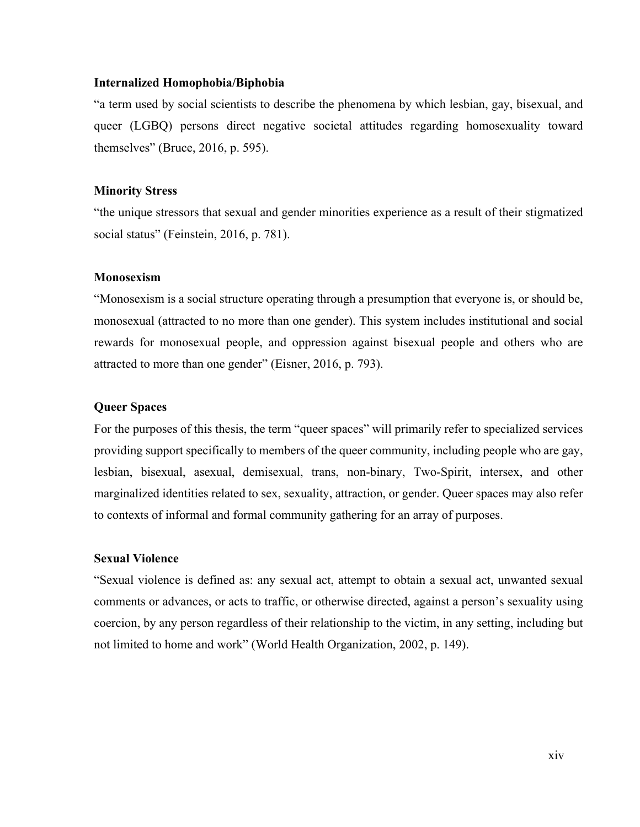#### **Internalized Homophobia/Biphobia**

"a term used by social scientists to describe the phenomena by which lesbian, gay, bisexual, and queer (LGBQ) persons direct negative societal attitudes regarding homosexuality toward themselves" (Bruce, 2016, p. 595).

#### **Minority Stress**

"the unique stressors that sexual and gender minorities experience as a result of their stigmatized social status" (Feinstein, 2016, p. 781).

#### **Monosexism**

"Monosexism is a social structure operating through a presumption that everyone is, or should be, monosexual (attracted to no more than one gender). This system includes institutional and social rewards for monosexual people, and oppression against bisexual people and others who are attracted to more than one gender" (Eisner, 2016, p. 793).

#### **Queer Spaces**

For the purposes of this thesis, the term "queer spaces" will primarily refer to specialized services providing support specifically to members of the queer community, including people who are gay, lesbian, bisexual, asexual, demisexual, trans, non-binary, Two-Spirit, intersex, and other marginalized identities related to sex, sexuality, attraction, or gender. Queer spaces may also refer to contexts of informal and formal community gathering for an array of purposes.

#### **Sexual Violence**

"Sexual violence is defined as: any sexual act, attempt to obtain a sexual act, unwanted sexual comments or advances, or acts to traffic, or otherwise directed, against a person's sexuality using coercion, by any person regardless of their relationship to the victim, in any setting, including but not limited to home and work" (World Health Organization, 2002, p. 149).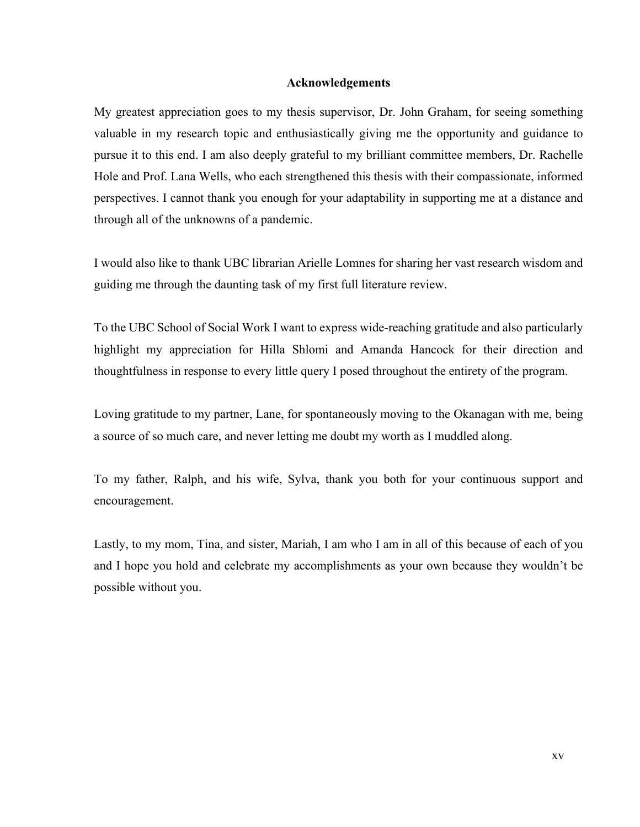#### **Acknowledgements**

My greatest appreciation goes to my thesis supervisor, Dr. John Graham, for seeing something valuable in my research topic and enthusiastically giving me the opportunity and guidance to pursue it to this end. I am also deeply grateful to my brilliant committee members, Dr. Rachelle Hole and Prof. Lana Wells, who each strengthened this thesis with their compassionate, informed perspectives. I cannot thank you enough for your adaptability in supporting me at a distance and through all of the unknowns of a pandemic.

I would also like to thank UBC librarian Arielle Lomnes for sharing her vast research wisdom and guiding me through the daunting task of my first full literature review.

To the UBC School of Social Work I want to express wide-reaching gratitude and also particularly highlight my appreciation for Hilla Shlomi and Amanda Hancock for their direction and thoughtfulness in response to every little query I posed throughout the entirety of the program.

Loving gratitude to my partner, Lane, for spontaneously moving to the Okanagan with me, being a source of so much care, and never letting me doubt my worth as I muddled along.

To my father, Ralph, and his wife, Sylva, thank you both for your continuous support and encouragement.

Lastly, to my mom, Tina, and sister, Mariah, I am who I am in all of this because of each of you and I hope you hold and celebrate my accomplishments as your own because they wouldn't be possible without you.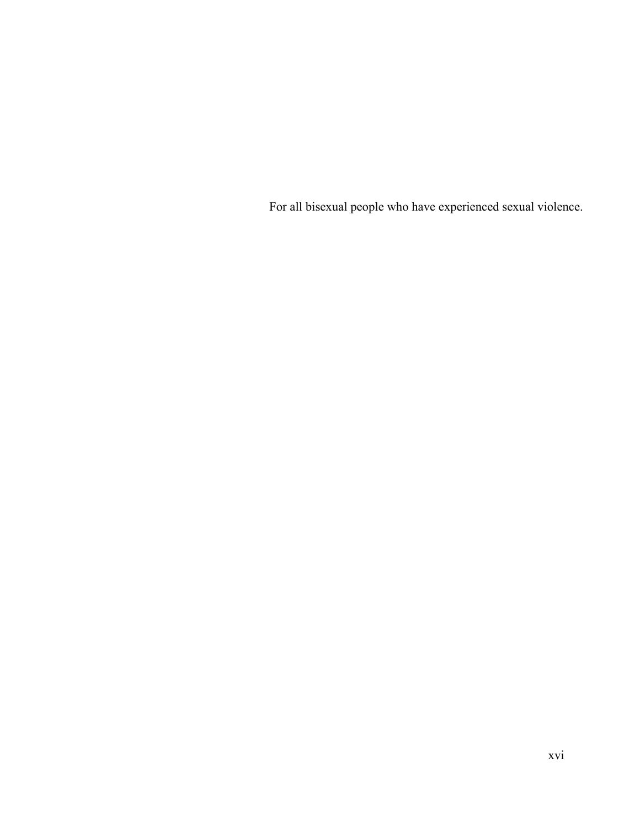For all bisexual people who have experienced sexual violence.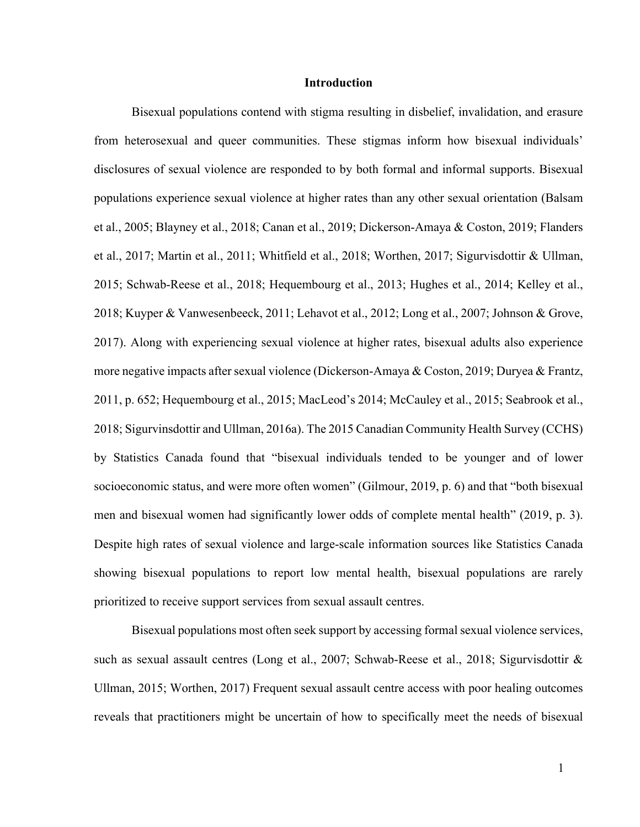#### **Introduction**

Bisexual populations contend with stigma resulting in disbelief, invalidation, and erasure from heterosexual and queer communities. These stigmas inform how bisexual individuals' disclosures of sexual violence are responded to by both formal and informal supports. Bisexual populations experience sexual violence at higher rates than any other sexual orientation (Balsam et al., 2005; Blayney et al., 2018; Canan et al., 2019; Dickerson-Amaya & Coston, 2019; Flanders et al., 2017; Martin et al., 2011; Whitfield et al., 2018; Worthen, 2017; Sigurvisdottir & Ullman, 2015; Schwab-Reese et al., 2018; Hequembourg et al., 2013; Hughes et al., 2014; Kelley et al., 2018; Kuyper & Vanwesenbeeck, 2011; Lehavot et al., 2012; Long et al., 2007; Johnson & Grove, 2017). Along with experiencing sexual violence at higher rates, bisexual adults also experience more negative impacts after sexual violence (Dickerson-Amaya & Coston, 2019; Duryea & Frantz, 2011, p. 652; Hequembourg et al., 2015; MacLeod's 2014; McCauley et al., 2015; Seabrook et al., 2018; Sigurvinsdottir and Ullman, 2016a). The 2015 Canadian Community Health Survey (CCHS) by Statistics Canada found that "bisexual individuals tended to be younger and of lower socioeconomic status, and were more often women" (Gilmour, 2019, p. 6) and that "both bisexual men and bisexual women had significantly lower odds of complete mental health" (2019, p. 3). Despite high rates of sexual violence and large-scale information sources like Statistics Canada showing bisexual populations to report low mental health, bisexual populations are rarely prioritized to receive support services from sexual assault centres.

Bisexual populations most often seek support by accessing formal sexual violence services, such as sexual assault centres (Long et al., 2007; Schwab-Reese et al., 2018; Sigurvisdottir & Ullman, 2015; Worthen, 2017) Frequent sexual assault centre access with poor healing outcomes reveals that practitioners might be uncertain of how to specifically meet the needs of bisexual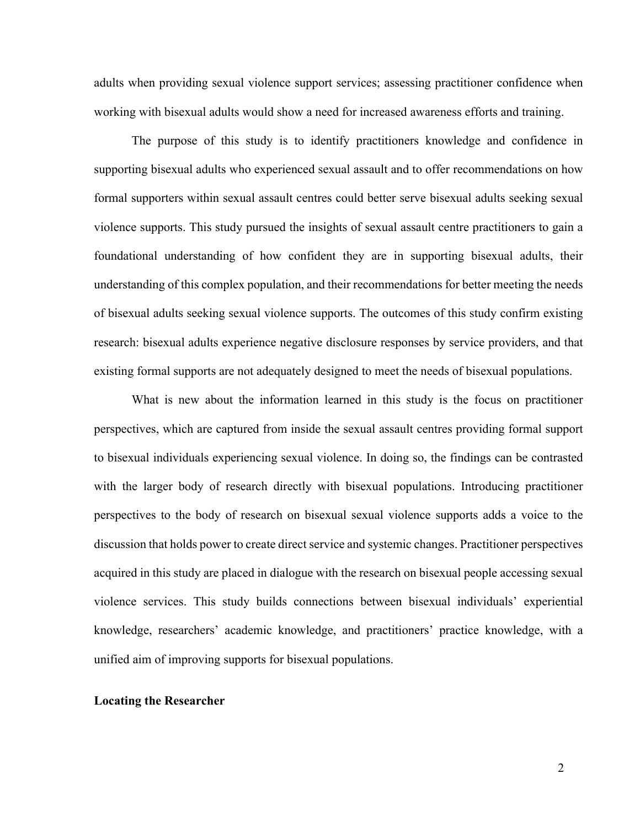adults when providing sexual violence support services; assessing practitioner confidence when working with bisexual adults would show a need for increased awareness efforts and training.

The purpose of this study is to identify practitioners knowledge and confidence in supporting bisexual adults who experienced sexual assault and to offer recommendations on how formal supporters within sexual assault centres could better serve bisexual adults seeking sexual violence supports. This study pursued the insights of sexual assault centre practitioners to gain a foundational understanding of how confident they are in supporting bisexual adults, their understanding of this complex population, and their recommendations for better meeting the needs of bisexual adults seeking sexual violence supports. The outcomes of this study confirm existing research: bisexual adults experience negative disclosure responses by service providers, and that existing formal supports are not adequately designed to meet the needs of bisexual populations.

What is new about the information learned in this study is the focus on practitioner perspectives, which are captured from inside the sexual assault centres providing formal support to bisexual individuals experiencing sexual violence. In doing so, the findings can be contrasted with the larger body of research directly with bisexual populations. Introducing practitioner perspectives to the body of research on bisexual sexual violence supports adds a voice to the discussion that holds power to create direct service and systemic changes. Practitioner perspectives acquired in this study are placed in dialogue with the research on bisexual people accessing sexual violence services. This study builds connections between bisexual individuals' experiential knowledge, researchers' academic knowledge, and practitioners' practice knowledge, with a unified aim of improving supports for bisexual populations.

#### **Locating the Researcher**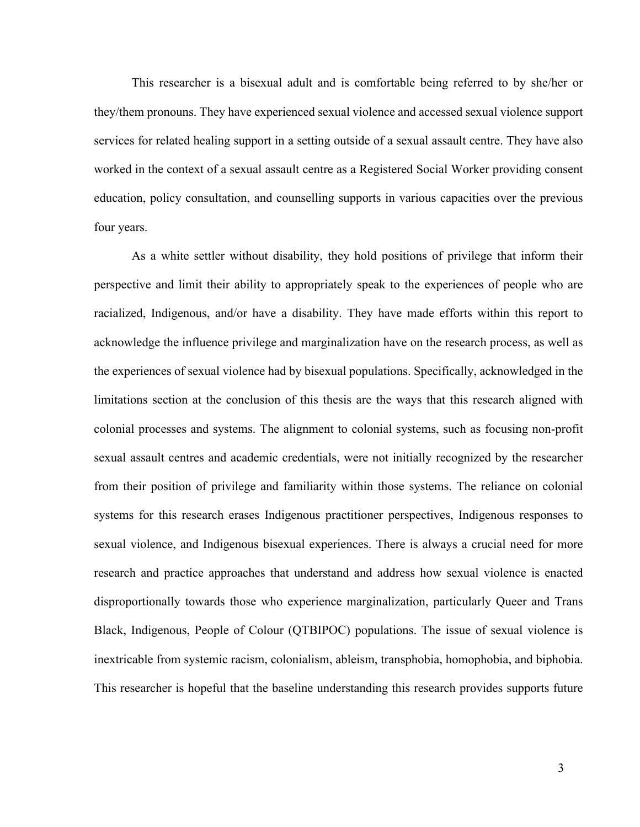This researcher is a bisexual adult and is comfortable being referred to by she/her or they/them pronouns. They have experienced sexual violence and accessed sexual violence support services for related healing support in a setting outside of a sexual assault centre. They have also worked in the context of a sexual assault centre as a Registered Social Worker providing consent education, policy consultation, and counselling supports in various capacities over the previous four years.

As a white settler without disability, they hold positions of privilege that inform their perspective and limit their ability to appropriately speak to the experiences of people who are racialized, Indigenous, and/or have a disability. They have made efforts within this report to acknowledge the influence privilege and marginalization have on the research process, as well as the experiences of sexual violence had by bisexual populations. Specifically, acknowledged in the limitations section at the conclusion of this thesis are the ways that this research aligned with colonial processes and systems. The alignment to colonial systems, such as focusing non-profit sexual assault centres and academic credentials, were not initially recognized by the researcher from their position of privilege and familiarity within those systems. The reliance on colonial systems for this research erases Indigenous practitioner perspectives, Indigenous responses to sexual violence, and Indigenous bisexual experiences. There is always a crucial need for more research and practice approaches that understand and address how sexual violence is enacted disproportionally towards those who experience marginalization, particularly Queer and Trans Black, Indigenous, People of Colour (QTBIPOC) populations. The issue of sexual violence is inextricable from systemic racism, colonialism, ableism, transphobia, homophobia, and biphobia. This researcher is hopeful that the baseline understanding this research provides supports future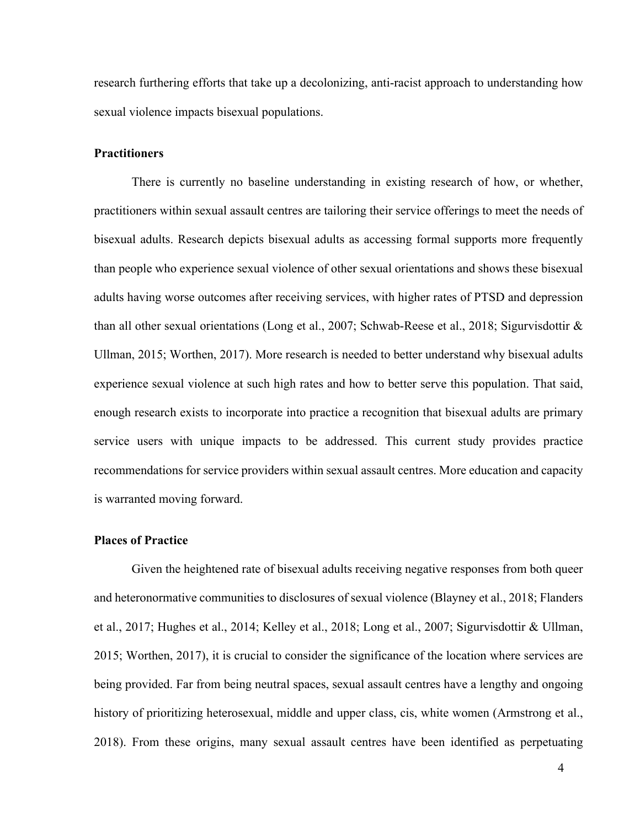research furthering efforts that take up a decolonizing, anti-racist approach to understanding how sexual violence impacts bisexual populations.

#### **Practitioners**

There is currently no baseline understanding in existing research of how, or whether, practitioners within sexual assault centres are tailoring their service offerings to meet the needs of bisexual adults. Research depicts bisexual adults as accessing formal supports more frequently than people who experience sexual violence of other sexual orientations and shows these bisexual adults having worse outcomes after receiving services, with higher rates of PTSD and depression than all other sexual orientations (Long et al., 2007; Schwab-Reese et al., 2018; Sigurvisdottir & Ullman, 2015; Worthen, 2017). More research is needed to better understand why bisexual adults experience sexual violence at such high rates and how to better serve this population. That said, enough research exists to incorporate into practice a recognition that bisexual adults are primary service users with unique impacts to be addressed. This current study provides practice recommendations for service providers within sexual assault centres. More education and capacity is warranted moving forward.

#### **Places of Practice**

Given the heightened rate of bisexual adults receiving negative responses from both queer and heteronormative communities to disclosures of sexual violence (Blayney et al., 2018; Flanders et al., 2017; Hughes et al., 2014; Kelley et al., 2018; Long et al., 2007; Sigurvisdottir & Ullman, 2015; Worthen, 2017), it is crucial to consider the significance of the location where services are being provided. Far from being neutral spaces, sexual assault centres have a lengthy and ongoing history of prioritizing heterosexual, middle and upper class, cis, white women (Armstrong et al., 2018). From these origins, many sexual assault centres have been identified as perpetuating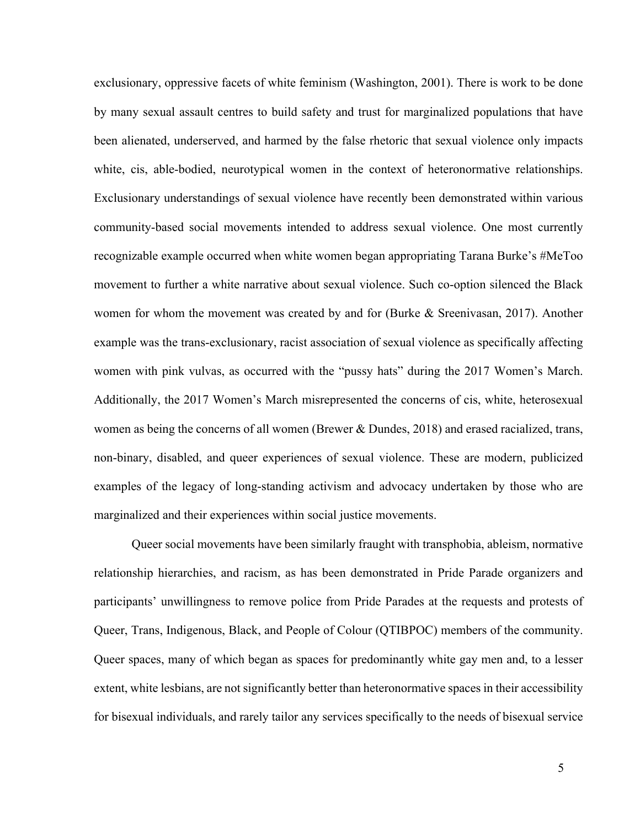exclusionary, oppressive facets of white feminism (Washington, 2001). There is work to be done by many sexual assault centres to build safety and trust for marginalized populations that have been alienated, underserved, and harmed by the false rhetoric that sexual violence only impacts white, cis, able-bodied, neurotypical women in the context of heteronormative relationships. Exclusionary understandings of sexual violence have recently been demonstrated within various community-based social movements intended to address sexual violence. One most currently recognizable example occurred when white women began appropriating Tarana Burke's #MeToo movement to further a white narrative about sexual violence. Such co-option silenced the Black women for whom the movement was created by and for (Burke & Sreenivasan, 2017). Another example was the trans-exclusionary, racist association of sexual violence as specifically affecting women with pink vulvas, as occurred with the "pussy hats" during the 2017 Women's March. Additionally, the 2017 Women's March misrepresented the concerns of cis, white, heterosexual women as being the concerns of all women (Brewer & Dundes, 2018) and erased racialized, trans, non-binary, disabled, and queer experiences of sexual violence. These are modern, publicized examples of the legacy of long-standing activism and advocacy undertaken by those who are marginalized and their experiences within social justice movements.

Queer social movements have been similarly fraught with transphobia, ableism, normative relationship hierarchies, and racism, as has been demonstrated in Pride Parade organizers and participants' unwillingness to remove police from Pride Parades at the requests and protests of Queer, Trans, Indigenous, Black, and People of Colour (QTIBPOC) members of the community. Queer spaces, many of which began as spaces for predominantly white gay men and, to a lesser extent, white lesbians, are not significantly better than heteronormative spaces in their accessibility for bisexual individuals, and rarely tailor any services specifically to the needs of bisexual service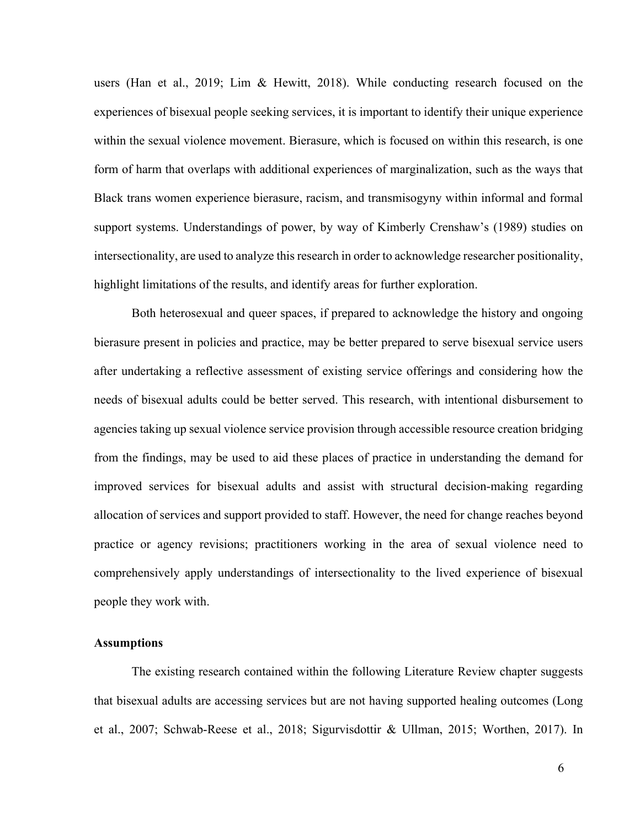users (Han et al., 2019; Lim & Hewitt, 2018). While conducting research focused on the experiences of bisexual people seeking services, it is important to identify their unique experience within the sexual violence movement. Bierasure, which is focused on within this research, is one form of harm that overlaps with additional experiences of marginalization, such as the ways that Black trans women experience bierasure, racism, and transmisogyny within informal and formal support systems. Understandings of power, by way of Kimberly Crenshaw's (1989) studies on intersectionality, are used to analyze this research in order to acknowledge researcher positionality, highlight limitations of the results, and identify areas for further exploration.

Both heterosexual and queer spaces, if prepared to acknowledge the history and ongoing bierasure present in policies and practice, may be better prepared to serve bisexual service users after undertaking a reflective assessment of existing service offerings and considering how the needs of bisexual adults could be better served. This research, with intentional disbursement to agencies taking up sexual violence service provision through accessible resource creation bridging from the findings, may be used to aid these places of practice in understanding the demand for improved services for bisexual adults and assist with structural decision-making regarding allocation of services and support provided to staff. However, the need for change reaches beyond practice or agency revisions; practitioners working in the area of sexual violence need to comprehensively apply understandings of intersectionality to the lived experience of bisexual people they work with.

#### **Assumptions**

The existing research contained within the following Literature Review chapter suggests that bisexual adults are accessing services but are not having supported healing outcomes (Long et al., 2007; Schwab-Reese et al., 2018; Sigurvisdottir & Ullman, 2015; Worthen, 2017). In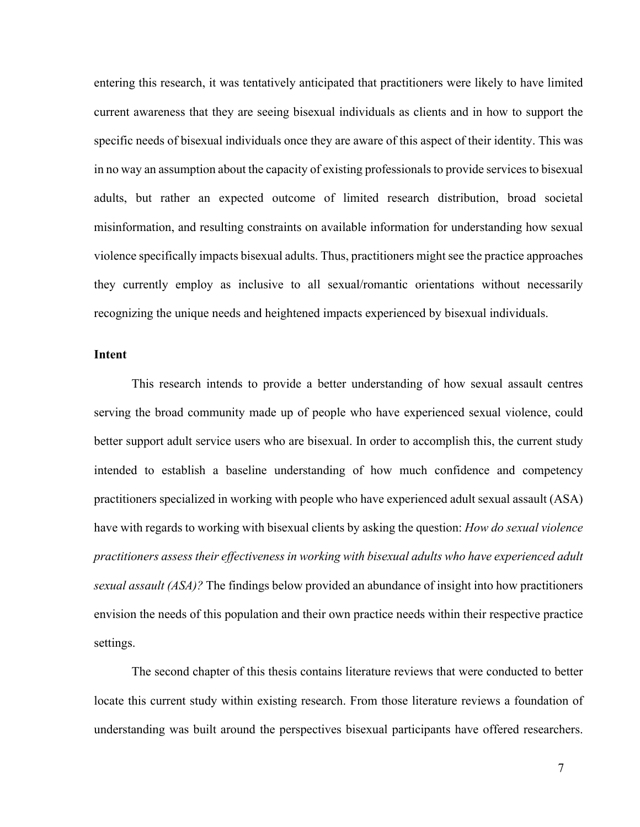entering this research, it was tentatively anticipated that practitioners were likely to have limited current awareness that they are seeing bisexual individuals as clients and in how to support the specific needs of bisexual individuals once they are aware of this aspect of their identity. This was in no way an assumption about the capacity of existing professionals to provide services to bisexual adults, but rather an expected outcome of limited research distribution, broad societal misinformation, and resulting constraints on available information for understanding how sexual violence specifically impacts bisexual adults. Thus, practitioners might see the practice approaches they currently employ as inclusive to all sexual/romantic orientations without necessarily recognizing the unique needs and heightened impacts experienced by bisexual individuals.

#### **Intent**

This research intends to provide a better understanding of how sexual assault centres serving the broad community made up of people who have experienced sexual violence, could better support adult service users who are bisexual. In order to accomplish this, the current study intended to establish a baseline understanding of how much confidence and competency practitioners specialized in working with people who have experienced adult sexual assault (ASA) have with regards to working with bisexual clients by asking the question: *How do sexual violence practitioners assess their effectiveness in working with bisexual adults who have experienced adult sexual assault (ASA)?* The findings below provided an abundance of insight into how practitioners envision the needs of this population and their own practice needs within their respective practice settings.

The second chapter of this thesis contains literature reviews that were conducted to better locate this current study within existing research. From those literature reviews a foundation of understanding was built around the perspectives bisexual participants have offered researchers.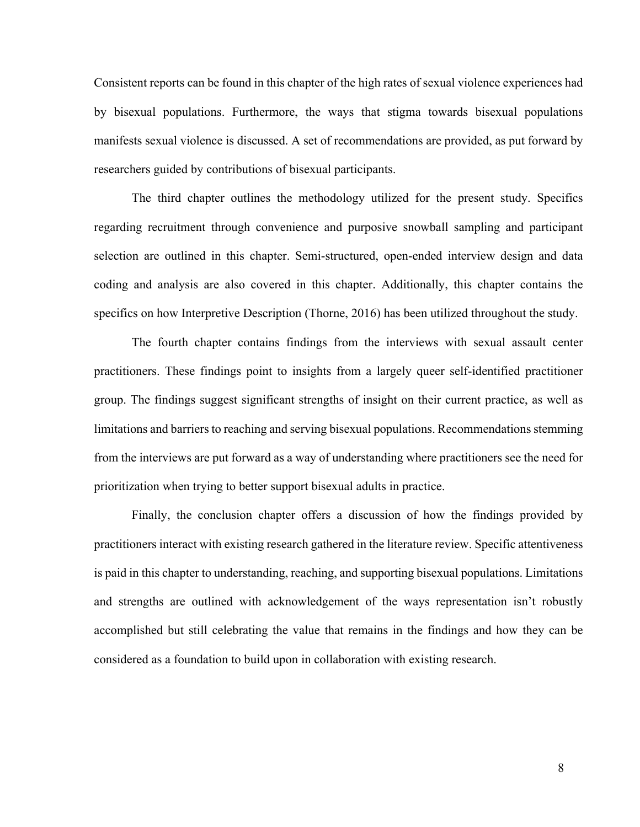Consistent reports can be found in this chapter of the high rates of sexual violence experiences had by bisexual populations. Furthermore, the ways that stigma towards bisexual populations manifests sexual violence is discussed. A set of recommendations are provided, as put forward by researchers guided by contributions of bisexual participants.

The third chapter outlines the methodology utilized for the present study. Specifics regarding recruitment through convenience and purposive snowball sampling and participant selection are outlined in this chapter. Semi-structured, open-ended interview design and data coding and analysis are also covered in this chapter. Additionally, this chapter contains the specifics on how Interpretive Description (Thorne, 2016) has been utilized throughout the study.

The fourth chapter contains findings from the interviews with sexual assault center practitioners. These findings point to insights from a largely queer self-identified practitioner group. The findings suggest significant strengths of insight on their current practice, as well as limitations and barriers to reaching and serving bisexual populations. Recommendations stemming from the interviews are put forward as a way of understanding where practitioners see the need for prioritization when trying to better support bisexual adults in practice.

Finally, the conclusion chapter offers a discussion of how the findings provided by practitioners interact with existing research gathered in the literature review. Specific attentiveness is paid in this chapter to understanding, reaching, and supporting bisexual populations. Limitations and strengths are outlined with acknowledgement of the ways representation isn't robustly accomplished but still celebrating the value that remains in the findings and how they can be considered as a foundation to build upon in collaboration with existing research.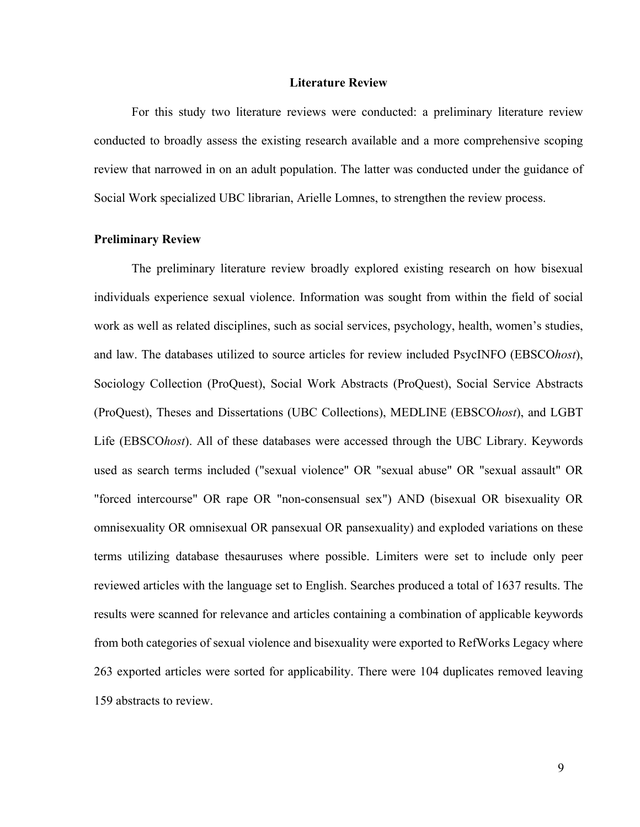#### **Literature Review**

For this study two literature reviews were conducted: a preliminary literature review conducted to broadly assess the existing research available and a more comprehensive scoping review that narrowed in on an adult population. The latter was conducted under the guidance of Social Work specialized UBC librarian, Arielle Lomnes, to strengthen the review process.

#### **Preliminary Review**

The preliminary literature review broadly explored existing research on how bisexual individuals experience sexual violence. Information was sought from within the field of social work as well as related disciplines, such as social services, psychology, health, women's studies, and law. The databases utilized to source articles for review included PsycINFO (EBSCO*host*), Sociology Collection (ProQuest), Social Work Abstracts (ProQuest), Social Service Abstracts (ProQuest), Theses and Dissertations (UBC Collections), MEDLINE (EBSCO*host*), and LGBT Life (EBSCO*host*). All of these databases were accessed through the UBC Library. Keywords used as search terms included ("sexual violence" OR "sexual abuse" OR "sexual assault" OR "forced intercourse" OR rape OR "non-consensual sex") AND (bisexual OR bisexuality OR omnisexuality OR omnisexual OR pansexual OR pansexuality) and exploded variations on these terms utilizing database thesauruses where possible. Limiters were set to include only peer reviewed articles with the language set to English. Searches produced a total of 1637 results. The results were scanned for relevance and articles containing a combination of applicable keywords from both categories of sexual violence and bisexuality were exported to RefWorks Legacy where 263 exported articles were sorted for applicability. There were 104 duplicates removed leaving 159 abstracts to review.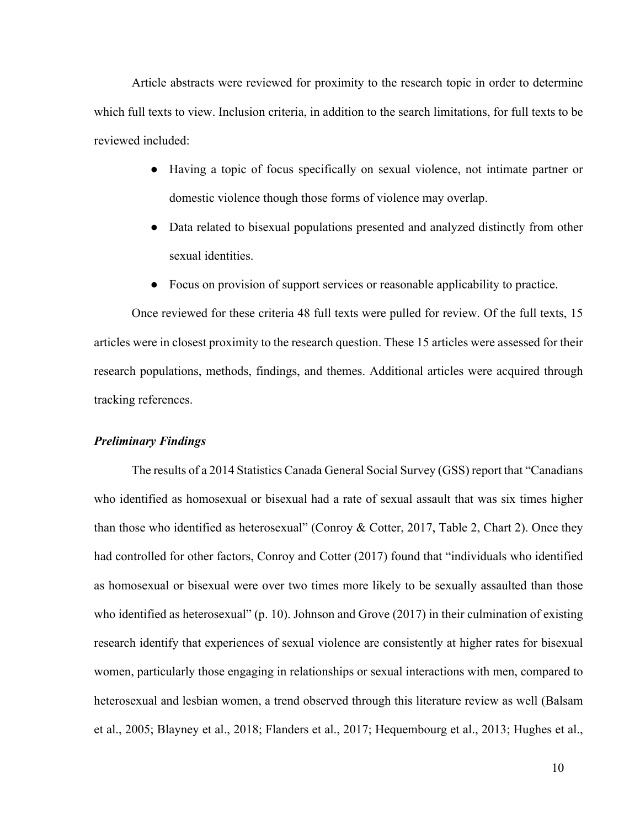Article abstracts were reviewed for proximity to the research topic in order to determine which full texts to view. Inclusion criteria, in addition to the search limitations, for full texts to be reviewed included:

- Having a topic of focus specifically on sexual violence, not intimate partner or domestic violence though those forms of violence may overlap.
- Data related to bisexual populations presented and analyzed distinctly from other sexual identities.
- Focus on provision of support services or reasonable applicability to practice.

Once reviewed for these criteria 48 full texts were pulled for review. Of the full texts, 15 articles were in closest proximity to the research question. These 15 articles were assessed for their research populations, methods, findings, and themes. Additional articles were acquired through tracking references.

#### *Preliminary Findings*

The results of a 2014 Statistics Canada General Social Survey (GSS) report that "Canadians who identified as homosexual or bisexual had a rate of sexual assault that was six times higher than those who identified as heterosexual" (Conroy & Cotter, 2017, Table 2, Chart 2). Once they had controlled for other factors, Conroy and Cotter (2017) found that "individuals who identified as homosexual or bisexual were over two times more likely to be sexually assaulted than those who identified as heterosexual" (p. 10). Johnson and Grove (2017) in their culmination of existing research identify that experiences of sexual violence are consistently at higher rates for bisexual women, particularly those engaging in relationships or sexual interactions with men, compared to heterosexual and lesbian women, a trend observed through this literature review as well (Balsam et al., 2005; Blayney et al., 2018; Flanders et al., 2017; Hequembourg et al., 2013; Hughes et al.,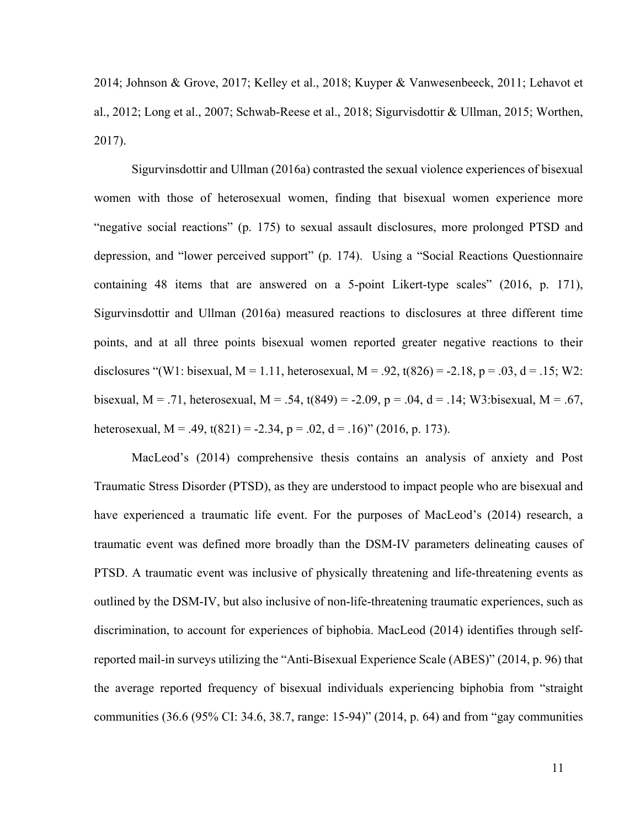2014; Johnson & Grove, 2017; Kelley et al., 2018; Kuyper & Vanwesenbeeck, 2011; Lehavot et al., 2012; Long et al., 2007; Schwab-Reese et al., 2018; Sigurvisdottir & Ullman, 2015; Worthen, 2017).

Sigurvinsdottir and Ullman (2016a) contrasted the sexual violence experiences of bisexual women with those of heterosexual women, finding that bisexual women experience more "negative social reactions" (p. 175) to sexual assault disclosures, more prolonged PTSD and depression, and "lower perceived support" (p. 174). Using a "Social Reactions Questionnaire containing 48 items that are answered on a 5-point Likert-type scales" (2016, p. 171), Sigurvinsdottir and Ullman (2016a) measured reactions to disclosures at three different time points, and at all three points bisexual women reported greater negative reactions to their disclosures "(W1: bisexual, M = 1.11, heterosexual, M = .92, t(826) = -2.18, p = .03, d = .15; W2: bisexual, M = .71, heterosexual, M = .54, t(849) = -2.09, p = .04, d = .14; W3:bisexual, M = .67, heterosexual,  $M = .49$ ,  $t(821) = -2.34$ ,  $p = .02$ ,  $d = .16$ )" (2016, p. 173).

MacLeod's (2014) comprehensive thesis contains an analysis of anxiety and Post Traumatic Stress Disorder (PTSD), as they are understood to impact people who are bisexual and have experienced a traumatic life event. For the purposes of MacLeod's (2014) research, a traumatic event was defined more broadly than the DSM-IV parameters delineating causes of PTSD. A traumatic event was inclusive of physically threatening and life-threatening events as outlined by the DSM-IV, but also inclusive of non-life-threatening traumatic experiences, such as discrimination, to account for experiences of biphobia. MacLeod (2014) identifies through selfreported mail-in surveys utilizing the "Anti-Bisexual Experience Scale (ABES)" (2014, p. 96) that the average reported frequency of bisexual individuals experiencing biphobia from "straight communities (36.6 (95% CI: 34.6, 38.7, range: 15-94)" (2014, p. 64) and from "gay communities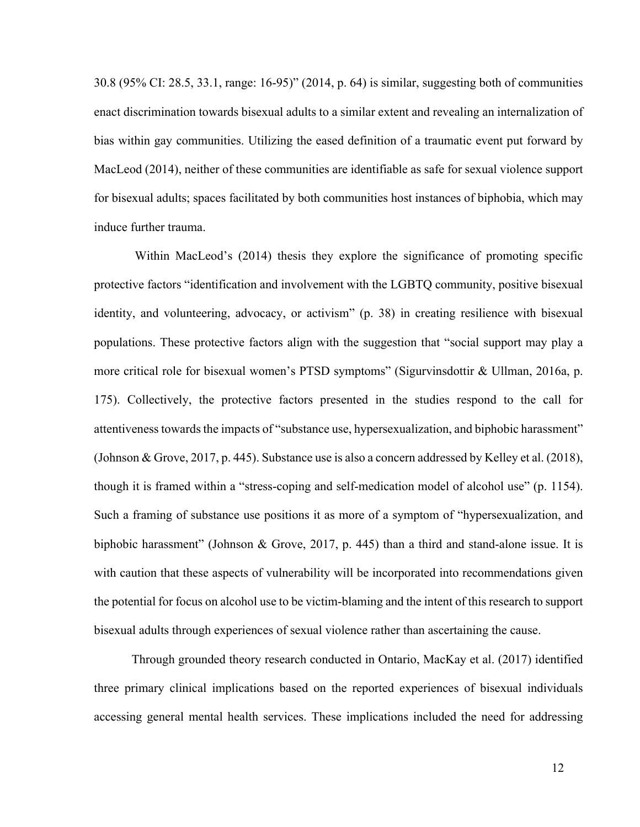30.8 (95% CI: 28.5, 33.1, range: 16-95)" (2014, p. 64) is similar, suggesting both of communities enact discrimination towards bisexual adults to a similar extent and revealing an internalization of bias within gay communities. Utilizing the eased definition of a traumatic event put forward by MacLeod (2014), neither of these communities are identifiable as safe for sexual violence support for bisexual adults; spaces facilitated by both communities host instances of biphobia, which may induce further trauma.

Within MacLeod's (2014) thesis they explore the significance of promoting specific protective factors "identification and involvement with the LGBTQ community, positive bisexual identity, and volunteering, advocacy, or activism" (p. 38) in creating resilience with bisexual populations. These protective factors align with the suggestion that "social support may play a more critical role for bisexual women's PTSD symptoms" (Sigurvinsdottir & Ullman, 2016a, p. 175). Collectively, the protective factors presented in the studies respond to the call for attentiveness towards the impacts of "substance use, hypersexualization, and biphobic harassment" (Johnson & Grove, 2017, p. 445). Substance use is also a concern addressed by Kelley et al. (2018), though it is framed within a "stress-coping and self-medication model of alcohol use" (p. 1154). Such a framing of substance use positions it as more of a symptom of "hypersexualization, and biphobic harassment" (Johnson & Grove, 2017, p. 445) than a third and stand-alone issue. It is with caution that these aspects of vulnerability will be incorporated into recommendations given the potential for focus on alcohol use to be victim-blaming and the intent of this research to support bisexual adults through experiences of sexual violence rather than ascertaining the cause.

Through grounded theory research conducted in Ontario, MacKay et al. (2017) identified three primary clinical implications based on the reported experiences of bisexual individuals accessing general mental health services. These implications included the need for addressing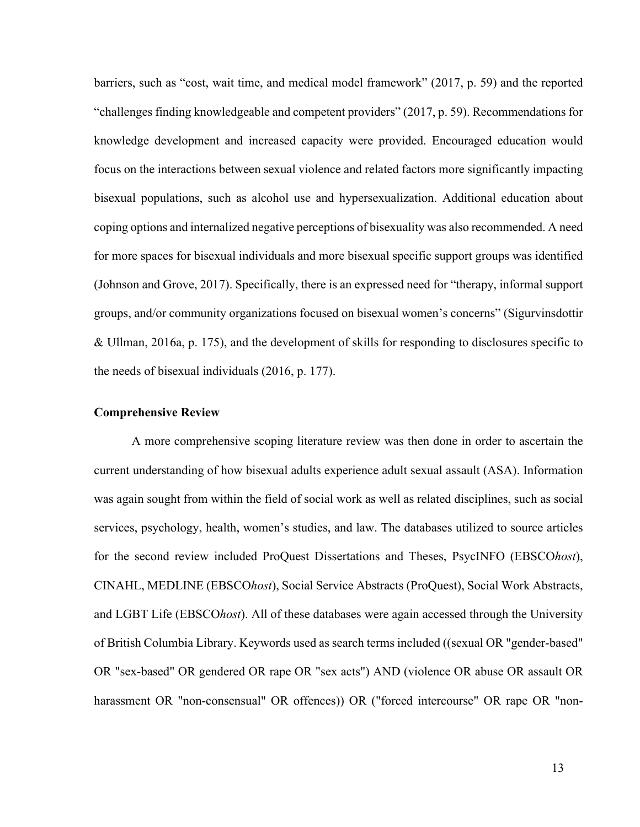barriers, such as "cost, wait time, and medical model framework" (2017, p. 59) and the reported "challenges finding knowledgeable and competent providers" (2017, p. 59). Recommendations for knowledge development and increased capacity were provided. Encouraged education would focus on the interactions between sexual violence and related factors more significantly impacting bisexual populations, such as alcohol use and hypersexualization. Additional education about coping options and internalized negative perceptions of bisexuality was also recommended. A need for more spaces for bisexual individuals and more bisexual specific support groups was identified (Johnson and Grove, 2017). Specifically, there is an expressed need for "therapy, informal support groups, and/or community organizations focused on bisexual women's concerns" (Sigurvinsdottir & Ullman, 2016a, p. 175), and the development of skills for responding to disclosures specific to the needs of bisexual individuals (2016, p. 177).

#### **Comprehensive Review**

A more comprehensive scoping literature review was then done in order to ascertain the current understanding of how bisexual adults experience adult sexual assault (ASA). Information was again sought from within the field of social work as well as related disciplines, such as social services, psychology, health, women's studies, and law. The databases utilized to source articles for the second review included ProQuest Dissertations and Theses, PsycINFO (EBSCO*host*), CINAHL, MEDLINE (EBSCO*host*), Social Service Abstracts (ProQuest), Social Work Abstracts, and LGBT Life (EBSCO*host*). All of these databases were again accessed through the University of British Columbia Library. Keywords used as search terms included ((sexual OR "gender-based" OR "sex-based" OR gendered OR rape OR "sex acts") AND (violence OR abuse OR assault OR harassment OR "non-consensual" OR offences)) OR ("forced intercourse" OR rape OR "non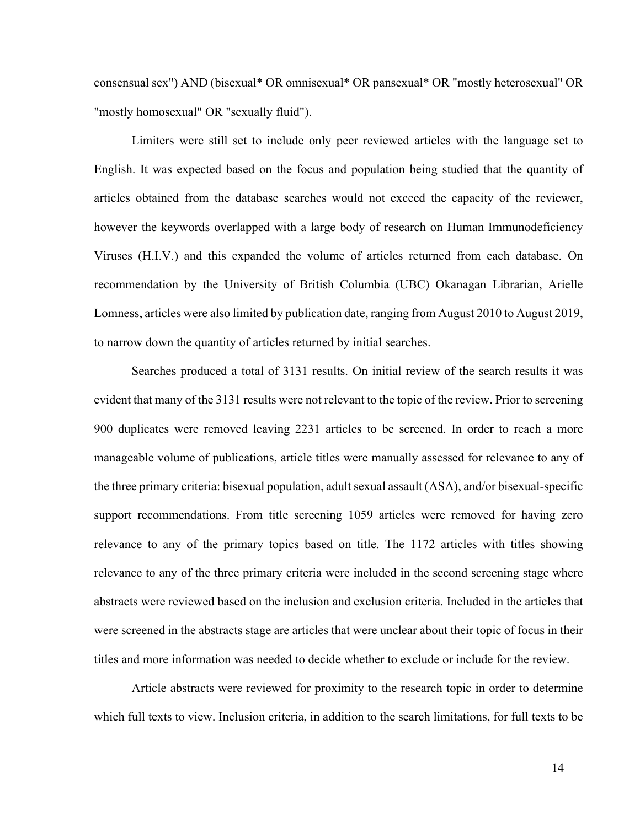consensual sex") AND (bisexual\* OR omnisexual\* OR pansexual\* OR "mostly heterosexual" OR "mostly homosexual" OR "sexually fluid").

Limiters were still set to include only peer reviewed articles with the language set to English. It was expected based on the focus and population being studied that the quantity of articles obtained from the database searches would not exceed the capacity of the reviewer, however the keywords overlapped with a large body of research on Human Immunodeficiency Viruses (H.I.V.) and this expanded the volume of articles returned from each database. On recommendation by the University of British Columbia (UBC) Okanagan Librarian, Arielle Lomness, articles were also limited by publication date, ranging from August 2010 to August 2019, to narrow down the quantity of articles returned by initial searches.

Searches produced a total of 3131 results. On initial review of the search results it was evident that many of the 3131 results were not relevant to the topic of the review. Prior to screening 900 duplicates were removed leaving 2231 articles to be screened. In order to reach a more manageable volume of publications, article titles were manually assessed for relevance to any of the three primary criteria: bisexual population, adult sexual assault (ASA), and/or bisexual-specific support recommendations. From title screening 1059 articles were removed for having zero relevance to any of the primary topics based on title. The 1172 articles with titles showing relevance to any of the three primary criteria were included in the second screening stage where abstracts were reviewed based on the inclusion and exclusion criteria. Included in the articles that were screened in the abstracts stage are articles that were unclear about their topic of focus in their titles and more information was needed to decide whether to exclude or include for the review.

Article abstracts were reviewed for proximity to the research topic in order to determine which full texts to view. Inclusion criteria, in addition to the search limitations, for full texts to be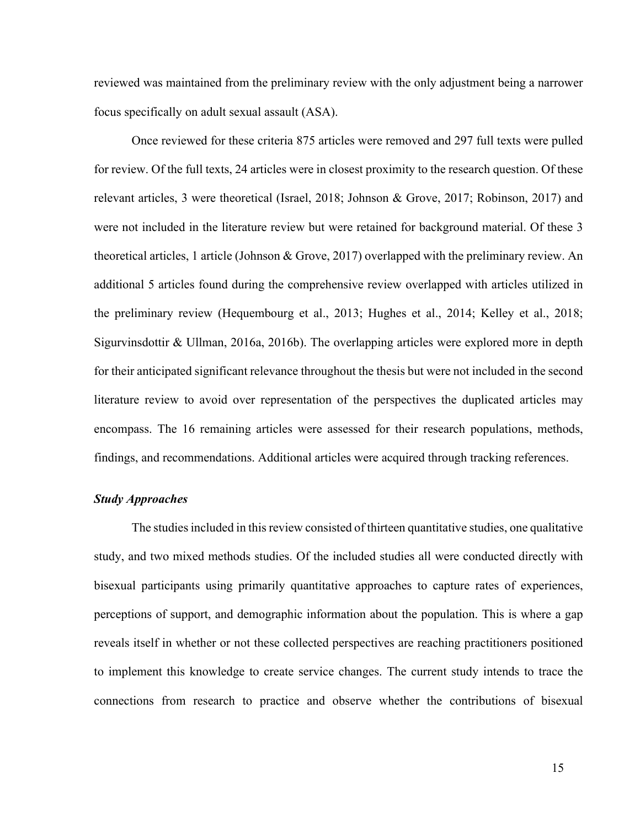reviewed was maintained from the preliminary review with the only adjustment being a narrower focus specifically on adult sexual assault (ASA).

Once reviewed for these criteria 875 articles were removed and 297 full texts were pulled for review. Of the full texts, 24 articles were in closest proximity to the research question. Of these relevant articles, 3 were theoretical (Israel, 2018; Johnson & Grove, 2017; Robinson, 2017) and were not included in the literature review but were retained for background material. Of these 3 theoretical articles, 1 article (Johnson & Grove, 2017) overlapped with the preliminary review. An additional 5 articles found during the comprehensive review overlapped with articles utilized in the preliminary review (Hequembourg et al., 2013; Hughes et al., 2014; Kelley et al., 2018; Sigurvinsdottir & Ullman, 2016a, 2016b). The overlapping articles were explored more in depth for their anticipated significant relevance throughout the thesis but were not included in the second literature review to avoid over representation of the perspectives the duplicated articles may encompass. The 16 remaining articles were assessed for their research populations, methods, findings, and recommendations. Additional articles were acquired through tracking references.

#### *Study Approaches*

The studies included in this review consisted of thirteen quantitative studies, one qualitative study, and two mixed methods studies. Of the included studies all were conducted directly with bisexual participants using primarily quantitative approaches to capture rates of experiences, perceptions of support, and demographic information about the population. This is where a gap reveals itself in whether or not these collected perspectives are reaching practitioners positioned to implement this knowledge to create service changes. The current study intends to trace the connections from research to practice and observe whether the contributions of bisexual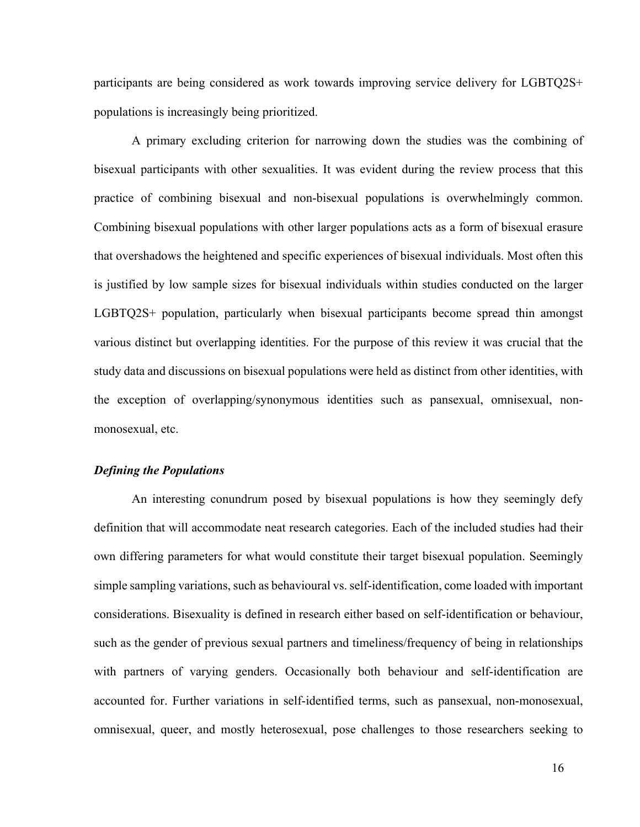participants are being considered as work towards improving service delivery for LGBTQ2S+ populations is increasingly being prioritized.

A primary excluding criterion for narrowing down the studies was the combining of bisexual participants with other sexualities. It was evident during the review process that this practice of combining bisexual and non-bisexual populations is overwhelmingly common. Combining bisexual populations with other larger populations acts as a form of bisexual erasure that overshadows the heightened and specific experiences of bisexual individuals. Most often this is justified by low sample sizes for bisexual individuals within studies conducted on the larger LGBTQ2S+ population, particularly when bisexual participants become spread thin amongst various distinct but overlapping identities. For the purpose of this review it was crucial that the study data and discussions on bisexual populations were held as distinct from other identities, with the exception of overlapping/synonymous identities such as pansexual, omnisexual, nonmonosexual, etc.

#### *Defining the Populations*

An interesting conundrum posed by bisexual populations is how they seemingly defy definition that will accommodate neat research categories. Each of the included studies had their own differing parameters for what would constitute their target bisexual population. Seemingly simple sampling variations, such as behavioural vs. self-identification, come loaded with important considerations. Bisexuality is defined in research either based on self-identification or behaviour, such as the gender of previous sexual partners and timeliness/frequency of being in relationships with partners of varying genders. Occasionally both behaviour and self-identification are accounted for. Further variations in self-identified terms, such as pansexual, non-monosexual, omnisexual, queer, and mostly heterosexual, pose challenges to those researchers seeking to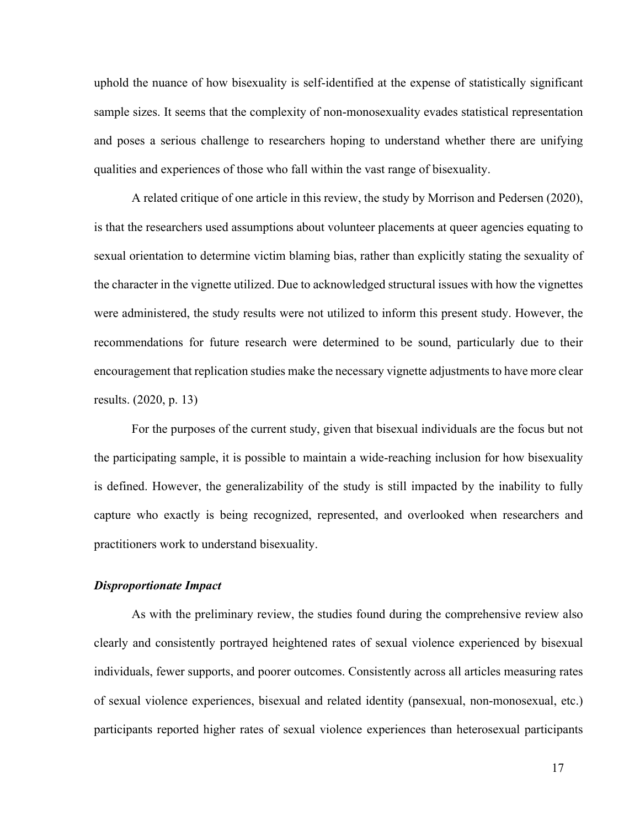uphold the nuance of how bisexuality is self-identified at the expense of statistically significant sample sizes. It seems that the complexity of non-monosexuality evades statistical representation and poses a serious challenge to researchers hoping to understand whether there are unifying qualities and experiences of those who fall within the vast range of bisexuality.

A related critique of one article in this review, the study by Morrison and Pedersen (2020), is that the researchers used assumptions about volunteer placements at queer agencies equating to sexual orientation to determine victim blaming bias, rather than explicitly stating the sexuality of the character in the vignette utilized. Due to acknowledged structural issues with how the vignettes were administered, the study results were not utilized to inform this present study. However, the recommendations for future research were determined to be sound, particularly due to their encouragement that replication studies make the necessary vignette adjustments to have more clear results. (2020, p. 13)

For the purposes of the current study, given that bisexual individuals are the focus but not the participating sample, it is possible to maintain a wide-reaching inclusion for how bisexuality is defined. However, the generalizability of the study is still impacted by the inability to fully capture who exactly is being recognized, represented, and overlooked when researchers and practitioners work to understand bisexuality.

#### *Disproportionate Impact*

As with the preliminary review, the studies found during the comprehensive review also clearly and consistently portrayed heightened rates of sexual violence experienced by bisexual individuals, fewer supports, and poorer outcomes. Consistently across all articles measuring rates of sexual violence experiences, bisexual and related identity (pansexual, non-monosexual, etc.) participants reported higher rates of sexual violence experiences than heterosexual participants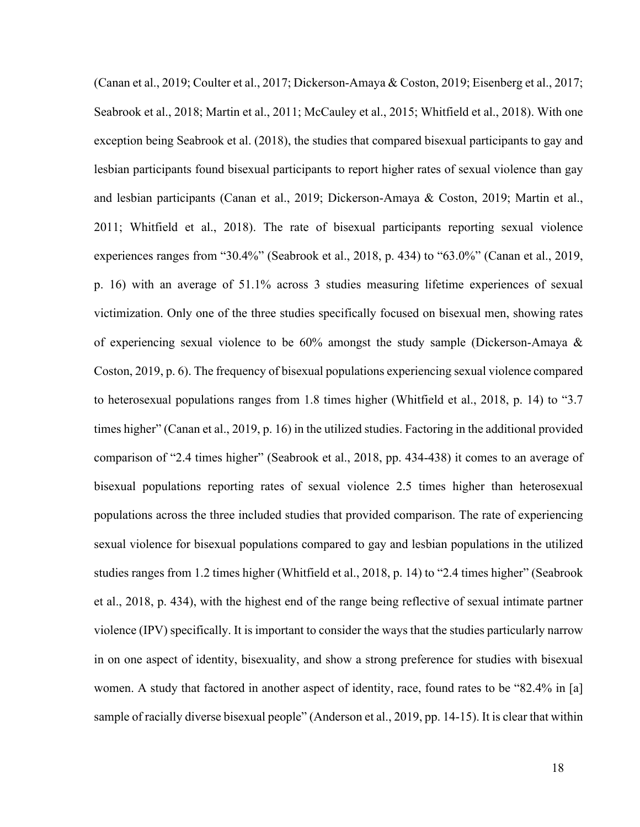(Canan et al., 2019; Coulter et al., 2017; Dickerson-Amaya & Coston, 2019; Eisenberg et al., 2017; Seabrook et al., 2018; Martin et al., 2011; McCauley et al., 2015; Whitfield et al., 2018). With one exception being Seabrook et al. (2018), the studies that compared bisexual participants to gay and lesbian participants found bisexual participants to report higher rates of sexual violence than gay and lesbian participants (Canan et al., 2019; Dickerson-Amaya & Coston, 2019; Martin et al., 2011; Whitfield et al., 2018). The rate of bisexual participants reporting sexual violence experiences ranges from "30.4%" (Seabrook et al., 2018, p. 434) to "63.0%" (Canan et al., 2019, p. 16) with an average of 51.1% across 3 studies measuring lifetime experiences of sexual victimization. Only one of the three studies specifically focused on bisexual men, showing rates of experiencing sexual violence to be 60% amongst the study sample (Dickerson-Amaya & Coston, 2019, p. 6). The frequency of bisexual populations experiencing sexual violence compared to heterosexual populations ranges from 1.8 times higher (Whitfield et al., 2018, p. 14) to "3.7 times higher" (Canan et al., 2019, p. 16) in the utilized studies. Factoring in the additional provided comparison of "2.4 times higher" (Seabrook et al., 2018, pp. 434-438) it comes to an average of bisexual populations reporting rates of sexual violence 2.5 times higher than heterosexual populations across the three included studies that provided comparison. The rate of experiencing sexual violence for bisexual populations compared to gay and lesbian populations in the utilized studies ranges from 1.2 times higher (Whitfield et al., 2018, p. 14) to "2.4 times higher" (Seabrook et al., 2018, p. 434), with the highest end of the range being reflective of sexual intimate partner violence (IPV) specifically. It is important to consider the ways that the studies particularly narrow in on one aspect of identity, bisexuality, and show a strong preference for studies with bisexual women. A study that factored in another aspect of identity, race, found rates to be "82.4% in [a] sample of racially diverse bisexual people" (Anderson et al., 2019, pp. 14-15). It is clear that within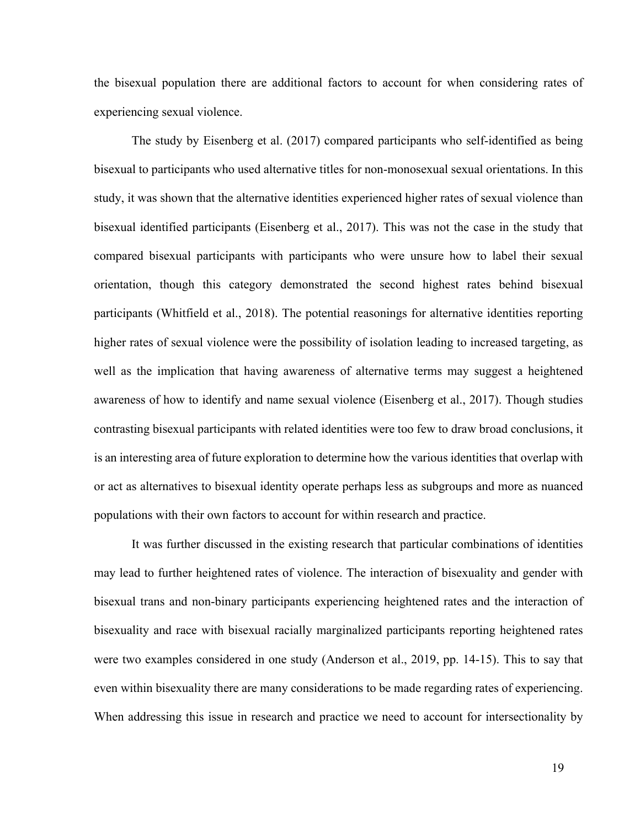the bisexual population there are additional factors to account for when considering rates of experiencing sexual violence.

The study by Eisenberg et al. (2017) compared participants who self-identified as being bisexual to participants who used alternative titles for non-monosexual sexual orientations. In this study, it was shown that the alternative identities experienced higher rates of sexual violence than bisexual identified participants (Eisenberg et al., 2017). This was not the case in the study that compared bisexual participants with participants who were unsure how to label their sexual orientation, though this category demonstrated the second highest rates behind bisexual participants (Whitfield et al., 2018). The potential reasonings for alternative identities reporting higher rates of sexual violence were the possibility of isolation leading to increased targeting, as well as the implication that having awareness of alternative terms may suggest a heightened awareness of how to identify and name sexual violence (Eisenberg et al., 2017). Though studies contrasting bisexual participants with related identities were too few to draw broad conclusions, it is an interesting area of future exploration to determine how the various identities that overlap with or act as alternatives to bisexual identity operate perhaps less as subgroups and more as nuanced populations with their own factors to account for within research and practice.

It was further discussed in the existing research that particular combinations of identities may lead to further heightened rates of violence. The interaction of bisexuality and gender with bisexual trans and non-binary participants experiencing heightened rates and the interaction of bisexuality and race with bisexual racially marginalized participants reporting heightened rates were two examples considered in one study (Anderson et al., 2019, pp. 14-15). This to say that even within bisexuality there are many considerations to be made regarding rates of experiencing. When addressing this issue in research and practice we need to account for intersectionality by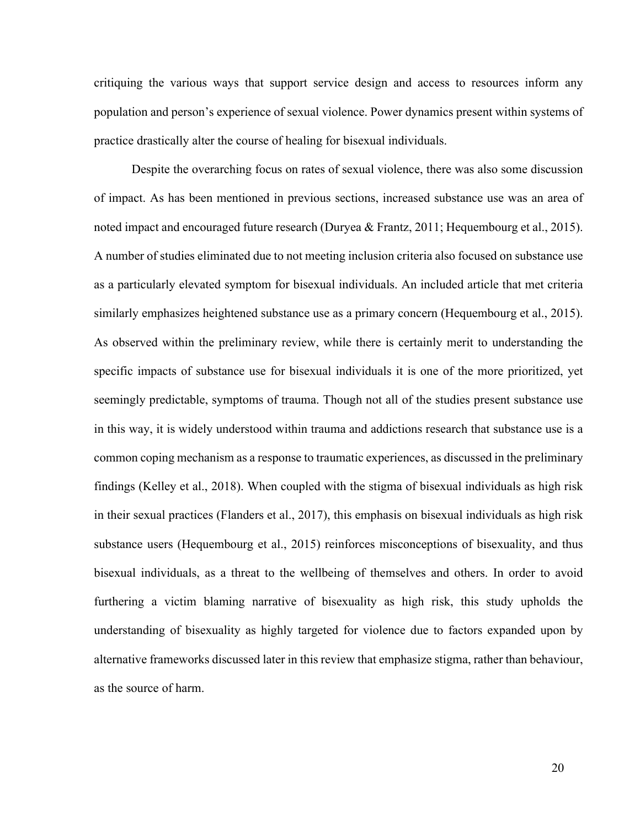critiquing the various ways that support service design and access to resources inform any population and person's experience of sexual violence. Power dynamics present within systems of practice drastically alter the course of healing for bisexual individuals.

Despite the overarching focus on rates of sexual violence, there was also some discussion of impact. As has been mentioned in previous sections, increased substance use was an area of noted impact and encouraged future research (Duryea & Frantz, 2011; Hequembourg et al., 2015). A number of studies eliminated due to not meeting inclusion criteria also focused on substance use as a particularly elevated symptom for bisexual individuals. An included article that met criteria similarly emphasizes heightened substance use as a primary concern (Hequembourg et al., 2015). As observed within the preliminary review, while there is certainly merit to understanding the specific impacts of substance use for bisexual individuals it is one of the more prioritized, yet seemingly predictable, symptoms of trauma. Though not all of the studies present substance use in this way, it is widely understood within trauma and addictions research that substance use is a common coping mechanism as a response to traumatic experiences, as discussed in the preliminary findings (Kelley et al., 2018). When coupled with the stigma of bisexual individuals as high risk in their sexual practices (Flanders et al., 2017), this emphasis on bisexual individuals as high risk substance users (Hequembourg et al., 2015) reinforces misconceptions of bisexuality, and thus bisexual individuals, as a threat to the wellbeing of themselves and others. In order to avoid furthering a victim blaming narrative of bisexuality as high risk, this study upholds the understanding of bisexuality as highly targeted for violence due to factors expanded upon by alternative frameworks discussed later in this review that emphasize stigma, rather than behaviour, as the source of harm.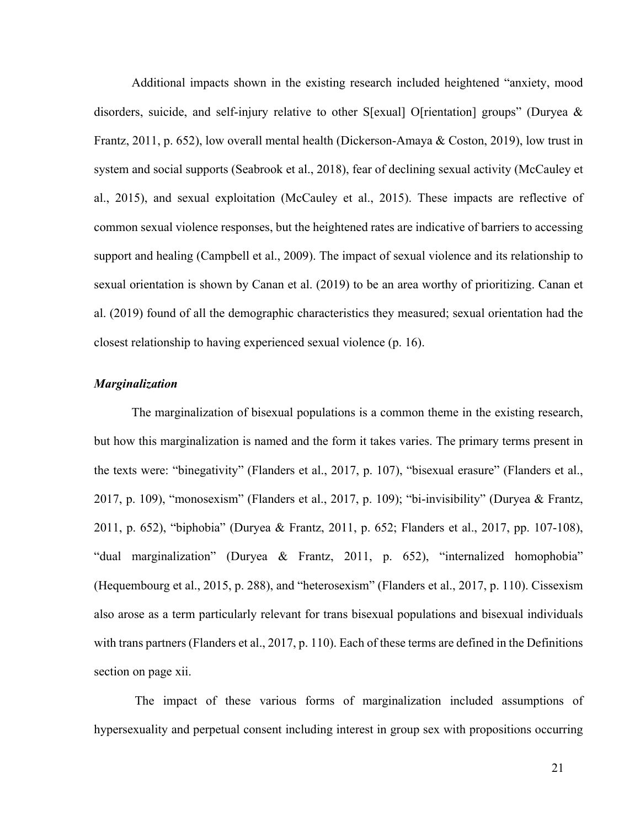Additional impacts shown in the existing research included heightened "anxiety, mood disorders, suicide, and self-injury relative to other S[exual] O[rientation] groups" (Duryea  $\&$ Frantz, 2011, p. 652), low overall mental health (Dickerson-Amaya & Coston, 2019), low trust in system and social supports (Seabrook et al., 2018), fear of declining sexual activity (McCauley et al., 2015), and sexual exploitation (McCauley et al., 2015). These impacts are reflective of common sexual violence responses, but the heightened rates are indicative of barriers to accessing support and healing (Campbell et al., 2009). The impact of sexual violence and its relationship to sexual orientation is shown by Canan et al. (2019) to be an area worthy of prioritizing. Canan et al. (2019) found of all the demographic characteristics they measured; sexual orientation had the closest relationship to having experienced sexual violence (p. 16).

#### *Marginalization*

The marginalization of bisexual populations is a common theme in the existing research, but how this marginalization is named and the form it takes varies. The primary terms present in the texts were: "binegativity" (Flanders et al., 2017, p. 107), "bisexual erasure" (Flanders et al., 2017, p. 109), "monosexism" (Flanders et al., 2017, p. 109); "bi-invisibility" (Duryea & Frantz, 2011, p. 652), "biphobia" (Duryea & Frantz, 2011, p. 652; Flanders et al., 2017, pp. 107-108), "dual marginalization" (Duryea & Frantz, 2011, p. 652), "internalized homophobia" (Hequembourg et al., 2015, p. 288), and "heterosexism" (Flanders et al., 2017, p. 110). Cissexism also arose as a term particularly relevant for trans bisexual populations and bisexual individuals with trans partners (Flanders et al., 2017, p. 110). Each of these terms are defined in the Definitions section on page xii.

The impact of these various forms of marginalization included assumptions of hypersexuality and perpetual consent including interest in group sex with propositions occurring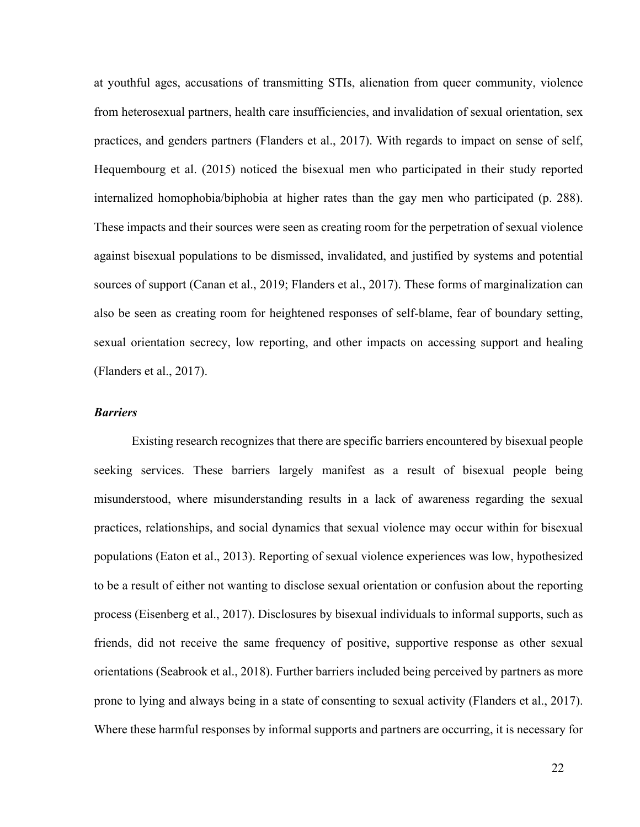at youthful ages, accusations of transmitting STIs, alienation from queer community, violence from heterosexual partners, health care insufficiencies, and invalidation of sexual orientation, sex practices, and genders partners (Flanders et al., 2017). With regards to impact on sense of self, Hequembourg et al. (2015) noticed the bisexual men who participated in their study reported internalized homophobia/biphobia at higher rates than the gay men who participated (p. 288). These impacts and their sources were seen as creating room for the perpetration of sexual violence against bisexual populations to be dismissed, invalidated, and justified by systems and potential sources of support (Canan et al., 2019; Flanders et al., 2017). These forms of marginalization can also be seen as creating room for heightened responses of self-blame, fear of boundary setting, sexual orientation secrecy, low reporting, and other impacts on accessing support and healing (Flanders et al., 2017).

#### *Barriers*

Existing research recognizes that there are specific barriers encountered by bisexual people seeking services. These barriers largely manifest as a result of bisexual people being misunderstood, where misunderstanding results in a lack of awareness regarding the sexual practices, relationships, and social dynamics that sexual violence may occur within for bisexual populations (Eaton et al., 2013). Reporting of sexual violence experiences was low, hypothesized to be a result of either not wanting to disclose sexual orientation or confusion about the reporting process (Eisenberg et al., 2017). Disclosures by bisexual individuals to informal supports, such as friends, did not receive the same frequency of positive, supportive response as other sexual orientations (Seabrook et al., 2018). Further barriers included being perceived by partners as more prone to lying and always being in a state of consenting to sexual activity (Flanders et al., 2017). Where these harmful responses by informal supports and partners are occurring, it is necessary for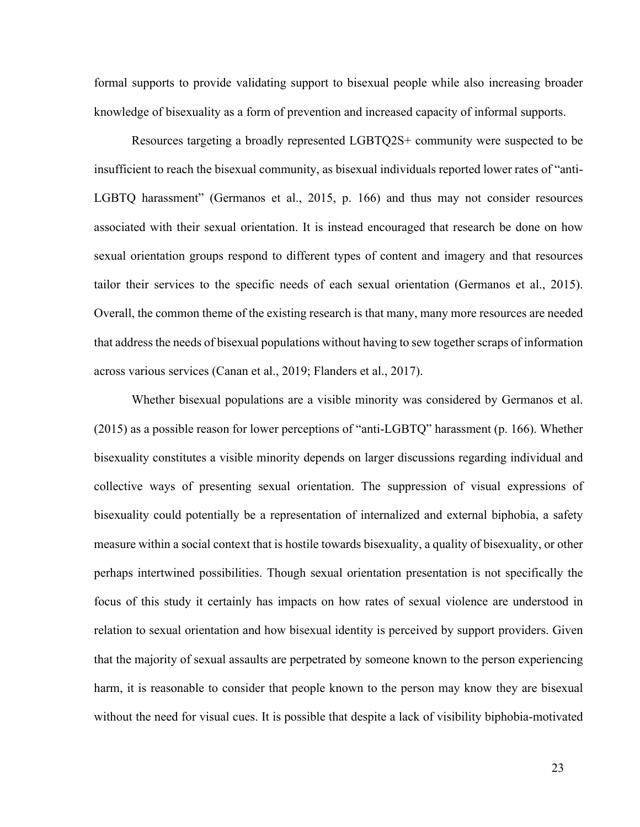formal supports to provide validating support to bisexual people while also increasing broader knowledge of bisexuality as a form of prevention and increased capacity of informal supports.

Resources targeting a broadly represented LGBTQ2S+ community were suspected to be insufficient to reach the bisexual community, as bisexual individuals reported lower rates of "anti-LGBTQ harassment" (Germanos et al., 2015, p. 166) and thus may not consider resources associated with their sexual orientation. It is instead encouraged that research be done on how sexual orientation groups respond to different types of content and imagery and that resources tailor their services to the specific needs of each sexual orientation (Germanos et al., 2015). Overall, the common theme of the existing research is that many, many more resources are needed that address the needs of bisexual populations without having to sew together scraps of information across various services (Canan et al., 2019; Flanders et al., 2017).

Whether bisexual populations are a visible minority was considered by Germanos et al. (2015) as a possible reason for lower perceptions of "anti-LGBTQ" harassment (p. 166). Whether bisexuality constitutes a visible minority depends on larger discussions regarding individual and collective ways of presenting sexual orientation. The suppression of visual expressions of bisexuality could potentially be a representation of internalized and external biphobia, a safety measure within a social context that is hostile towards bisexuality, a quality of bisexuality, or other perhaps intertwined possibilities. Though sexual orientation presentation is not specifically the focus of this study it certainly has impacts on how rates of sexual violence are understood in relation to sexual orientation and how bisexual identity is perceived by support providers. Given that the majority of sexual assaults are perpetrated by someone known to the person experiencing harm, it is reasonable to consider that people known to the person may know they are bisexual without the need for visual cues. It is possible that despite a lack of visibility biphobia-motivated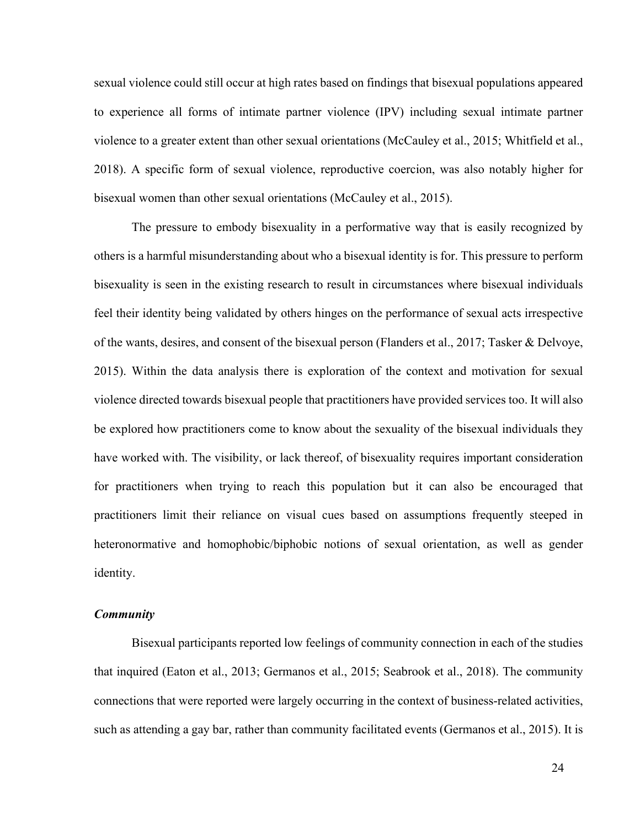sexual violence could still occur at high rates based on findings that bisexual populations appeared to experience all forms of intimate partner violence (IPV) including sexual intimate partner violence to a greater extent than other sexual orientations (McCauley et al., 2015; Whitfield et al., 2018). A specific form of sexual violence, reproductive coercion, was also notably higher for bisexual women than other sexual orientations (McCauley et al., 2015).

The pressure to embody bisexuality in a performative way that is easily recognized by others is a harmful misunderstanding about who a bisexual identity is for. This pressure to perform bisexuality is seen in the existing research to result in circumstances where bisexual individuals feel their identity being validated by others hinges on the performance of sexual acts irrespective of the wants, desires, and consent of the bisexual person (Flanders et al., 2017; Tasker & Delvoye, 2015). Within the data analysis there is exploration of the context and motivation for sexual violence directed towards bisexual people that practitioners have provided services too. It will also be explored how practitioners come to know about the sexuality of the bisexual individuals they have worked with. The visibility, or lack thereof, of bisexuality requires important consideration for practitioners when trying to reach this population but it can also be encouraged that practitioners limit their reliance on visual cues based on assumptions frequently steeped in heteronormative and homophobic/biphobic notions of sexual orientation, as well as gender identity.

# *Community*

Bisexual participants reported low feelings of community connection in each of the studies that inquired (Eaton et al., 2013; Germanos et al., 2015; Seabrook et al., 2018). The community connections that were reported were largely occurring in the context of business-related activities, such as attending a gay bar, rather than community facilitated events (Germanos et al., 2015). It is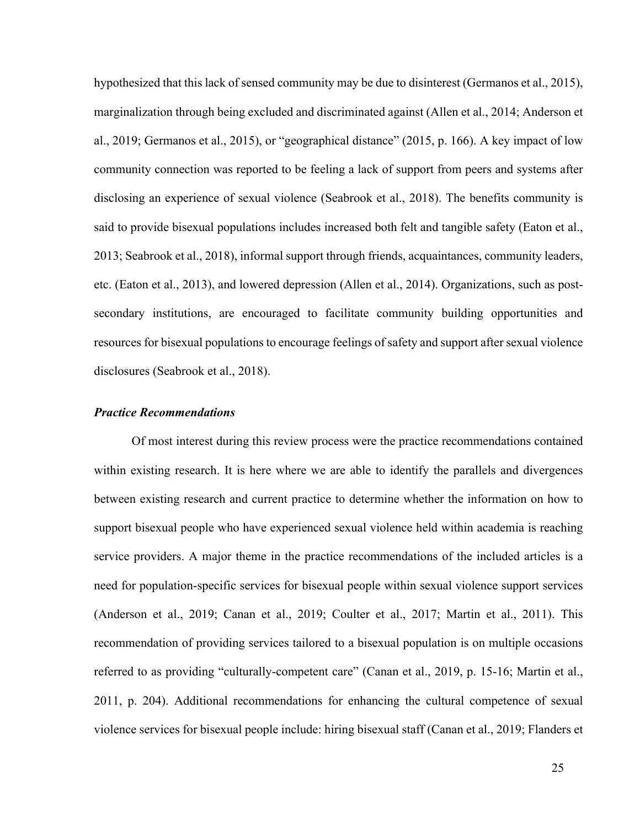hypothesized that this lack of sensed community may be due to disinterest (Germanos et al., 2015), marginalization through being excluded and discriminated against (Allen et al., 2014; Anderson et al., 2019; Germanos et al., 2015), or "geographical distance" (2015, p. 166). A key impact of low community connection was reported to be feeling a lack of support from peers and systems after disclosing an experience of sexual violence (Seabrook et al., 2018). The benefits community is said to provide bisexual populations includes increased both felt and tangible safety (Eaton et al., 2013; Seabrook et al., 2018), informal support through friends, acquaintances, community leaders, etc. (Eaton et al., 2013), and lowered depression (Allen et al., 2014). Organizations, such as postsecondary institutions, are encouraged to facilitate community building opportunities and resources for bisexual populations to encourage feelings of safety and support after sexual violence disclosures (Seabrook et al., 2018).

#### *Practice Recommendations*

Of most interest during this review process were the practice recommendations contained within existing research. It is here where we are able to identify the parallels and divergences between existing research and current practice to determine whether the information on how to support bisexual people who have experienced sexual violence held within academia is reaching service providers. A major theme in the practice recommendations of the included articles is a need for population-specific services for bisexual people within sexual violence support services (Anderson et al., 2019; Canan et al., 2019; Coulter et al., 2017; Martin et al., 2011). This recommendation of providing services tailored to a bisexual population is on multiple occasions referred to as providing "culturally-competent care" (Canan et al., 2019, p. 15-16; Martin et al., 2011, p. 204). Additional recommendations for enhancing the cultural competence of sexual violence services for bisexual people include: hiring bisexual staff (Canan et al., 2019; Flanders et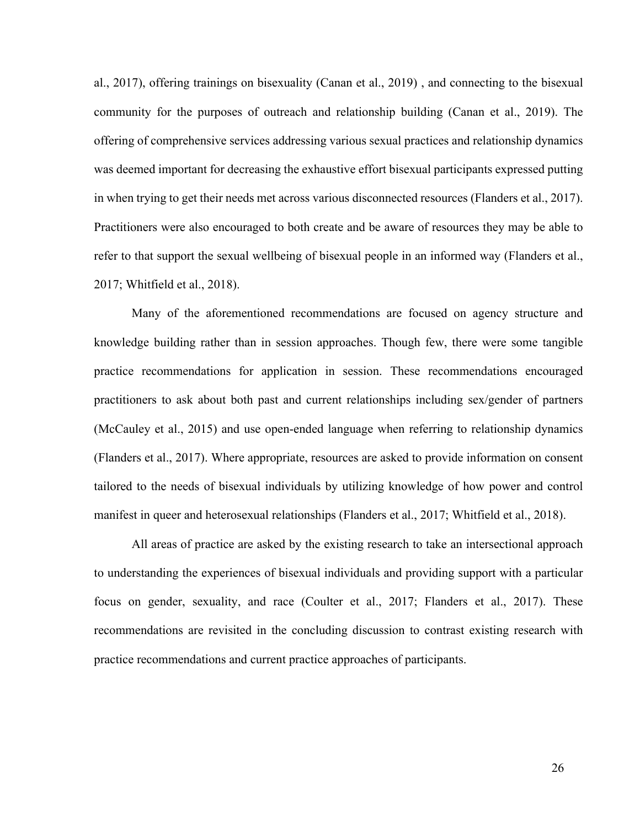al., 2017), offering trainings on bisexuality (Canan et al., 2019) , and connecting to the bisexual community for the purposes of outreach and relationship building (Canan et al., 2019). The offering of comprehensive services addressing various sexual practices and relationship dynamics was deemed important for decreasing the exhaustive effort bisexual participants expressed putting in when trying to get their needs met across various disconnected resources (Flanders et al., 2017). Practitioners were also encouraged to both create and be aware of resources they may be able to refer to that support the sexual wellbeing of bisexual people in an informed way (Flanders et al., 2017; Whitfield et al., 2018).

Many of the aforementioned recommendations are focused on agency structure and knowledge building rather than in session approaches. Though few, there were some tangible practice recommendations for application in session. These recommendations encouraged practitioners to ask about both past and current relationships including sex/gender of partners (McCauley et al., 2015) and use open-ended language when referring to relationship dynamics (Flanders et al., 2017). Where appropriate, resources are asked to provide information on consent tailored to the needs of bisexual individuals by utilizing knowledge of how power and control manifest in queer and heterosexual relationships (Flanders et al., 2017; Whitfield et al., 2018).

All areas of practice are asked by the existing research to take an intersectional approach to understanding the experiences of bisexual individuals and providing support with a particular focus on gender, sexuality, and race (Coulter et al., 2017; Flanders et al., 2017). These recommendations are revisited in the concluding discussion to contrast existing research with practice recommendations and current practice approaches of participants.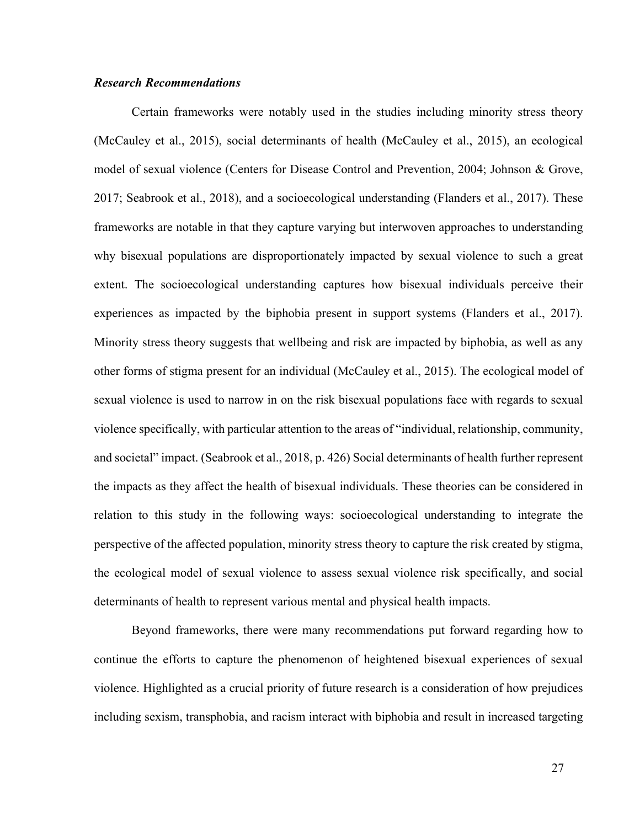# *Research Recommendations*

Certain frameworks were notably used in the studies including minority stress theory (McCauley et al., 2015), social determinants of health (McCauley et al., 2015), an ecological model of sexual violence (Centers for Disease Control and Prevention, 2004; Johnson & Grove, 2017; Seabrook et al., 2018), and a socioecological understanding (Flanders et al., 2017). These frameworks are notable in that they capture varying but interwoven approaches to understanding why bisexual populations are disproportionately impacted by sexual violence to such a great extent. The socioecological understanding captures how bisexual individuals perceive their experiences as impacted by the biphobia present in support systems (Flanders et al., 2017). Minority stress theory suggests that wellbeing and risk are impacted by biphobia, as well as any other forms of stigma present for an individual (McCauley et al., 2015). The ecological model of sexual violence is used to narrow in on the risk bisexual populations face with regards to sexual violence specifically, with particular attention to the areas of "individual, relationship, community, and societal" impact. (Seabrook et al., 2018, p. 426) Social determinants of health further represent the impacts as they affect the health of bisexual individuals. These theories can be considered in relation to this study in the following ways: socioecological understanding to integrate the perspective of the affected population, minority stress theory to capture the risk created by stigma, the ecological model of sexual violence to assess sexual violence risk specifically, and social determinants of health to represent various mental and physical health impacts.

Beyond frameworks, there were many recommendations put forward regarding how to continue the efforts to capture the phenomenon of heightened bisexual experiences of sexual violence. Highlighted as a crucial priority of future research is a consideration of how prejudices including sexism, transphobia, and racism interact with biphobia and result in increased targeting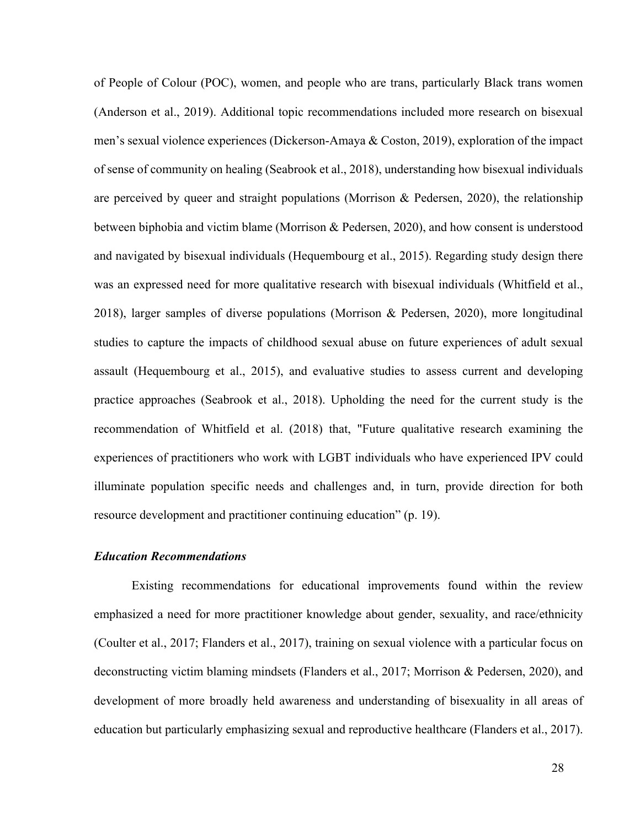of People of Colour (POC), women, and people who are trans, particularly Black trans women (Anderson et al., 2019). Additional topic recommendations included more research on bisexual men's sexual violence experiences (Dickerson-Amaya & Coston, 2019), exploration of the impact of sense of community on healing (Seabrook et al., 2018), understanding how bisexual individuals are perceived by queer and straight populations (Morrison & Pedersen, 2020), the relationship between biphobia and victim blame (Morrison & Pedersen, 2020), and how consent is understood and navigated by bisexual individuals (Hequembourg et al., 2015). Regarding study design there was an expressed need for more qualitative research with bisexual individuals (Whitfield et al., 2018), larger samples of diverse populations (Morrison & Pedersen, 2020), more longitudinal studies to capture the impacts of childhood sexual abuse on future experiences of adult sexual assault (Hequembourg et al., 2015), and evaluative studies to assess current and developing practice approaches (Seabrook et al., 2018). Upholding the need for the current study is the recommendation of Whitfield et al. (2018) that, "Future qualitative research examining the experiences of practitioners who work with LGBT individuals who have experienced IPV could illuminate population specific needs and challenges and, in turn, provide direction for both resource development and practitioner continuing education" (p. 19).

### *Education Recommendations*

Existing recommendations for educational improvements found within the review emphasized a need for more practitioner knowledge about gender, sexuality, and race/ethnicity (Coulter et al., 2017; Flanders et al., 2017), training on sexual violence with a particular focus on deconstructing victim blaming mindsets (Flanders et al., 2017; Morrison & Pedersen, 2020), and development of more broadly held awareness and understanding of bisexuality in all areas of education but particularly emphasizing sexual and reproductive healthcare (Flanders et al., 2017).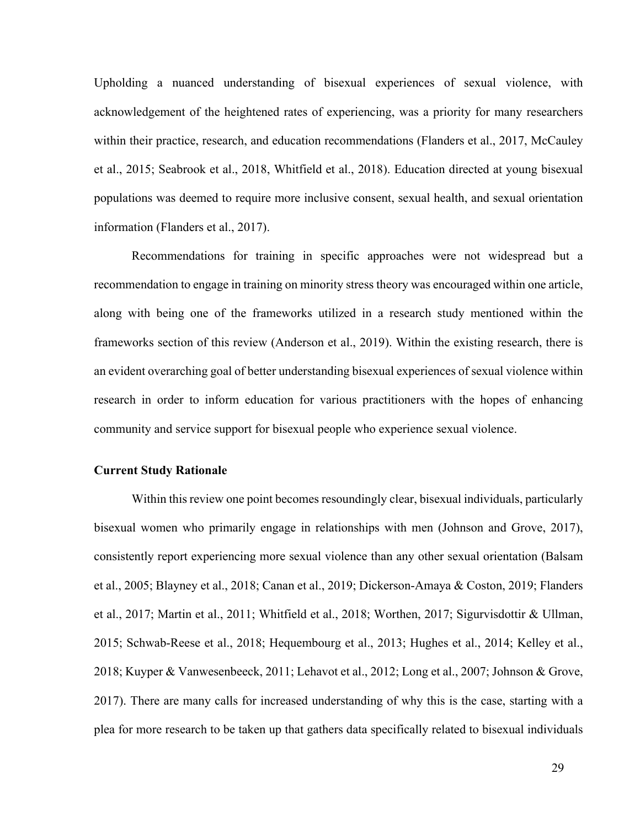Upholding a nuanced understanding of bisexual experiences of sexual violence, with acknowledgement of the heightened rates of experiencing, was a priority for many researchers within their practice, research, and education recommendations (Flanders et al., 2017, McCauley et al., 2015; Seabrook et al., 2018, Whitfield et al., 2018). Education directed at young bisexual populations was deemed to require more inclusive consent, sexual health, and sexual orientation information (Flanders et al., 2017).

Recommendations for training in specific approaches were not widespread but a recommendation to engage in training on minority stress theory was encouraged within one article, along with being one of the frameworks utilized in a research study mentioned within the frameworks section of this review (Anderson et al., 2019). Within the existing research, there is an evident overarching goal of better understanding bisexual experiences of sexual violence within research in order to inform education for various practitioners with the hopes of enhancing community and service support for bisexual people who experience sexual violence.

# **Current Study Rationale**

Within this review one point becomes resoundingly clear, bisexual individuals, particularly bisexual women who primarily engage in relationships with men (Johnson and Grove, 2017), consistently report experiencing more sexual violence than any other sexual orientation (Balsam et al., 2005; Blayney et al., 2018; Canan et al., 2019; Dickerson-Amaya & Coston, 2019; Flanders et al., 2017; Martin et al., 2011; Whitfield et al., 2018; Worthen, 2017; Sigurvisdottir & Ullman, 2015; Schwab-Reese et al., 2018; Hequembourg et al., 2013; Hughes et al., 2014; Kelley et al., 2018; Kuyper & Vanwesenbeeck, 2011; Lehavot et al., 2012; Long et al., 2007; Johnson & Grove, 2017). There are many calls for increased understanding of why this is the case, starting with a plea for more research to be taken up that gathers data specifically related to bisexual individuals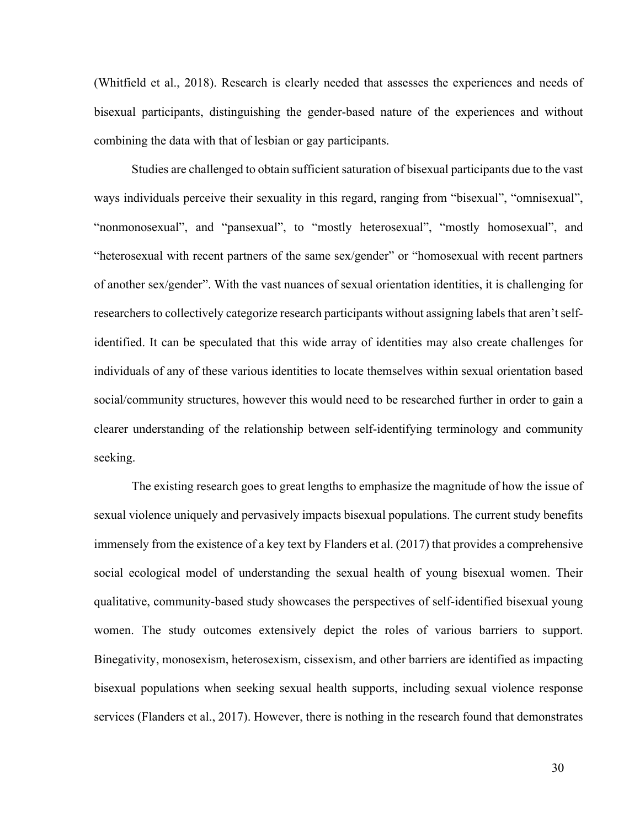(Whitfield et al., 2018). Research is clearly needed that assesses the experiences and needs of bisexual participants, distinguishing the gender-based nature of the experiences and without combining the data with that of lesbian or gay participants.

Studies are challenged to obtain sufficient saturation of bisexual participants due to the vast ways individuals perceive their sexuality in this regard, ranging from "bisexual", "omnisexual", "nonmonosexual", and "pansexual", to "mostly heterosexual", "mostly homosexual", and "heterosexual with recent partners of the same sex/gender" or "homosexual with recent partners of another sex/gender". With the vast nuances of sexual orientation identities, it is challenging for researchers to collectively categorize research participants without assigning labels that aren't selfidentified. It can be speculated that this wide array of identities may also create challenges for individuals of any of these various identities to locate themselves within sexual orientation based social/community structures, however this would need to be researched further in order to gain a clearer understanding of the relationship between self-identifying terminology and community seeking.

The existing research goes to great lengths to emphasize the magnitude of how the issue of sexual violence uniquely and pervasively impacts bisexual populations. The current study benefits immensely from the existence of a key text by Flanders et al. (2017) that provides a comprehensive social ecological model of understanding the sexual health of young bisexual women. Their qualitative, community-based study showcases the perspectives of self-identified bisexual young women. The study outcomes extensively depict the roles of various barriers to support. Binegativity, monosexism, heterosexism, cissexism, and other barriers are identified as impacting bisexual populations when seeking sexual health supports, including sexual violence response services (Flanders et al., 2017). However, there is nothing in the research found that demonstrates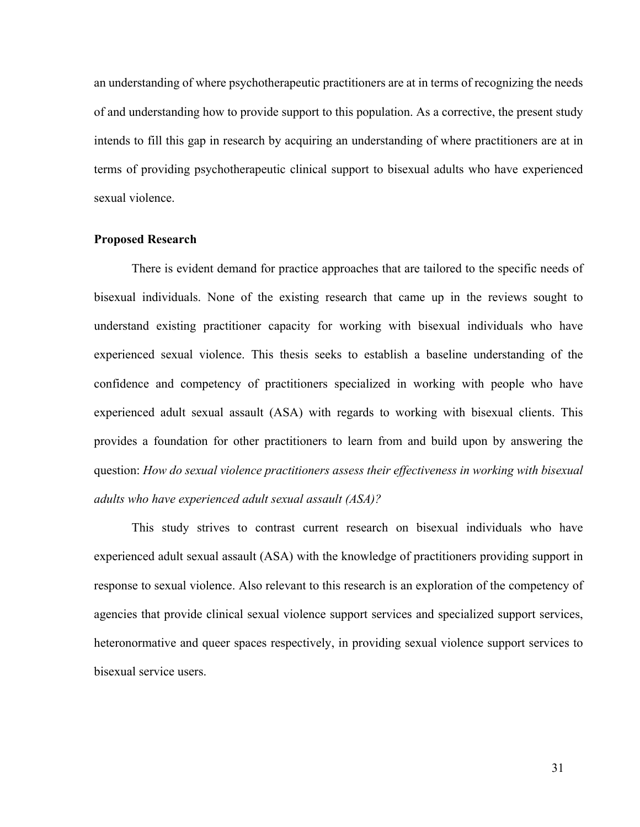an understanding of where psychotherapeutic practitioners are at in terms of recognizing the needs of and understanding how to provide support to this population. As a corrective, the present study intends to fill this gap in research by acquiring an understanding of where practitioners are at in terms of providing psychotherapeutic clinical support to bisexual adults who have experienced sexual violence.

#### **Proposed Research**

There is evident demand for practice approaches that are tailored to the specific needs of bisexual individuals. None of the existing research that came up in the reviews sought to understand existing practitioner capacity for working with bisexual individuals who have experienced sexual violence. This thesis seeks to establish a baseline understanding of the confidence and competency of practitioners specialized in working with people who have experienced adult sexual assault (ASA) with regards to working with bisexual clients. This provides a foundation for other practitioners to learn from and build upon by answering the question: *How do sexual violence practitioners assess their effectiveness in working with bisexual adults who have experienced adult sexual assault (ASA)?*

This study strives to contrast current research on bisexual individuals who have experienced adult sexual assault (ASA) with the knowledge of practitioners providing support in response to sexual violence. Also relevant to this research is an exploration of the competency of agencies that provide clinical sexual violence support services and specialized support services, heteronormative and queer spaces respectively, in providing sexual violence support services to bisexual service users.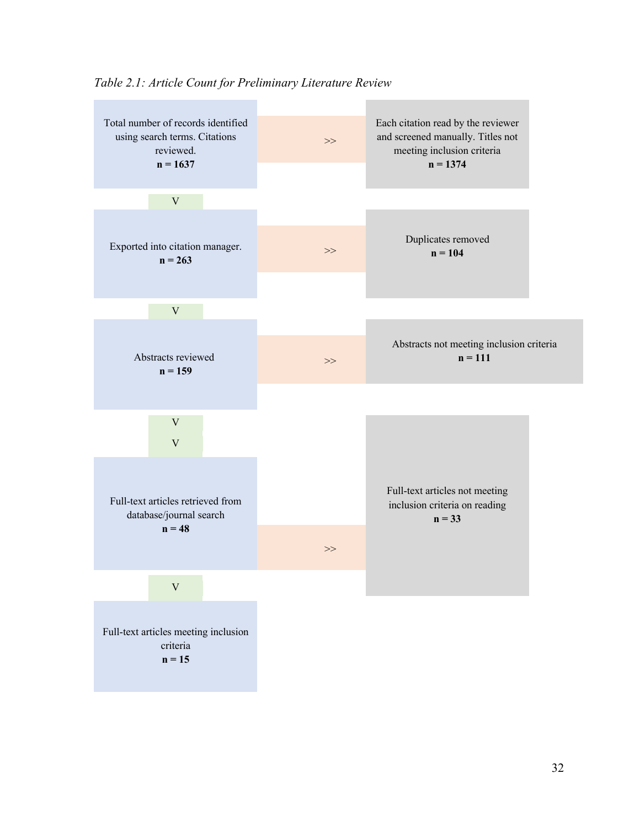

*Table 2.1: Article Count for Preliminary Literature Review*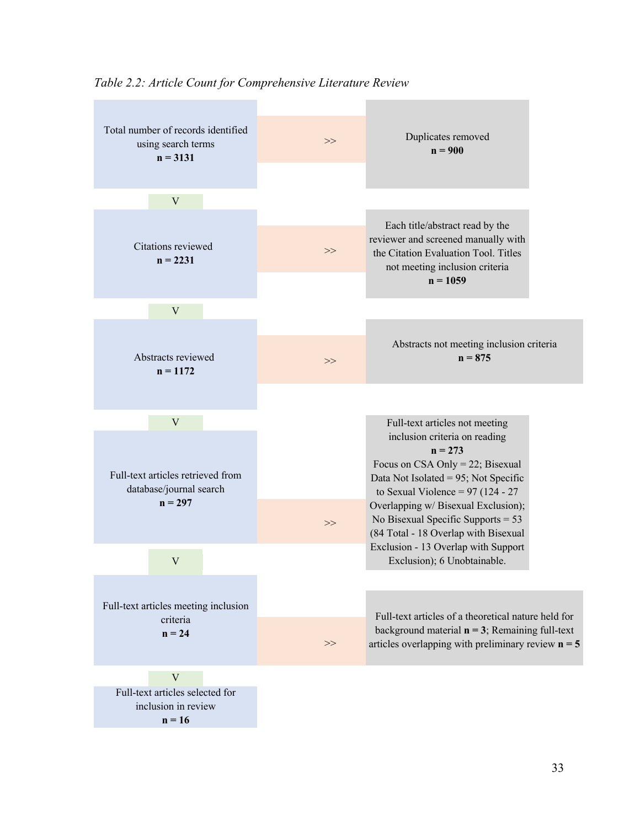

*Table 2.2: Article Count for Comprehensive Literature Review*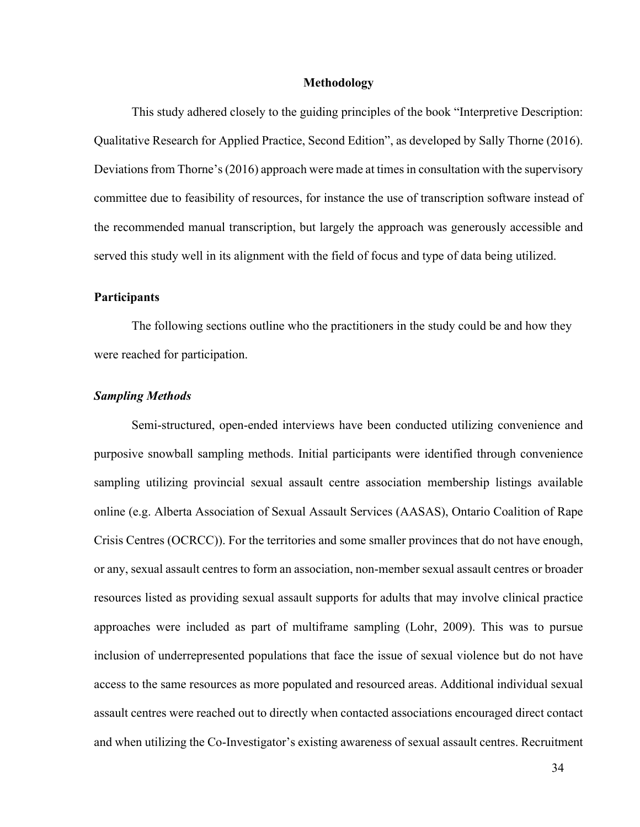#### **Methodology**

This study adhered closely to the guiding principles of the book "Interpretive Description: Qualitative Research for Applied Practice, Second Edition", as developed by Sally Thorne (2016). Deviations from Thorne's (2016) approach were made at times in consultation with the supervisory committee due to feasibility of resources, for instance the use of transcription software instead of the recommended manual transcription, but largely the approach was generously accessible and served this study well in its alignment with the field of focus and type of data being utilized.

#### **Participants**

The following sections outline who the practitioners in the study could be and how they were reached for participation.

## *Sampling Methods*

Semi-structured, open-ended interviews have been conducted utilizing convenience and purposive snowball sampling methods. Initial participants were identified through convenience sampling utilizing provincial sexual assault centre association membership listings available online (e.g. Alberta Association of Sexual Assault Services (AASAS), Ontario Coalition of Rape Crisis Centres (OCRCC)). For the territories and some smaller provinces that do not have enough, or any, sexual assault centres to form an association, non-member sexual assault centres or broader resources listed as providing sexual assault supports for adults that may involve clinical practice approaches were included as part of multiframe sampling (Lohr, 2009). This was to pursue inclusion of underrepresented populations that face the issue of sexual violence but do not have access to the same resources as more populated and resourced areas. Additional individual sexual assault centres were reached out to directly when contacted associations encouraged direct contact and when utilizing the Co-Investigator's existing awareness of sexual assault centres. Recruitment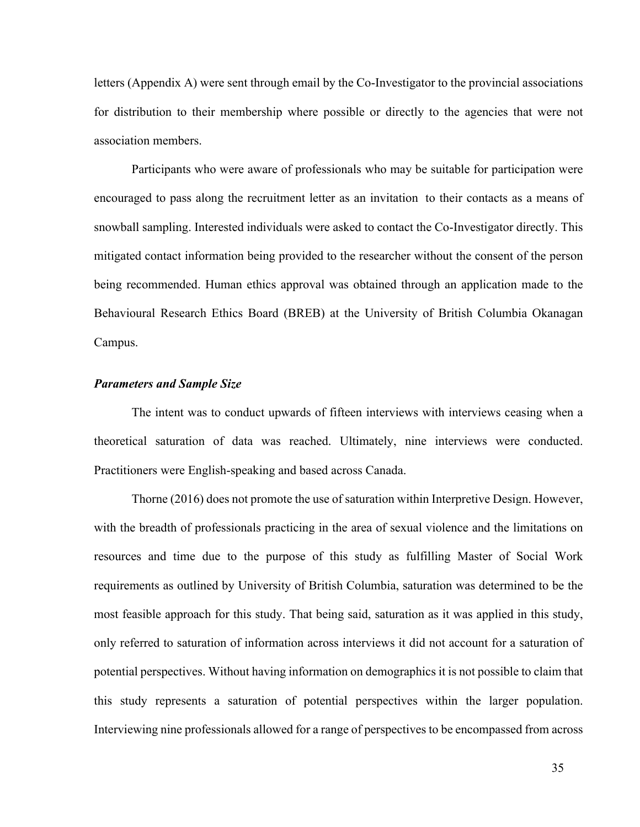letters (Appendix A) were sent through email by the Co-Investigator to the provincial associations for distribution to their membership where possible or directly to the agencies that were not association members.

Participants who were aware of professionals who may be suitable for participation were encouraged to pass along the recruitment letter as an invitation to their contacts as a means of snowball sampling. Interested individuals were asked to contact the Co-Investigator directly. This mitigated contact information being provided to the researcher without the consent of the person being recommended. Human ethics approval was obtained through an application made to the Behavioural Research Ethics Board (BREB) at the University of British Columbia Okanagan Campus.

## *Parameters and Sample Size*

The intent was to conduct upwards of fifteen interviews with interviews ceasing when a theoretical saturation of data was reached. Ultimately, nine interviews were conducted. Practitioners were English-speaking and based across Canada.

Thorne (2016) does not promote the use of saturation within Interpretive Design. However, with the breadth of professionals practicing in the area of sexual violence and the limitations on resources and time due to the purpose of this study as fulfilling Master of Social Work requirements as outlined by University of British Columbia, saturation was determined to be the most feasible approach for this study. That being said, saturation as it was applied in this study, only referred to saturation of information across interviews it did not account for a saturation of potential perspectives. Without having information on demographics it is not possible to claim that this study represents a saturation of potential perspectives within the larger population. Interviewing nine professionals allowed for a range of perspectives to be encompassed from across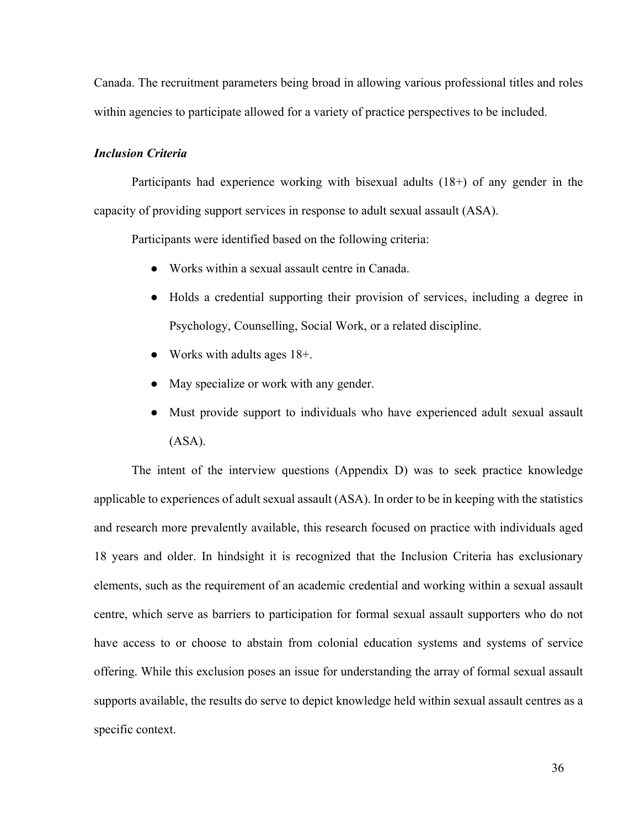Canada. The recruitment parameters being broad in allowing various professional titles and roles within agencies to participate allowed for a variety of practice perspectives to be included.

### *Inclusion Criteria*

Participants had experience working with bisexual adults (18+) of any gender in the capacity of providing support services in response to adult sexual assault (ASA).

Participants were identified based on the following criteria:

- Works within a sexual assault centre in Canada.
- Holds a credential supporting their provision of services, including a degree in Psychology, Counselling, Social Work, or a related discipline.
- Works with adults ages 18+.
- May specialize or work with any gender.
- Must provide support to individuals who have experienced adult sexual assault (ASA).

The intent of the interview questions (Appendix D) was to seek practice knowledge applicable to experiences of adult sexual assault (ASA). In order to be in keeping with the statistics and research more prevalently available, this research focused on practice with individuals aged 18 years and older. In hindsight it is recognized that the Inclusion Criteria has exclusionary elements, such as the requirement of an academic credential and working within a sexual assault centre, which serve as barriers to participation for formal sexual assault supporters who do not have access to or choose to abstain from colonial education systems and systems of service offering. While this exclusion poses an issue for understanding the array of formal sexual assault supports available, the results do serve to depict knowledge held within sexual assault centres as a specific context.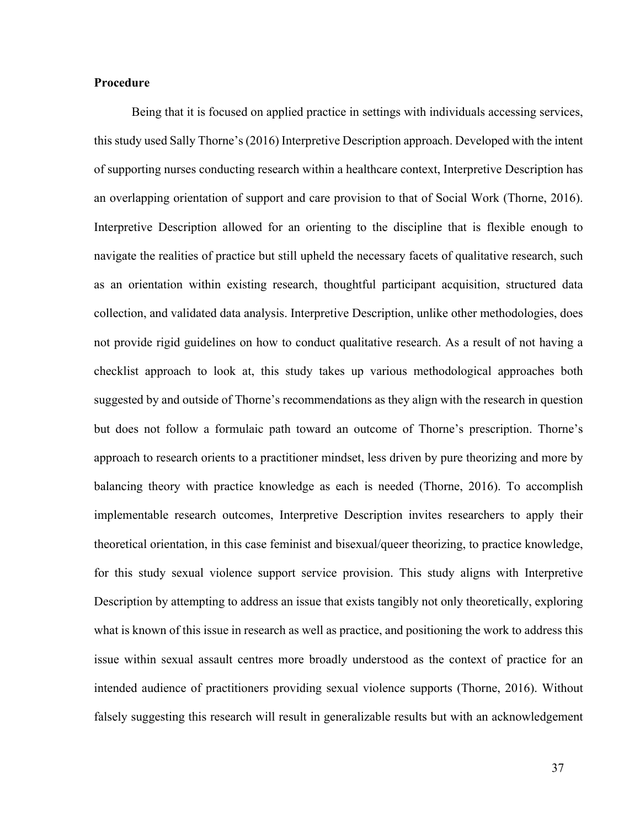## **Procedure**

Being that it is focused on applied practice in settings with individuals accessing services, this study used Sally Thorne's (2016) Interpretive Description approach. Developed with the intent of supporting nurses conducting research within a healthcare context, Interpretive Description has an overlapping orientation of support and care provision to that of Social Work (Thorne, 2016). Interpretive Description allowed for an orienting to the discipline that is flexible enough to navigate the realities of practice but still upheld the necessary facets of qualitative research, such as an orientation within existing research, thoughtful participant acquisition, structured data collection, and validated data analysis. Interpretive Description, unlike other methodologies, does not provide rigid guidelines on how to conduct qualitative research. As a result of not having a checklist approach to look at, this study takes up various methodological approaches both suggested by and outside of Thorne's recommendations as they align with the research in question but does not follow a formulaic path toward an outcome of Thorne's prescription. Thorne's approach to research orients to a practitioner mindset, less driven by pure theorizing and more by balancing theory with practice knowledge as each is needed (Thorne, 2016). To accomplish implementable research outcomes, Interpretive Description invites researchers to apply their theoretical orientation, in this case feminist and bisexual/queer theorizing, to practice knowledge, for this study sexual violence support service provision. This study aligns with Interpretive Description by attempting to address an issue that exists tangibly not only theoretically, exploring what is known of this issue in research as well as practice, and positioning the work to address this issue within sexual assault centres more broadly understood as the context of practice for an intended audience of practitioners providing sexual violence supports (Thorne, 2016). Without falsely suggesting this research will result in generalizable results but with an acknowledgement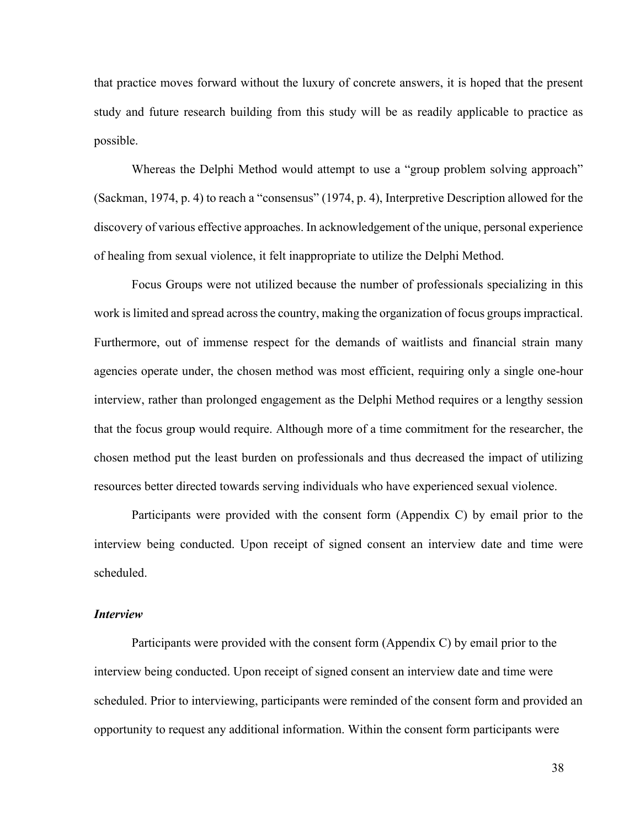that practice moves forward without the luxury of concrete answers, it is hoped that the present study and future research building from this study will be as readily applicable to practice as possible.

Whereas the Delphi Method would attempt to use a "group problem solving approach" (Sackman, 1974, p. 4) to reach a "consensus" (1974, p. 4), Interpretive Description allowed for the discovery of various effective approaches. In acknowledgement of the unique, personal experience of healing from sexual violence, it felt inappropriate to utilize the Delphi Method.

Focus Groups were not utilized because the number of professionals specializing in this work is limited and spread across the country, making the organization of focus groups impractical. Furthermore, out of immense respect for the demands of waitlists and financial strain many agencies operate under, the chosen method was most efficient, requiring only a single one-hour interview, rather than prolonged engagement as the Delphi Method requires or a lengthy session that the focus group would require. Although more of a time commitment for the researcher, the chosen method put the least burden on professionals and thus decreased the impact of utilizing resources better directed towards serving individuals who have experienced sexual violence.

Participants were provided with the consent form (Appendix C) by email prior to the interview being conducted. Upon receipt of signed consent an interview date and time were scheduled.

## *Interview*

Participants were provided with the consent form (Appendix C) by email prior to the interview being conducted. Upon receipt of signed consent an interview date and time were scheduled. Prior to interviewing, participants were reminded of the consent form and provided an opportunity to request any additional information. Within the consent form participants were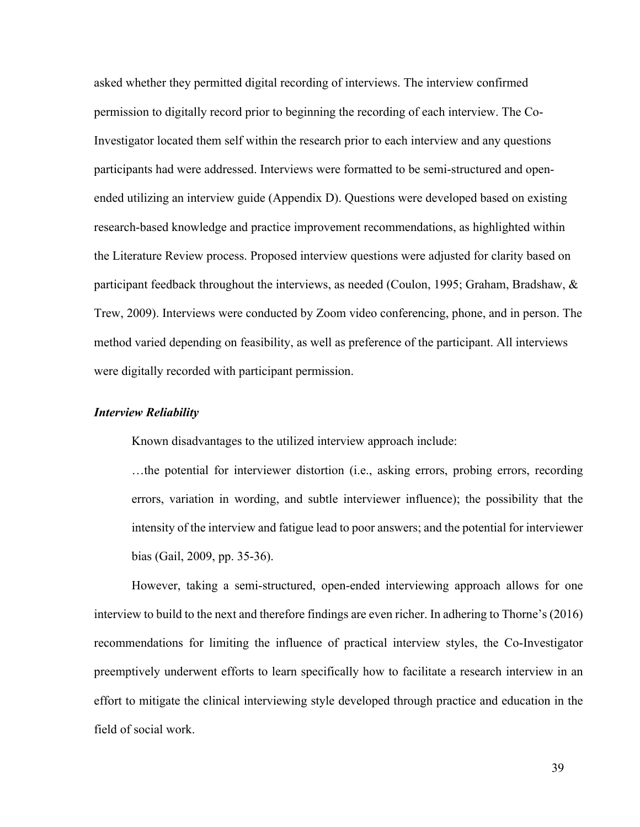asked whether they permitted digital recording of interviews. The interview confirmed permission to digitally record prior to beginning the recording of each interview. The Co-Investigator located them self within the research prior to each interview and any questions participants had were addressed. Interviews were formatted to be semi-structured and openended utilizing an interview guide (Appendix D). Questions were developed based on existing research-based knowledge and practice improvement recommendations, as highlighted within the Literature Review process. Proposed interview questions were adjusted for clarity based on participant feedback throughout the interviews, as needed (Coulon, 1995; Graham, Bradshaw, & Trew, 2009). Interviews were conducted by Zoom video conferencing, phone, and in person. The method varied depending on feasibility, as well as preference of the participant. All interviews were digitally recorded with participant permission.

#### *Interview Reliability*

Known disadvantages to the utilized interview approach include:

…the potential for interviewer distortion (i.e., asking errors, probing errors, recording errors, variation in wording, and subtle interviewer influence); the possibility that the intensity of the interview and fatigue lead to poor answers; and the potential for interviewer bias (Gail, 2009, pp. 35-36).

However, taking a semi-structured, open-ended interviewing approach allows for one interview to build to the next and therefore findings are even richer. In adhering to Thorne's (2016) recommendations for limiting the influence of practical interview styles, the Co-Investigator preemptively underwent efforts to learn specifically how to facilitate a research interview in an effort to mitigate the clinical interviewing style developed through practice and education in the field of social work.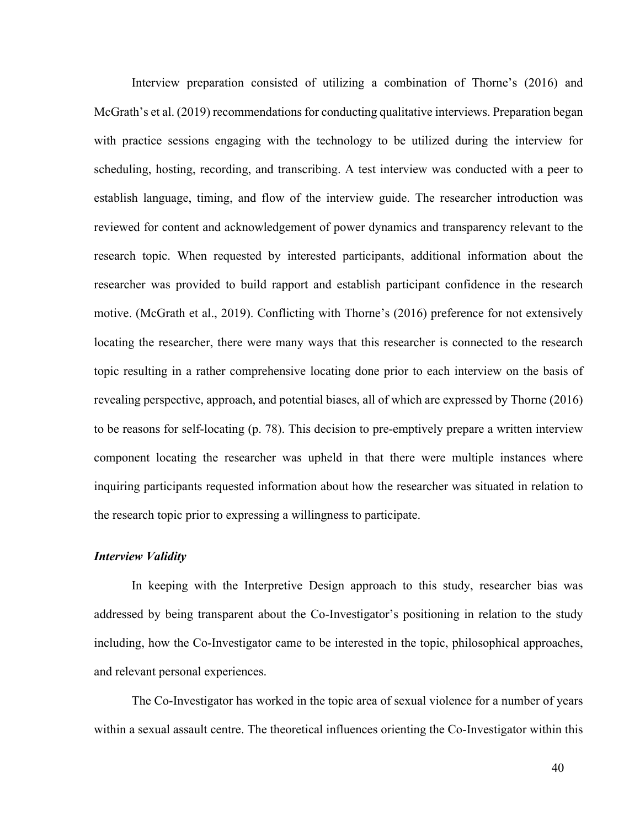Interview preparation consisted of utilizing a combination of Thorne's (2016) and McGrath's et al. (2019) recommendations for conducting qualitative interviews. Preparation began with practice sessions engaging with the technology to be utilized during the interview for scheduling, hosting, recording, and transcribing. A test interview was conducted with a peer to establish language, timing, and flow of the interview guide. The researcher introduction was reviewed for content and acknowledgement of power dynamics and transparency relevant to the research topic. When requested by interested participants, additional information about the researcher was provided to build rapport and establish participant confidence in the research motive. (McGrath et al., 2019). Conflicting with Thorne's (2016) preference for not extensively locating the researcher, there were many ways that this researcher is connected to the research topic resulting in a rather comprehensive locating done prior to each interview on the basis of revealing perspective, approach, and potential biases, all of which are expressed by Thorne (2016) to be reasons for self-locating (p. 78). This decision to pre-emptively prepare a written interview component locating the researcher was upheld in that there were multiple instances where inquiring participants requested information about how the researcher was situated in relation to the research topic prior to expressing a willingness to participate.

### *Interview Validity*

In keeping with the Interpretive Design approach to this study, researcher bias was addressed by being transparent about the Co-Investigator's positioning in relation to the study including, how the Co-Investigator came to be interested in the topic, philosophical approaches, and relevant personal experiences.

The Co-Investigator has worked in the topic area of sexual violence for a number of years within a sexual assault centre. The theoretical influences orienting the Co-Investigator within this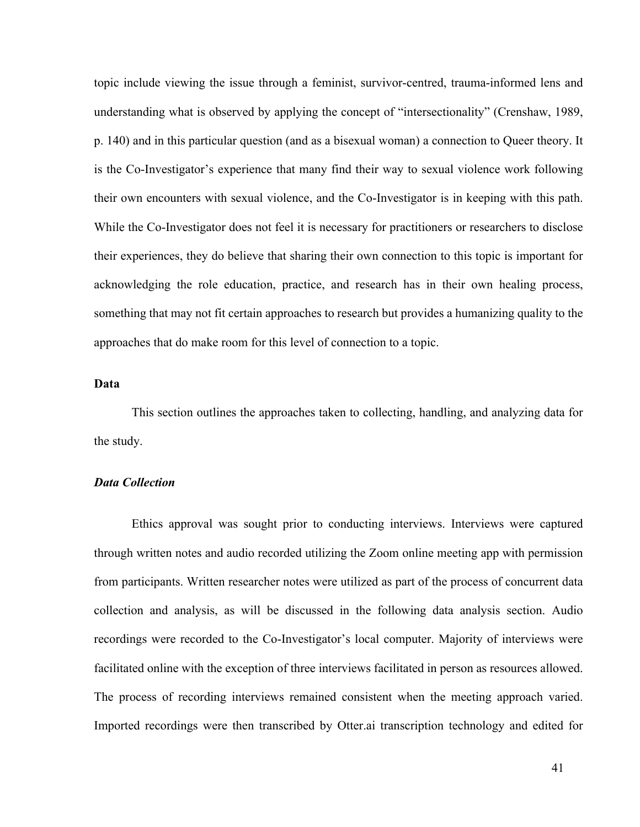topic include viewing the issue through a feminist, survivor-centred, trauma-informed lens and understanding what is observed by applying the concept of "intersectionality" (Crenshaw, 1989, p. 140) and in this particular question (and as a bisexual woman) a connection to Queer theory. It is the Co-Investigator's experience that many find their way to sexual violence work following their own encounters with sexual violence, and the Co-Investigator is in keeping with this path. While the Co-Investigator does not feel it is necessary for practitioners or researchers to disclose their experiences, they do believe that sharing their own connection to this topic is important for acknowledging the role education, practice, and research has in their own healing process, something that may not fit certain approaches to research but provides a humanizing quality to the approaches that do make room for this level of connection to a topic.

## **Data**

This section outlines the approaches taken to collecting, handling, and analyzing data for the study.

### *Data Collection*

Ethics approval was sought prior to conducting interviews. Interviews were captured through written notes and audio recorded utilizing the Zoom online meeting app with permission from participants. Written researcher notes were utilized as part of the process of concurrent data collection and analysis, as will be discussed in the following data analysis section. Audio recordings were recorded to the Co-Investigator's local computer. Majority of interviews were facilitated online with the exception of three interviews facilitated in person as resources allowed. The process of recording interviews remained consistent when the meeting approach varied. Imported recordings were then transcribed by Otter.ai transcription technology and edited for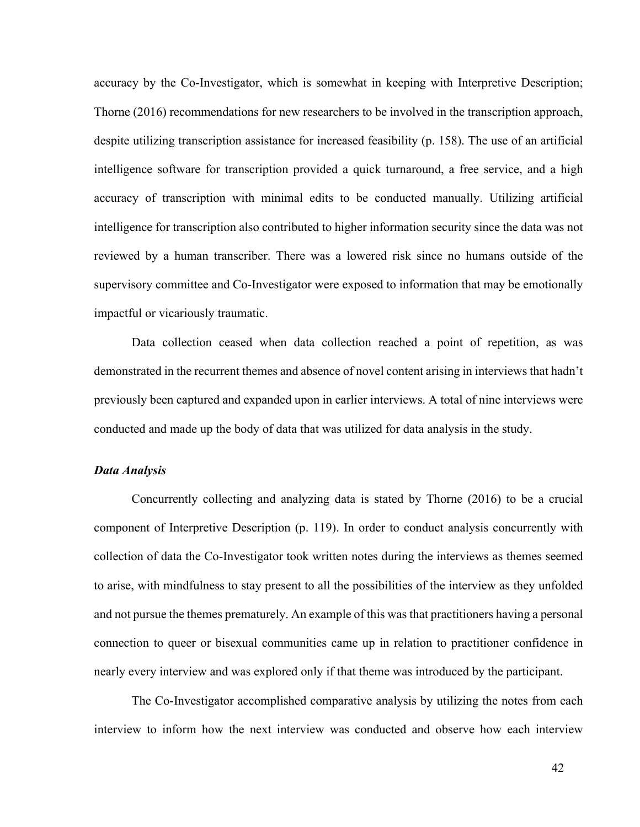accuracy by the Co-Investigator, which is somewhat in keeping with Interpretive Description; Thorne (2016) recommendations for new researchers to be involved in the transcription approach, despite utilizing transcription assistance for increased feasibility (p. 158). The use of an artificial intelligence software for transcription provided a quick turnaround, a free service, and a high accuracy of transcription with minimal edits to be conducted manually. Utilizing artificial intelligence for transcription also contributed to higher information security since the data was not reviewed by a human transcriber. There was a lowered risk since no humans outside of the supervisory committee and Co-Investigator were exposed to information that may be emotionally impactful or vicariously traumatic.

Data collection ceased when data collection reached a point of repetition, as was demonstrated in the recurrent themes and absence of novel content arising in interviews that hadn't previously been captured and expanded upon in earlier interviews. A total of nine interviews were conducted and made up the body of data that was utilized for data analysis in the study.

### *Data Analysis*

Concurrently collecting and analyzing data is stated by Thorne (2016) to be a crucial component of Interpretive Description (p. 119). In order to conduct analysis concurrently with collection of data the Co-Investigator took written notes during the interviews as themes seemed to arise, with mindfulness to stay present to all the possibilities of the interview as they unfolded and not pursue the themes prematurely. An example of this was that practitioners having a personal connection to queer or bisexual communities came up in relation to practitioner confidence in nearly every interview and was explored only if that theme was introduced by the participant.

The Co-Investigator accomplished comparative analysis by utilizing the notes from each interview to inform how the next interview was conducted and observe how each interview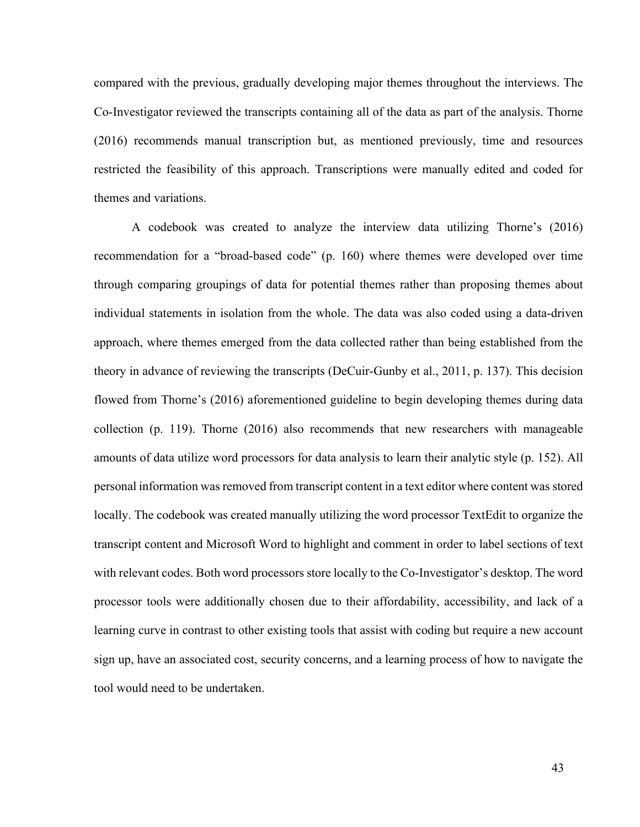compared with the previous, gradually developing major themes throughout the interviews. The Co-Investigator reviewed the transcripts containing all of the data as part of the analysis. Thorne (2016) recommends manual transcription but, as mentioned previously, time and resources restricted the feasibility of this approach. Transcriptions were manually edited and coded for themes and variations.

A codebook was created to analyze the interview data utilizing Thorne's (2016) recommendation for a "broad-based code" (p. 160) where themes were developed over time through comparing groupings of data for potential themes rather than proposing themes about individual statements in isolation from the whole. The data was also coded using a data-driven approach, where themes emerged from the data collected rather than being established from the theory in advance of reviewing the transcripts (DeCuir-Gunby et al., 2011, p. 137). This decision flowed from Thorne's (2016) aforementioned guideline to begin developing themes during data collection (p. 119). Thorne (2016) also recommends that new researchers with manageable amounts of data utilize word processors for data analysis to learn their analytic style (p. 152). All personal information was removed from transcript content in a text editor where content was stored locally. The codebook was created manually utilizing the word processor TextEdit to organize the transcript content and Microsoft Word to highlight and comment in order to label sections of text with relevant codes. Both word processors store locally to the Co-Investigator's desktop. The word processor tools were additionally chosen due to their affordability, accessibility, and lack of a learning curve in contrast to other existing tools that assist with coding but require a new account sign up, have an associated cost, security concerns, and a learning process of how to navigate the tool would need to be undertaken.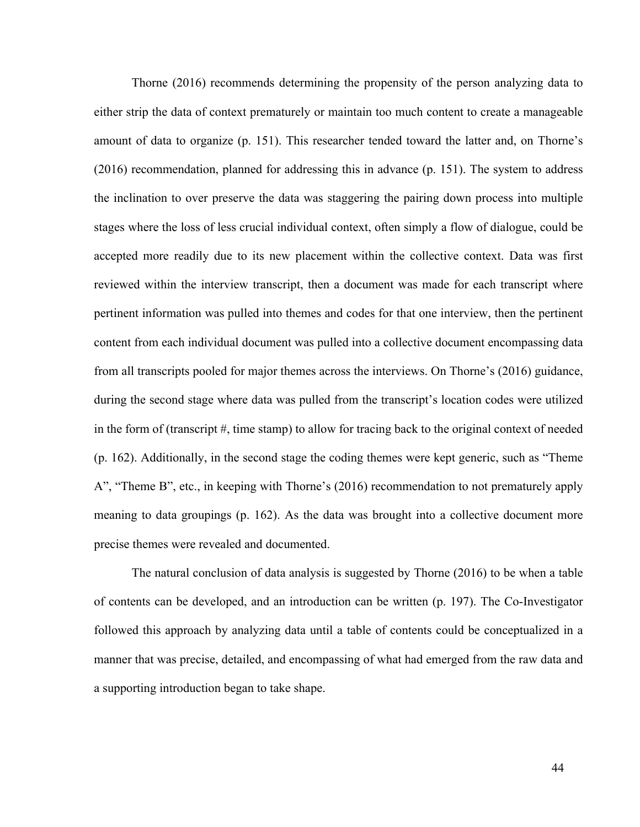Thorne (2016) recommends determining the propensity of the person analyzing data to either strip the data of context prematurely or maintain too much content to create a manageable amount of data to organize (p. 151). This researcher tended toward the latter and, on Thorne's (2016) recommendation, planned for addressing this in advance (p. 151). The system to address the inclination to over preserve the data was staggering the pairing down process into multiple stages where the loss of less crucial individual context, often simply a flow of dialogue, could be accepted more readily due to its new placement within the collective context. Data was first reviewed within the interview transcript, then a document was made for each transcript where pertinent information was pulled into themes and codes for that one interview, then the pertinent content from each individual document was pulled into a collective document encompassing data from all transcripts pooled for major themes across the interviews. On Thorne's (2016) guidance, during the second stage where data was pulled from the transcript's location codes were utilized in the form of (transcript #, time stamp) to allow for tracing back to the original context of needed (p. 162). Additionally, in the second stage the coding themes were kept generic, such as "Theme A", "Theme B", etc., in keeping with Thorne's (2016) recommendation to not prematurely apply meaning to data groupings (p. 162). As the data was brought into a collective document more precise themes were revealed and documented.

The natural conclusion of data analysis is suggested by Thorne (2016) to be when a table of contents can be developed, and an introduction can be written (p. 197). The Co-Investigator followed this approach by analyzing data until a table of contents could be conceptualized in a manner that was precise, detailed, and encompassing of what had emerged from the raw data and a supporting introduction began to take shape.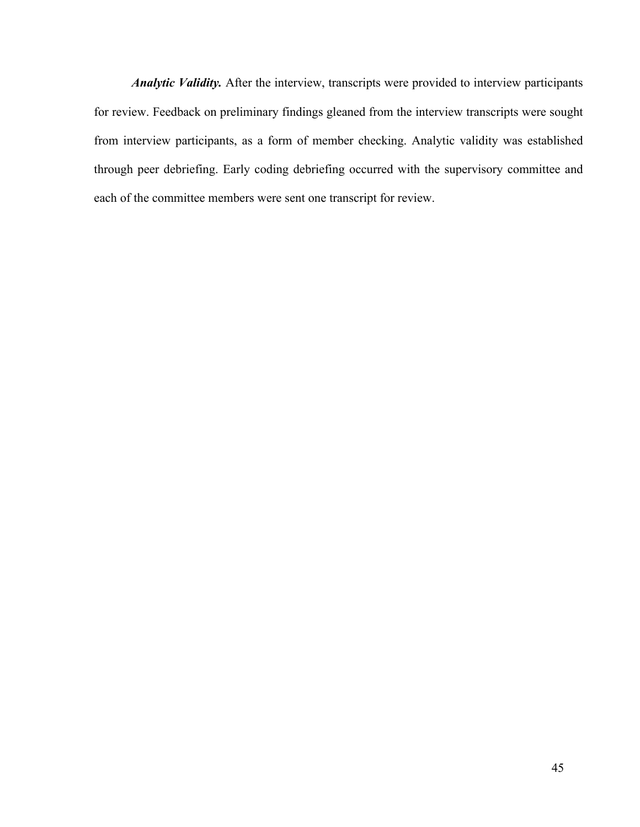*Analytic Validity.* After the interview, transcripts were provided to interview participants for review. Feedback on preliminary findings gleaned from the interview transcripts were sought from interview participants, as a form of member checking. Analytic validity was established through peer debriefing. Early coding debriefing occurred with the supervisory committee and each of the committee members were sent one transcript for review.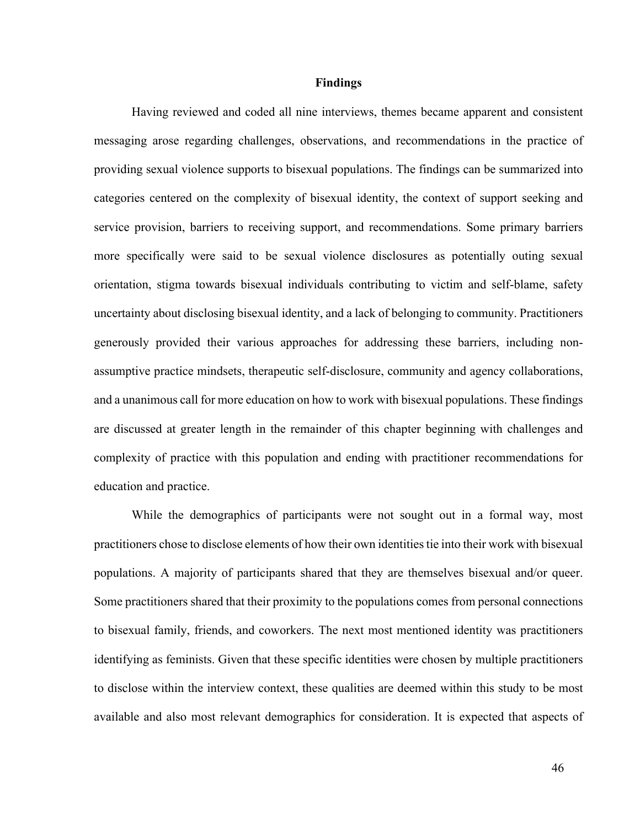#### **Findings**

Having reviewed and coded all nine interviews, themes became apparent and consistent messaging arose regarding challenges, observations, and recommendations in the practice of providing sexual violence supports to bisexual populations. The findings can be summarized into categories centered on the complexity of bisexual identity, the context of support seeking and service provision, barriers to receiving support, and recommendations. Some primary barriers more specifically were said to be sexual violence disclosures as potentially outing sexual orientation, stigma towards bisexual individuals contributing to victim and self-blame, safety uncertainty about disclosing bisexual identity, and a lack of belonging to community. Practitioners generously provided their various approaches for addressing these barriers, including nonassumptive practice mindsets, therapeutic self-disclosure, community and agency collaborations, and a unanimous call for more education on how to work with bisexual populations. These findings are discussed at greater length in the remainder of this chapter beginning with challenges and complexity of practice with this population and ending with practitioner recommendations for education and practice.

While the demographics of participants were not sought out in a formal way, most practitioners chose to disclose elements of how their own identities tie into their work with bisexual populations. A majority of participants shared that they are themselves bisexual and/or queer. Some practitioners shared that their proximity to the populations comes from personal connections to bisexual family, friends, and coworkers. The next most mentioned identity was practitioners identifying as feminists. Given that these specific identities were chosen by multiple practitioners to disclose within the interview context, these qualities are deemed within this study to be most available and also most relevant demographics for consideration. It is expected that aspects of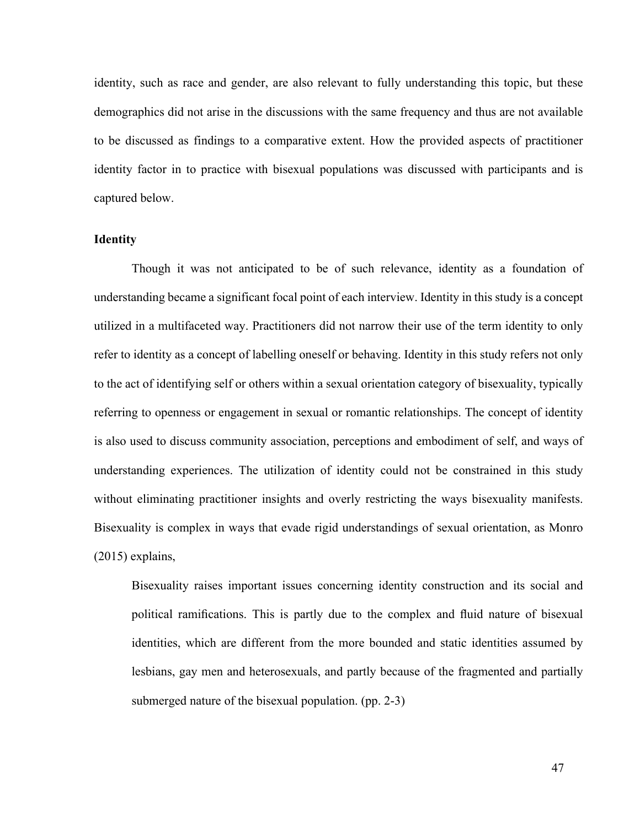identity, such as race and gender, are also relevant to fully understanding this topic, but these demographics did not arise in the discussions with the same frequency and thus are not available to be discussed as findings to a comparative extent. How the provided aspects of practitioner identity factor in to practice with bisexual populations was discussed with participants and is captured below.

#### **Identity**

Though it was not anticipated to be of such relevance, identity as a foundation of understanding became a significant focal point of each interview. Identity in this study is a concept utilized in a multifaceted way. Practitioners did not narrow their use of the term identity to only refer to identity as a concept of labelling oneself or behaving. Identity in this study refers not only to the act of identifying self or others within a sexual orientation category of bisexuality, typically referring to openness or engagement in sexual or romantic relationships. The concept of identity is also used to discuss community association, perceptions and embodiment of self, and ways of understanding experiences. The utilization of identity could not be constrained in this study without eliminating practitioner insights and overly restricting the ways bisexuality manifests. Bisexuality is complex in ways that evade rigid understandings of sexual orientation, as Monro (2015) explains,

Bisexuality raises important issues concerning identity construction and its social and political ramifications. This is partly due to the complex and fluid nature of bisexual identities, which are different from the more bounded and static identities assumed by lesbians, gay men and heterosexuals, and partly because of the fragmented and partially submerged nature of the bisexual population. (pp. 2-3)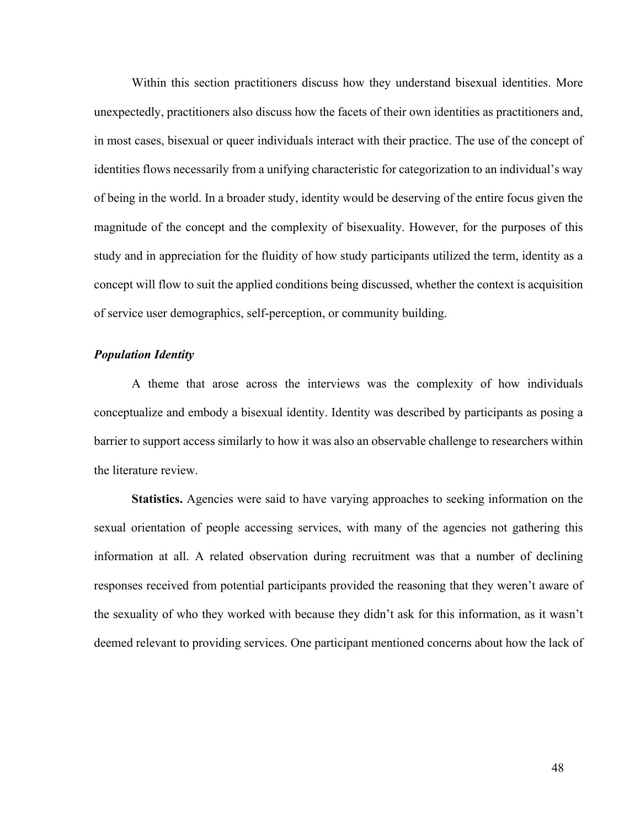Within this section practitioners discuss how they understand bisexual identities. More unexpectedly, practitioners also discuss how the facets of their own identities as practitioners and, in most cases, bisexual or queer individuals interact with their practice. The use of the concept of identities flows necessarily from a unifying characteristic for categorization to an individual's way of being in the world. In a broader study, identity would be deserving of the entire focus given the magnitude of the concept and the complexity of bisexuality. However, for the purposes of this study and in appreciation for the fluidity of how study participants utilized the term, identity as a concept will flow to suit the applied conditions being discussed, whether the context is acquisition of service user demographics, self-perception, or community building.

## *Population Identity*

A theme that arose across the interviews was the complexity of how individuals conceptualize and embody a bisexual identity. Identity was described by participants as posing a barrier to support access similarly to how it was also an observable challenge to researchers within the literature review.

**Statistics.** Agencies were said to have varying approaches to seeking information on the sexual orientation of people accessing services, with many of the agencies not gathering this information at all. A related observation during recruitment was that a number of declining responses received from potential participants provided the reasoning that they weren't aware of the sexuality of who they worked with because they didn't ask for this information, as it wasn't deemed relevant to providing services. One participant mentioned concerns about how the lack of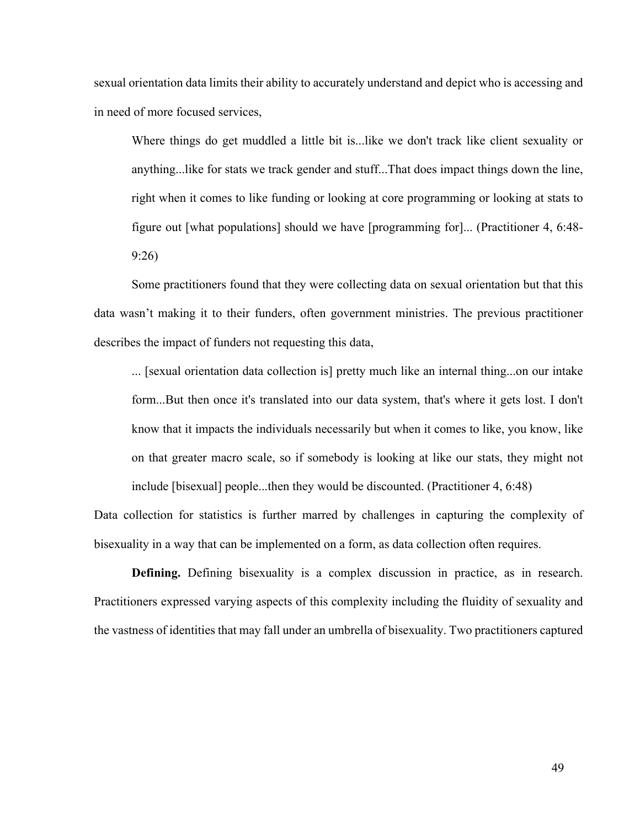sexual orientation data limits their ability to accurately understand and depict who is accessing and in need of more focused services,

Where things do get muddled a little bit is...like we don't track like client sexuality or anything...like for stats we track gender and stuff...That does impact things down the line, right when it comes to like funding or looking at core programming or looking at stats to figure out [what populations] should we have [programming for]... (Practitioner 4, 6:48- 9:26)

Some practitioners found that they were collecting data on sexual orientation but that this data wasn't making it to their funders, often government ministries. The previous practitioner describes the impact of funders not requesting this data,

... [sexual orientation data collection is] pretty much like an internal thing...on our intake form...But then once it's translated into our data system, that's where it gets lost. I don't know that it impacts the individuals necessarily but when it comes to like, you know, like on that greater macro scale, so if somebody is looking at like our stats, they might not include [bisexual] people...then they would be discounted. (Practitioner 4, 6:48)

Data collection for statistics is further marred by challenges in capturing the complexity of bisexuality in a way that can be implemented on a form, as data collection often requires.

**Defining.** Defining bisexuality is a complex discussion in practice, as in research. Practitioners expressed varying aspects of this complexity including the fluidity of sexuality and the vastness of identities that may fall under an umbrella of bisexuality. Two practitioners captured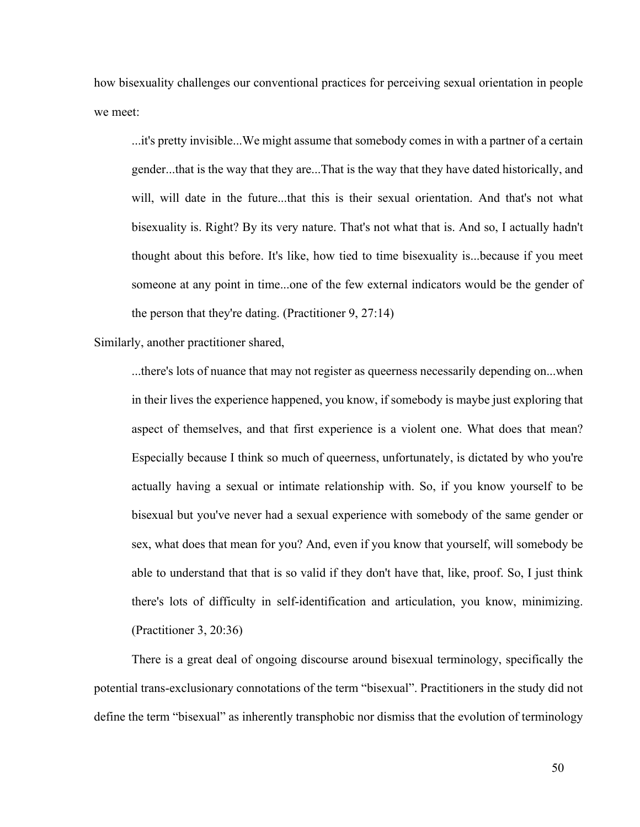how bisexuality challenges our conventional practices for perceiving sexual orientation in people we meet:

...it's pretty invisible...We might assume that somebody comes in with a partner of a certain gender...that is the way that they are...That is the way that they have dated historically, and will, will date in the future...that this is their sexual orientation. And that's not what bisexuality is. Right? By its very nature. That's not what that is. And so, I actually hadn't thought about this before. It's like, how tied to time bisexuality is...because if you meet someone at any point in time...one of the few external indicators would be the gender of the person that they're dating. (Practitioner 9, 27:14)

Similarly, another practitioner shared,

...there's lots of nuance that may not register as queerness necessarily depending on...when in their lives the experience happened, you know, if somebody is maybe just exploring that aspect of themselves, and that first experience is a violent one. What does that mean? Especially because I think so much of queerness, unfortunately, is dictated by who you're actually having a sexual or intimate relationship with. So, if you know yourself to be bisexual but you've never had a sexual experience with somebody of the same gender or sex, what does that mean for you? And, even if you know that yourself, will somebody be able to understand that that is so valid if they don't have that, like, proof. So, I just think there's lots of difficulty in self-identification and articulation, you know, minimizing. (Practitioner 3, 20:36)

There is a great deal of ongoing discourse around bisexual terminology, specifically the potential trans-exclusionary connotations of the term "bisexual". Practitioners in the study did not define the term "bisexual" as inherently transphobic nor dismiss that the evolution of terminology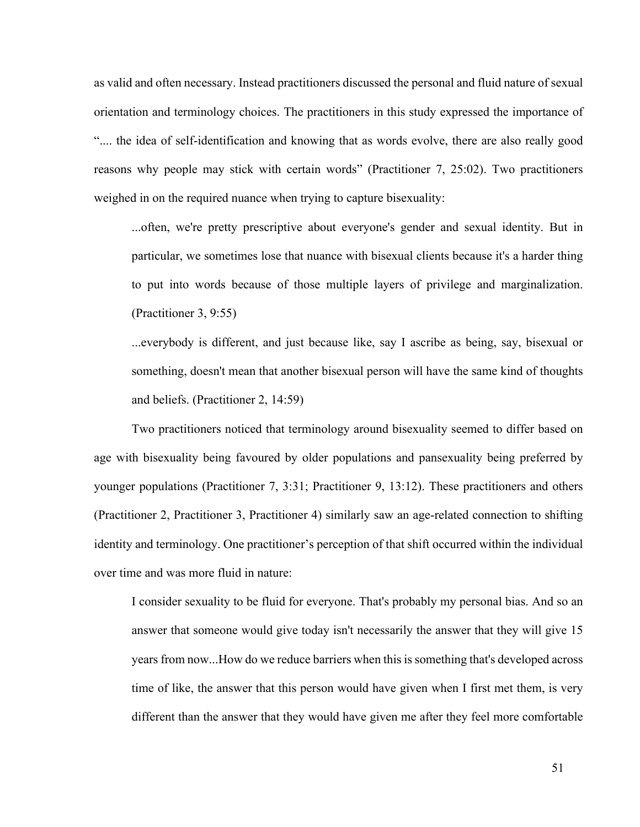as valid and often necessary. Instead practitioners discussed the personal and fluid nature of sexual orientation and terminology choices. The practitioners in this study expressed the importance of ".... the idea of self-identification and knowing that as words evolve, there are also really good reasons why people may stick with certain words" (Practitioner 7, 25:02). Two practitioners weighed in on the required nuance when trying to capture bisexuality:

...often, we're pretty prescriptive about everyone's gender and sexual identity. But in particular, we sometimes lose that nuance with bisexual clients because it's a harder thing to put into words because of those multiple layers of privilege and marginalization. (Practitioner 3, 9:55)

...everybody is different, and just because like, say I ascribe as being, say, bisexual or something, doesn't mean that another bisexual person will have the same kind of thoughts and beliefs. (Practitioner 2, 14:59)

Two practitioners noticed that terminology around bisexuality seemed to differ based on age with bisexuality being favoured by older populations and pansexuality being preferred by younger populations (Practitioner 7, 3:31; Practitioner 9, 13:12). These practitioners and others (Practitioner 2, Practitioner 3, Practitioner 4) similarly saw an age-related connection to shifting identity and terminology. One practitioner's perception of that shift occurred within the individual over time and was more fluid in nature:

I consider sexuality to be fluid for everyone. That's probably my personal bias. And so an answer that someone would give today isn't necessarily the answer that they will give 15 years from now...How do we reduce barriers when this is something that's developed across time of like, the answer that this person would have given when I first met them, is very different than the answer that they would have given me after they feel more comfortable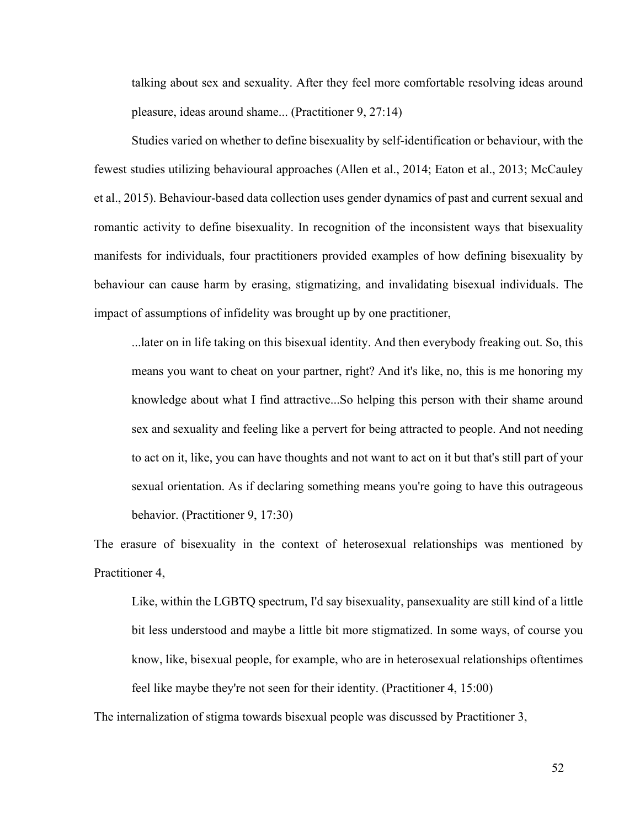talking about sex and sexuality. After they feel more comfortable resolving ideas around pleasure, ideas around shame... (Practitioner 9, 27:14)

Studies varied on whether to define bisexuality by self-identification or behaviour, with the fewest studies utilizing behavioural approaches (Allen et al., 2014; Eaton et al., 2013; McCauley et al., 2015). Behaviour-based data collection uses gender dynamics of past and current sexual and romantic activity to define bisexuality. In recognition of the inconsistent ways that bisexuality manifests for individuals, four practitioners provided examples of how defining bisexuality by behaviour can cause harm by erasing, stigmatizing, and invalidating bisexual individuals. The impact of assumptions of infidelity was brought up by one practitioner,

...later on in life taking on this bisexual identity. And then everybody freaking out. So, this means you want to cheat on your partner, right? And it's like, no, this is me honoring my knowledge about what I find attractive...So helping this person with their shame around sex and sexuality and feeling like a pervert for being attracted to people. And not needing to act on it, like, you can have thoughts and not want to act on it but that's still part of your sexual orientation. As if declaring something means you're going to have this outrageous behavior. (Practitioner 9, 17:30)

The erasure of bisexuality in the context of heterosexual relationships was mentioned by Practitioner 4,

Like, within the LGBTQ spectrum, I'd say bisexuality, pansexuality are still kind of a little bit less understood and maybe a little bit more stigmatized. In some ways, of course you know, like, bisexual people, for example, who are in heterosexual relationships oftentimes feel like maybe they're not seen for their identity. (Practitioner 4, 15:00)

The internalization of stigma towards bisexual people was discussed by Practitioner 3,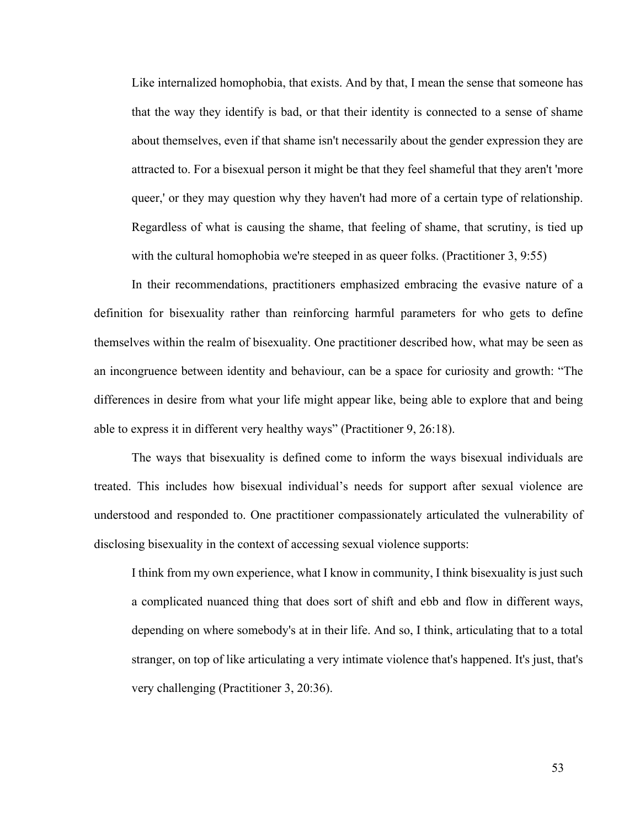Like internalized homophobia, that exists. And by that, I mean the sense that someone has that the way they identify is bad, or that their identity is connected to a sense of shame about themselves, even if that shame isn't necessarily about the gender expression they are attracted to. For a bisexual person it might be that they feel shameful that they aren't 'more queer,' or they may question why they haven't had more of a certain type of relationship. Regardless of what is causing the shame, that feeling of shame, that scrutiny, is tied up with the cultural homophobia we're steeped in as queer folks. (Practitioner 3, 9:55)

In their recommendations, practitioners emphasized embracing the evasive nature of a definition for bisexuality rather than reinforcing harmful parameters for who gets to define themselves within the realm of bisexuality. One practitioner described how, what may be seen as an incongruence between identity and behaviour, can be a space for curiosity and growth: "The differences in desire from what your life might appear like, being able to explore that and being able to express it in different very healthy ways" (Practitioner 9, 26:18).

The ways that bisexuality is defined come to inform the ways bisexual individuals are treated. This includes how bisexual individual's needs for support after sexual violence are understood and responded to. One practitioner compassionately articulated the vulnerability of disclosing bisexuality in the context of accessing sexual violence supports:

I think from my own experience, what I know in community, I think bisexuality is just such a complicated nuanced thing that does sort of shift and ebb and flow in different ways, depending on where somebody's at in their life. And so, I think, articulating that to a total stranger, on top of like articulating a very intimate violence that's happened. It's just, that's very challenging (Practitioner 3, 20:36).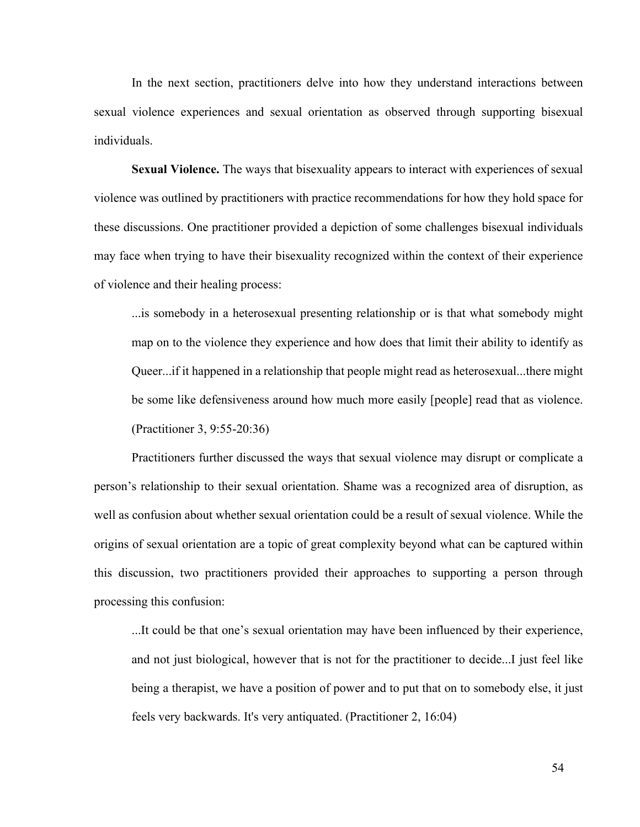In the next section, practitioners delve into how they understand interactions between sexual violence experiences and sexual orientation as observed through supporting bisexual individuals.

**Sexual Violence.** The ways that bisexuality appears to interact with experiences of sexual violence was outlined by practitioners with practice recommendations for how they hold space for these discussions. One practitioner provided a depiction of some challenges bisexual individuals may face when trying to have their bisexuality recognized within the context of their experience of violence and their healing process:

...is somebody in a heterosexual presenting relationship or is that what somebody might map on to the violence they experience and how does that limit their ability to identify as Queer...if it happened in a relationship that people might read as heterosexual...there might be some like defensiveness around how much more easily [people] read that as violence. (Practitioner 3, 9:55-20:36)

Practitioners further discussed the ways that sexual violence may disrupt or complicate a person's relationship to their sexual orientation. Shame was a recognized area of disruption, as well as confusion about whether sexual orientation could be a result of sexual violence. While the origins of sexual orientation are a topic of great complexity beyond what can be captured within this discussion, two practitioners provided their approaches to supporting a person through processing this confusion:

...It could be that one's sexual orientation may have been influenced by their experience, and not just biological, however that is not for the practitioner to decide...I just feel like being a therapist, we have a position of power and to put that on to somebody else, it just feels very backwards. It's very antiquated. (Practitioner 2, 16:04)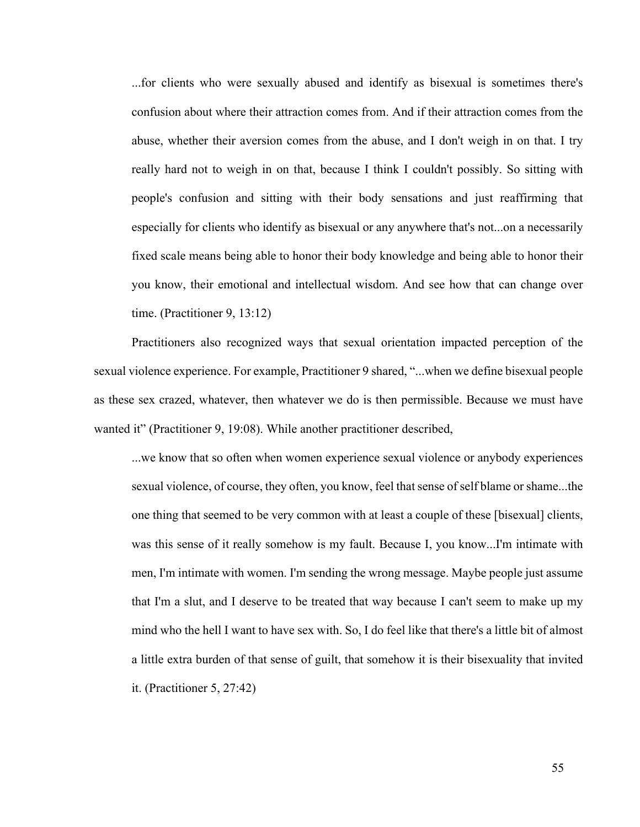...for clients who were sexually abused and identify as bisexual is sometimes there's confusion about where their attraction comes from. And if their attraction comes from the abuse, whether their aversion comes from the abuse, and I don't weigh in on that. I try really hard not to weigh in on that, because I think I couldn't possibly. So sitting with people's confusion and sitting with their body sensations and just reaffirming that especially for clients who identify as bisexual or any anywhere that's not...on a necessarily fixed scale means being able to honor their body knowledge and being able to honor their you know, their emotional and intellectual wisdom. And see how that can change over time. (Practitioner 9, 13:12)

Practitioners also recognized ways that sexual orientation impacted perception of the sexual violence experience. For example, Practitioner 9 shared, "...when we define bisexual people as these sex crazed, whatever, then whatever we do is then permissible. Because we must have wanted it" (Practitioner 9, 19:08). While another practitioner described,

...we know that so often when women experience sexual violence or anybody experiences sexual violence, of course, they often, you know, feel that sense of self blame or shame...the one thing that seemed to be very common with at least a couple of these [bisexual] clients, was this sense of it really somehow is my fault. Because I, you know...I'm intimate with men, I'm intimate with women. I'm sending the wrong message. Maybe people just assume that I'm a slut, and I deserve to be treated that way because I can't seem to make up my mind who the hell I want to have sex with. So, I do feel like that there's a little bit of almost a little extra burden of that sense of guilt, that somehow it is their bisexuality that invited it. (Practitioner 5, 27:42)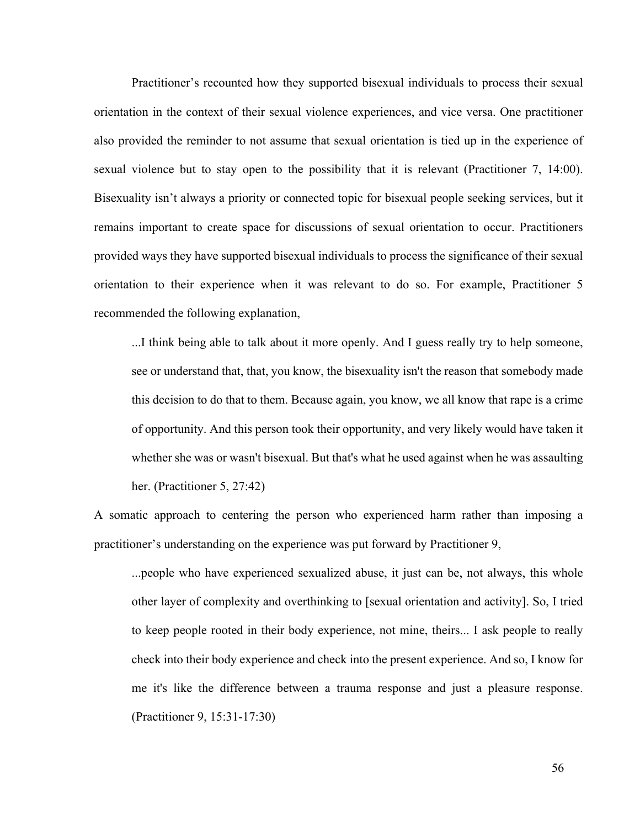Practitioner's recounted how they supported bisexual individuals to process their sexual orientation in the context of their sexual violence experiences, and vice versa. One practitioner also provided the reminder to not assume that sexual orientation is tied up in the experience of sexual violence but to stay open to the possibility that it is relevant (Practitioner 7, 14:00). Bisexuality isn't always a priority or connected topic for bisexual people seeking services, but it remains important to create space for discussions of sexual orientation to occur. Practitioners provided ways they have supported bisexual individuals to process the significance of their sexual orientation to their experience when it was relevant to do so. For example, Practitioner 5 recommended the following explanation,

...I think being able to talk about it more openly. And I guess really try to help someone, see or understand that, that, you know, the bisexuality isn't the reason that somebody made this decision to do that to them. Because again, you know, we all know that rape is a crime of opportunity. And this person took their opportunity, and very likely would have taken it whether she was or wasn't bisexual. But that's what he used against when he was assaulting her. (Practitioner 5, 27:42)

A somatic approach to centering the person who experienced harm rather than imposing a practitioner's understanding on the experience was put forward by Practitioner 9,

...people who have experienced sexualized abuse, it just can be, not always, this whole other layer of complexity and overthinking to [sexual orientation and activity]. So, I tried to keep people rooted in their body experience, not mine, theirs... I ask people to really check into their body experience and check into the present experience. And so, I know for me it's like the difference between a trauma response and just a pleasure response. (Practitioner 9, 15:31-17:30)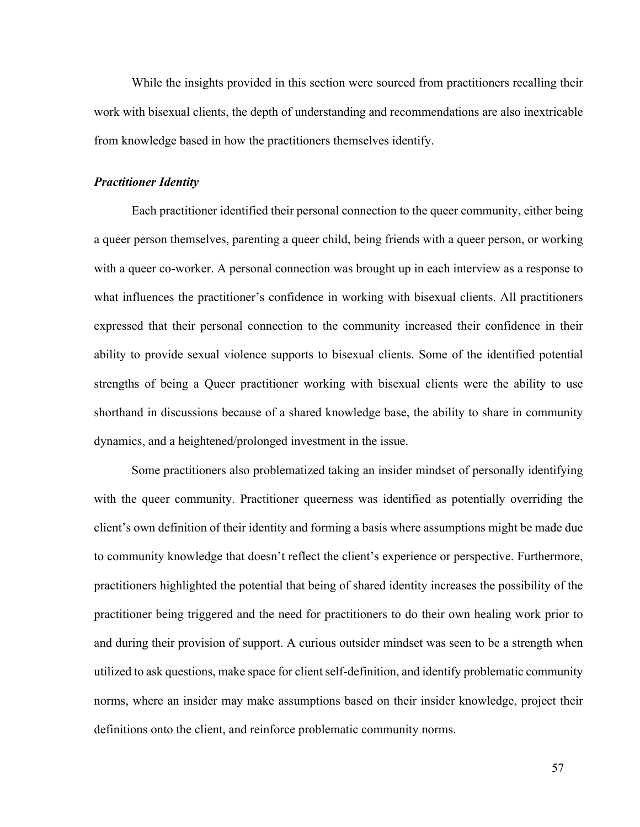While the insights provided in this section were sourced from practitioners recalling their work with bisexual clients, the depth of understanding and recommendations are also inextricable from knowledge based in how the practitioners themselves identify.

### *Practitioner Identity*

Each practitioner identified their personal connection to the queer community, either being a queer person themselves, parenting a queer child, being friends with a queer person, or working with a queer co-worker. A personal connection was brought up in each interview as a response to what influences the practitioner's confidence in working with bisexual clients. All practitioners expressed that their personal connection to the community increased their confidence in their ability to provide sexual violence supports to bisexual clients. Some of the identified potential strengths of being a Queer practitioner working with bisexual clients were the ability to use shorthand in discussions because of a shared knowledge base, the ability to share in community dynamics, and a heightened/prolonged investment in the issue.

Some practitioners also problematized taking an insider mindset of personally identifying with the queer community. Practitioner queerness was identified as potentially overriding the client's own definition of their identity and forming a basis where assumptions might be made due to community knowledge that doesn't reflect the client's experience or perspective. Furthermore, practitioners highlighted the potential that being of shared identity increases the possibility of the practitioner being triggered and the need for practitioners to do their own healing work prior to and during their provision of support. A curious outsider mindset was seen to be a strength when utilized to ask questions, make space for client self-definition, and identify problematic community norms, where an insider may make assumptions based on their insider knowledge, project their definitions onto the client, and reinforce problematic community norms.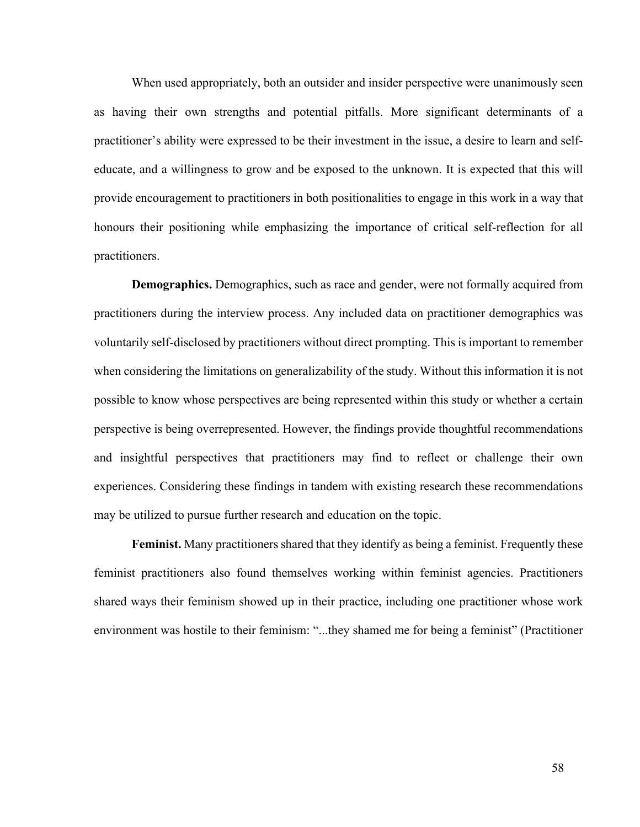When used appropriately, both an outsider and insider perspective were unanimously seen as having their own strengths and potential pitfalls. More significant determinants of a practitioner's ability were expressed to be their investment in the issue, a desire to learn and selfeducate, and a willingness to grow and be exposed to the unknown. It is expected that this will provide encouragement to practitioners in both positionalities to engage in this work in a way that honours their positioning while emphasizing the importance of critical self-reflection for all practitioners.

**Demographics.** Demographics, such as race and gender, were not formally acquired from practitioners during the interview process. Any included data on practitioner demographics was voluntarily self-disclosed by practitioners without direct prompting. This is important to remember when considering the limitations on generalizability of the study. Without this information it is not possible to know whose perspectives are being represented within this study or whether a certain perspective is being overrepresented. However, the findings provide thoughtful recommendations and insightful perspectives that practitioners may find to reflect or challenge their own experiences. Considering these findings in tandem with existing research these recommendations may be utilized to pursue further research and education on the topic.

**Feminist.** Many practitioners shared that they identify as being a feminist. Frequently these feminist practitioners also found themselves working within feminist agencies. Practitioners shared ways their feminism showed up in their practice, including one practitioner whose work environment was hostile to their feminism: "...they shamed me for being a feminist" (Practitioner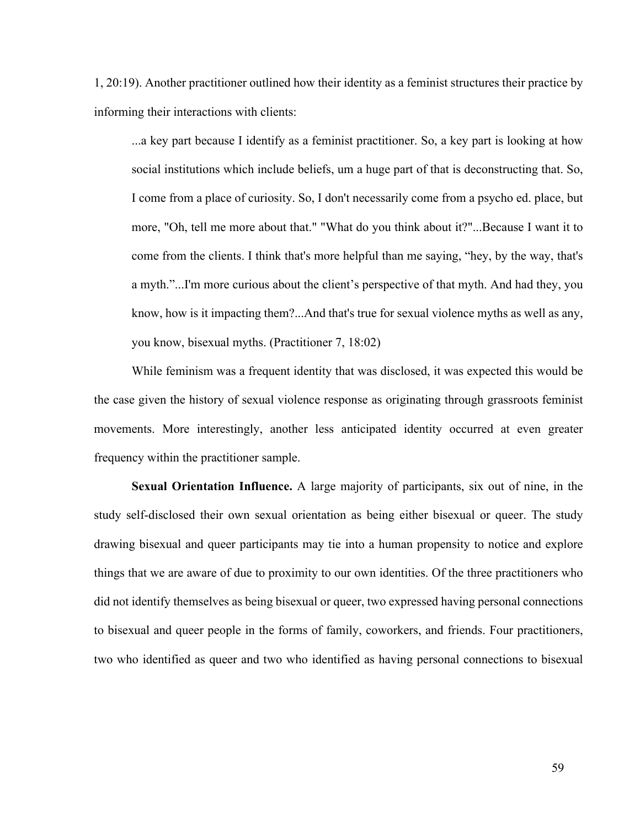1, 20:19). Another practitioner outlined how their identity as a feminist structures their practice by informing their interactions with clients:

...a key part because I identify as a feminist practitioner. So, a key part is looking at how social institutions which include beliefs, um a huge part of that is deconstructing that. So, I come from a place of curiosity. So, I don't necessarily come from a psycho ed. place, but more, "Oh, tell me more about that." "What do you think about it?"...Because I want it to come from the clients. I think that's more helpful than me saying, "hey, by the way, that's a myth."...I'm more curious about the client's perspective of that myth. And had they, you know, how is it impacting them?...And that's true for sexual violence myths as well as any, you know, bisexual myths. (Practitioner 7, 18:02)

While feminism was a frequent identity that was disclosed, it was expected this would be the case given the history of sexual violence response as originating through grassroots feminist movements. More interestingly, another less anticipated identity occurred at even greater frequency within the practitioner sample.

**Sexual Orientation Influence.** A large majority of participants, six out of nine, in the study self-disclosed their own sexual orientation as being either bisexual or queer. The study drawing bisexual and queer participants may tie into a human propensity to notice and explore things that we are aware of due to proximity to our own identities. Of the three practitioners who did not identify themselves as being bisexual or queer, two expressed having personal connections to bisexual and queer people in the forms of family, coworkers, and friends. Four practitioners, two who identified as queer and two who identified as having personal connections to bisexual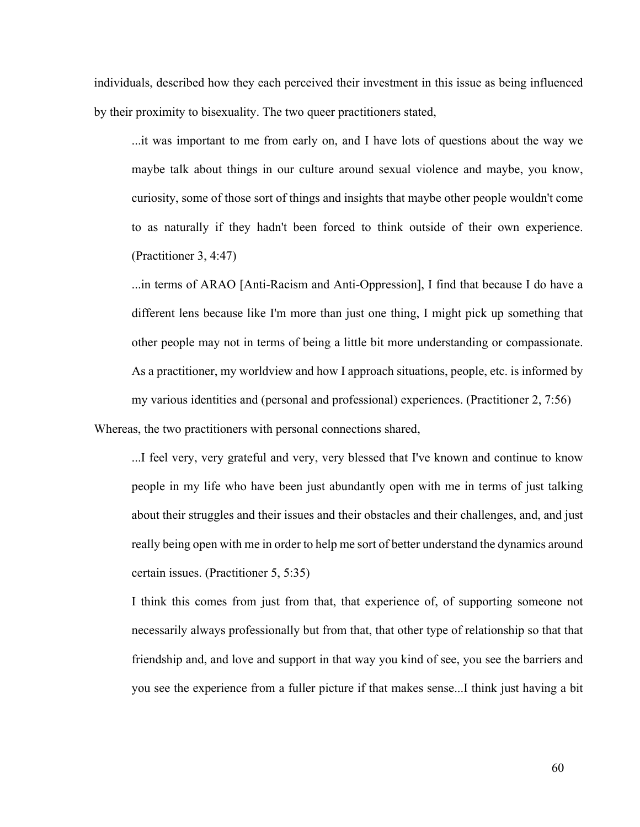individuals, described how they each perceived their investment in this issue as being influenced by their proximity to bisexuality. The two queer practitioners stated,

...it was important to me from early on, and I have lots of questions about the way we maybe talk about things in our culture around sexual violence and maybe, you know, curiosity, some of those sort of things and insights that maybe other people wouldn't come to as naturally if they hadn't been forced to think outside of their own experience. (Practitioner 3, 4:47)

...in terms of ARAO [Anti-Racism and Anti-Oppression], I find that because I do have a different lens because like I'm more than just one thing, I might pick up something that other people may not in terms of being a little bit more understanding or compassionate. As a practitioner, my worldview and how I approach situations, people, etc. is informed by my various identities and (personal and professional) experiences. (Practitioner 2, 7:56)

Whereas, the two practitioners with personal connections shared,

...I feel very, very grateful and very, very blessed that I've known and continue to know people in my life who have been just abundantly open with me in terms of just talking about their struggles and their issues and their obstacles and their challenges, and, and just really being open with me in order to help me sort of better understand the dynamics around certain issues. (Practitioner 5, 5:35)

I think this comes from just from that, that experience of, of supporting someone not necessarily always professionally but from that, that other type of relationship so that that friendship and, and love and support in that way you kind of see, you see the barriers and you see the experience from a fuller picture if that makes sense...I think just having a bit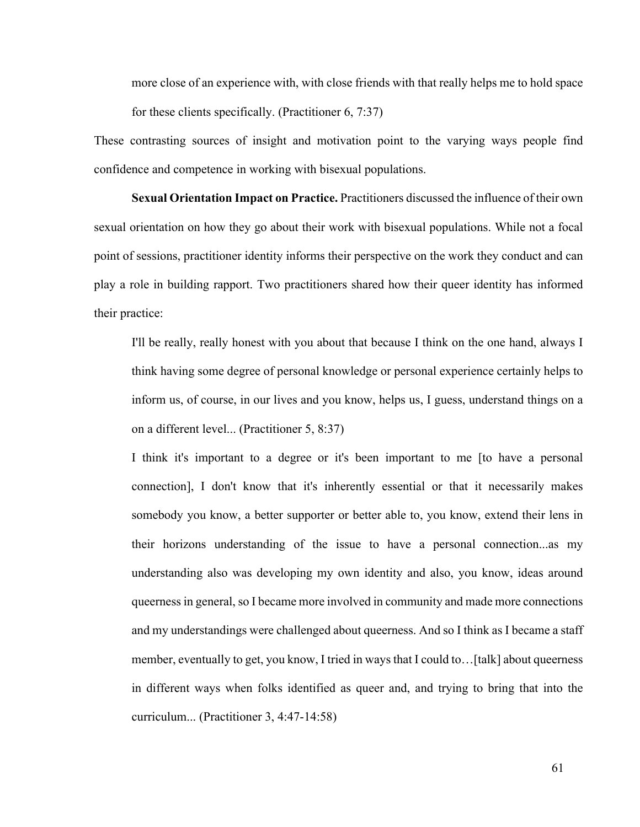more close of an experience with, with close friends with that really helps me to hold space for these clients specifically. (Practitioner 6, 7:37)

These contrasting sources of insight and motivation point to the varying ways people find confidence and competence in working with bisexual populations.

**Sexual Orientation Impact on Practice.** Practitioners discussed the influence of their own sexual orientation on how they go about their work with bisexual populations. While not a focal point of sessions, practitioner identity informs their perspective on the work they conduct and can play a role in building rapport. Two practitioners shared how their queer identity has informed their practice:

I'll be really, really honest with you about that because I think on the one hand, always I think having some degree of personal knowledge or personal experience certainly helps to inform us, of course, in our lives and you know, helps us, I guess, understand things on a on a different level... (Practitioner 5, 8:37)

I think it's important to a degree or it's been important to me [to have a personal connection], I don't know that it's inherently essential or that it necessarily makes somebody you know, a better supporter or better able to, you know, extend their lens in their horizons understanding of the issue to have a personal connection...as my understanding also was developing my own identity and also, you know, ideas around queerness in general, so I became more involved in community and made more connections and my understandings were challenged about queerness. And so I think as I became a staff member, eventually to get, you know, I tried in ways that I could to…[talk] about queerness in different ways when folks identified as queer and, and trying to bring that into the curriculum... (Practitioner 3, 4:47-14:58)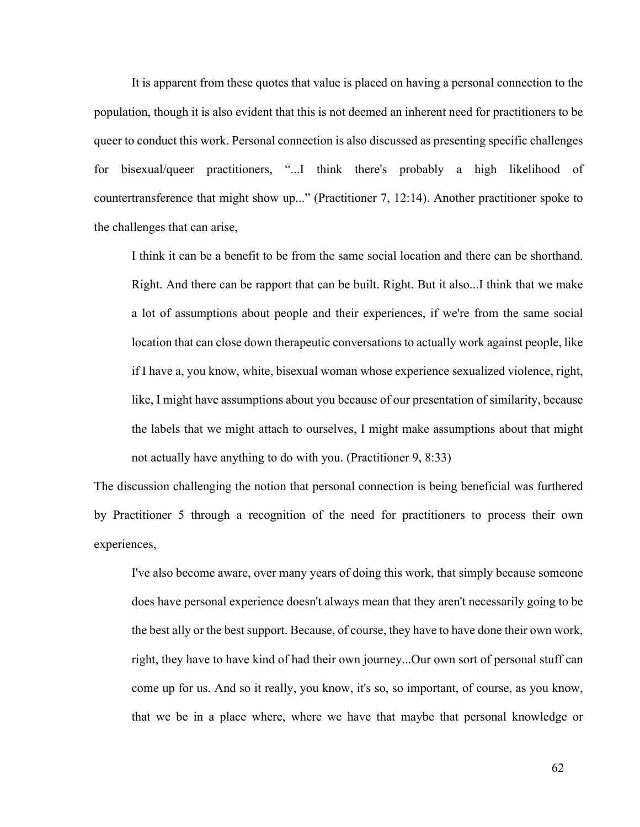It is apparent from these quotes that value is placed on having a personal connection to the population, though it is also evident that this is not deemed an inherent need for practitioners to be queer to conduct this work. Personal connection is also discussed as presenting specific challenges for bisexual/queer practitioners, "...I think there's probably a high likelihood of countertransference that might show up..." (Practitioner 7, 12:14). Another practitioner spoke to the challenges that can arise,

I think it can be a benefit to be from the same social location and there can be shorthand. Right. And there can be rapport that can be built. Right. But it also...I think that we make a lot of assumptions about people and their experiences, if we're from the same social location that can close down therapeutic conversations to actually work against people, like if I have a, you know, white, bisexual woman whose experience sexualized violence, right, like, I might have assumptions about you because of our presentation of similarity, because the labels that we might attach to ourselves, I might make assumptions about that might not actually have anything to do with you. (Practitioner 9, 8:33)

The discussion challenging the notion that personal connection is being beneficial was furthered by Practitioner 5 through a recognition of the need for practitioners to process their own experiences,

I've also become aware, over many years of doing this work, that simply because someone does have personal experience doesn't always mean that they aren't necessarily going to be the best ally or the best support. Because, of course, they have to have done their own work, right, they have to have kind of had their own journey...Our own sort of personal stuff can come up for us. And so it really, you know, it's so, so important, of course, as you know, that we be in a place where, where we have that maybe that personal knowledge or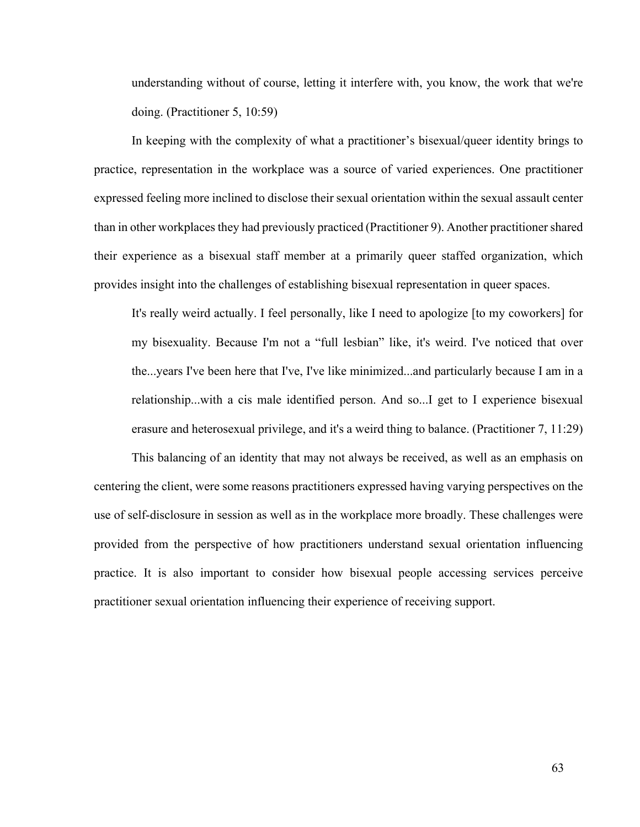understanding without of course, letting it interfere with, you know, the work that we're doing. (Practitioner 5, 10:59)

In keeping with the complexity of what a practitioner's bisexual/queer identity brings to practice, representation in the workplace was a source of varied experiences. One practitioner expressed feeling more inclined to disclose their sexual orientation within the sexual assault center than in other workplaces they had previously practiced (Practitioner 9). Another practitioner shared their experience as a bisexual staff member at a primarily queer staffed organization, which provides insight into the challenges of establishing bisexual representation in queer spaces.

It's really weird actually. I feel personally, like I need to apologize [to my coworkers] for my bisexuality. Because I'm not a "full lesbian" like, it's weird. I've noticed that over the...years I've been here that I've, I've like minimized...and particularly because I am in a relationship...with a cis male identified person. And so...I get to I experience bisexual erasure and heterosexual privilege, and it's a weird thing to balance. (Practitioner 7, 11:29)

This balancing of an identity that may not always be received, as well as an emphasis on centering the client, were some reasons practitioners expressed having varying perspectives on the use of self-disclosure in session as well as in the workplace more broadly. These challenges were provided from the perspective of how practitioners understand sexual orientation influencing practice. It is also important to consider how bisexual people accessing services perceive practitioner sexual orientation influencing their experience of receiving support.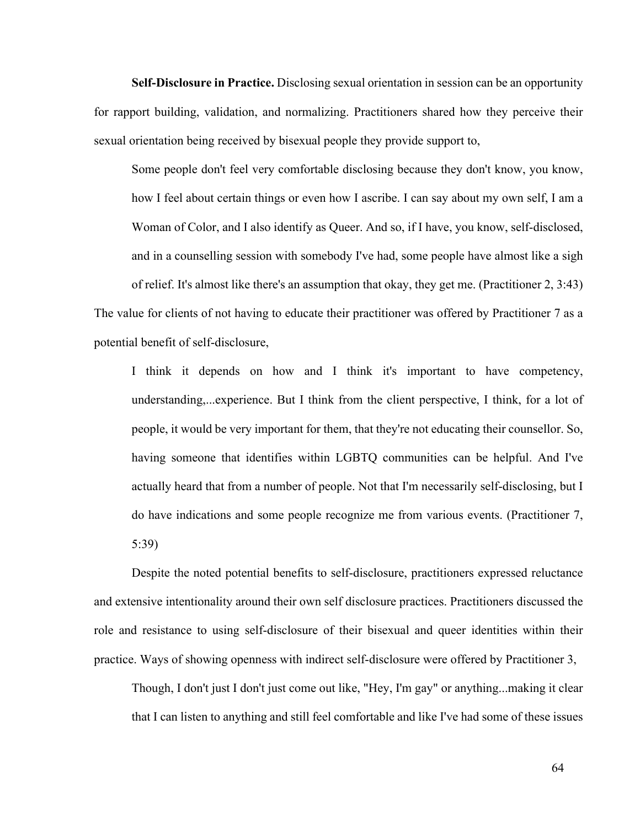**Self-Disclosure in Practice.** Disclosing sexual orientation in session can be an opportunity for rapport building, validation, and normalizing. Practitioners shared how they perceive their sexual orientation being received by bisexual people they provide support to,

Some people don't feel very comfortable disclosing because they don't know, you know, how I feel about certain things or even how I ascribe. I can say about my own self, I am a Woman of Color, and I also identify as Queer. And so, if I have, you know, self-disclosed, and in a counselling session with somebody I've had, some people have almost like a sigh of relief. It's almost like there's an assumption that okay, they get me. (Practitioner 2, 3:43) The value for clients of not having to educate their practitioner was offered by Practitioner 7 as a potential benefit of self-disclosure,

I think it depends on how and I think it's important to have competency, understanding,...experience. But I think from the client perspective, I think, for a lot of people, it would be very important for them, that they're not educating their counsellor. So, having someone that identifies within LGBTQ communities can be helpful. And I've actually heard that from a number of people. Not that I'm necessarily self-disclosing, but I do have indications and some people recognize me from various events. (Practitioner 7, 5:39)

Despite the noted potential benefits to self-disclosure, practitioners expressed reluctance and extensive intentionality around their own self disclosure practices. Practitioners discussed the role and resistance to using self-disclosure of their bisexual and queer identities within their practice. Ways of showing openness with indirect self-disclosure were offered by Practitioner 3,

Though, I don't just I don't just come out like, "Hey, I'm gay" or anything...making it clear that I can listen to anything and still feel comfortable and like I've had some of these issues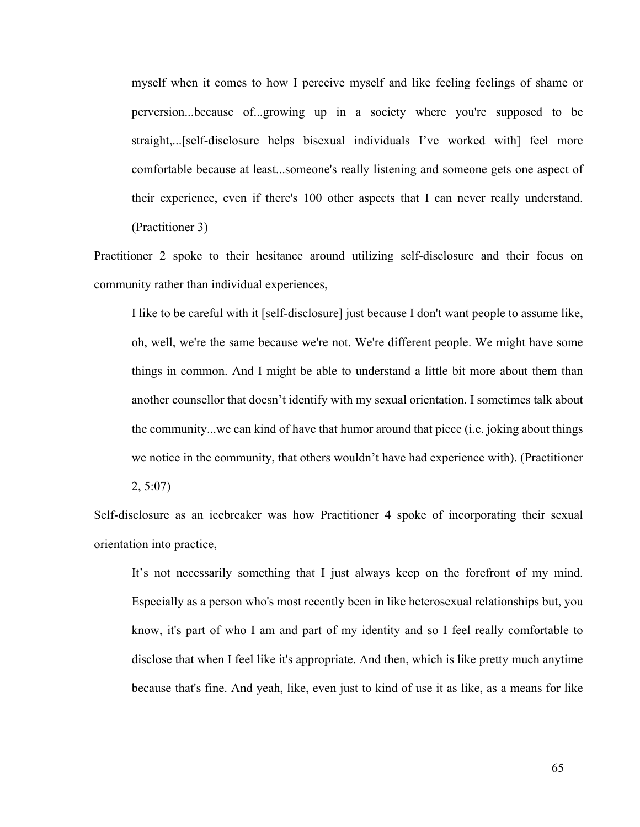myself when it comes to how I perceive myself and like feeling feelings of shame or perversion...because of...growing up in a society where you're supposed to be straight,...[self-disclosure helps bisexual individuals I've worked with] feel more comfortable because at least...someone's really listening and someone gets one aspect of their experience, even if there's 100 other aspects that I can never really understand. (Practitioner 3)

Practitioner 2 spoke to their hesitance around utilizing self-disclosure and their focus on community rather than individual experiences,

I like to be careful with it [self-disclosure] just because I don't want people to assume like, oh, well, we're the same because we're not. We're different people. We might have some things in common. And I might be able to understand a little bit more about them than another counsellor that doesn't identify with my sexual orientation. I sometimes talk about the community...we can kind of have that humor around that piece (i.e. joking about things we notice in the community, that others wouldn't have had experience with). (Practitioner 2, 5:07)

Self-disclosure as an icebreaker was how Practitioner 4 spoke of incorporating their sexual orientation into practice,

It's not necessarily something that I just always keep on the forefront of my mind. Especially as a person who's most recently been in like heterosexual relationships but, you know, it's part of who I am and part of my identity and so I feel really comfortable to disclose that when I feel like it's appropriate. And then, which is like pretty much anytime because that's fine. And yeah, like, even just to kind of use it as like, as a means for like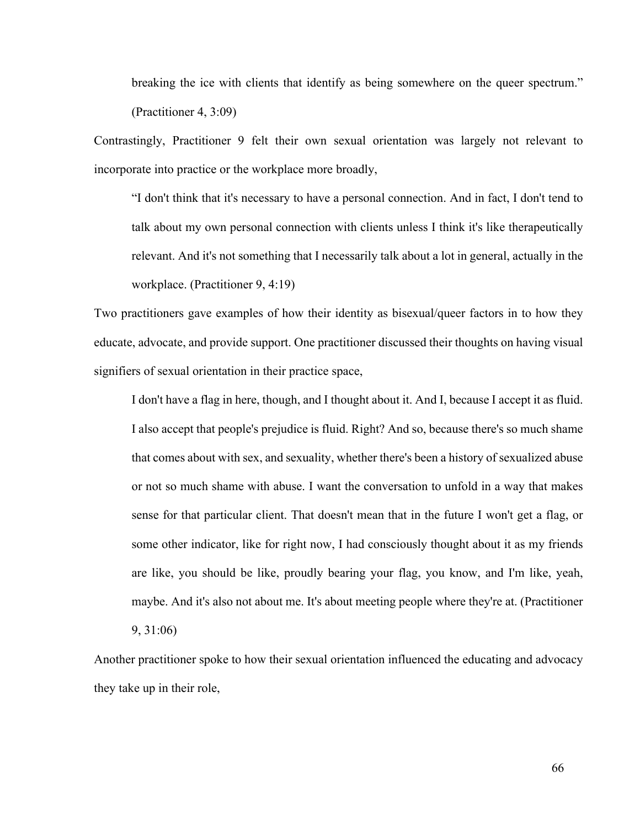breaking the ice with clients that identify as being somewhere on the queer spectrum." (Practitioner 4, 3:09)

Contrastingly, Practitioner 9 felt their own sexual orientation was largely not relevant to incorporate into practice or the workplace more broadly,

"I don't think that it's necessary to have a personal connection. And in fact, I don't tend to talk about my own personal connection with clients unless I think it's like therapeutically relevant. And it's not something that I necessarily talk about a lot in general, actually in the workplace. (Practitioner 9, 4:19)

Two practitioners gave examples of how their identity as bisexual/queer factors in to how they educate, advocate, and provide support. One practitioner discussed their thoughts on having visual signifiers of sexual orientation in their practice space,

I don't have a flag in here, though, and I thought about it. And I, because I accept it as fluid. I also accept that people's prejudice is fluid. Right? And so, because there's so much shame that comes about with sex, and sexuality, whether there's been a history of sexualized abuse or not so much shame with abuse. I want the conversation to unfold in a way that makes sense for that particular client. That doesn't mean that in the future I won't get a flag, or some other indicator, like for right now, I had consciously thought about it as my friends are like, you should be like, proudly bearing your flag, you know, and I'm like, yeah, maybe. And it's also not about me. It's about meeting people where they're at. (Practitioner

9, 31:06)

Another practitioner spoke to how their sexual orientation influenced the educating and advocacy they take up in their role,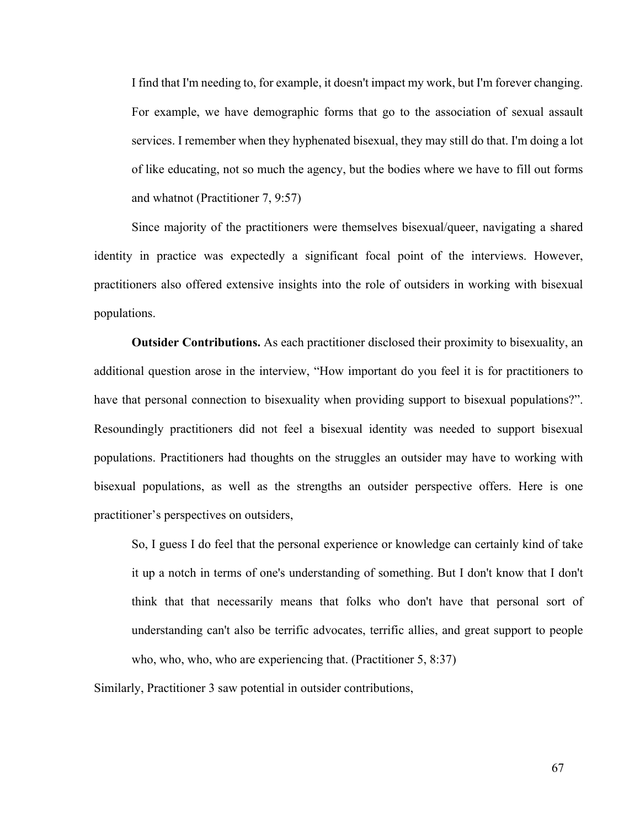I find that I'm needing to, for example, it doesn't impact my work, but I'm forever changing. For example, we have demographic forms that go to the association of sexual assault services. I remember when they hyphenated bisexual, they may still do that. I'm doing a lot of like educating, not so much the agency, but the bodies where we have to fill out forms and whatnot (Practitioner 7, 9:57)

Since majority of the practitioners were themselves bisexual/queer, navigating a shared identity in practice was expectedly a significant focal point of the interviews. However, practitioners also offered extensive insights into the role of outsiders in working with bisexual populations.

**Outsider Contributions.** As each practitioner disclosed their proximity to bisexuality, an additional question arose in the interview, "How important do you feel it is for practitioners to have that personal connection to bisexuality when providing support to bisexual populations?". Resoundingly practitioners did not feel a bisexual identity was needed to support bisexual populations. Practitioners had thoughts on the struggles an outsider may have to working with bisexual populations, as well as the strengths an outsider perspective offers. Here is one practitioner's perspectives on outsiders,

So, I guess I do feel that the personal experience or knowledge can certainly kind of take it up a notch in terms of one's understanding of something. But I don't know that I don't think that that necessarily means that folks who don't have that personal sort of understanding can't also be terrific advocates, terrific allies, and great support to people who, who, who, who are experiencing that. (Practitioner 5, 8:37)

Similarly, Practitioner 3 saw potential in outsider contributions,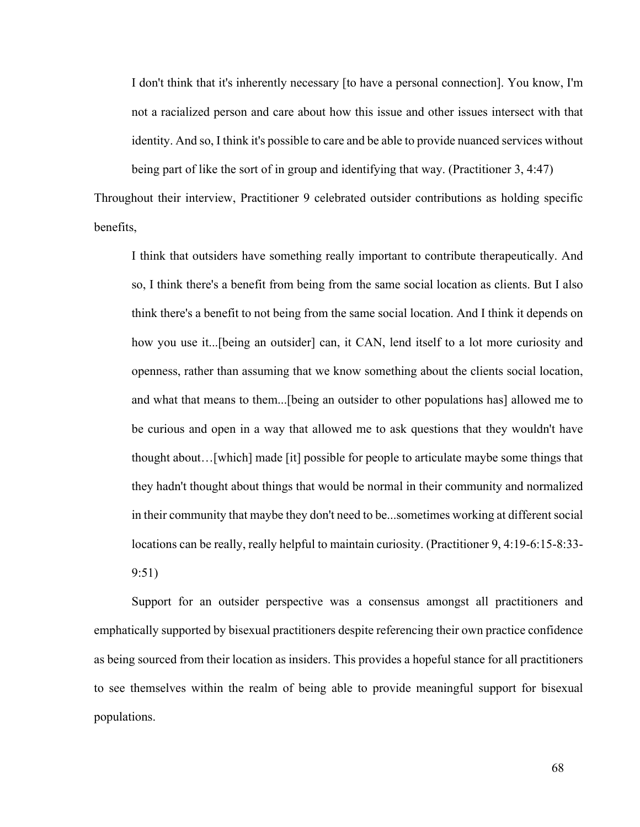I don't think that it's inherently necessary [to have a personal connection]. You know, I'm not a racialized person and care about how this issue and other issues intersect with that identity. And so, I think it's possible to care and be able to provide nuanced services without being part of like the sort of in group and identifying that way. (Practitioner 3, 4:47)

Throughout their interview, Practitioner 9 celebrated outsider contributions as holding specific benefits,

I think that outsiders have something really important to contribute therapeutically. And so, I think there's a benefit from being from the same social location as clients. But I also think there's a benefit to not being from the same social location. And I think it depends on how you use it...[being an outsider] can, it CAN, lend itself to a lot more curiosity and openness, rather than assuming that we know something about the clients social location, and what that means to them...[being an outsider to other populations has] allowed me to be curious and open in a way that allowed me to ask questions that they wouldn't have thought about…[which] made [it] possible for people to articulate maybe some things that they hadn't thought about things that would be normal in their community and normalized in their community that maybe they don't need to be...sometimes working at different social locations can be really, really helpful to maintain curiosity. (Practitioner 9, 4:19-6:15-8:33- 9:51)

Support for an outsider perspective was a consensus amongst all practitioners and emphatically supported by bisexual practitioners despite referencing their own practice confidence as being sourced from their location as insiders. This provides a hopeful stance for all practitioners to see themselves within the realm of being able to provide meaningful support for bisexual populations.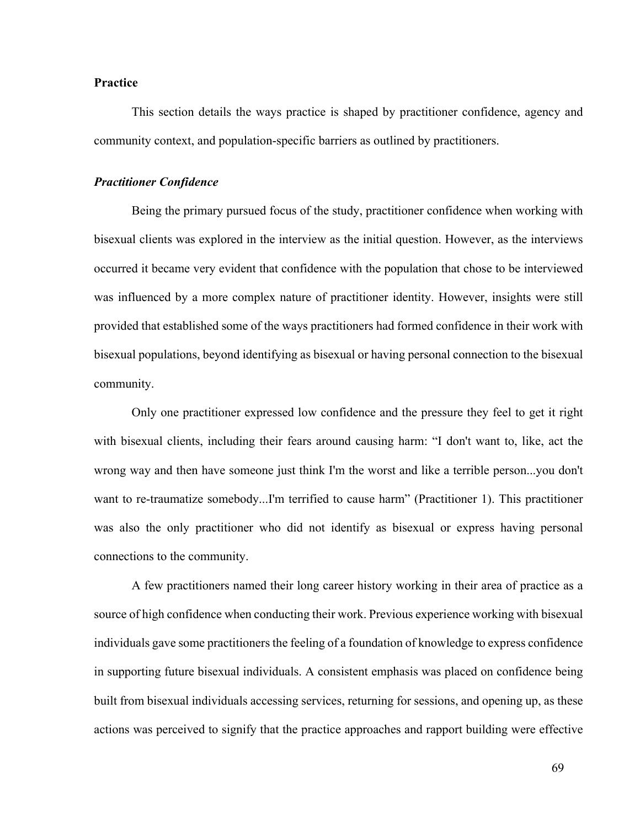### **Practice**

This section details the ways practice is shaped by practitioner confidence, agency and community context, and population-specific barriers as outlined by practitioners.

# *Practitioner Confidence*

Being the primary pursued focus of the study, practitioner confidence when working with bisexual clients was explored in the interview as the initial question. However, as the interviews occurred it became very evident that confidence with the population that chose to be interviewed was influenced by a more complex nature of practitioner identity. However, insights were still provided that established some of the ways practitioners had formed confidence in their work with bisexual populations, beyond identifying as bisexual or having personal connection to the bisexual community.

Only one practitioner expressed low confidence and the pressure they feel to get it right with bisexual clients, including their fears around causing harm: "I don't want to, like, act the wrong way and then have someone just think I'm the worst and like a terrible person...you don't want to re-traumatize somebody...I'm terrified to cause harm" (Practitioner 1). This practitioner was also the only practitioner who did not identify as bisexual or express having personal connections to the community.

A few practitioners named their long career history working in their area of practice as a source of high confidence when conducting their work. Previous experience working with bisexual individuals gave some practitioners the feeling of a foundation of knowledge to express confidence in supporting future bisexual individuals. A consistent emphasis was placed on confidence being built from bisexual individuals accessing services, returning for sessions, and opening up, as these actions was perceived to signify that the practice approaches and rapport building were effective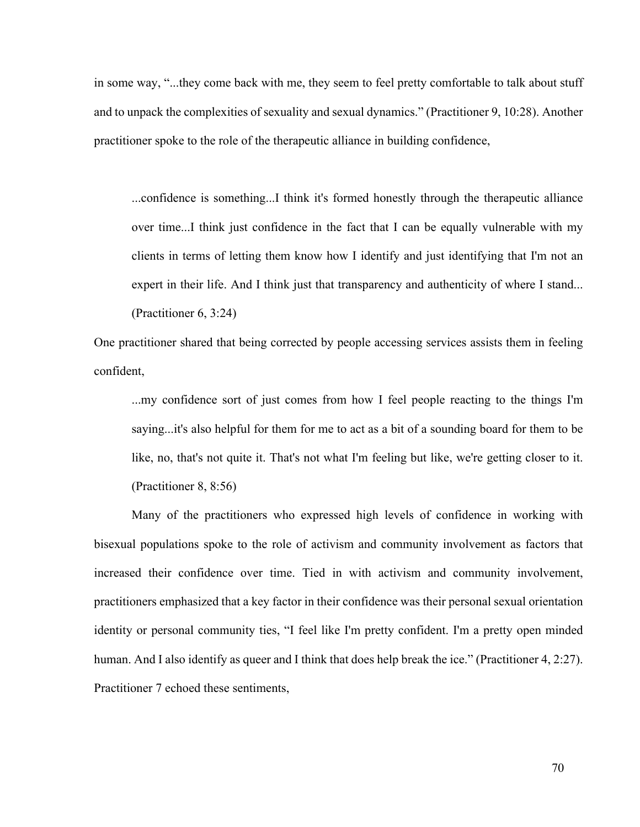in some way, "...they come back with me, they seem to feel pretty comfortable to talk about stuff and to unpack the complexities of sexuality and sexual dynamics." (Practitioner 9, 10:28). Another practitioner spoke to the role of the therapeutic alliance in building confidence,

...confidence is something...I think it's formed honestly through the therapeutic alliance over time...I think just confidence in the fact that I can be equally vulnerable with my clients in terms of letting them know how I identify and just identifying that I'm not an expert in their life. And I think just that transparency and authenticity of where I stand... (Practitioner 6, 3:24)

One practitioner shared that being corrected by people accessing services assists them in feeling confident,

...my confidence sort of just comes from how I feel people reacting to the things I'm saying...it's also helpful for them for me to act as a bit of a sounding board for them to be like, no, that's not quite it. That's not what I'm feeling but like, we're getting closer to it. (Practitioner 8, 8:56)

Many of the practitioners who expressed high levels of confidence in working with bisexual populations spoke to the role of activism and community involvement as factors that increased their confidence over time. Tied in with activism and community involvement, practitioners emphasized that a key factor in their confidence was their personal sexual orientation identity or personal community ties, "I feel like I'm pretty confident. I'm a pretty open minded human. And I also identify as queer and I think that does help break the ice." (Practitioner 4, 2:27). Practitioner 7 echoed these sentiments,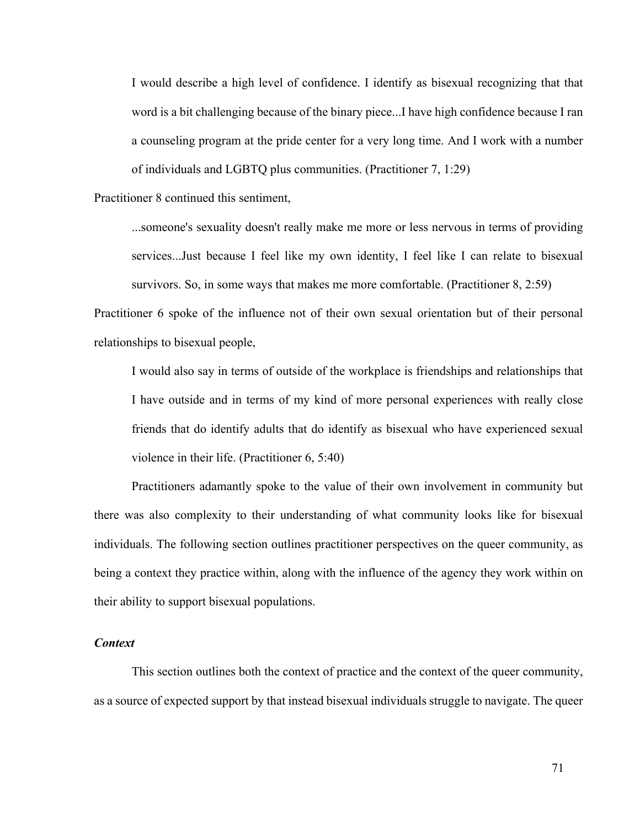I would describe a high level of confidence. I identify as bisexual recognizing that that word is a bit challenging because of the binary piece...I have high confidence because I ran a counseling program at the pride center for a very long time. And I work with a number of individuals and LGBTQ plus communities. (Practitioner 7, 1:29)

Practitioner 8 continued this sentiment,

...someone's sexuality doesn't really make me more or less nervous in terms of providing services...Just because I feel like my own identity, I feel like I can relate to bisexual survivors. So, in some ways that makes me more comfortable. (Practitioner 8, 2:59)

Practitioner 6 spoke of the influence not of their own sexual orientation but of their personal relationships to bisexual people,

I would also say in terms of outside of the workplace is friendships and relationships that I have outside and in terms of my kind of more personal experiences with really close friends that do identify adults that do identify as bisexual who have experienced sexual violence in their life. (Practitioner 6, 5:40)

Practitioners adamantly spoke to the value of their own involvement in community but there was also complexity to their understanding of what community looks like for bisexual individuals. The following section outlines practitioner perspectives on the queer community, as being a context they practice within, along with the influence of the agency they work within on their ability to support bisexual populations.

### *Context*

This section outlines both the context of practice and the context of the queer community, as a source of expected support by that instead bisexual individuals struggle to navigate. The queer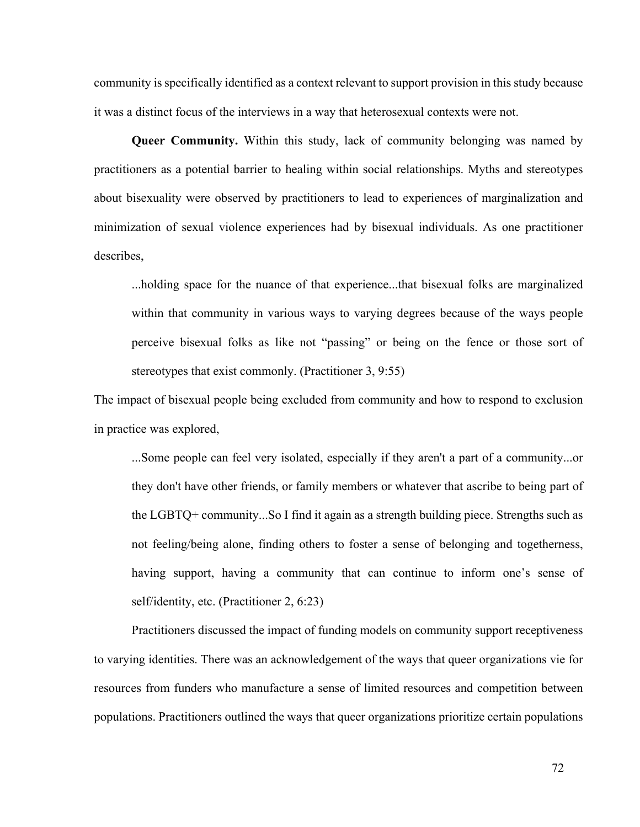community is specifically identified as a context relevant to support provision in this study because it was a distinct focus of the interviews in a way that heterosexual contexts were not.

**Queer Community.** Within this study, lack of community belonging was named by practitioners as a potential barrier to healing within social relationships. Myths and stereotypes about bisexuality were observed by practitioners to lead to experiences of marginalization and minimization of sexual violence experiences had by bisexual individuals. As one practitioner describes,

...holding space for the nuance of that experience...that bisexual folks are marginalized within that community in various ways to varying degrees because of the ways people perceive bisexual folks as like not "passing" or being on the fence or those sort of stereotypes that exist commonly. (Practitioner 3, 9:55)

The impact of bisexual people being excluded from community and how to respond to exclusion in practice was explored,

...Some people can feel very isolated, especially if they aren't a part of a community...or they don't have other friends, or family members or whatever that ascribe to being part of the LGBTQ+ community...So I find it again as a strength building piece. Strengths such as not feeling/being alone, finding others to foster a sense of belonging and togetherness, having support, having a community that can continue to inform one's sense of self/identity, etc. (Practitioner 2, 6:23)

Practitioners discussed the impact of funding models on community support receptiveness to varying identities. There was an acknowledgement of the ways that queer organizations vie for resources from funders who manufacture a sense of limited resources and competition between populations. Practitioners outlined the ways that queer organizations prioritize certain populations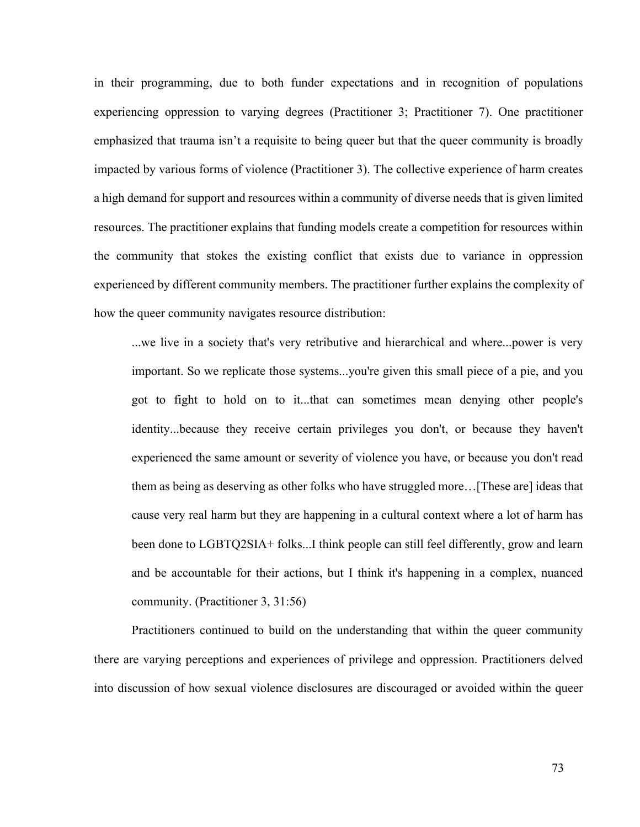in their programming, due to both funder expectations and in recognition of populations experiencing oppression to varying degrees (Practitioner 3; Practitioner 7). One practitioner emphasized that trauma isn't a requisite to being queer but that the queer community is broadly impacted by various forms of violence (Practitioner 3). The collective experience of harm creates a high demand for support and resources within a community of diverse needs that is given limited resources. The practitioner explains that funding models create a competition for resources within the community that stokes the existing conflict that exists due to variance in oppression experienced by different community members. The practitioner further explains the complexity of how the queer community navigates resource distribution:

...we live in a society that's very retributive and hierarchical and where...power is very important. So we replicate those systems...you're given this small piece of a pie, and you got to fight to hold on to it...that can sometimes mean denying other people's identity...because they receive certain privileges you don't, or because they haven't experienced the same amount or severity of violence you have, or because you don't read them as being as deserving as other folks who have struggled more…[These are] ideas that cause very real harm but they are happening in a cultural context where a lot of harm has been done to LGBTQ2SIA+ folks...I think people can still feel differently, grow and learn and be accountable for their actions, but I think it's happening in a complex, nuanced community. (Practitioner 3, 31:56)

Practitioners continued to build on the understanding that within the queer community there are varying perceptions and experiences of privilege and oppression. Practitioners delved into discussion of how sexual violence disclosures are discouraged or avoided within the queer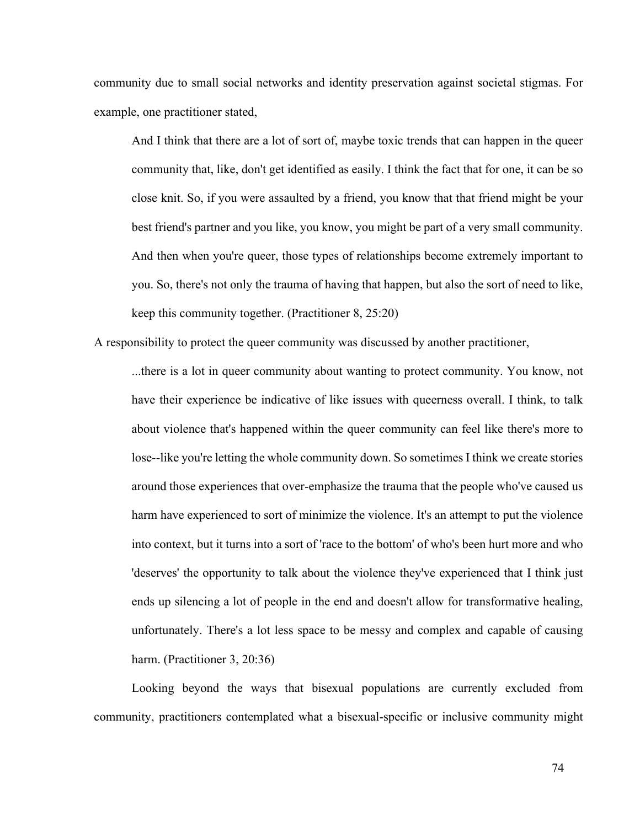community due to small social networks and identity preservation against societal stigmas. For example, one practitioner stated,

And I think that there are a lot of sort of, maybe toxic trends that can happen in the queer community that, like, don't get identified as easily. I think the fact that for one, it can be so close knit. So, if you were assaulted by a friend, you know that that friend might be your best friend's partner and you like, you know, you might be part of a very small community. And then when you're queer, those types of relationships become extremely important to you. So, there's not only the trauma of having that happen, but also the sort of need to like, keep this community together. (Practitioner 8, 25:20)

A responsibility to protect the queer community was discussed by another practitioner,

...there is a lot in queer community about wanting to protect community. You know, not have their experience be indicative of like issues with queerness overall. I think, to talk about violence that's happened within the queer community can feel like there's more to lose--like you're letting the whole community down. So sometimes I think we create stories around those experiences that over-emphasize the trauma that the people who've caused us harm have experienced to sort of minimize the violence. It's an attempt to put the violence into context, but it turns into a sort of 'race to the bottom' of who's been hurt more and who 'deserves' the opportunity to talk about the violence they've experienced that I think just ends up silencing a lot of people in the end and doesn't allow for transformative healing, unfortunately. There's a lot less space to be messy and complex and capable of causing harm. (Practitioner 3, 20:36)

Looking beyond the ways that bisexual populations are currently excluded from community, practitioners contemplated what a bisexual-specific or inclusive community might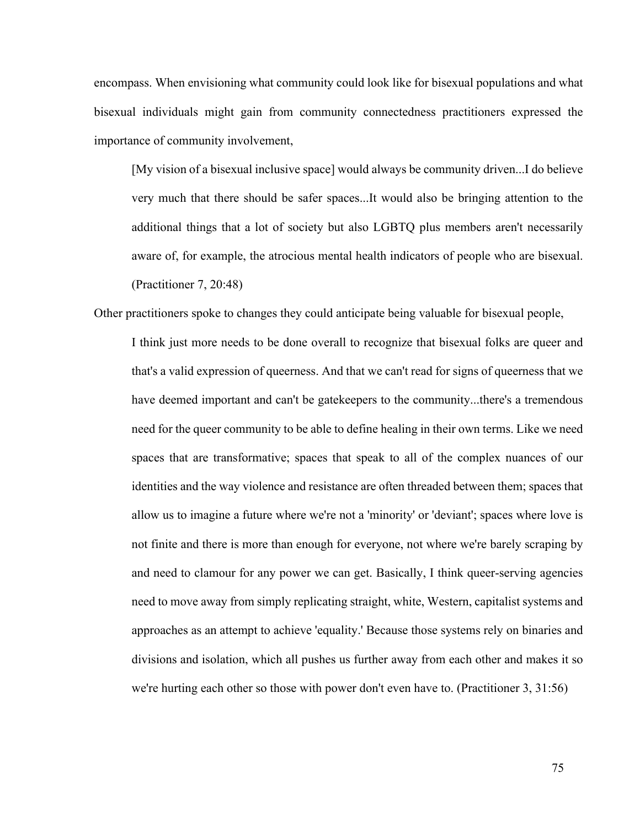encompass. When envisioning what community could look like for bisexual populations and what bisexual individuals might gain from community connectedness practitioners expressed the importance of community involvement,

[My vision of a bisexual inclusive space] would always be community driven...I do believe very much that there should be safer spaces...It would also be bringing attention to the additional things that a lot of society but also LGBTQ plus members aren't necessarily aware of, for example, the atrocious mental health indicators of people who are bisexual. (Practitioner 7, 20:48)

Other practitioners spoke to changes they could anticipate being valuable for bisexual people,

I think just more needs to be done overall to recognize that bisexual folks are queer and that's a valid expression of queerness. And that we can't read for signs of queerness that we have deemed important and can't be gatekeepers to the community...there's a tremendous need for the queer community to be able to define healing in their own terms. Like we need spaces that are transformative; spaces that speak to all of the complex nuances of our identities and the way violence and resistance are often threaded between them; spaces that allow us to imagine a future where we're not a 'minority' or 'deviant'; spaces where love is not finite and there is more than enough for everyone, not where we're barely scraping by and need to clamour for any power we can get. Basically, I think queer-serving agencies need to move away from simply replicating straight, white, Western, capitalist systems and approaches as an attempt to achieve 'equality.' Because those systems rely on binaries and divisions and isolation, which all pushes us further away from each other and makes it so we're hurting each other so those with power don't even have to. (Practitioner 3, 31:56)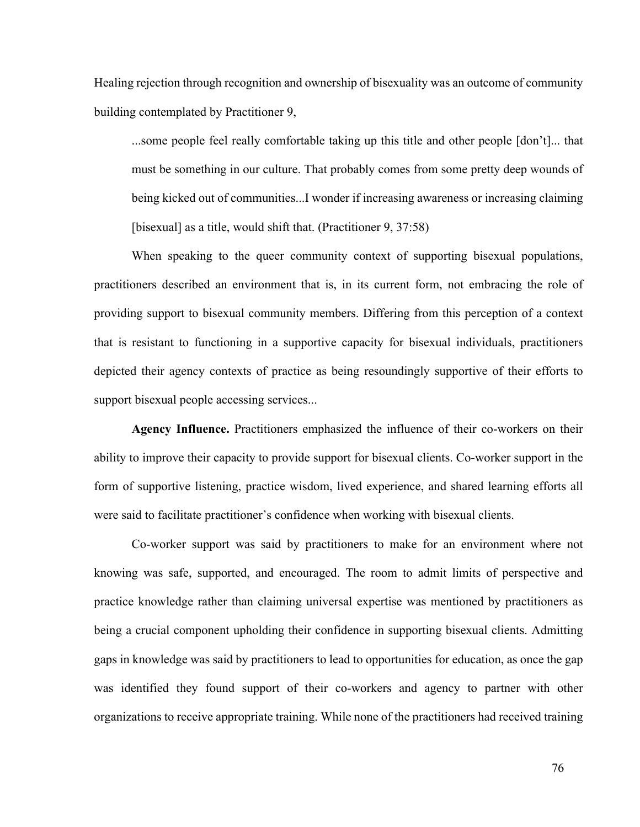Healing rejection through recognition and ownership of bisexuality was an outcome of community building contemplated by Practitioner 9,

...some people feel really comfortable taking up this title and other people [don't]... that must be something in our culture. That probably comes from some pretty deep wounds of being kicked out of communities...I wonder if increasing awareness or increasing claiming [bisexual] as a title, would shift that. (Practitioner 9, 37:58)

When speaking to the queer community context of supporting bisexual populations, practitioners described an environment that is, in its current form, not embracing the role of providing support to bisexual community members. Differing from this perception of a context that is resistant to functioning in a supportive capacity for bisexual individuals, practitioners depicted their agency contexts of practice as being resoundingly supportive of their efforts to support bisexual people accessing services...

**Agency Influence.** Practitioners emphasized the influence of their co-workers on their ability to improve their capacity to provide support for bisexual clients. Co-worker support in the form of supportive listening, practice wisdom, lived experience, and shared learning efforts all were said to facilitate practitioner's confidence when working with bisexual clients.

Co-worker support was said by practitioners to make for an environment where not knowing was safe, supported, and encouraged. The room to admit limits of perspective and practice knowledge rather than claiming universal expertise was mentioned by practitioners as being a crucial component upholding their confidence in supporting bisexual clients. Admitting gaps in knowledge was said by practitioners to lead to opportunities for education, as once the gap was identified they found support of their co-workers and agency to partner with other organizations to receive appropriate training. While none of the practitioners had received training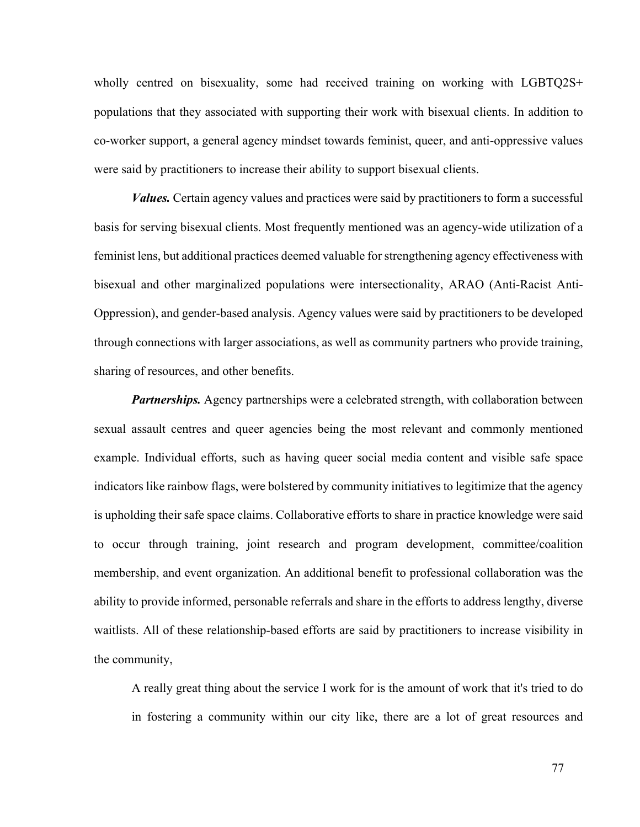wholly centred on bisexuality, some had received training on working with LGBTQ2S+ populations that they associated with supporting their work with bisexual clients. In addition to co-worker support, a general agency mindset towards feminist, queer, and anti-oppressive values were said by practitioners to increase their ability to support bisexual clients.

*Values.* Certain agency values and practices were said by practitioners to form a successful basis for serving bisexual clients. Most frequently mentioned was an agency-wide utilization of a feminist lens, but additional practices deemed valuable for strengthening agency effectiveness with bisexual and other marginalized populations were intersectionality, ARAO (Anti-Racist Anti-Oppression), and gender-based analysis. Agency values were said by practitioners to be developed through connections with larger associations, as well as community partners who provide training, sharing of resources, and other benefits.

*Partnerships.* Agency partnerships were a celebrated strength, with collaboration between sexual assault centres and queer agencies being the most relevant and commonly mentioned example. Individual efforts, such as having queer social media content and visible safe space indicators like rainbow flags, were bolstered by community initiatives to legitimize that the agency is upholding their safe space claims. Collaborative efforts to share in practice knowledge were said to occur through training, joint research and program development, committee/coalition membership, and event organization. An additional benefit to professional collaboration was the ability to provide informed, personable referrals and share in the efforts to address lengthy, diverse waitlists. All of these relationship-based efforts are said by practitioners to increase visibility in the community,

A really great thing about the service I work for is the amount of work that it's tried to do in fostering a community within our city like, there are a lot of great resources and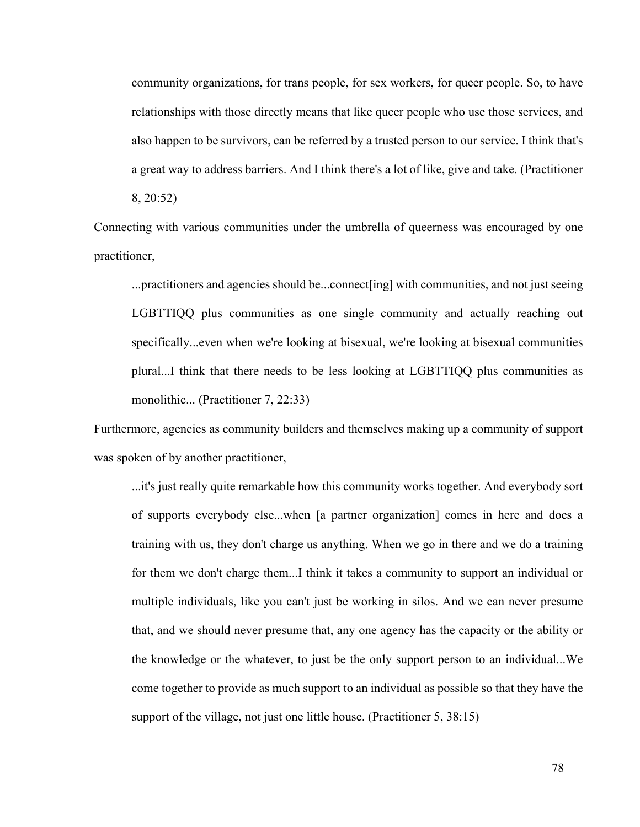community organizations, for trans people, for sex workers, for queer people. So, to have relationships with those directly means that like queer people who use those services, and also happen to be survivors, can be referred by a trusted person to our service. I think that's a great way to address barriers. And I think there's a lot of like, give and take. (Practitioner 8, 20:52)

Connecting with various communities under the umbrella of queerness was encouraged by one practitioner,

...practitioners and agencies should be...connect[ing] with communities, and not just seeing LGBTTIQQ plus communities as one single community and actually reaching out specifically...even when we're looking at bisexual, we're looking at bisexual communities plural...I think that there needs to be less looking at LGBTTIQQ plus communities as monolithic... (Practitioner 7, 22:33)

Furthermore, agencies as community builders and themselves making up a community of support was spoken of by another practitioner,

...it's just really quite remarkable how this community works together. And everybody sort of supports everybody else...when [a partner organization] comes in here and does a training with us, they don't charge us anything. When we go in there and we do a training for them we don't charge them...I think it takes a community to support an individual or multiple individuals, like you can't just be working in silos. And we can never presume that, and we should never presume that, any one agency has the capacity or the ability or the knowledge or the whatever, to just be the only support person to an individual...We come together to provide as much support to an individual as possible so that they have the support of the village, not just one little house. (Practitioner 5, 38:15)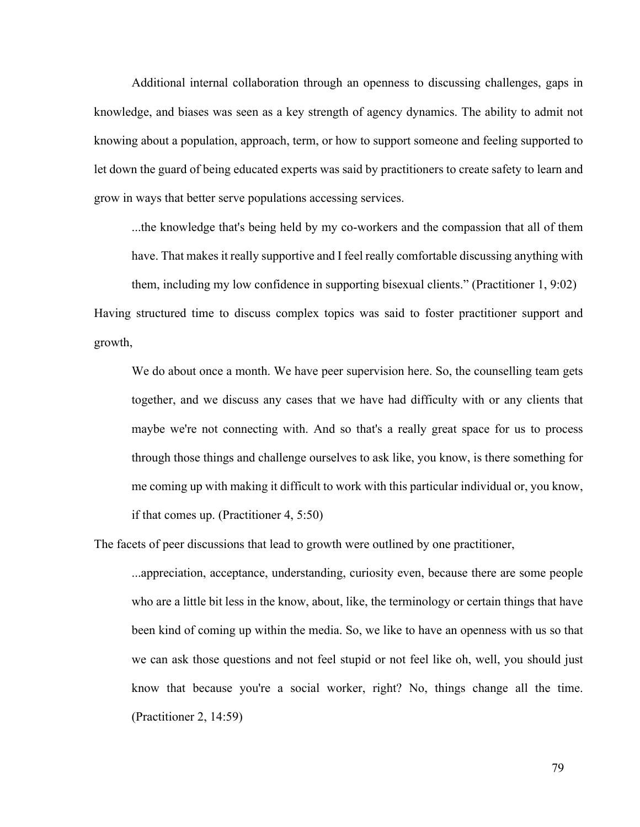Additional internal collaboration through an openness to discussing challenges, gaps in knowledge, and biases was seen as a key strength of agency dynamics. The ability to admit not knowing about a population, approach, term, or how to support someone and feeling supported to let down the guard of being educated experts was said by practitioners to create safety to learn and grow in ways that better serve populations accessing services.

...the knowledge that's being held by my co-workers and the compassion that all of them have. That makes it really supportive and I feel really comfortable discussing anything with them, including my low confidence in supporting bisexual clients." (Practitioner 1, 9:02) Having structured time to discuss complex topics was said to foster practitioner support and

growth,

We do about once a month. We have peer supervision here. So, the counselling team gets together, and we discuss any cases that we have had difficulty with or any clients that maybe we're not connecting with. And so that's a really great space for us to process through those things and challenge ourselves to ask like, you know, is there something for me coming up with making it difficult to work with this particular individual or, you know, if that comes up. (Practitioner 4, 5:50)

The facets of peer discussions that lead to growth were outlined by one practitioner,

...appreciation, acceptance, understanding, curiosity even, because there are some people who are a little bit less in the know, about, like, the terminology or certain things that have been kind of coming up within the media. So, we like to have an openness with us so that we can ask those questions and not feel stupid or not feel like oh, well, you should just know that because you're a social worker, right? No, things change all the time. (Practitioner 2, 14:59)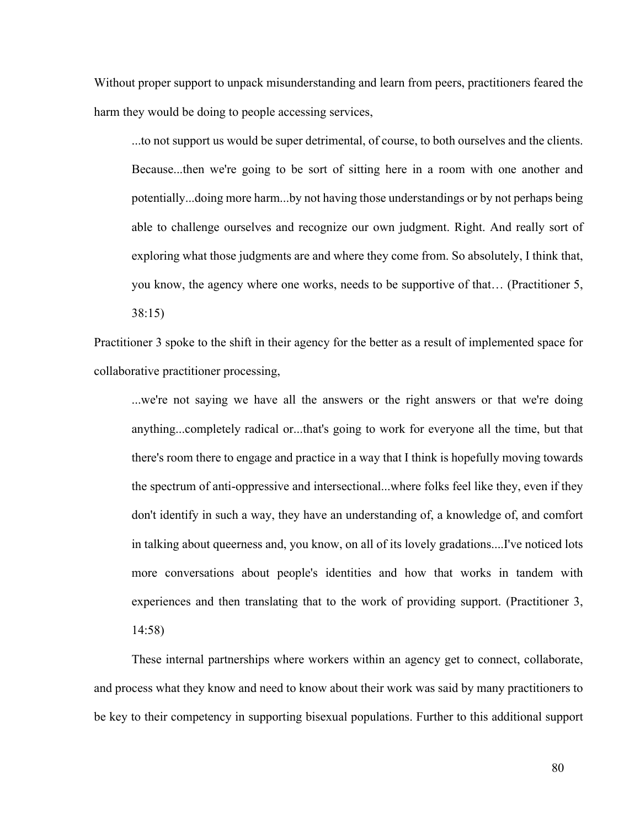Without proper support to unpack misunderstanding and learn from peers, practitioners feared the harm they would be doing to people accessing services,

...to not support us would be super detrimental, of course, to both ourselves and the clients. Because...then we're going to be sort of sitting here in a room with one another and potentially...doing more harm...by not having those understandings or by not perhaps being able to challenge ourselves and recognize our own judgment. Right. And really sort of exploring what those judgments are and where they come from. So absolutely, I think that, you know, the agency where one works, needs to be supportive of that… (Practitioner 5, 38:15)

Practitioner 3 spoke to the shift in their agency for the better as a result of implemented space for collaborative practitioner processing,

...we're not saying we have all the answers or the right answers or that we're doing anything...completely radical or...that's going to work for everyone all the time, but that there's room there to engage and practice in a way that I think is hopefully moving towards the spectrum of anti-oppressive and intersectional...where folks feel like they, even if they don't identify in such a way, they have an understanding of, a knowledge of, and comfort in talking about queerness and, you know, on all of its lovely gradations....I've noticed lots more conversations about people's identities and how that works in tandem with experiences and then translating that to the work of providing support. (Practitioner 3, 14:58)

These internal partnerships where workers within an agency get to connect, collaborate, and process what they know and need to know about their work was said by many practitioners to be key to their competency in supporting bisexual populations. Further to this additional support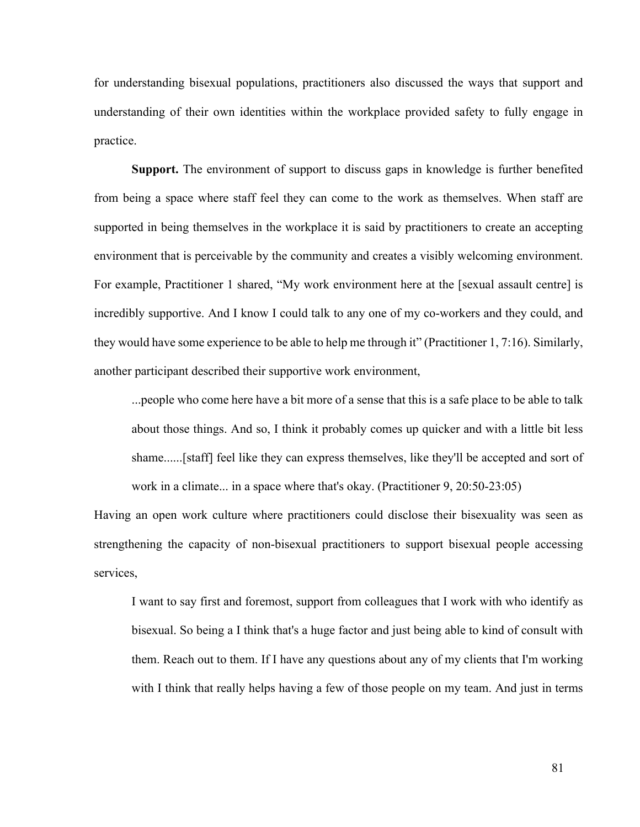for understanding bisexual populations, practitioners also discussed the ways that support and understanding of their own identities within the workplace provided safety to fully engage in practice.

**Support.** The environment of support to discuss gaps in knowledge is further benefited from being a space where staff feel they can come to the work as themselves. When staff are supported in being themselves in the workplace it is said by practitioners to create an accepting environment that is perceivable by the community and creates a visibly welcoming environment. For example, Practitioner 1 shared, "My work environment here at the [sexual assault centre] is incredibly supportive. And I know I could talk to any one of my co-workers and they could, and they would have some experience to be able to help me through it" (Practitioner 1, 7:16). Similarly, another participant described their supportive work environment,

...people who come here have a bit more of a sense that this is a safe place to be able to talk about those things. And so, I think it probably comes up quicker and with a little bit less shame......[staff] feel like they can express themselves, like they'll be accepted and sort of work in a climate... in a space where that's okay. (Practitioner 9, 20:50-23:05)

Having an open work culture where practitioners could disclose their bisexuality was seen as strengthening the capacity of non-bisexual practitioners to support bisexual people accessing services,

I want to say first and foremost, support from colleagues that I work with who identify as bisexual. So being a I think that's a huge factor and just being able to kind of consult with them. Reach out to them. If I have any questions about any of my clients that I'm working with I think that really helps having a few of those people on my team. And just in terms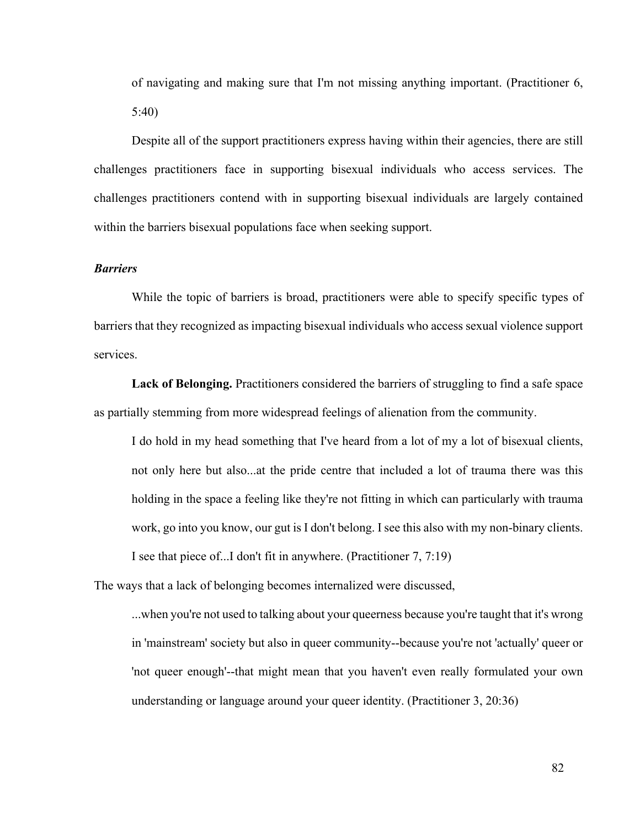of navigating and making sure that I'm not missing anything important. (Practitioner 6, 5:40)

Despite all of the support practitioners express having within their agencies, there are still challenges practitioners face in supporting bisexual individuals who access services. The challenges practitioners contend with in supporting bisexual individuals are largely contained within the barriers bisexual populations face when seeking support.

#### *Barriers*

While the topic of barriers is broad, practitioners were able to specify specific types of barriers that they recognized as impacting bisexual individuals who access sexual violence support services.

**Lack of Belonging.** Practitioners considered the barriers of struggling to find a safe space as partially stemming from more widespread feelings of alienation from the community.

I do hold in my head something that I've heard from a lot of my a lot of bisexual clients, not only here but also...at the pride centre that included a lot of trauma there was this holding in the space a feeling like they're not fitting in which can particularly with trauma work, go into you know, our gut is I don't belong. I see this also with my non-binary clients. I see that piece of...I don't fit in anywhere. (Practitioner 7, 7:19)

The ways that a lack of belonging becomes internalized were discussed,

...when you're not used to talking about your queerness because you're taught that it's wrong in 'mainstream' society but also in queer community--because you're not 'actually' queer or 'not queer enough'--that might mean that you haven't even really formulated your own understanding or language around your queer identity. (Practitioner 3, 20:36)

82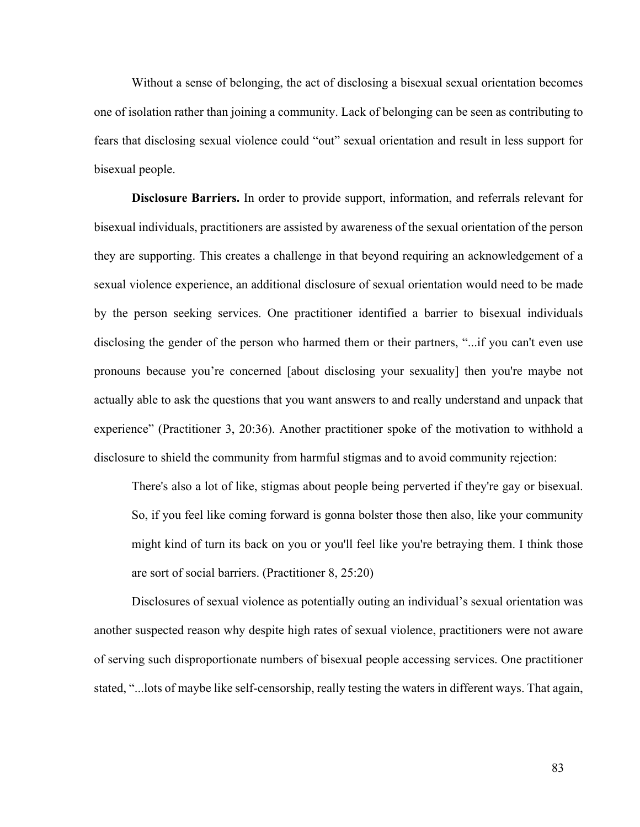Without a sense of belonging, the act of disclosing a bisexual sexual orientation becomes one of isolation rather than joining a community. Lack of belonging can be seen as contributing to fears that disclosing sexual violence could "out" sexual orientation and result in less support for bisexual people.

**Disclosure Barriers.** In order to provide support, information, and referrals relevant for bisexual individuals, practitioners are assisted by awareness of the sexual orientation of the person they are supporting. This creates a challenge in that beyond requiring an acknowledgement of a sexual violence experience, an additional disclosure of sexual orientation would need to be made by the person seeking services. One practitioner identified a barrier to bisexual individuals disclosing the gender of the person who harmed them or their partners, "...if you can't even use pronouns because you're concerned [about disclosing your sexuality] then you're maybe not actually able to ask the questions that you want answers to and really understand and unpack that experience" (Practitioner 3, 20:36). Another practitioner spoke of the motivation to withhold a disclosure to shield the community from harmful stigmas and to avoid community rejection:

There's also a lot of like, stigmas about people being perverted if they're gay or bisexual. So, if you feel like coming forward is gonna bolster those then also, like your community might kind of turn its back on you or you'll feel like you're betraying them. I think those are sort of social barriers. (Practitioner 8, 25:20)

Disclosures of sexual violence as potentially outing an individual's sexual orientation was another suspected reason why despite high rates of sexual violence, practitioners were not aware of serving such disproportionate numbers of bisexual people accessing services. One practitioner stated, "...lots of maybe like self-censorship, really testing the waters in different ways. That again,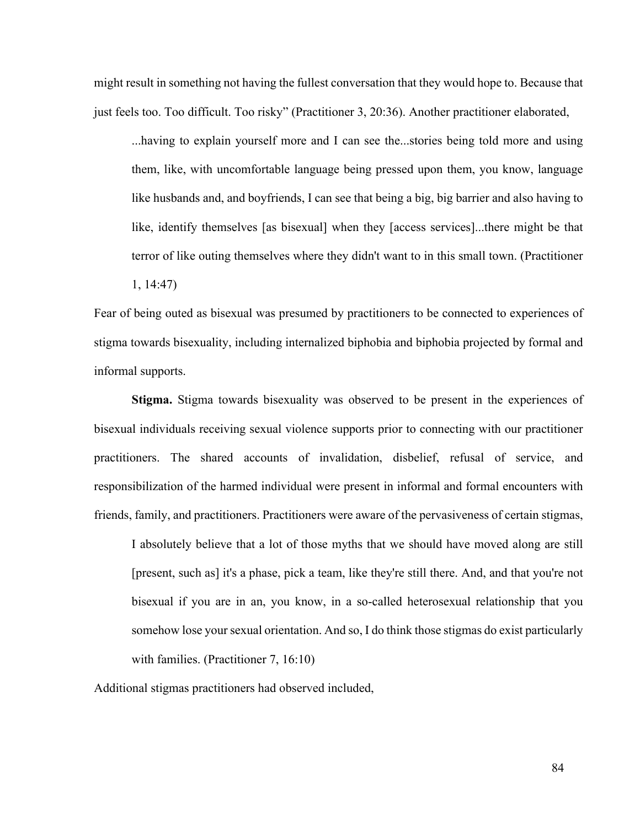might result in something not having the fullest conversation that they would hope to. Because that just feels too. Too difficult. Too risky" (Practitioner 3, 20:36). Another practitioner elaborated,

...having to explain yourself more and I can see the...stories being told more and using them, like, with uncomfortable language being pressed upon them, you know, language like husbands and, and boyfriends, I can see that being a big, big barrier and also having to like, identify themselves [as bisexual] when they [access services]...there might be that terror of like outing themselves where they didn't want to in this small town. (Practitioner

1, 14:47)

Fear of being outed as bisexual was presumed by practitioners to be connected to experiences of stigma towards bisexuality, including internalized biphobia and biphobia projected by formal and informal supports.

**Stigma.** Stigma towards bisexuality was observed to be present in the experiences of bisexual individuals receiving sexual violence supports prior to connecting with our practitioner practitioners. The shared accounts of invalidation, disbelief, refusal of service, and responsibilization of the harmed individual were present in informal and formal encounters with friends, family, and practitioners. Practitioners were aware of the pervasiveness of certain stigmas,

I absolutely believe that a lot of those myths that we should have moved along are still [present, such as] it's a phase, pick a team, like they're still there. And, and that you're not bisexual if you are in an, you know, in a so-called heterosexual relationship that you somehow lose your sexual orientation. And so, I do think those stigmas do exist particularly with families. (Practitioner 7, 16:10)

Additional stigmas practitioners had observed included,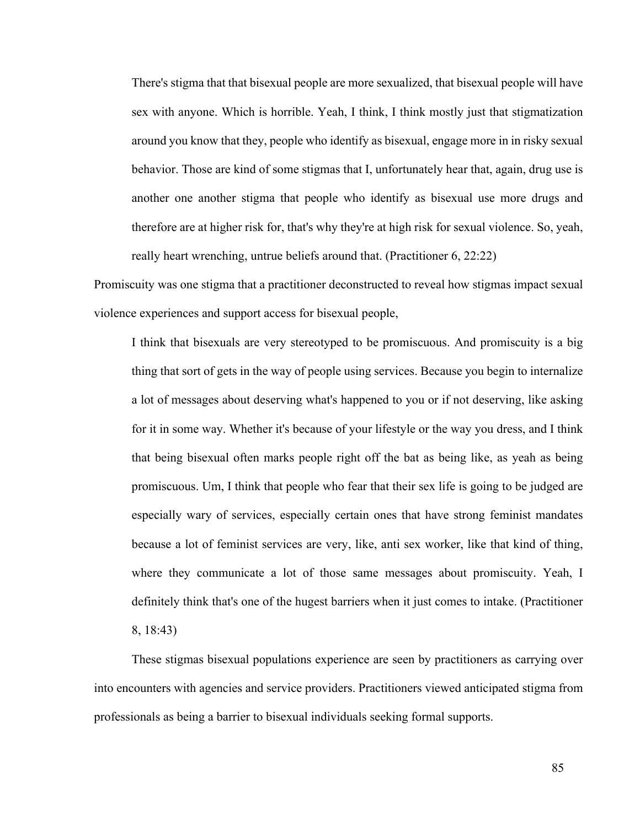There's stigma that that bisexual people are more sexualized, that bisexual people will have sex with anyone. Which is horrible. Yeah, I think, I think mostly just that stigmatization around you know that they, people who identify as bisexual, engage more in in risky sexual behavior. Those are kind of some stigmas that I, unfortunately hear that, again, drug use is another one another stigma that people who identify as bisexual use more drugs and therefore are at higher risk for, that's why they're at high risk for sexual violence. So, yeah, really heart wrenching, untrue beliefs around that. (Practitioner 6, 22:22)

Promiscuity was one stigma that a practitioner deconstructed to reveal how stigmas impact sexual violence experiences and support access for bisexual people,

I think that bisexuals are very stereotyped to be promiscuous. And promiscuity is a big thing that sort of gets in the way of people using services. Because you begin to internalize a lot of messages about deserving what's happened to you or if not deserving, like asking for it in some way. Whether it's because of your lifestyle or the way you dress, and I think that being bisexual often marks people right off the bat as being like, as yeah as being promiscuous. Um, I think that people who fear that their sex life is going to be judged are especially wary of services, especially certain ones that have strong feminist mandates because a lot of feminist services are very, like, anti sex worker, like that kind of thing, where they communicate a lot of those same messages about promiscuity. Yeah, I definitely think that's one of the hugest barriers when it just comes to intake. (Practitioner 8, 18:43)

These stigmas bisexual populations experience are seen by practitioners as carrying over into encounters with agencies and service providers. Practitioners viewed anticipated stigma from professionals as being a barrier to bisexual individuals seeking formal supports.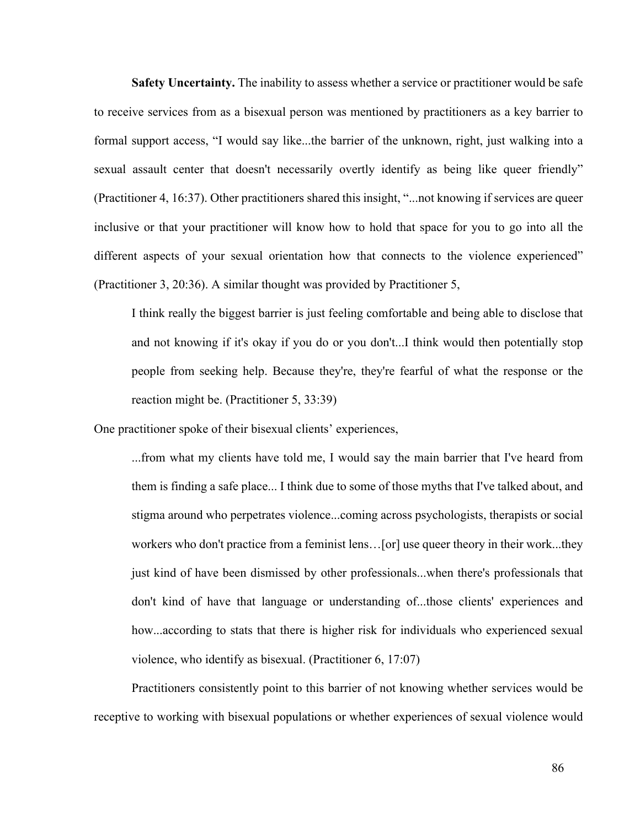**Safety Uncertainty.** The inability to assess whether a service or practitioner would be safe to receive services from as a bisexual person was mentioned by practitioners as a key barrier to formal support access, "I would say like...the barrier of the unknown, right, just walking into a sexual assault center that doesn't necessarily overtly identify as being like queer friendly" (Practitioner 4, 16:37). Other practitioners shared this insight, "...not knowing if services are queer inclusive or that your practitioner will know how to hold that space for you to go into all the different aspects of your sexual orientation how that connects to the violence experienced" (Practitioner 3, 20:36). A similar thought was provided by Practitioner 5,

I think really the biggest barrier is just feeling comfortable and being able to disclose that and not knowing if it's okay if you do or you don't...I think would then potentially stop people from seeking help. Because they're, they're fearful of what the response or the reaction might be. (Practitioner 5, 33:39)

One practitioner spoke of their bisexual clients' experiences,

...from what my clients have told me, I would say the main barrier that I've heard from them is finding a safe place... I think due to some of those myths that I've talked about, and stigma around who perpetrates violence...coming across psychologists, therapists or social workers who don't practice from a feminist lens…[or] use queer theory in their work...they just kind of have been dismissed by other professionals...when there's professionals that don't kind of have that language or understanding of...those clients' experiences and how...according to stats that there is higher risk for individuals who experienced sexual violence, who identify as bisexual. (Practitioner 6, 17:07)

Practitioners consistently point to this barrier of not knowing whether services would be receptive to working with bisexual populations or whether experiences of sexual violence would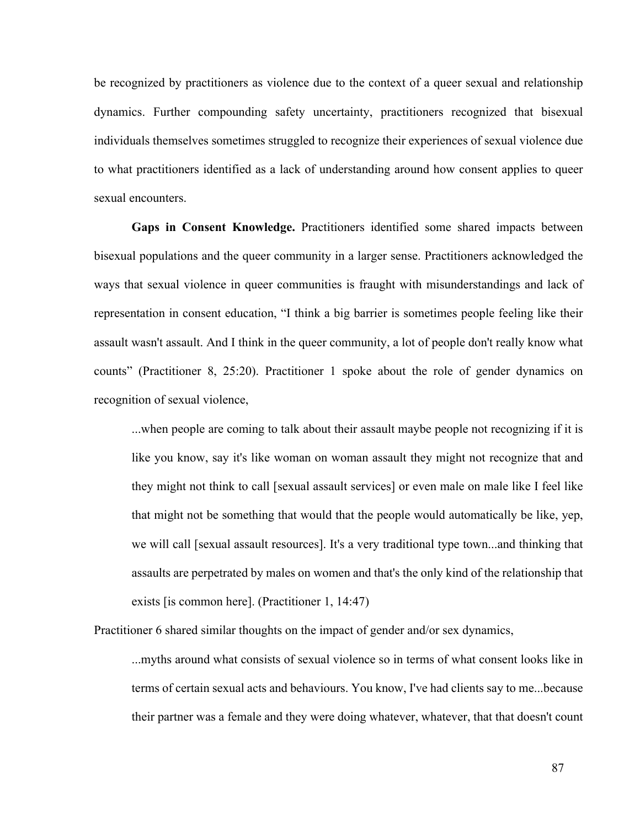be recognized by practitioners as violence due to the context of a queer sexual and relationship dynamics. Further compounding safety uncertainty, practitioners recognized that bisexual individuals themselves sometimes struggled to recognize their experiences of sexual violence due to what practitioners identified as a lack of understanding around how consent applies to queer sexual encounters.

**Gaps in Consent Knowledge.** Practitioners identified some shared impacts between bisexual populations and the queer community in a larger sense. Practitioners acknowledged the ways that sexual violence in queer communities is fraught with misunderstandings and lack of representation in consent education, "I think a big barrier is sometimes people feeling like their assault wasn't assault. And I think in the queer community, a lot of people don't really know what counts" (Practitioner 8, 25:20). Practitioner 1 spoke about the role of gender dynamics on recognition of sexual violence,

...when people are coming to talk about their assault maybe people not recognizing if it is like you know, say it's like woman on woman assault they might not recognize that and they might not think to call [sexual assault services] or even male on male like I feel like that might not be something that would that the people would automatically be like, yep, we will call [sexual assault resources]. It's a very traditional type town...and thinking that assaults are perpetrated by males on women and that's the only kind of the relationship that exists [is common here]. (Practitioner 1, 14:47)

Practitioner 6 shared similar thoughts on the impact of gender and/or sex dynamics,

...myths around what consists of sexual violence so in terms of what consent looks like in terms of certain sexual acts and behaviours. You know, I've had clients say to me...because their partner was a female and they were doing whatever, whatever, that that doesn't count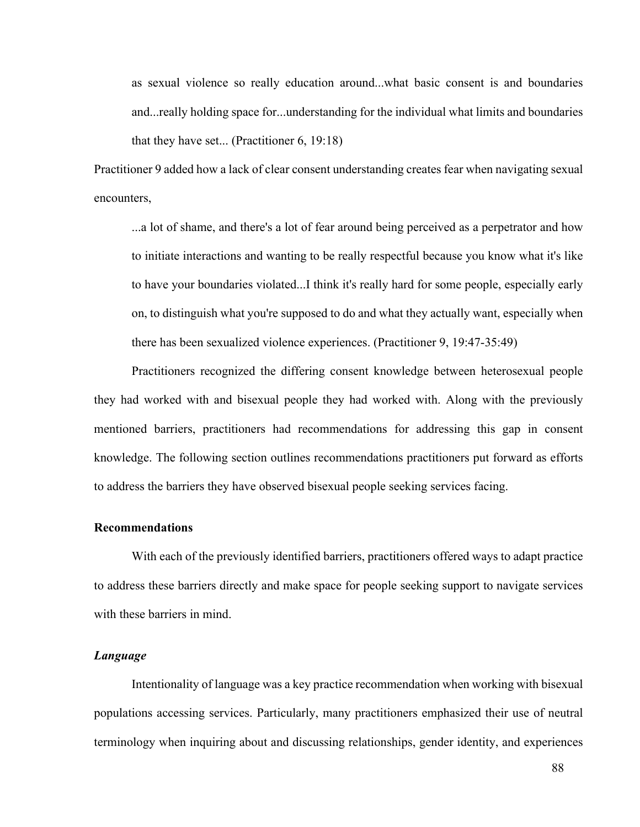as sexual violence so really education around...what basic consent is and boundaries and...really holding space for...understanding for the individual what limits and boundaries that they have set... (Practitioner 6, 19:18)

Practitioner 9 added how a lack of clear consent understanding creates fear when navigating sexual encounters,

...a lot of shame, and there's a lot of fear around being perceived as a perpetrator and how to initiate interactions and wanting to be really respectful because you know what it's like to have your boundaries violated...I think it's really hard for some people, especially early on, to distinguish what you're supposed to do and what they actually want, especially when there has been sexualized violence experiences. (Practitioner 9, 19:47-35:49)

Practitioners recognized the differing consent knowledge between heterosexual people they had worked with and bisexual people they had worked with. Along with the previously mentioned barriers, practitioners had recommendations for addressing this gap in consent knowledge. The following section outlines recommendations practitioners put forward as efforts to address the barriers they have observed bisexual people seeking services facing.

### **Recommendations**

With each of the previously identified barriers, practitioners offered ways to adapt practice to address these barriers directly and make space for people seeking support to navigate services with these barriers in mind.

#### *Language*

Intentionality of language was a key practice recommendation when working with bisexual populations accessing services. Particularly, many practitioners emphasized their use of neutral terminology when inquiring about and discussing relationships, gender identity, and experiences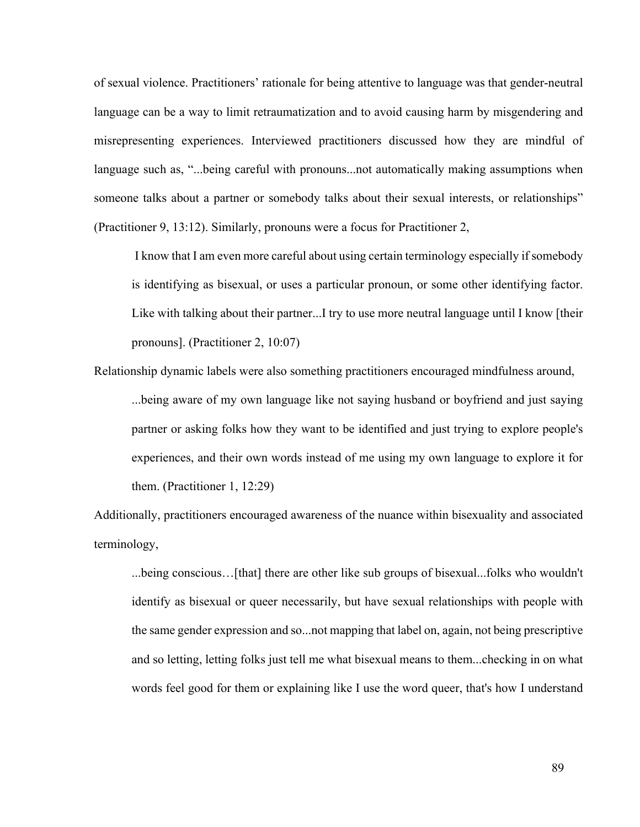of sexual violence. Practitioners' rationale for being attentive to language was that gender-neutral language can be a way to limit retraumatization and to avoid causing harm by misgendering and misrepresenting experiences. Interviewed practitioners discussed how they are mindful of language such as, "...being careful with pronouns...not automatically making assumptions when someone talks about a partner or somebody talks about their sexual interests, or relationships" (Practitioner 9, 13:12). Similarly, pronouns were a focus for Practitioner 2,

I know that I am even more careful about using certain terminology especially if somebody is identifying as bisexual, or uses a particular pronoun, or some other identifying factor. Like with talking about their partner...I try to use more neutral language until I know [their pronouns]. (Practitioner 2, 10:07)

Relationship dynamic labels were also something practitioners encouraged mindfulness around, ...being aware of my own language like not saying husband or boyfriend and just saying partner or asking folks how they want to be identified and just trying to explore people's experiences, and their own words instead of me using my own language to explore it for them. (Practitioner 1, 12:29)

Additionally, practitioners encouraged awareness of the nuance within bisexuality and associated terminology,

...being conscious…[that] there are other like sub groups of bisexual...folks who wouldn't identify as bisexual or queer necessarily, but have sexual relationships with people with the same gender expression and so...not mapping that label on, again, not being prescriptive and so letting, letting folks just tell me what bisexual means to them...checking in on what words feel good for them or explaining like I use the word queer, that's how I understand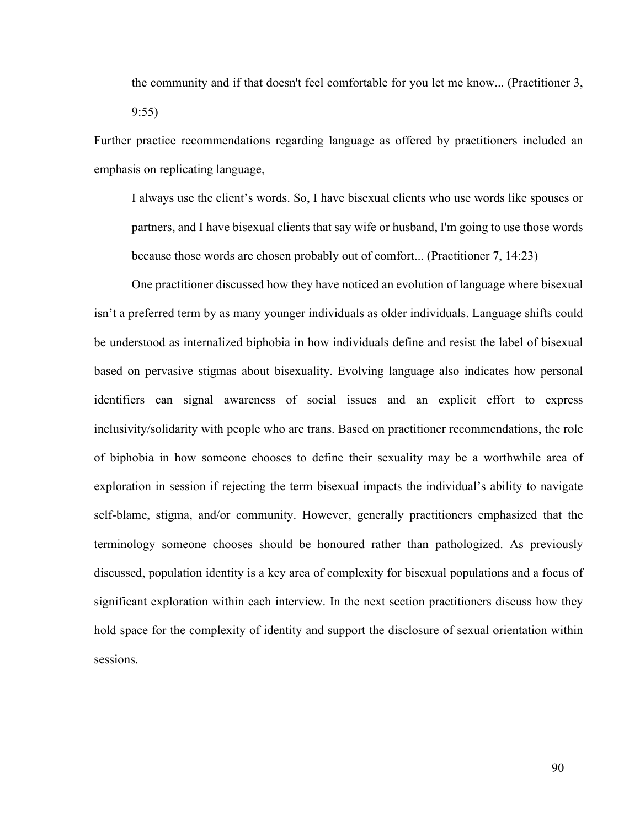the community and if that doesn't feel comfortable for you let me know... (Practitioner 3, 9:55)

Further practice recommendations regarding language as offered by practitioners included an emphasis on replicating language,

I always use the client's words. So, I have bisexual clients who use words like spouses or partners, and I have bisexual clients that say wife or husband, I'm going to use those words because those words are chosen probably out of comfort... (Practitioner 7, 14:23)

One practitioner discussed how they have noticed an evolution of language where bisexual isn't a preferred term by as many younger individuals as older individuals. Language shifts could be understood as internalized biphobia in how individuals define and resist the label of bisexual based on pervasive stigmas about bisexuality. Evolving language also indicates how personal identifiers can signal awareness of social issues and an explicit effort to express inclusivity/solidarity with people who are trans. Based on practitioner recommendations, the role of biphobia in how someone chooses to define their sexuality may be a worthwhile area of exploration in session if rejecting the term bisexual impacts the individual's ability to navigate self-blame, stigma, and/or community. However, generally practitioners emphasized that the terminology someone chooses should be honoured rather than pathologized. As previously discussed, population identity is a key area of complexity for bisexual populations and a focus of significant exploration within each interview. In the next section practitioners discuss how they hold space for the complexity of identity and support the disclosure of sexual orientation within sessions.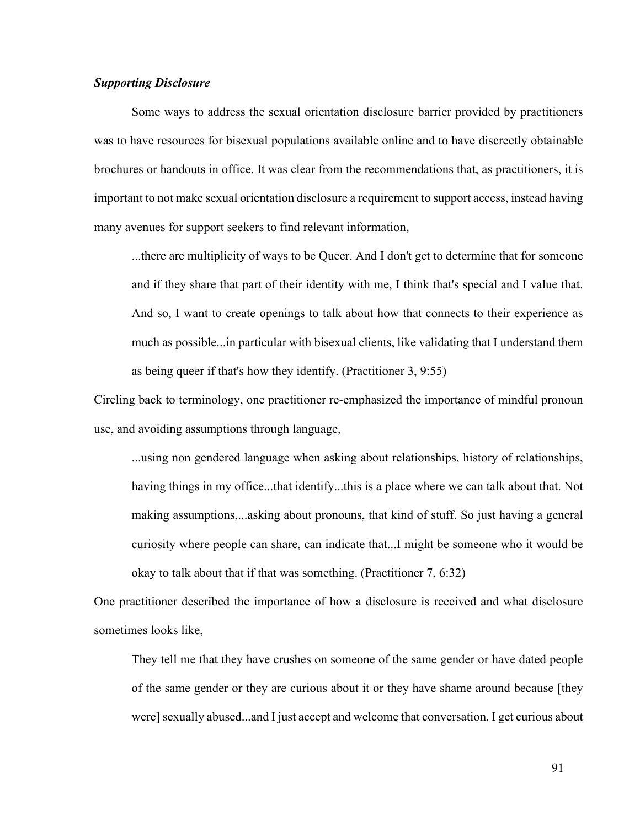## *Supporting Disclosure*

Some ways to address the sexual orientation disclosure barrier provided by practitioners was to have resources for bisexual populations available online and to have discreetly obtainable brochures or handouts in office. It was clear from the recommendations that, as practitioners, it is important to not make sexual orientation disclosure a requirement to support access, instead having many avenues for support seekers to find relevant information,

...there are multiplicity of ways to be Queer. And I don't get to determine that for someone and if they share that part of their identity with me, I think that's special and I value that. And so, I want to create openings to talk about how that connects to their experience as much as possible...in particular with bisexual clients, like validating that I understand them as being queer if that's how they identify. (Practitioner 3, 9:55)

Circling back to terminology, one practitioner re-emphasized the importance of mindful pronoun use, and avoiding assumptions through language,

...using non gendered language when asking about relationships, history of relationships, having things in my office...that identify...this is a place where we can talk about that. Not making assumptions,...asking about pronouns, that kind of stuff. So just having a general curiosity where people can share, can indicate that...I might be someone who it would be okay to talk about that if that was something. (Practitioner 7, 6:32)

One practitioner described the importance of how a disclosure is received and what disclosure sometimes looks like,

They tell me that they have crushes on someone of the same gender or have dated people of the same gender or they are curious about it or they have shame around because [they were] sexually abused...and I just accept and welcome that conversation. I get curious about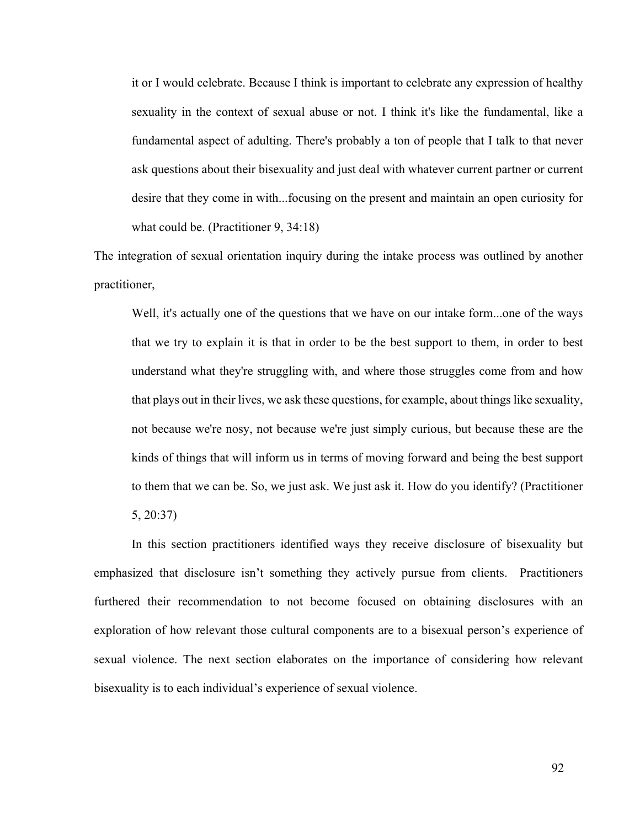it or I would celebrate. Because I think is important to celebrate any expression of healthy sexuality in the context of sexual abuse or not. I think it's like the fundamental, like a fundamental aspect of adulting. There's probably a ton of people that I talk to that never ask questions about their bisexuality and just deal with whatever current partner or current desire that they come in with...focusing on the present and maintain an open curiosity for what could be. (Practitioner 9, 34:18)

The integration of sexual orientation inquiry during the intake process was outlined by another practitioner,

Well, it's actually one of the questions that we have on our intake form...one of the ways that we try to explain it is that in order to be the best support to them, in order to best understand what they're struggling with, and where those struggles come from and how that plays out in their lives, we ask these questions, for example, about things like sexuality, not because we're nosy, not because we're just simply curious, but because these are the kinds of things that will inform us in terms of moving forward and being the best support to them that we can be. So, we just ask. We just ask it. How do you identify? (Practitioner 5, 20:37)

In this section practitioners identified ways they receive disclosure of bisexuality but emphasized that disclosure isn't something they actively pursue from clients. Practitioners furthered their recommendation to not become focused on obtaining disclosures with an exploration of how relevant those cultural components are to a bisexual person's experience of sexual violence. The next section elaborates on the importance of considering how relevant bisexuality is to each individual's experience of sexual violence.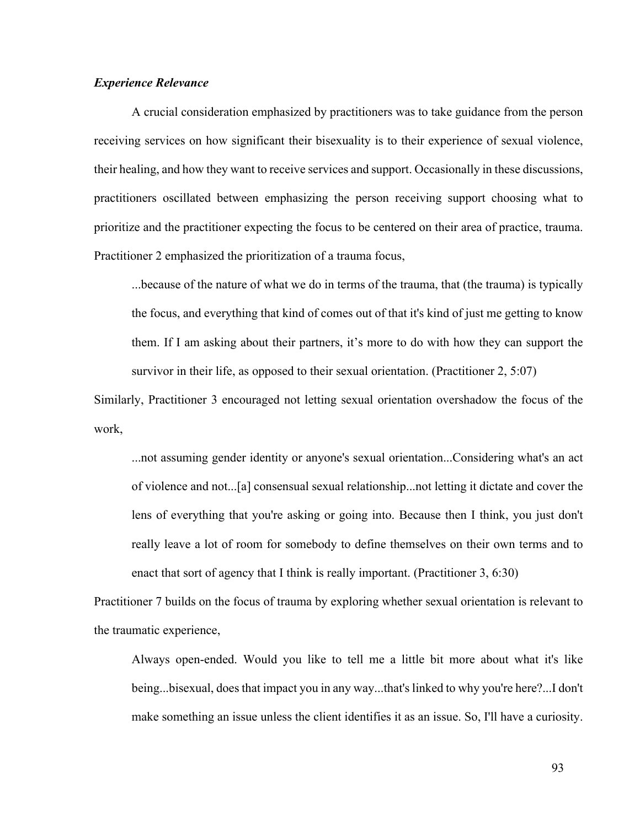# *Experience Relevance*

A crucial consideration emphasized by practitioners was to take guidance from the person receiving services on how significant their bisexuality is to their experience of sexual violence, their healing, and how they want to receive services and support. Occasionally in these discussions, practitioners oscillated between emphasizing the person receiving support choosing what to prioritize and the practitioner expecting the focus to be centered on their area of practice, trauma. Practitioner 2 emphasized the prioritization of a trauma focus,

...because of the nature of what we do in terms of the trauma, that (the trauma) is typically the focus, and everything that kind of comes out of that it's kind of just me getting to know them. If I am asking about their partners, it's more to do with how they can support the survivor in their life, as opposed to their sexual orientation. (Practitioner 2, 5:07)

Similarly, Practitioner 3 encouraged not letting sexual orientation overshadow the focus of the work,

...not assuming gender identity or anyone's sexual orientation...Considering what's an act of violence and not...[a] consensual sexual relationship...not letting it dictate and cover the lens of everything that you're asking or going into. Because then I think, you just don't really leave a lot of room for somebody to define themselves on their own terms and to enact that sort of agency that I think is really important. (Practitioner 3, 6:30)

Practitioner 7 builds on the focus of trauma by exploring whether sexual orientation is relevant to the traumatic experience,

Always open-ended. Would you like to tell me a little bit more about what it's like being...bisexual, does that impact you in any way...that's linked to why you're here?...I don't make something an issue unless the client identifies it as an issue. So, I'll have a curiosity.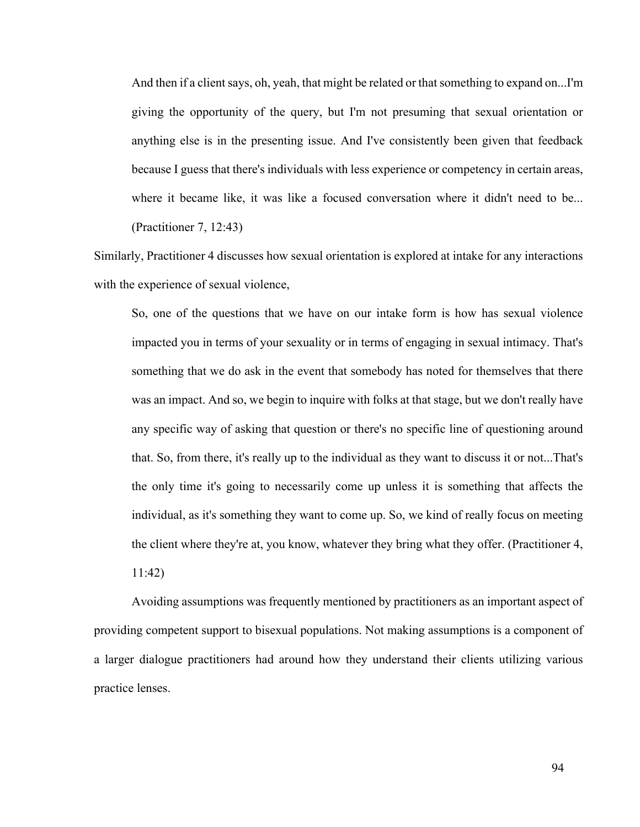And then if a client says, oh, yeah, that might be related or that something to expand on...I'm giving the opportunity of the query, but I'm not presuming that sexual orientation or anything else is in the presenting issue. And I've consistently been given that feedback because I guess that there's individuals with less experience or competency in certain areas, where it became like, it was like a focused conversation where it didn't need to be... (Practitioner 7, 12:43)

Similarly, Practitioner 4 discusses how sexual orientation is explored at intake for any interactions with the experience of sexual violence,

So, one of the questions that we have on our intake form is how has sexual violence impacted you in terms of your sexuality or in terms of engaging in sexual intimacy. That's something that we do ask in the event that somebody has noted for themselves that there was an impact. And so, we begin to inquire with folks at that stage, but we don't really have any specific way of asking that question or there's no specific line of questioning around that. So, from there, it's really up to the individual as they want to discuss it or not...That's the only time it's going to necessarily come up unless it is something that affects the individual, as it's something they want to come up. So, we kind of really focus on meeting the client where they're at, you know, whatever they bring what they offer. (Practitioner 4, 11:42)

Avoiding assumptions was frequently mentioned by practitioners as an important aspect of providing competent support to bisexual populations. Not making assumptions is a component of a larger dialogue practitioners had around how they understand their clients utilizing various practice lenses.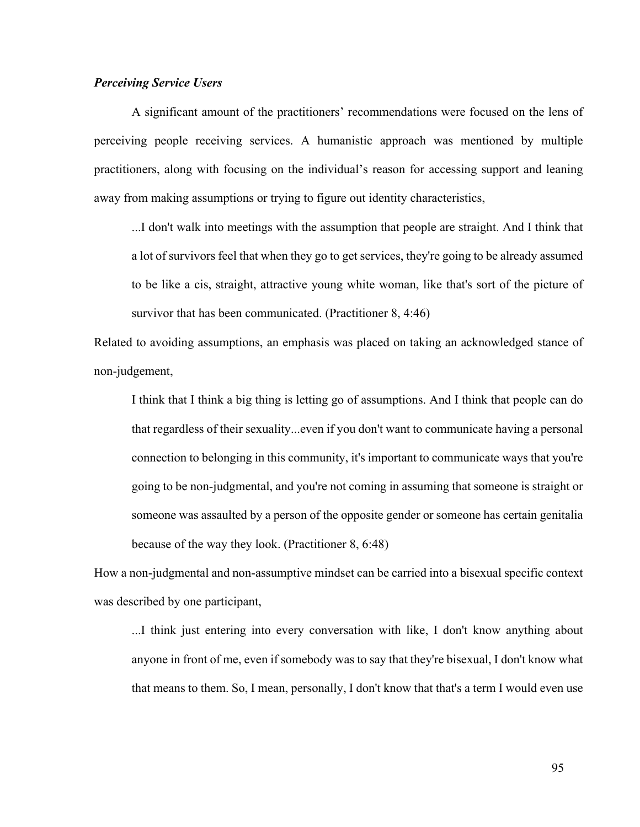# *Perceiving Service Users*

A significant amount of the practitioners' recommendations were focused on the lens of perceiving people receiving services. A humanistic approach was mentioned by multiple practitioners, along with focusing on the individual's reason for accessing support and leaning away from making assumptions or trying to figure out identity characteristics,

...I don't walk into meetings with the assumption that people are straight. And I think that a lot of survivors feel that when they go to get services, they're going to be already assumed to be like a cis, straight, attractive young white woman, like that's sort of the picture of survivor that has been communicated. (Practitioner 8, 4:46)

Related to avoiding assumptions, an emphasis was placed on taking an acknowledged stance of non-judgement,

I think that I think a big thing is letting go of assumptions. And I think that people can do that regardless of their sexuality...even if you don't want to communicate having a personal connection to belonging in this community, it's important to communicate ways that you're going to be non-judgmental, and you're not coming in assuming that someone is straight or someone was assaulted by a person of the opposite gender or someone has certain genitalia because of the way they look. (Practitioner 8, 6:48)

How a non-judgmental and non-assumptive mindset can be carried into a bisexual specific context was described by one participant,

...I think just entering into every conversation with like, I don't know anything about anyone in front of me, even if somebody was to say that they're bisexual, I don't know what that means to them. So, I mean, personally, I don't know that that's a term I would even use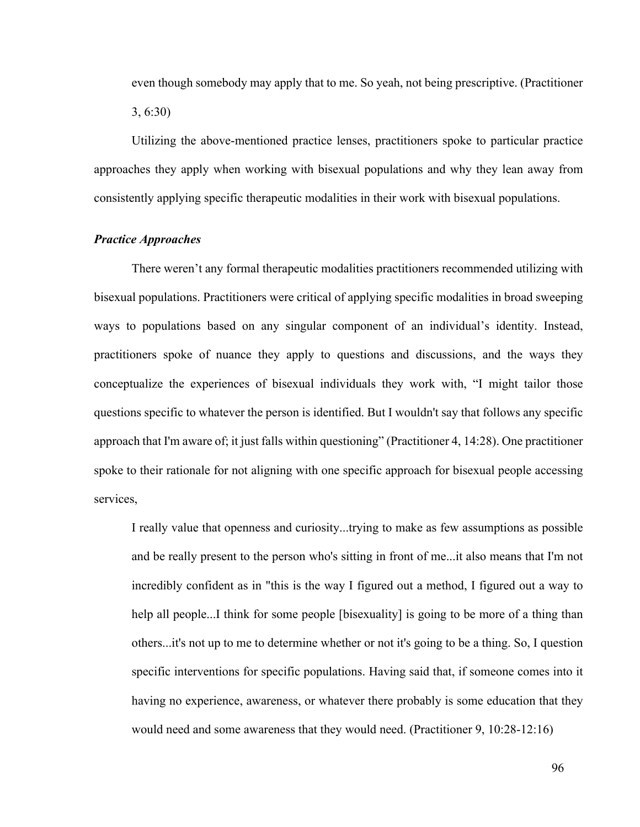even though somebody may apply that to me. So yeah, not being prescriptive. (Practitioner 3, 6:30)

Utilizing the above-mentioned practice lenses, practitioners spoke to particular practice approaches they apply when working with bisexual populations and why they lean away from consistently applying specific therapeutic modalities in their work with bisexual populations.

## *Practice Approaches*

There weren't any formal therapeutic modalities practitioners recommended utilizing with bisexual populations. Practitioners were critical of applying specific modalities in broad sweeping ways to populations based on any singular component of an individual's identity. Instead, practitioners spoke of nuance they apply to questions and discussions, and the ways they conceptualize the experiences of bisexual individuals they work with, "I might tailor those questions specific to whatever the person is identified. But I wouldn't say that follows any specific approach that I'm aware of; it just falls within questioning" (Practitioner 4, 14:28). One practitioner spoke to their rationale for not aligning with one specific approach for bisexual people accessing services,

I really value that openness and curiosity...trying to make as few assumptions as possible and be really present to the person who's sitting in front of me...it also means that I'm not incredibly confident as in "this is the way I figured out a method, I figured out a way to help all people...I think for some people [bisexuality] is going to be more of a thing than others...it's not up to me to determine whether or not it's going to be a thing. So, I question specific interventions for specific populations. Having said that, if someone comes into it having no experience, awareness, or whatever there probably is some education that they would need and some awareness that they would need. (Practitioner 9, 10:28-12:16)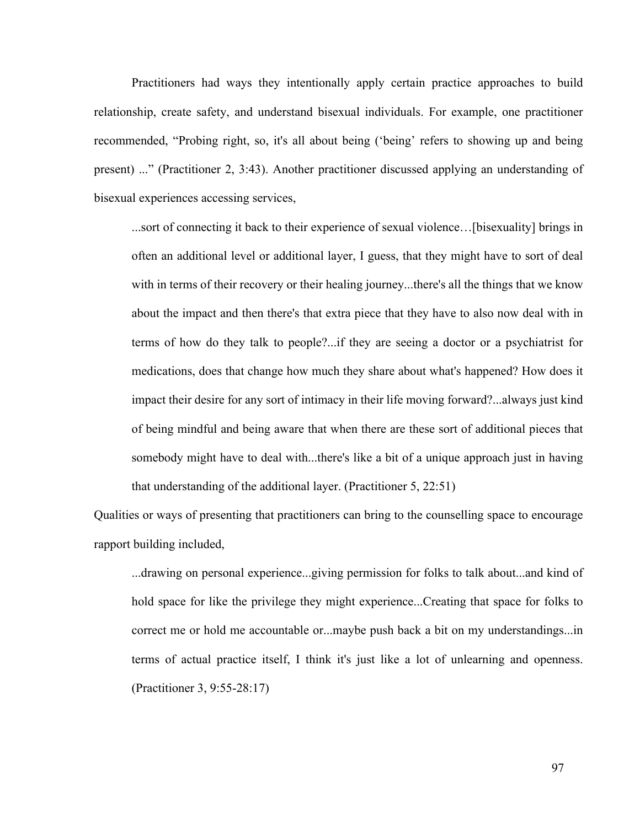Practitioners had ways they intentionally apply certain practice approaches to build relationship, create safety, and understand bisexual individuals. For example, one practitioner recommended, "Probing right, so, it's all about being ('being' refers to showing up and being present) ..." (Practitioner 2, 3:43). Another practitioner discussed applying an understanding of bisexual experiences accessing services,

...sort of connecting it back to their experience of sexual violence…[bisexuality] brings in often an additional level or additional layer, I guess, that they might have to sort of deal with in terms of their recovery or their healing journey...there's all the things that we know about the impact and then there's that extra piece that they have to also now deal with in terms of how do they talk to people?...if they are seeing a doctor or a psychiatrist for medications, does that change how much they share about what's happened? How does it impact their desire for any sort of intimacy in their life moving forward?...always just kind of being mindful and being aware that when there are these sort of additional pieces that somebody might have to deal with...there's like a bit of a unique approach just in having that understanding of the additional layer. (Practitioner 5, 22:51)

Qualities or ways of presenting that practitioners can bring to the counselling space to encourage rapport building included,

...drawing on personal experience...giving permission for folks to talk about...and kind of hold space for like the privilege they might experience...Creating that space for folks to correct me or hold me accountable or...maybe push back a bit on my understandings...in terms of actual practice itself, I think it's just like a lot of unlearning and openness. (Practitioner 3, 9:55-28:17)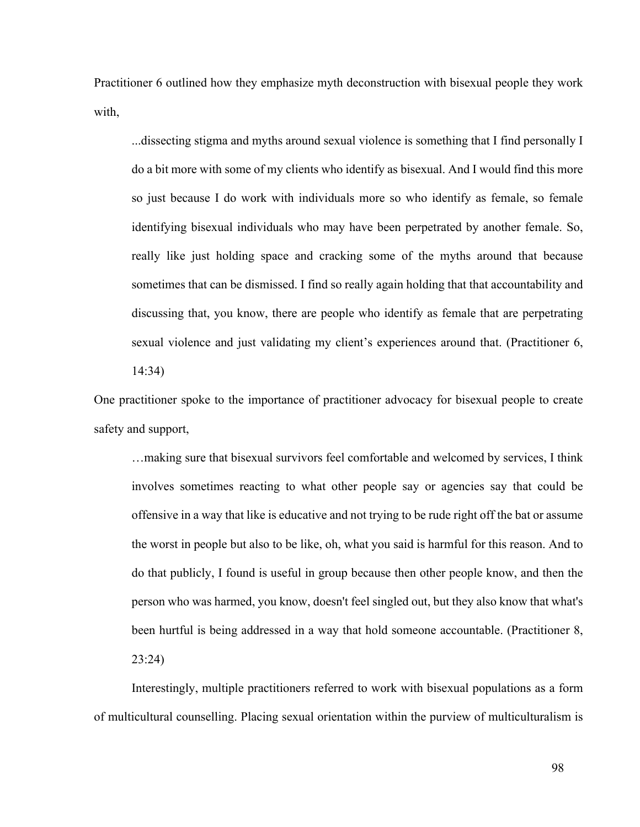Practitioner 6 outlined how they emphasize myth deconstruction with bisexual people they work with,

...dissecting stigma and myths around sexual violence is something that I find personally I do a bit more with some of my clients who identify as bisexual. And I would find this more so just because I do work with individuals more so who identify as female, so female identifying bisexual individuals who may have been perpetrated by another female. So, really like just holding space and cracking some of the myths around that because sometimes that can be dismissed. I find so really again holding that that accountability and discussing that, you know, there are people who identify as female that are perpetrating sexual violence and just validating my client's experiences around that. (Practitioner 6, 14:34)

One practitioner spoke to the importance of practitioner advocacy for bisexual people to create safety and support,

…making sure that bisexual survivors feel comfortable and welcomed by services, I think involves sometimes reacting to what other people say or agencies say that could be offensive in a way that like is educative and not trying to be rude right off the bat or assume the worst in people but also to be like, oh, what you said is harmful for this reason. And to do that publicly, I found is useful in group because then other people know, and then the person who was harmed, you know, doesn't feel singled out, but they also know that what's been hurtful is being addressed in a way that hold someone accountable. (Practitioner 8, 23:24)

Interestingly, multiple practitioners referred to work with bisexual populations as a form of multicultural counselling. Placing sexual orientation within the purview of multiculturalism is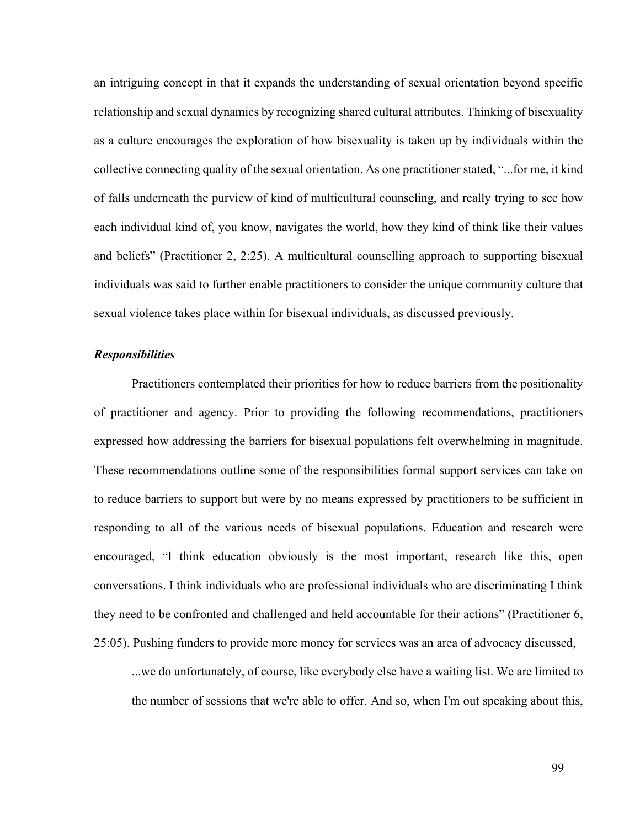an intriguing concept in that it expands the understanding of sexual orientation beyond specific relationship and sexual dynamics by recognizing shared cultural attributes. Thinking of bisexuality as a culture encourages the exploration of how bisexuality is taken up by individuals within the collective connecting quality of the sexual orientation. As one practitioner stated, "...for me, it kind of falls underneath the purview of kind of multicultural counseling, and really trying to see how each individual kind of, you know, navigates the world, how they kind of think like their values and beliefs" (Practitioner 2, 2:25). A multicultural counselling approach to supporting bisexual individuals was said to further enable practitioners to consider the unique community culture that sexual violence takes place within for bisexual individuals, as discussed previously.

#### *Responsibilities*

Practitioners contemplated their priorities for how to reduce barriers from the positionality of practitioner and agency. Prior to providing the following recommendations, practitioners expressed how addressing the barriers for bisexual populations felt overwhelming in magnitude. These recommendations outline some of the responsibilities formal support services can take on to reduce barriers to support but were by no means expressed by practitioners to be sufficient in responding to all of the various needs of bisexual populations. Education and research were encouraged, "I think education obviously is the most important, research like this, open conversations. I think individuals who are professional individuals who are discriminating I think they need to be confronted and challenged and held accountable for their actions" (Practitioner 6, 25:05). Pushing funders to provide more money for services was an area of advocacy discussed,

...we do unfortunately, of course, like everybody else have a waiting list. We are limited to the number of sessions that we're able to offer. And so, when I'm out speaking about this,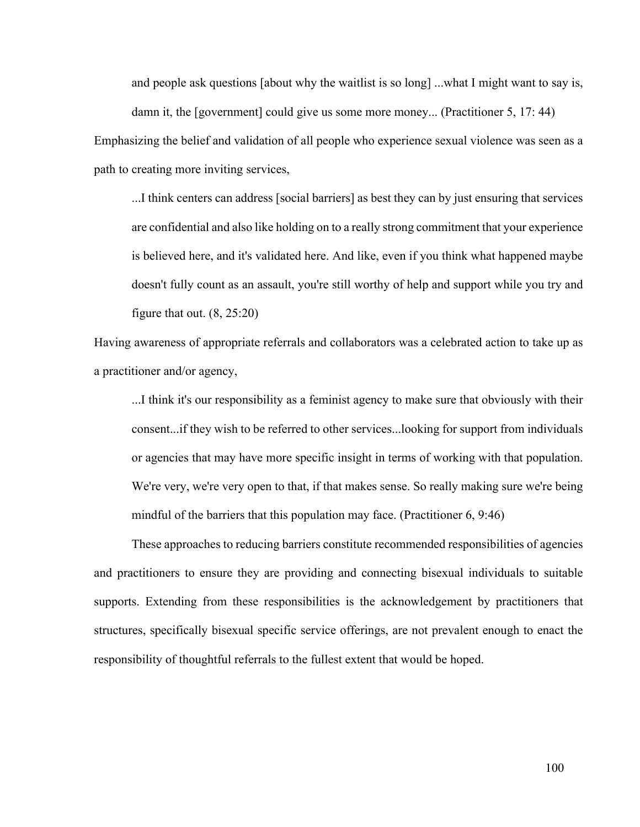and people ask questions [about why the waitlist is so long] ...what I might want to say is, damn it, the [government] could give us some more money... (Practitioner 5, 17: 44)

Emphasizing the belief and validation of all people who experience sexual violence was seen as a path to creating more inviting services,

...I think centers can address [social barriers] as best they can by just ensuring that services are confidential and also like holding on to a really strong commitment that your experience is believed here, and it's validated here. And like, even if you think what happened maybe doesn't fully count as an assault, you're still worthy of help and support while you try and figure that out.  $(8, 25:20)$ 

Having awareness of appropriate referrals and collaborators was a celebrated action to take up as a practitioner and/or agency,

...I think it's our responsibility as a feminist agency to make sure that obviously with their consent...if they wish to be referred to other services...looking for support from individuals or agencies that may have more specific insight in terms of working with that population. We're very, we're very open to that, if that makes sense. So really making sure we're being mindful of the barriers that this population may face. (Practitioner 6, 9:46)

These approaches to reducing barriers constitute recommended responsibilities of agencies and practitioners to ensure they are providing and connecting bisexual individuals to suitable supports. Extending from these responsibilities is the acknowledgement by practitioners that structures, specifically bisexual specific service offerings, are not prevalent enough to enact the responsibility of thoughtful referrals to the fullest extent that would be hoped.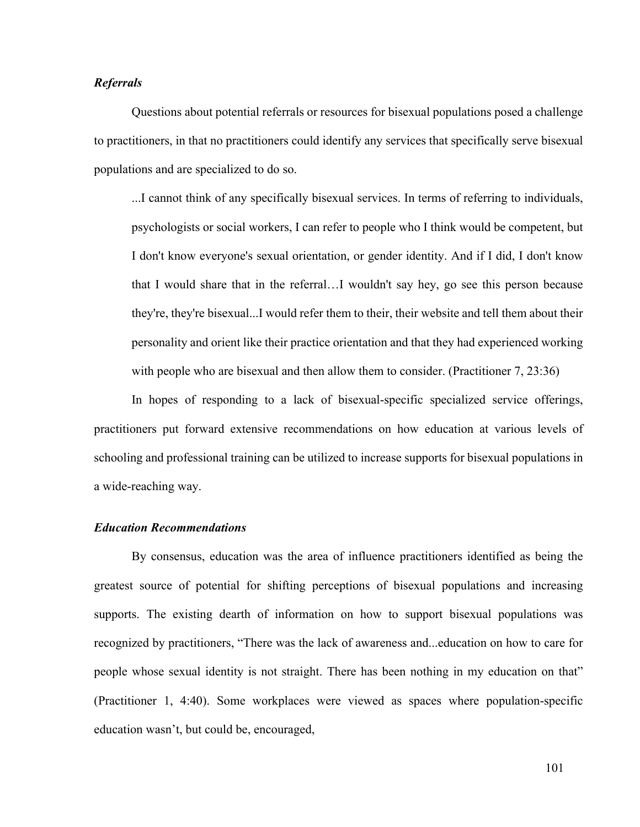# *Referrals*

Questions about potential referrals or resources for bisexual populations posed a challenge to practitioners, in that no practitioners could identify any services that specifically serve bisexual populations and are specialized to do so.

...I cannot think of any specifically bisexual services. In terms of referring to individuals, psychologists or social workers, I can refer to people who I think would be competent, but I don't know everyone's sexual orientation, or gender identity. And if I did, I don't know that I would share that in the referral…I wouldn't say hey, go see this person because they're, they're bisexual...I would refer them to their, their website and tell them about their personality and orient like their practice orientation and that they had experienced working with people who are bisexual and then allow them to consider. (Practitioner 7, 23:36)

In hopes of responding to a lack of bisexual-specific specialized service offerings, practitioners put forward extensive recommendations on how education at various levels of schooling and professional training can be utilized to increase supports for bisexual populations in a wide-reaching way.

### *Education Recommendations*

By consensus, education was the area of influence practitioners identified as being the greatest source of potential for shifting perceptions of bisexual populations and increasing supports. The existing dearth of information on how to support bisexual populations was recognized by practitioners, "There was the lack of awareness and...education on how to care for people whose sexual identity is not straight. There has been nothing in my education on that" (Practitioner 1, 4:40). Some workplaces were viewed as spaces where population-specific education wasn't, but could be, encouraged,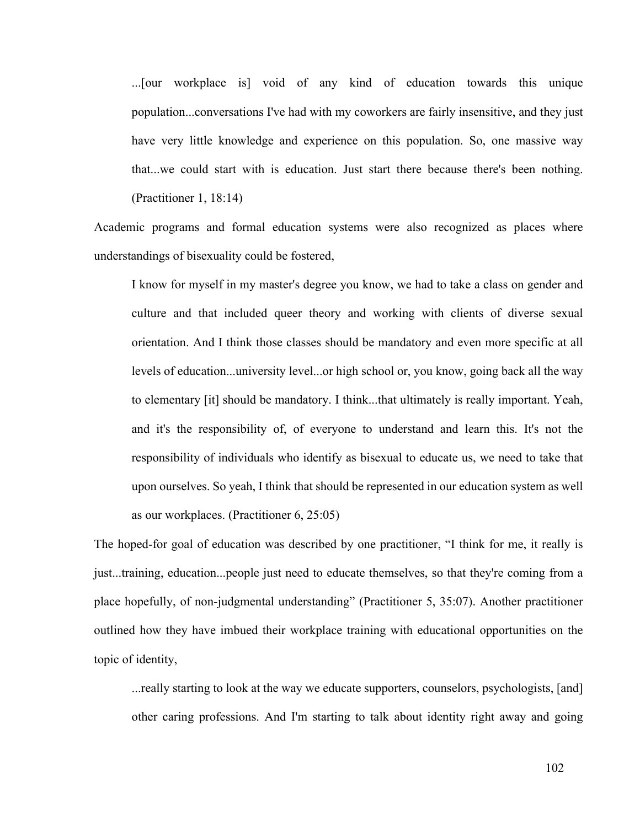...[our workplace is] void of any kind of education towards this unique population...conversations I've had with my coworkers are fairly insensitive, and they just have very little knowledge and experience on this population. So, one massive way that...we could start with is education. Just start there because there's been nothing. (Practitioner 1, 18:14)

Academic programs and formal education systems were also recognized as places where understandings of bisexuality could be fostered,

I know for myself in my master's degree you know, we had to take a class on gender and culture and that included queer theory and working with clients of diverse sexual orientation. And I think those classes should be mandatory and even more specific at all levels of education...university level...or high school or, you know, going back all the way to elementary [it] should be mandatory. I think...that ultimately is really important. Yeah, and it's the responsibility of, of everyone to understand and learn this. It's not the responsibility of individuals who identify as bisexual to educate us, we need to take that upon ourselves. So yeah, I think that should be represented in our education system as well as our workplaces. (Practitioner 6, 25:05)

The hoped-for goal of education was described by one practitioner, "I think for me, it really is just...training, education...people just need to educate themselves, so that they're coming from a place hopefully, of non-judgmental understanding" (Practitioner 5, 35:07). Another practitioner outlined how they have imbued their workplace training with educational opportunities on the topic of identity,

...really starting to look at the way we educate supporters, counselors, psychologists, [and] other caring professions. And I'm starting to talk about identity right away and going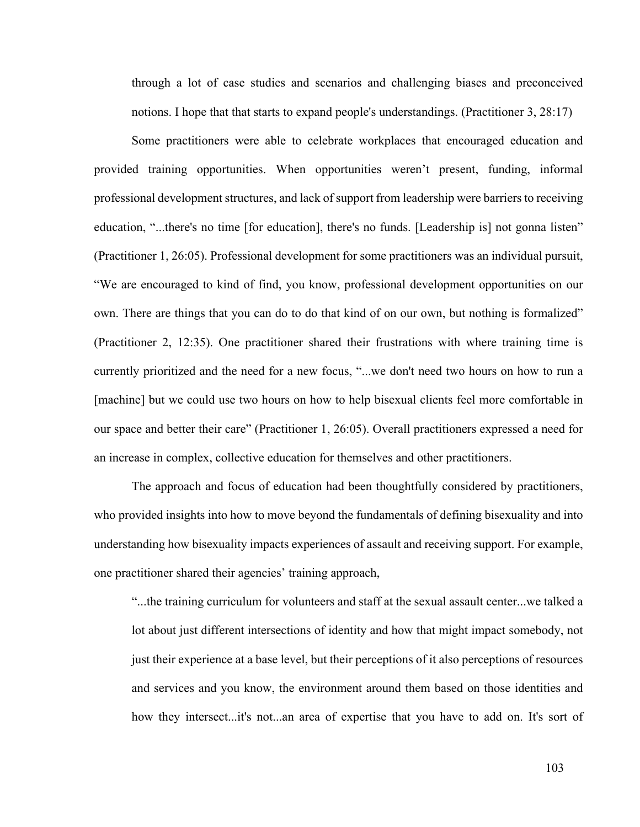through a lot of case studies and scenarios and challenging biases and preconceived notions. I hope that that starts to expand people's understandings. (Practitioner 3, 28:17)

Some practitioners were able to celebrate workplaces that encouraged education and provided training opportunities. When opportunities weren't present, funding, informal professional development structures, and lack of support from leadership were barriers to receiving education, "...there's no time [for education], there's no funds. [Leadership is] not gonna listen" (Practitioner 1, 26:05). Professional development for some practitioners was an individual pursuit, "We are encouraged to kind of find, you know, professional development opportunities on our own. There are things that you can do to do that kind of on our own, but nothing is formalized" (Practitioner 2, 12:35). One practitioner shared their frustrations with where training time is currently prioritized and the need for a new focus, "...we don't need two hours on how to run a [machine] but we could use two hours on how to help bisexual clients feel more comfortable in our space and better their care" (Practitioner 1, 26:05). Overall practitioners expressed a need for an increase in complex, collective education for themselves and other practitioners.

The approach and focus of education had been thoughtfully considered by practitioners, who provided insights into how to move beyond the fundamentals of defining bisexuality and into understanding how bisexuality impacts experiences of assault and receiving support. For example, one practitioner shared their agencies' training approach,

"...the training curriculum for volunteers and staff at the sexual assault center...we talked a lot about just different intersections of identity and how that might impact somebody, not just their experience at a base level, but their perceptions of it also perceptions of resources and services and you know, the environment around them based on those identities and how they intersect...it's not...an area of expertise that you have to add on. It's sort of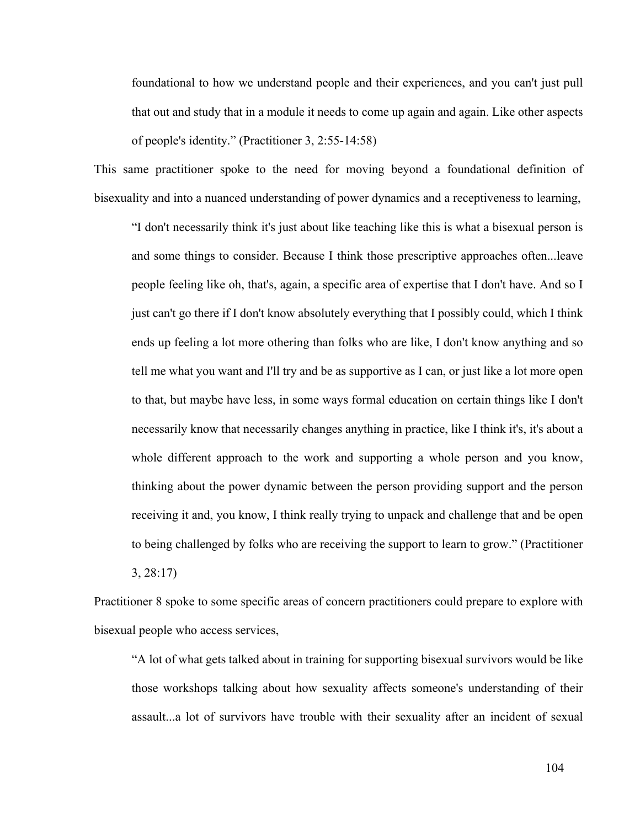foundational to how we understand people and their experiences, and you can't just pull that out and study that in a module it needs to come up again and again. Like other aspects of people's identity." (Practitioner 3, 2:55-14:58)

This same practitioner spoke to the need for moving beyond a foundational definition of bisexuality and into a nuanced understanding of power dynamics and a receptiveness to learning,

"I don't necessarily think it's just about like teaching like this is what a bisexual person is and some things to consider. Because I think those prescriptive approaches often...leave people feeling like oh, that's, again, a specific area of expertise that I don't have. And so I just can't go there if I don't know absolutely everything that I possibly could, which I think ends up feeling a lot more othering than folks who are like, I don't know anything and so tell me what you want and I'll try and be as supportive as I can, or just like a lot more open to that, but maybe have less, in some ways formal education on certain things like I don't necessarily know that necessarily changes anything in practice, like I think it's, it's about a whole different approach to the work and supporting a whole person and you know, thinking about the power dynamic between the person providing support and the person receiving it and, you know, I think really trying to unpack and challenge that and be open to being challenged by folks who are receiving the support to learn to grow." (Practitioner 3, 28:17)

Practitioner 8 spoke to some specific areas of concern practitioners could prepare to explore with bisexual people who access services,

"A lot of what gets talked about in training for supporting bisexual survivors would be like those workshops talking about how sexuality affects someone's understanding of their assault...a lot of survivors have trouble with their sexuality after an incident of sexual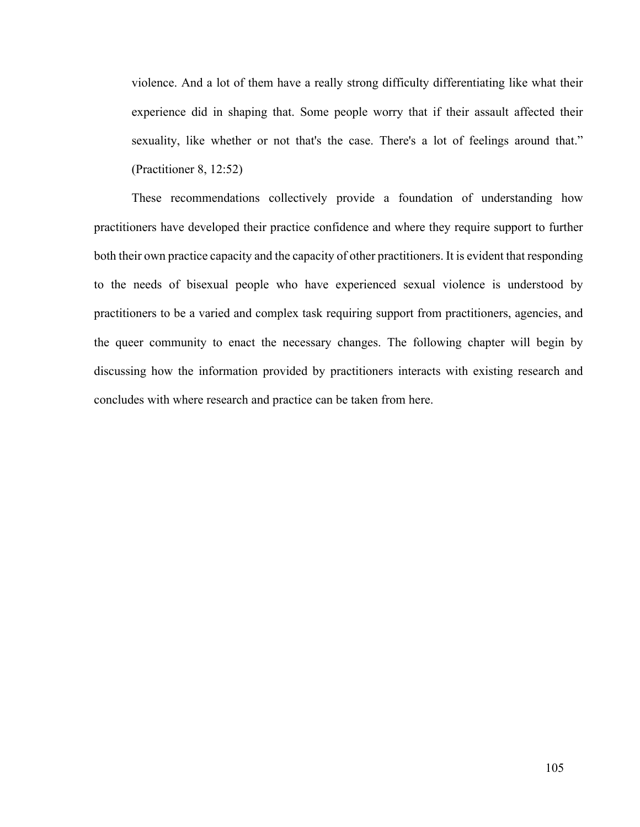violence. And a lot of them have a really strong difficulty differentiating like what their experience did in shaping that. Some people worry that if their assault affected their sexuality, like whether or not that's the case. There's a lot of feelings around that." (Practitioner 8, 12:52)

These recommendations collectively provide a foundation of understanding how practitioners have developed their practice confidence and where they require support to further both their own practice capacity and the capacity of other practitioners. It is evident that responding to the needs of bisexual people who have experienced sexual violence is understood by practitioners to be a varied and complex task requiring support from practitioners, agencies, and the queer community to enact the necessary changes. The following chapter will begin by discussing how the information provided by practitioners interacts with existing research and concludes with where research and practice can be taken from here.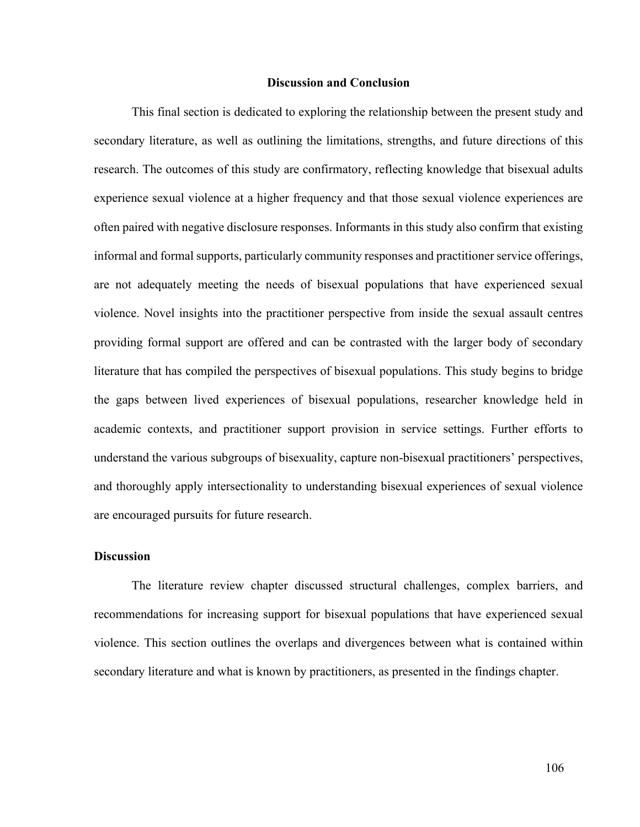### **Discussion and Conclusion**

This final section is dedicated to exploring the relationship between the present study and secondary literature, as well as outlining the limitations, strengths, and future directions of this research. The outcomes of this study are confirmatory, reflecting knowledge that bisexual adults experience sexual violence at a higher frequency and that those sexual violence experiences are often paired with negative disclosure responses. Informants in this study also confirm that existing informal and formal supports, particularly community responses and practitioner service offerings, are not adequately meeting the needs of bisexual populations that have experienced sexual violence. Novel insights into the practitioner perspective from inside the sexual assault centres providing formal support are offered and can be contrasted with the larger body of secondary literature that has compiled the perspectives of bisexual populations. This study begins to bridge the gaps between lived experiences of bisexual populations, researcher knowledge held in academic contexts, and practitioner support provision in service settings. Further efforts to understand the various subgroups of bisexuality, capture non-bisexual practitioners' perspectives, and thoroughly apply intersectionality to understanding bisexual experiences of sexual violence are encouraged pursuits for future research.

### **Discussion**

The literature review chapter discussed structural challenges, complex barriers, and recommendations for increasing support for bisexual populations that have experienced sexual violence. This section outlines the overlaps and divergences between what is contained within secondary literature and what is known by practitioners, as presented in the findings chapter.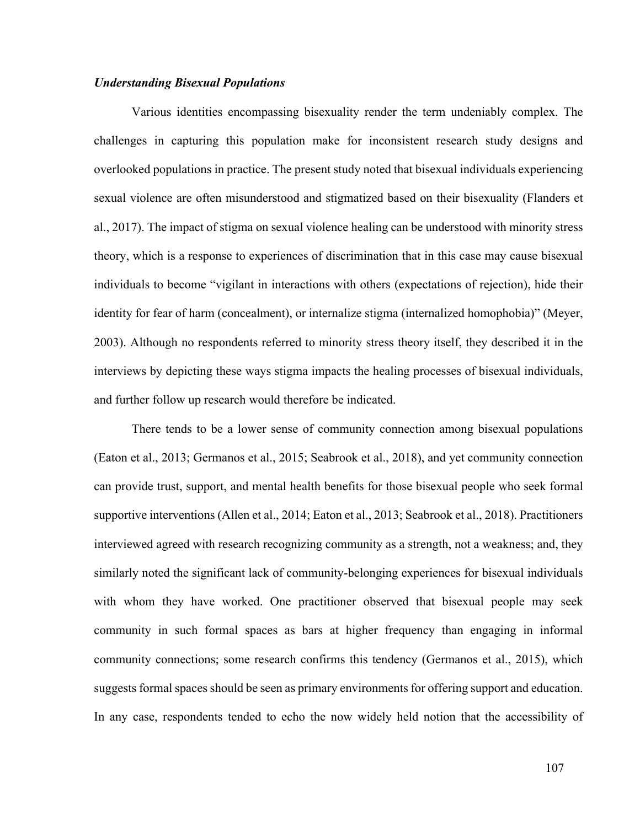### *Understanding Bisexual Populations*

Various identities encompassing bisexuality render the term undeniably complex. The challenges in capturing this population make for inconsistent research study designs and overlooked populations in practice. The present study noted that bisexual individuals experiencing sexual violence are often misunderstood and stigmatized based on their bisexuality (Flanders et al., 2017). The impact of stigma on sexual violence healing can be understood with minority stress theory, which is a response to experiences of discrimination that in this case may cause bisexual individuals to become "vigilant in interactions with others (expectations of rejection), hide their identity for fear of harm (concealment), or internalize stigma (internalized homophobia)" (Meyer, 2003). Although no respondents referred to minority stress theory itself, they described it in the interviews by depicting these ways stigma impacts the healing processes of bisexual individuals, and further follow up research would therefore be indicated.

There tends to be a lower sense of community connection among bisexual populations (Eaton et al., 2013; Germanos et al., 2015; Seabrook et al., 2018), and yet community connection can provide trust, support, and mental health benefits for those bisexual people who seek formal supportive interventions (Allen et al., 2014; Eaton et al., 2013; Seabrook et al., 2018). Practitioners interviewed agreed with research recognizing community as a strength, not a weakness; and, they similarly noted the significant lack of community-belonging experiences for bisexual individuals with whom they have worked. One practitioner observed that bisexual people may seek community in such formal spaces as bars at higher frequency than engaging in informal community connections; some research confirms this tendency (Germanos et al., 2015), which suggests formal spaces should be seen as primary environments for offering support and education. In any case, respondents tended to echo the now widely held notion that the accessibility of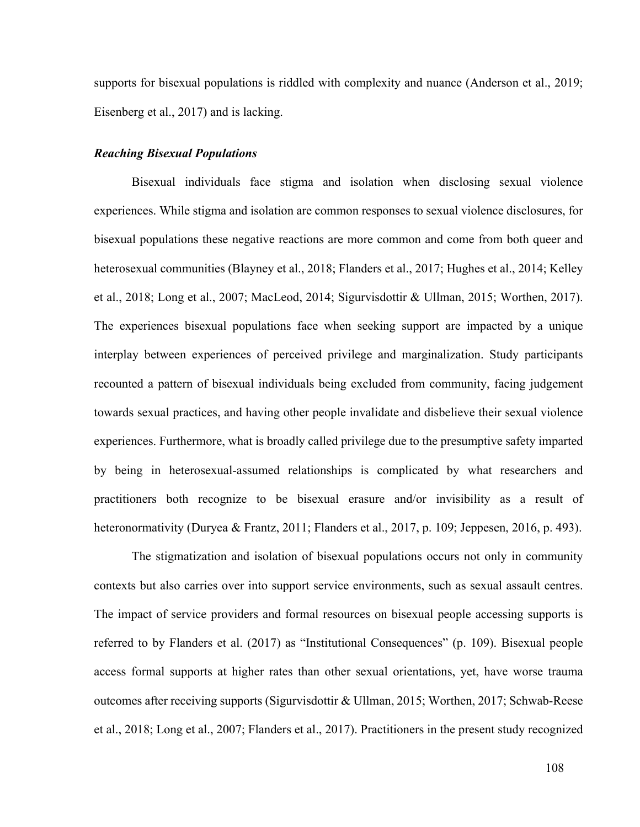supports for bisexual populations is riddled with complexity and nuance (Anderson et al., 2019; Eisenberg et al., 2017) and is lacking.

### *Reaching Bisexual Populations*

Bisexual individuals face stigma and isolation when disclosing sexual violence experiences. While stigma and isolation are common responses to sexual violence disclosures, for bisexual populations these negative reactions are more common and come from both queer and heterosexual communities (Blayney et al., 2018; Flanders et al., 2017; Hughes et al., 2014; Kelley et al., 2018; Long et al., 2007; MacLeod, 2014; Sigurvisdottir & Ullman, 2015; Worthen, 2017). The experiences bisexual populations face when seeking support are impacted by a unique interplay between experiences of perceived privilege and marginalization. Study participants recounted a pattern of bisexual individuals being excluded from community, facing judgement towards sexual practices, and having other people invalidate and disbelieve their sexual violence experiences. Furthermore, what is broadly called privilege due to the presumptive safety imparted by being in heterosexual-assumed relationships is complicated by what researchers and practitioners both recognize to be bisexual erasure and/or invisibility as a result of heteronormativity (Duryea & Frantz, 2011; Flanders et al., 2017, p. 109; Jeppesen, 2016, p. 493).

The stigmatization and isolation of bisexual populations occurs not only in community contexts but also carries over into support service environments, such as sexual assault centres. The impact of service providers and formal resources on bisexual people accessing supports is referred to by Flanders et al. (2017) as "Institutional Consequences" (p. 109). Bisexual people access formal supports at higher rates than other sexual orientations, yet, have worse trauma outcomes after receiving supports (Sigurvisdottir & Ullman, 2015; Worthen, 2017; Schwab-Reese et al., 2018; Long et al., 2007; Flanders et al., 2017). Practitioners in the present study recognized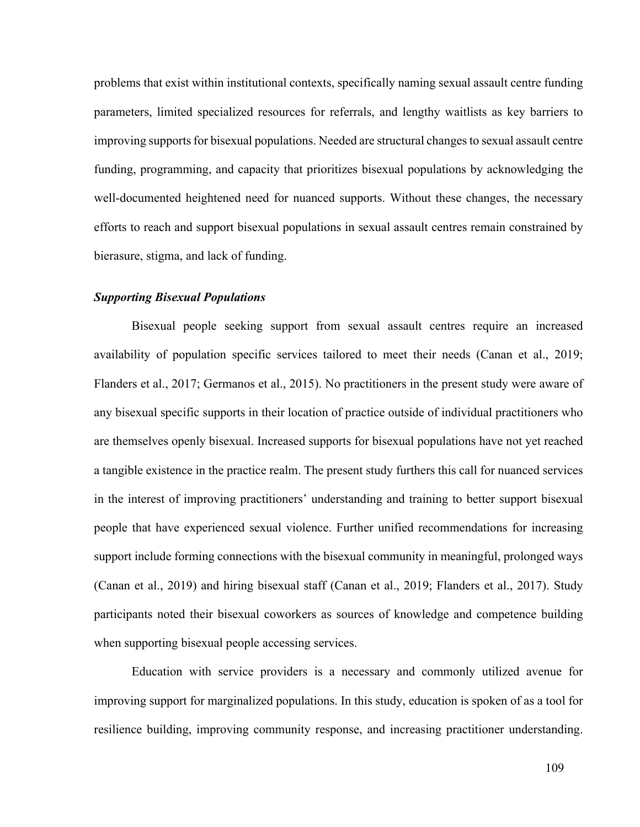problems that exist within institutional contexts, specifically naming sexual assault centre funding parameters, limited specialized resources for referrals, and lengthy waitlists as key barriers to improving supports for bisexual populations. Needed are structural changes to sexual assault centre funding, programming, and capacity that prioritizes bisexual populations by acknowledging the well-documented heightened need for nuanced supports. Without these changes, the necessary efforts to reach and support bisexual populations in sexual assault centres remain constrained by bierasure, stigma, and lack of funding.

### *Supporting Bisexual Populations*

Bisexual people seeking support from sexual assault centres require an increased availability of population specific services tailored to meet their needs (Canan et al., 2019; Flanders et al., 2017; Germanos et al., 2015). No practitioners in the present study were aware of any bisexual specific supports in their location of practice outside of individual practitioners who are themselves openly bisexual. Increased supports for bisexual populations have not yet reached a tangible existence in the practice realm. The present study furthers this call for nuanced services in the interest of improving practitioners' understanding and training to better support bisexual people that have experienced sexual violence. Further unified recommendations for increasing support include forming connections with the bisexual community in meaningful, prolonged ways (Canan et al., 2019) and hiring bisexual staff (Canan et al., 2019; Flanders et al., 2017). Study participants noted their bisexual coworkers as sources of knowledge and competence building when supporting bisexual people accessing services.

Education with service providers is a necessary and commonly utilized avenue for improving support for marginalized populations. In this study, education is spoken of as a tool for resilience building, improving community response, and increasing practitioner understanding.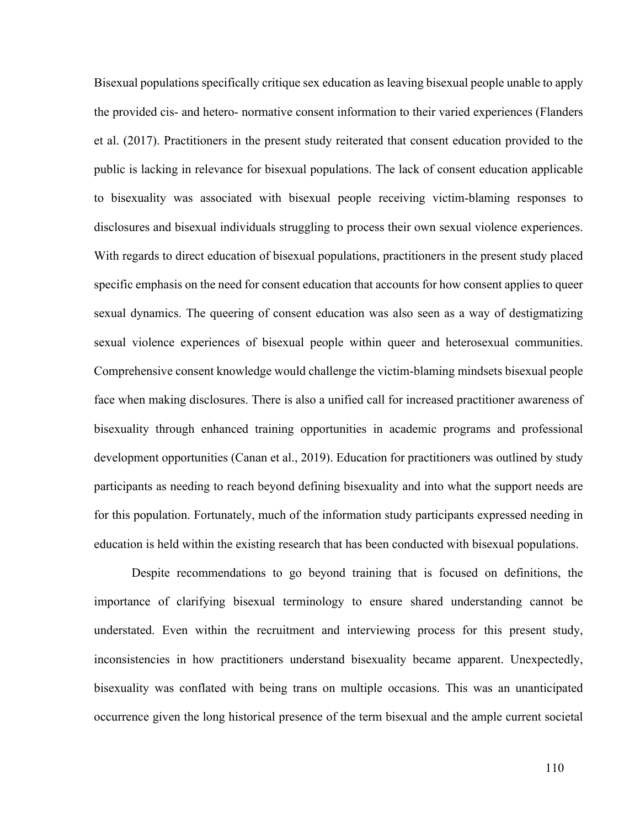Bisexual populations specifically critique sex education as leaving bisexual people unable to apply the provided cis- and hetero- normative consent information to their varied experiences (Flanders et al. (2017). Practitioners in the present study reiterated that consent education provided to the public is lacking in relevance for bisexual populations. The lack of consent education applicable to bisexuality was associated with bisexual people receiving victim-blaming responses to disclosures and bisexual individuals struggling to process their own sexual violence experiences. With regards to direct education of bisexual populations, practitioners in the present study placed specific emphasis on the need for consent education that accounts for how consent applies to queer sexual dynamics. The queering of consent education was also seen as a way of destigmatizing sexual violence experiences of bisexual people within queer and heterosexual communities. Comprehensive consent knowledge would challenge the victim-blaming mindsets bisexual people face when making disclosures. There is also a unified call for increased practitioner awareness of bisexuality through enhanced training opportunities in academic programs and professional development opportunities (Canan et al., 2019). Education for practitioners was outlined by study participants as needing to reach beyond defining bisexuality and into what the support needs are for this population. Fortunately, much of the information study participants expressed needing in education is held within the existing research that has been conducted with bisexual populations.

Despite recommendations to go beyond training that is focused on definitions, the importance of clarifying bisexual terminology to ensure shared understanding cannot be understated. Even within the recruitment and interviewing process for this present study, inconsistencies in how practitioners understand bisexuality became apparent. Unexpectedly, bisexuality was conflated with being trans on multiple occasions. This was an unanticipated occurrence given the long historical presence of the term bisexual and the ample current societal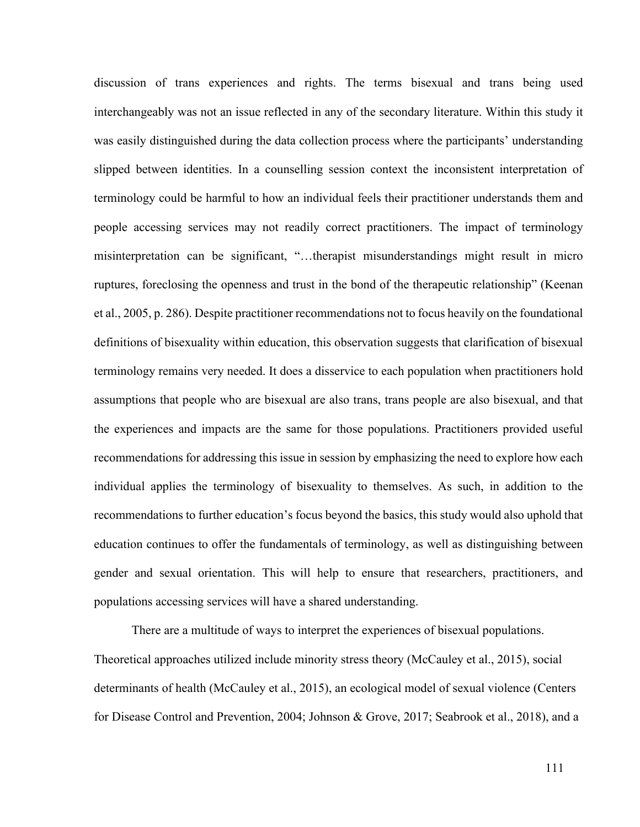discussion of trans experiences and rights. The terms bisexual and trans being used interchangeably was not an issue reflected in any of the secondary literature. Within this study it was easily distinguished during the data collection process where the participants' understanding slipped between identities. In a counselling session context the inconsistent interpretation of terminology could be harmful to how an individual feels their practitioner understands them and people accessing services may not readily correct practitioners. The impact of terminology misinterpretation can be significant, "…therapist misunderstandings might result in micro ruptures, foreclosing the openness and trust in the bond of the therapeutic relationship" (Keenan et al., 2005, p. 286). Despite practitioner recommendations not to focus heavily on the foundational definitions of bisexuality within education, this observation suggests that clarification of bisexual terminology remains very needed. It does a disservice to each population when practitioners hold assumptions that people who are bisexual are also trans, trans people are also bisexual, and that the experiences and impacts are the same for those populations. Practitioners provided useful recommendations for addressing this issue in session by emphasizing the need to explore how each individual applies the terminology of bisexuality to themselves. As such, in addition to the recommendations to further education's focus beyond the basics, this study would also uphold that education continues to offer the fundamentals of terminology, as well as distinguishing between gender and sexual orientation. This will help to ensure that researchers, practitioners, and populations accessing services will have a shared understanding.

There are a multitude of ways to interpret the experiences of bisexual populations. Theoretical approaches utilized include minority stress theory (McCauley et al., 2015), social determinants of health (McCauley et al., 2015), an ecological model of sexual violence (Centers for Disease Control and Prevention, 2004; Johnson & Grove, 2017; Seabrook et al., 2018), and a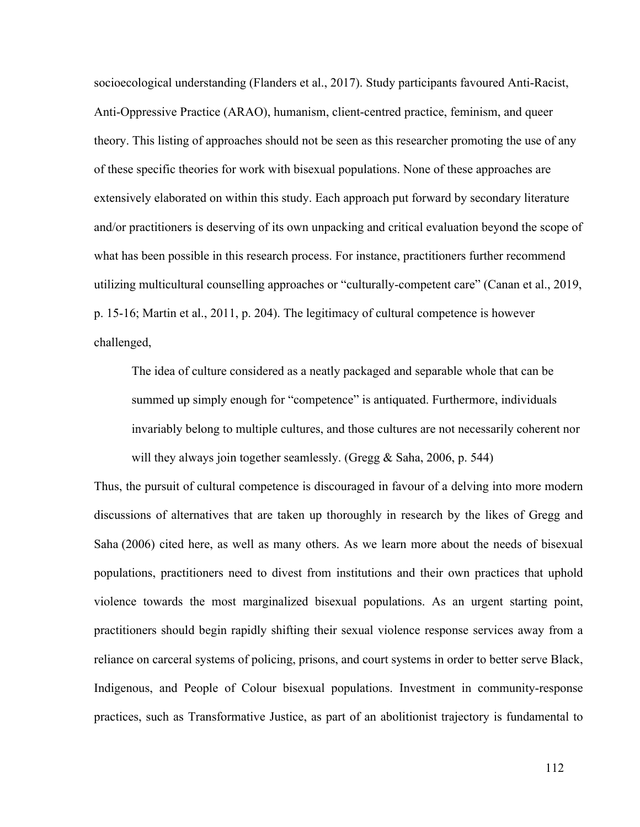socioecological understanding (Flanders et al., 2017). Study participants favoured Anti-Racist, Anti-Oppressive Practice (ARAO), humanism, client-centred practice, feminism, and queer theory. This listing of approaches should not be seen as this researcher promoting the use of any of these specific theories for work with bisexual populations. None of these approaches are extensively elaborated on within this study. Each approach put forward by secondary literature and/or practitioners is deserving of its own unpacking and critical evaluation beyond the scope of what has been possible in this research process. For instance, practitioners further recommend utilizing multicultural counselling approaches or "culturally-competent care" (Canan et al., 2019, p. 15-16; Martin et al., 2011, p. 204). The legitimacy of cultural competence is however challenged,

The idea of culture considered as a neatly packaged and separable whole that can be summed up simply enough for "competence" is antiquated. Furthermore, individuals invariably belong to multiple cultures, and those cultures are not necessarily coherent nor will they always join together seamlessly. (Gregg & Saha, 2006, p. 544)

Thus, the pursuit of cultural competence is discouraged in favour of a delving into more modern discussions of alternatives that are taken up thoroughly in research by the likes of Gregg and Saha (2006) cited here, as well as many others. As we learn more about the needs of bisexual populations, practitioners need to divest from institutions and their own practices that uphold violence towards the most marginalized bisexual populations. As an urgent starting point, practitioners should begin rapidly shifting their sexual violence response services away from a reliance on carceral systems of policing, prisons, and court systems in order to better serve Black, Indigenous, and People of Colour bisexual populations. Investment in community-response practices, such as Transformative Justice, as part of an abolitionist trajectory is fundamental to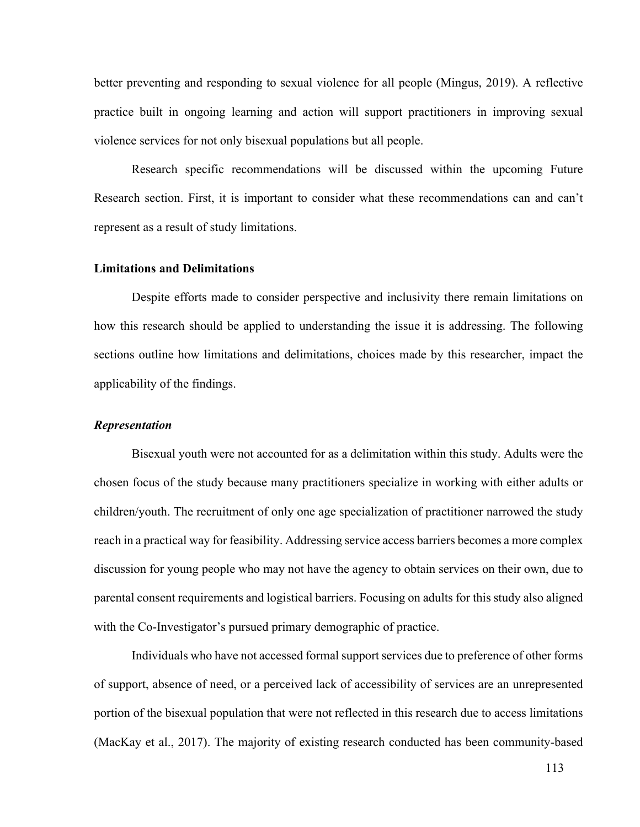better preventing and responding to sexual violence for all people (Mingus, 2019). A reflective practice built in ongoing learning and action will support practitioners in improving sexual violence services for not only bisexual populations but all people.

Research specific recommendations will be discussed within the upcoming Future Research section. First, it is important to consider what these recommendations can and can't represent as a result of study limitations.

### **Limitations and Delimitations**

Despite efforts made to consider perspective and inclusivity there remain limitations on how this research should be applied to understanding the issue it is addressing. The following sections outline how limitations and delimitations, choices made by this researcher, impact the applicability of the findings.

### *Representation*

Bisexual youth were not accounted for as a delimitation within this study. Adults were the chosen focus of the study because many practitioners specialize in working with either adults or children/youth. The recruitment of only one age specialization of practitioner narrowed the study reach in a practical way for feasibility. Addressing service access barriers becomes a more complex discussion for young people who may not have the agency to obtain services on their own, due to parental consent requirements and logistical barriers. Focusing on adults for this study also aligned with the Co-Investigator's pursued primary demographic of practice.

Individuals who have not accessed formal support services due to preference of other forms of support, absence of need, or a perceived lack of accessibility of services are an unrepresented portion of the bisexual population that were not reflected in this research due to access limitations (MacKay et al., 2017). The majority of existing research conducted has been community-based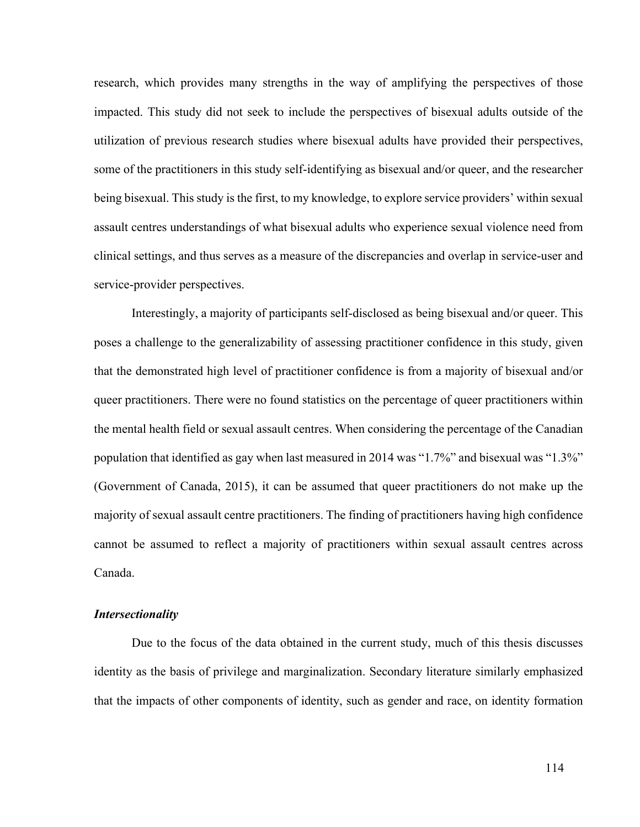research, which provides many strengths in the way of amplifying the perspectives of those impacted. This study did not seek to include the perspectives of bisexual adults outside of the utilization of previous research studies where bisexual adults have provided their perspectives, some of the practitioners in this study self-identifying as bisexual and/or queer, and the researcher being bisexual. This study is the first, to my knowledge, to explore service providers' within sexual assault centres understandings of what bisexual adults who experience sexual violence need from clinical settings, and thus serves as a measure of the discrepancies and overlap in service-user and service-provider perspectives.

Interestingly, a majority of participants self-disclosed as being bisexual and/or queer. This poses a challenge to the generalizability of assessing practitioner confidence in this study, given that the demonstrated high level of practitioner confidence is from a majority of bisexual and/or queer practitioners. There were no found statistics on the percentage of queer practitioners within the mental health field or sexual assault centres. When considering the percentage of the Canadian population that identified as gay when last measured in 2014 was "1.7%" and bisexual was "1.3%" (Government of Canada, 2015), it can be assumed that queer practitioners do not make up the majority of sexual assault centre practitioners. The finding of practitioners having high confidence cannot be assumed to reflect a majority of practitioners within sexual assault centres across Canada.

### *Intersectionality*

Due to the focus of the data obtained in the current study, much of this thesis discusses identity as the basis of privilege and marginalization. Secondary literature similarly emphasized that the impacts of other components of identity, such as gender and race, on identity formation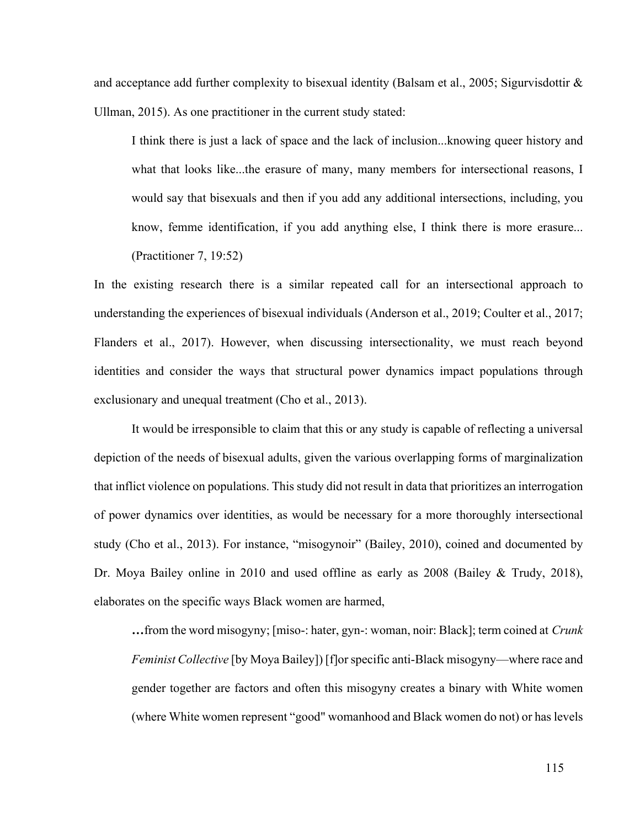and acceptance add further complexity to bisexual identity (Balsam et al., 2005; Sigurvisdottir & Ullman, 2015). As one practitioner in the current study stated:

I think there is just a lack of space and the lack of inclusion...knowing queer history and what that looks like...the erasure of many, many members for intersectional reasons, I would say that bisexuals and then if you add any additional intersections, including, you know, femme identification, if you add anything else, I think there is more erasure... (Practitioner 7, 19:52)

In the existing research there is a similar repeated call for an intersectional approach to understanding the experiences of bisexual individuals (Anderson et al., 2019; Coulter et al., 2017; Flanders et al., 2017). However, when discussing intersectionality, we must reach beyond identities and consider the ways that structural power dynamics impact populations through exclusionary and unequal treatment (Cho et al., 2013).

It would be irresponsible to claim that this or any study is capable of reflecting a universal depiction of the needs of bisexual adults, given the various overlapping forms of marginalization that inflict violence on populations. This study did not result in data that prioritizes an interrogation of power dynamics over identities, as would be necessary for a more thoroughly intersectional study (Cho et al., 2013). For instance, "misogynoir" (Bailey, 2010), coined and documented by Dr. Moya Bailey online in 2010 and used offline as early as 2008 (Bailey & Trudy, 2018), elaborates on the specific ways Black women are harmed,

**…**from the word misogyny; [miso-: hater, gyn-: woman, noir: Black]; term coined at *Crunk Feminist Collective* [by Moya Bailey]) [f]or specific anti-Black misogyny—where race and gender together are factors and often this misogyny creates a binary with White women (where White women represent "good" womanhood and Black women do not) or has levels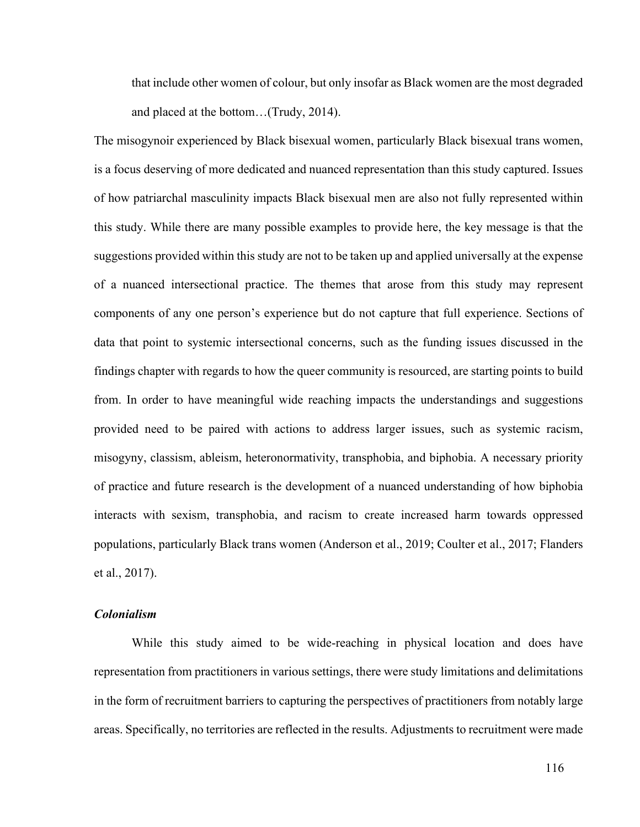that include other women of colour, but only insofar as Black women are the most degraded and placed at the bottom…(Trudy, 2014).

The misogynoir experienced by Black bisexual women, particularly Black bisexual trans women, is a focus deserving of more dedicated and nuanced representation than this study captured. Issues of how patriarchal masculinity impacts Black bisexual men are also not fully represented within this study. While there are many possible examples to provide here, the key message is that the suggestions provided within this study are not to be taken up and applied universally at the expense of a nuanced intersectional practice. The themes that arose from this study may represent components of any one person's experience but do not capture that full experience. Sections of data that point to systemic intersectional concerns, such as the funding issues discussed in the findings chapter with regards to how the queer community is resourced, are starting points to build from. In order to have meaningful wide reaching impacts the understandings and suggestions provided need to be paired with actions to address larger issues, such as systemic racism, misogyny, classism, ableism, heteronormativity, transphobia, and biphobia. A necessary priority of practice and future research is the development of a nuanced understanding of how biphobia interacts with sexism, transphobia, and racism to create increased harm towards oppressed populations, particularly Black trans women (Anderson et al., 2019; Coulter et al., 2017; Flanders et al., 2017).

# *Colonialism*

While this study aimed to be wide-reaching in physical location and does have representation from practitioners in various settings, there were study limitations and delimitations in the form of recruitment barriers to capturing the perspectives of practitioners from notably large areas. Specifically, no territories are reflected in the results. Adjustments to recruitment were made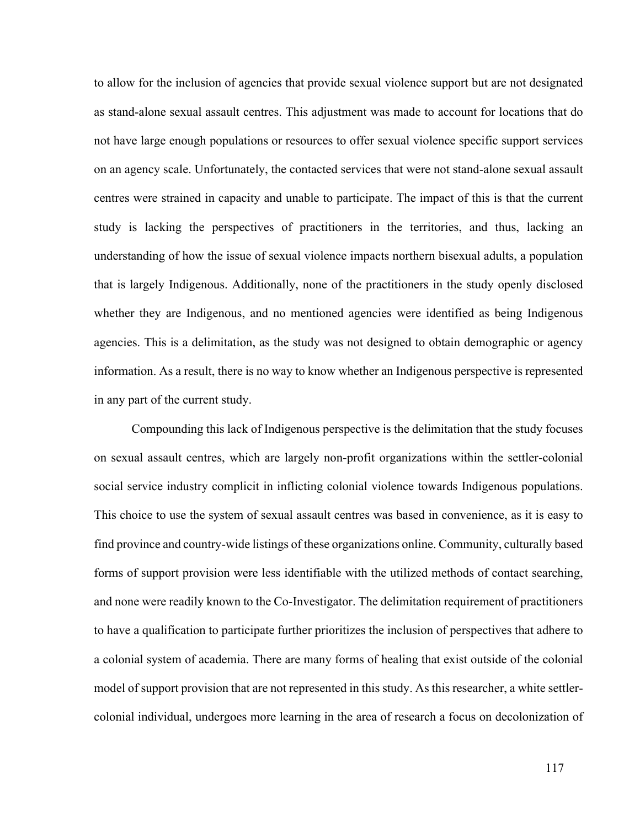to allow for the inclusion of agencies that provide sexual violence support but are not designated as stand-alone sexual assault centres. This adjustment was made to account for locations that do not have large enough populations or resources to offer sexual violence specific support services on an agency scale. Unfortunately, the contacted services that were not stand-alone sexual assault centres were strained in capacity and unable to participate. The impact of this is that the current study is lacking the perspectives of practitioners in the territories, and thus, lacking an understanding of how the issue of sexual violence impacts northern bisexual adults, a population that is largely Indigenous. Additionally, none of the practitioners in the study openly disclosed whether they are Indigenous, and no mentioned agencies were identified as being Indigenous agencies. This is a delimitation, as the study was not designed to obtain demographic or agency information. As a result, there is no way to know whether an Indigenous perspective is represented in any part of the current study.

Compounding this lack of Indigenous perspective is the delimitation that the study focuses on sexual assault centres, which are largely non-profit organizations within the settler-colonial social service industry complicit in inflicting colonial violence towards Indigenous populations. This choice to use the system of sexual assault centres was based in convenience, as it is easy to find province and country-wide listings of these organizations online. Community, culturally based forms of support provision were less identifiable with the utilized methods of contact searching, and none were readily known to the Co-Investigator. The delimitation requirement of practitioners to have a qualification to participate further prioritizes the inclusion of perspectives that adhere to a colonial system of academia. There are many forms of healing that exist outside of the colonial model of support provision that are not represented in this study. As this researcher, a white settlercolonial individual, undergoes more learning in the area of research a focus on decolonization of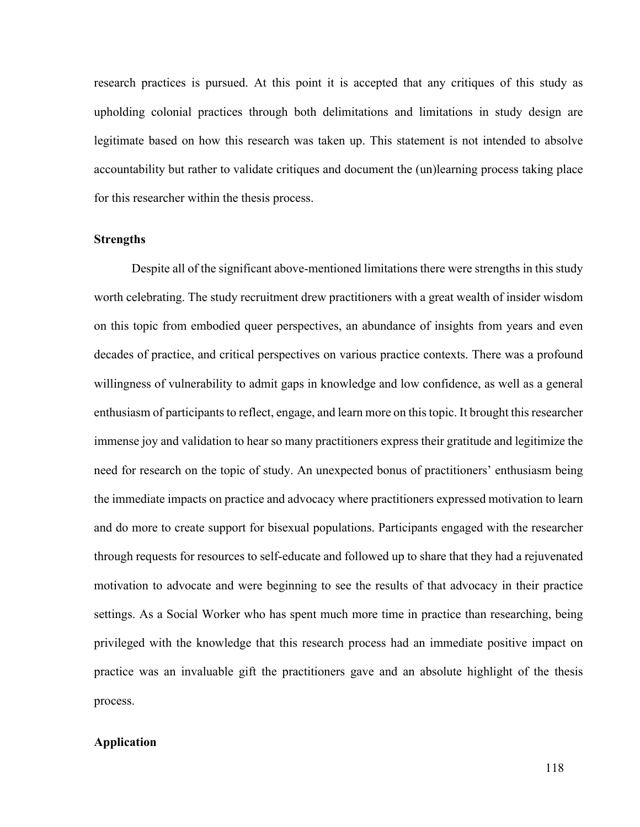research practices is pursued. At this point it is accepted that any critiques of this study as upholding colonial practices through both delimitations and limitations in study design are legitimate based on how this research was taken up. This statement is not intended to absolve accountability but rather to validate critiques and document the (un)learning process taking place for this researcher within the thesis process.

#### **Strengths**

Despite all of the significant above-mentioned limitations there were strengths in this study worth celebrating. The study recruitment drew practitioners with a great wealth of insider wisdom on this topic from embodied queer perspectives, an abundance of insights from years and even decades of practice, and critical perspectives on various practice contexts. There was a profound willingness of vulnerability to admit gaps in knowledge and low confidence, as well as a general enthusiasm of participants to reflect, engage, and learn more on this topic. It brought this researcher immense joy and validation to hear so many practitioners express their gratitude and legitimize the need for research on the topic of study. An unexpected bonus of practitioners' enthusiasm being the immediate impacts on practice and advocacy where practitioners expressed motivation to learn and do more to create support for bisexual populations. Participants engaged with the researcher through requests for resources to self-educate and followed up to share that they had a rejuvenated motivation to advocate and were beginning to see the results of that advocacy in their practice settings. As a Social Worker who has spent much more time in practice than researching, being privileged with the knowledge that this research process had an immediate positive impact on practice was an invaluable gift the practitioners gave and an absolute highlight of the thesis process.

# **Application**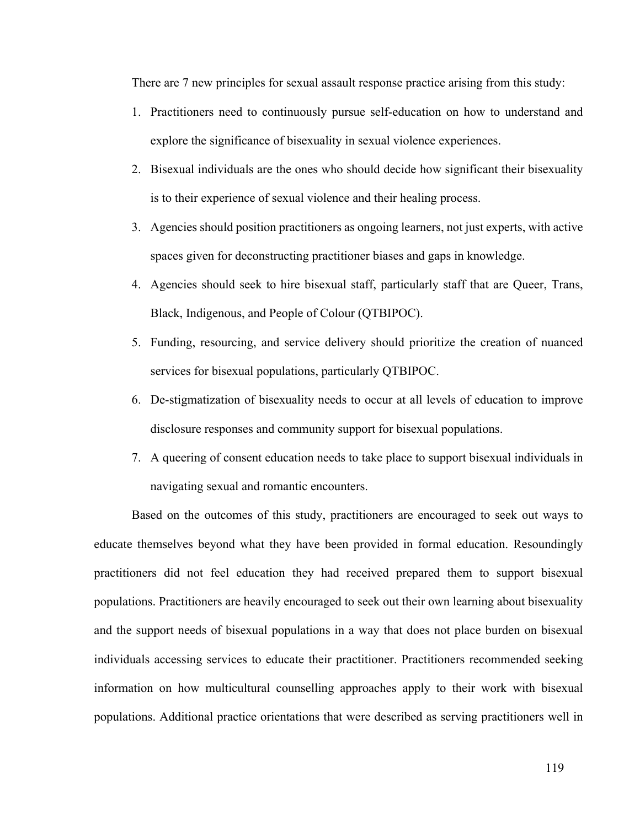There are 7 new principles for sexual assault response practice arising from this study:

- 1. Practitioners need to continuously pursue self-education on how to understand and explore the significance of bisexuality in sexual violence experiences.
- 2. Bisexual individuals are the ones who should decide how significant their bisexuality is to their experience of sexual violence and their healing process.
- 3. Agencies should position practitioners as ongoing learners, not just experts, with active spaces given for deconstructing practitioner biases and gaps in knowledge.
- 4. Agencies should seek to hire bisexual staff, particularly staff that are Queer, Trans, Black, Indigenous, and People of Colour (QTBIPOC).
- 5. Funding, resourcing, and service delivery should prioritize the creation of nuanced services for bisexual populations, particularly QTBIPOC.
- 6. De-stigmatization of bisexuality needs to occur at all levels of education to improve disclosure responses and community support for bisexual populations.
- 7. A queering of consent education needs to take place to support bisexual individuals in navigating sexual and romantic encounters.

Based on the outcomes of this study, practitioners are encouraged to seek out ways to educate themselves beyond what they have been provided in formal education. Resoundingly practitioners did not feel education they had received prepared them to support bisexual populations. Practitioners are heavily encouraged to seek out their own learning about bisexuality and the support needs of bisexual populations in a way that does not place burden on bisexual individuals accessing services to educate their practitioner. Practitioners recommended seeking information on how multicultural counselling approaches apply to their work with bisexual populations. Additional practice orientations that were described as serving practitioners well in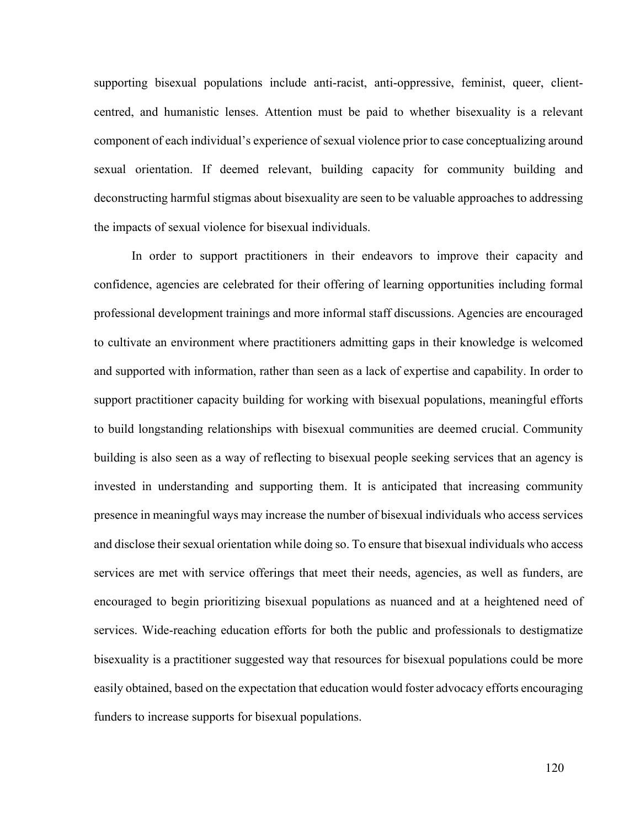supporting bisexual populations include anti-racist, anti-oppressive, feminist, queer, clientcentred, and humanistic lenses. Attention must be paid to whether bisexuality is a relevant component of each individual's experience of sexual violence prior to case conceptualizing around sexual orientation. If deemed relevant, building capacity for community building and deconstructing harmful stigmas about bisexuality are seen to be valuable approaches to addressing the impacts of sexual violence for bisexual individuals.

In order to support practitioners in their endeavors to improve their capacity and confidence, agencies are celebrated for their offering of learning opportunities including formal professional development trainings and more informal staff discussions. Agencies are encouraged to cultivate an environment where practitioners admitting gaps in their knowledge is welcomed and supported with information, rather than seen as a lack of expertise and capability. In order to support practitioner capacity building for working with bisexual populations, meaningful efforts to build longstanding relationships with bisexual communities are deemed crucial. Community building is also seen as a way of reflecting to bisexual people seeking services that an agency is invested in understanding and supporting them. It is anticipated that increasing community presence in meaningful ways may increase the number of bisexual individuals who access services and disclose their sexual orientation while doing so. To ensure that bisexual individuals who access services are met with service offerings that meet their needs, agencies, as well as funders, are encouraged to begin prioritizing bisexual populations as nuanced and at a heightened need of services. Wide-reaching education efforts for both the public and professionals to destigmatize bisexuality is a practitioner suggested way that resources for bisexual populations could be more easily obtained, based on the expectation that education would foster advocacy efforts encouraging funders to increase supports for bisexual populations.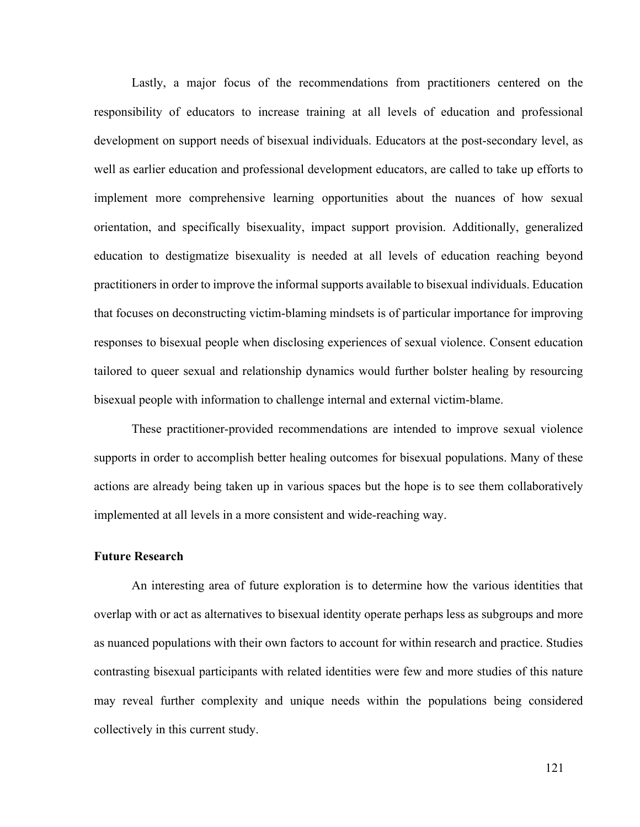Lastly, a major focus of the recommendations from practitioners centered on the responsibility of educators to increase training at all levels of education and professional development on support needs of bisexual individuals. Educators at the post-secondary level, as well as earlier education and professional development educators, are called to take up efforts to implement more comprehensive learning opportunities about the nuances of how sexual orientation, and specifically bisexuality, impact support provision. Additionally, generalized education to destigmatize bisexuality is needed at all levels of education reaching beyond practitioners in order to improve the informal supports available to bisexual individuals. Education that focuses on deconstructing victim-blaming mindsets is of particular importance for improving responses to bisexual people when disclosing experiences of sexual violence. Consent education tailored to queer sexual and relationship dynamics would further bolster healing by resourcing bisexual people with information to challenge internal and external victim-blame.

These practitioner-provided recommendations are intended to improve sexual violence supports in order to accomplish better healing outcomes for bisexual populations. Many of these actions are already being taken up in various spaces but the hope is to see them collaboratively implemented at all levels in a more consistent and wide-reaching way.

### **Future Research**

An interesting area of future exploration is to determine how the various identities that overlap with or act as alternatives to bisexual identity operate perhaps less as subgroups and more as nuanced populations with their own factors to account for within research and practice. Studies contrasting bisexual participants with related identities were few and more studies of this nature may reveal further complexity and unique needs within the populations being considered collectively in this current study.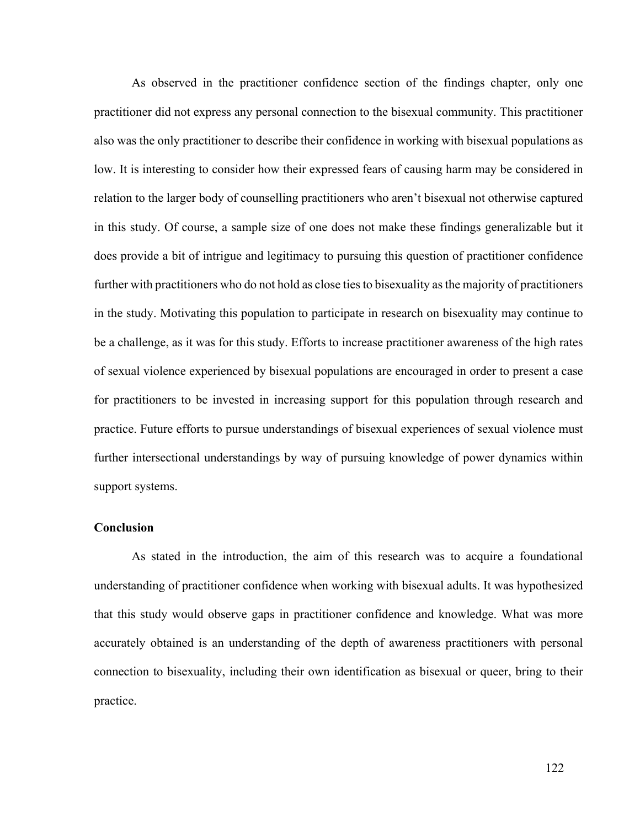As observed in the practitioner confidence section of the findings chapter, only one practitioner did not express any personal connection to the bisexual community. This practitioner also was the only practitioner to describe their confidence in working with bisexual populations as low. It is interesting to consider how their expressed fears of causing harm may be considered in relation to the larger body of counselling practitioners who aren't bisexual not otherwise captured in this study. Of course, a sample size of one does not make these findings generalizable but it does provide a bit of intrigue and legitimacy to pursuing this question of practitioner confidence further with practitioners who do not hold as close ties to bisexuality as the majority of practitioners in the study. Motivating this population to participate in research on bisexuality may continue to be a challenge, as it was for this study. Efforts to increase practitioner awareness of the high rates of sexual violence experienced by bisexual populations are encouraged in order to present a case for practitioners to be invested in increasing support for this population through research and practice. Future efforts to pursue understandings of bisexual experiences of sexual violence must further intersectional understandings by way of pursuing knowledge of power dynamics within support systems.

### **Conclusion**

As stated in the introduction, the aim of this research was to acquire a foundational understanding of practitioner confidence when working with bisexual adults. It was hypothesized that this study would observe gaps in practitioner confidence and knowledge. What was more accurately obtained is an understanding of the depth of awareness practitioners with personal connection to bisexuality, including their own identification as bisexual or queer, bring to their practice.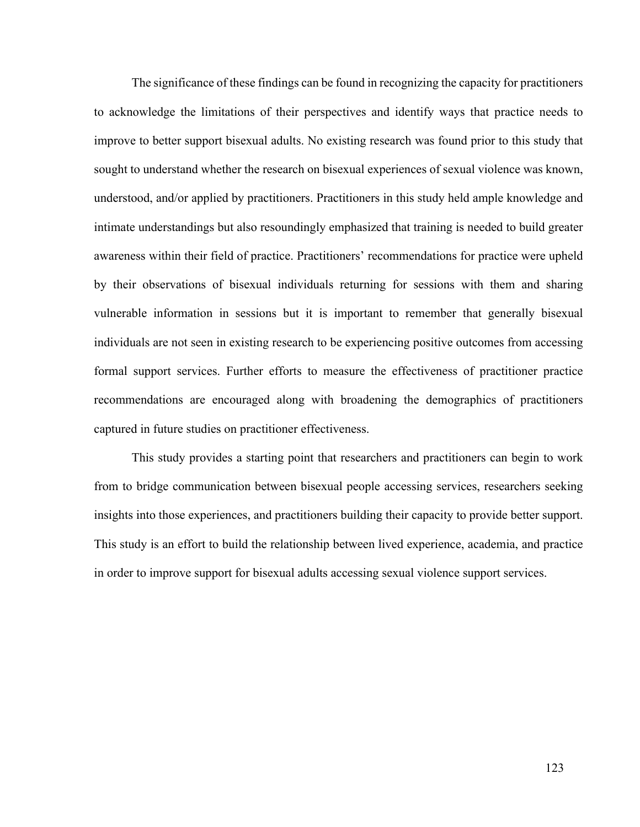The significance of these findings can be found in recognizing the capacity for practitioners to acknowledge the limitations of their perspectives and identify ways that practice needs to improve to better support bisexual adults. No existing research was found prior to this study that sought to understand whether the research on bisexual experiences of sexual violence was known, understood, and/or applied by practitioners. Practitioners in this study held ample knowledge and intimate understandings but also resoundingly emphasized that training is needed to build greater awareness within their field of practice. Practitioners' recommendations for practice were upheld by their observations of bisexual individuals returning for sessions with them and sharing vulnerable information in sessions but it is important to remember that generally bisexual individuals are not seen in existing research to be experiencing positive outcomes from accessing formal support services. Further efforts to measure the effectiveness of practitioner practice recommendations are encouraged along with broadening the demographics of practitioners captured in future studies on practitioner effectiveness.

This study provides a starting point that researchers and practitioners can begin to work from to bridge communication between bisexual people accessing services, researchers seeking insights into those experiences, and practitioners building their capacity to provide better support. This study is an effort to build the relationship between lived experience, academia, and practice in order to improve support for bisexual adults accessing sexual violence support services.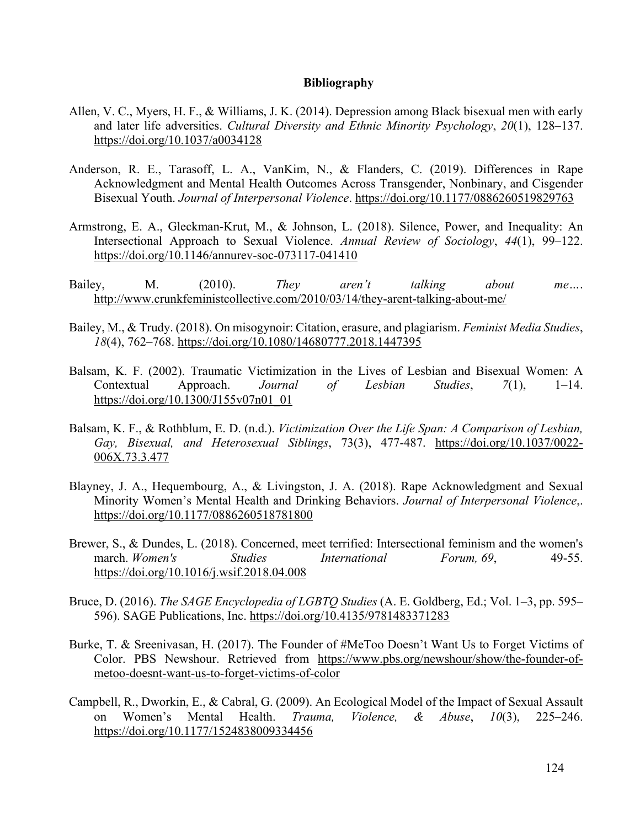#### **Bibliography**

- Allen, V. C., Myers, H. F., & Williams, J. K. (2014). Depression among Black bisexual men with early and later life adversities. *Cultural Diversity and Ethnic Minority Psychology*, *20*(1), 128–137. https://doi.org/10.1037/a0034128
- Anderson, R. E., Tarasoff, L. A., VanKim, N., & Flanders, C. (2019). Differences in Rape Acknowledgment and Mental Health Outcomes Across Transgender, Nonbinary, and Cisgender Bisexual Youth. *Journal of Interpersonal Violence*. https://doi.org/10.1177/0886260519829763
- Armstrong, E. A., Gleckman-Krut, M., & Johnson, L. (2018). Silence, Power, and Inequality: An Intersectional Approach to Sexual Violence. *Annual Review of Sociology*, *44*(1), 99–122. https://doi.org/10.1146/annurev-soc-073117-041410
- Bailey, M. (2010). *They aren't talking about me…*. http://www.crunkfeministcollective.com/2010/03/14/they-arent-talking-about-me/
- Bailey, M., & Trudy. (2018). On misogynoir: Citation, erasure, and plagiarism. *Feminist Media Studies*, *18*(4), 762–768. https://doi.org/10.1080/14680777.2018.1447395
- Balsam, K. F. (2002). Traumatic Victimization in the Lives of Lesbian and Bisexual Women: A Contextual Approach. *Journal of Lesbian Studies*, *7*(1), 1–14. https://doi.org/10.1300/J155v07n01\_01
- Balsam, K. F., & Rothblum, E. D. (n.d.). *Victimization Over the Life Span: A Comparison of Lesbian, Gay, Bisexual, and Heterosexual Siblings*, 73(3), 477-487. https://doi.org/10.1037/0022- 006X.73.3.477
- Blayney, J. A., Hequembourg, A., & Livingston, J. A. (2018). Rape Acknowledgment and Sexual Minority Women's Mental Health and Drinking Behaviors. *Journal of Interpersonal Violence*,. https://doi.org/10.1177/0886260518781800
- Brewer, S., & Dundes, L. (2018). Concerned, meet terrified: Intersectional feminism and the women's march. *Women's Studies International Forum, 69*, 49-55. https://doi.org/10.1016/j.wsif.2018.04.008
- Bruce, D. (2016). *The SAGE Encyclopedia of LGBTQ Studies* (A. E. Goldberg, Ed.; Vol. 1–3, pp. 595– 596). SAGE Publications, Inc. https://doi.org/10.4135/9781483371283
- Burke, T. & Sreenivasan, H. (2017). The Founder of #MeToo Doesn't Want Us to Forget Victims of Color. PBS Newshour. Retrieved from https://www.pbs.org/newshour/show/the-founder-ofmetoo-doesnt-want-us-to-forget-victims-of-color
- Campbell, R., Dworkin, E., & Cabral, G. (2009). An Ecological Model of the Impact of Sexual Assault on Women's Mental Health. *Trauma, Violence, & Abuse*, *10*(3), 225–246. https://doi.org/10.1177/1524838009334456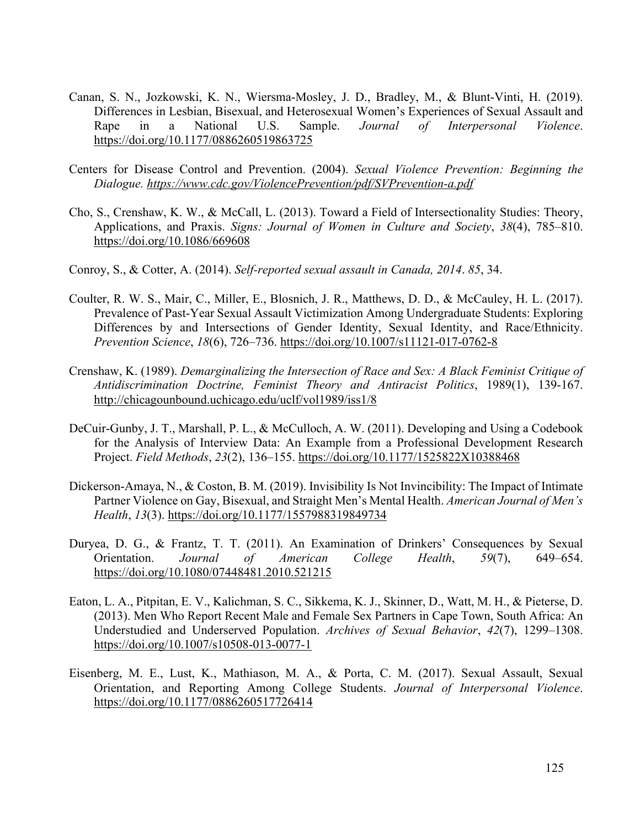- Canan, S. N., Jozkowski, K. N., Wiersma-Mosley, J. D., Bradley, M., & Blunt-Vinti, H. (2019). Differences in Lesbian, Bisexual, and Heterosexual Women's Experiences of Sexual Assault and Rape in a National U.S. Sample. *Journal of Interpersonal Violence*. https://doi.org/10.1177/0886260519863725
- Centers for Disease Control and Prevention. (2004). *Sexual Violence Prevention: Beginning the Dialogue. https://www.cdc.gov/ViolencePrevention/pdf/SVPrevention-a.pdf*
- Cho, S., Crenshaw, K. W., & McCall, L. (2013). Toward a Field of Intersectionality Studies: Theory, Applications, and Praxis. *Signs: Journal of Women in Culture and Society*, *38*(4), 785–810. https://doi.org/10.1086/669608
- Conroy, S., & Cotter, A. (2014). *Self-reported sexual assault in Canada, 2014*. *85*, 34.
- Coulter, R. W. S., Mair, C., Miller, E., Blosnich, J. R., Matthews, D. D., & McCauley, H. L. (2017). Prevalence of Past-Year Sexual Assault Victimization Among Undergraduate Students: Exploring Differences by and Intersections of Gender Identity, Sexual Identity, and Race/Ethnicity. *Prevention Science*, *18*(6), 726–736. https://doi.org/10.1007/s11121-017-0762-8
- Crenshaw, K. (1989). *Demarginalizing the Intersection of Race and Sex: A Black Feminist Critique of Antidiscrimination Doctrine, Feminist Theory and Antiracist Politics*, 1989(1), 139-167. http://chicagounbound.uchicago.edu/uclf/vol1989/iss1/8
- DeCuir-Gunby, J. T., Marshall, P. L., & McCulloch, A. W. (2011). Developing and Using a Codebook for the Analysis of Interview Data: An Example from a Professional Development Research Project. *Field Methods*, *23*(2), 136–155. https://doi.org/10.1177/1525822X10388468
- Dickerson-Amaya, N., & Coston, B. M. (2019). Invisibility Is Not Invincibility: The Impact of Intimate Partner Violence on Gay, Bisexual, and Straight Men's Mental Health. *American Journal of Men's Health*, *13*(3). https://doi.org/10.1177/1557988319849734
- Duryea, D. G., & Frantz, T. T. (2011). An Examination of Drinkers' Consequences by Sexual Orientation. *Journal of American College Health*, *59*(7), 649–654. https://doi.org/10.1080/07448481.2010.521215
- Eaton, L. A., Pitpitan, E. V., Kalichman, S. C., Sikkema, K. J., Skinner, D., Watt, M. H., & Pieterse, D. (2013). Men Who Report Recent Male and Female Sex Partners in Cape Town, South Africa: An Understudied and Underserved Population. *Archives of Sexual Behavior*, *42*(7), 1299–1308. https://doi.org/10.1007/s10508-013-0077-1
- Eisenberg, M. E., Lust, K., Mathiason, M. A., & Porta, C. M. (2017). Sexual Assault, Sexual Orientation, and Reporting Among College Students. *Journal of Interpersonal Violence*. https://doi.org/10.1177/0886260517726414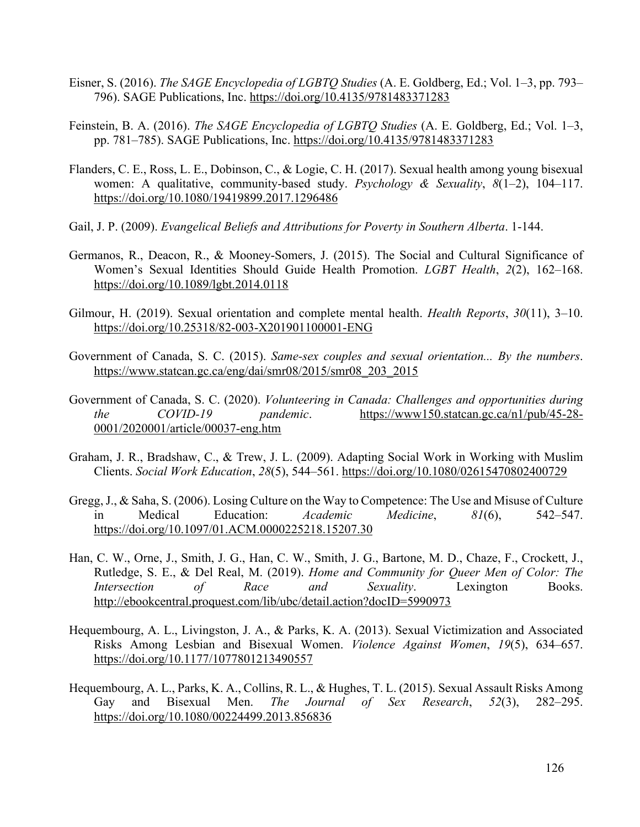- Eisner, S. (2016). *The SAGE Encyclopedia of LGBTQ Studies* (A. E. Goldberg, Ed.; Vol. 1–3, pp. 793– 796). SAGE Publications, Inc. https://doi.org/10.4135/9781483371283
- Feinstein, B. A. (2016). *The SAGE Encyclopedia of LGBTQ Studies* (A. E. Goldberg, Ed.; Vol. 1–3, pp. 781–785). SAGE Publications, Inc. https://doi.org/10.4135/9781483371283
- Flanders, C. E., Ross, L. E., Dobinson, C., & Logie, C. H. (2017). Sexual health among young bisexual women: A qualitative, community-based study. *Psychology & Sexuality*, *8*(1–2), 104–117. https://doi.org/10.1080/19419899.2017.1296486
- Gail, J. P. (2009). *Evangelical Beliefs and Attributions for Poverty in Southern Alberta*. 1-144.
- Germanos, R., Deacon, R., & Mooney-Somers, J. (2015). The Social and Cultural Significance of Women's Sexual Identities Should Guide Health Promotion. *LGBT Health*, *2*(2), 162–168. https://doi.org/10.1089/lgbt.2014.0118
- Gilmour, H. (2019). Sexual orientation and complete mental health. *Health Reports*, *30*(11), 3–10. https://doi.org/10.25318/82-003-X201901100001-ENG
- Government of Canada, S. C. (2015). *Same-sex couples and sexual orientation... By the numbers*. https://www.statcan.gc.ca/eng/dai/smr08/2015/smr08\_203\_2015
- Government of Canada, S. C. (2020). *Volunteering in Canada: Challenges and opportunities during the COVID-19 pandemic*. https://www150.statcan.gc.ca/n1/pub/45-28- 0001/2020001/article/00037-eng.htm
- Graham, J. R., Bradshaw, C., & Trew, J. L. (2009). Adapting Social Work in Working with Muslim Clients. *Social Work Education*, *28*(5), 544–561. https://doi.org/10.1080/02615470802400729
- Gregg, J., & Saha, S. (2006). Losing Culture on the Way to Competence: The Use and Misuse of Culture in Medical Education: *Academic Medicine*, *81*(6), 542–547. https://doi.org/10.1097/01.ACM.0000225218.15207.30
- Han, C. W., Orne, J., Smith, J. G., Han, C. W., Smith, J. G., Bartone, M. D., Chaze, F., Crockett, J., Rutledge, S. E., & Del Real, M. (2019). *Home and Community for Queer Men of Color: The Intersection of Race and Sexuality*. Lexington Books. http://ebookcentral.proquest.com/lib/ubc/detail.action?docID=5990973
- Hequembourg, A. L., Livingston, J. A., & Parks, K. A. (2013). Sexual Victimization and Associated Risks Among Lesbian and Bisexual Women. *Violence Against Women*, *19*(5), 634–657. https://doi.org/10.1177/1077801213490557
- Hequembourg, A. L., Parks, K. A., Collins, R. L., & Hughes, T. L. (2015). Sexual Assault Risks Among Gay and Bisexual Men. *The Journal of Sex Research*, *52*(3), 282–295. https://doi.org/10.1080/00224499.2013.856836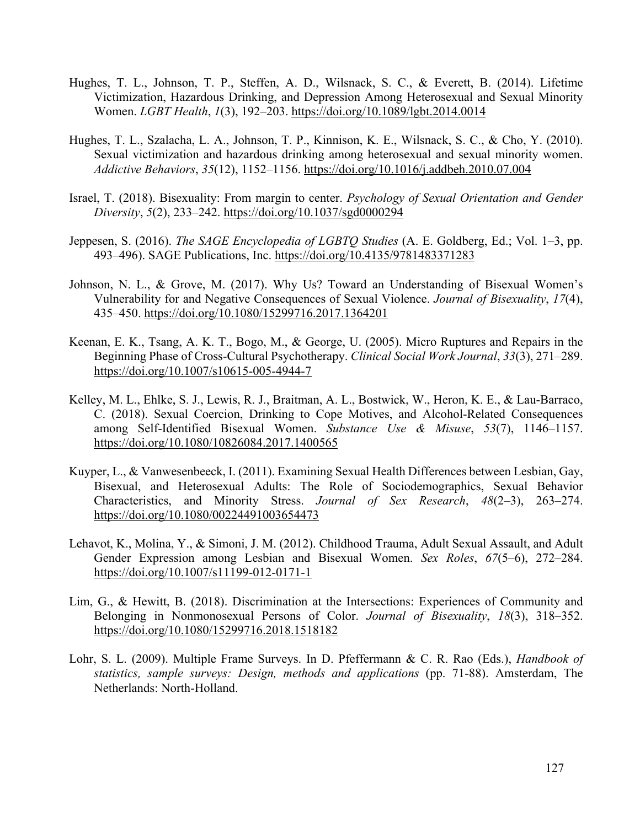- Hughes, T. L., Johnson, T. P., Steffen, A. D., Wilsnack, S. C., & Everett, B. (2014). Lifetime Victimization, Hazardous Drinking, and Depression Among Heterosexual and Sexual Minority Women. *LGBT Health*, *1*(3), 192–203. https://doi.org/10.1089/lgbt.2014.0014
- Hughes, T. L., Szalacha, L. A., Johnson, T. P., Kinnison, K. E., Wilsnack, S. C., & Cho, Y. (2010). Sexual victimization and hazardous drinking among heterosexual and sexual minority women. *Addictive Behaviors*, *35*(12), 1152–1156. https://doi.org/10.1016/j.addbeh.2010.07.004
- Israel, T. (2018). Bisexuality: From margin to center. *Psychology of Sexual Orientation and Gender Diversity*, *5*(2), 233–242. https://doi.org/10.1037/sgd0000294
- Jeppesen, S. (2016). *The SAGE Encyclopedia of LGBTQ Studies* (A. E. Goldberg, Ed.; Vol. 1–3, pp. 493–496). SAGE Publications, Inc. https://doi.org/10.4135/9781483371283
- Johnson, N. L., & Grove, M. (2017). Why Us? Toward an Understanding of Bisexual Women's Vulnerability for and Negative Consequences of Sexual Violence. *Journal of Bisexuality*, *17*(4), 435–450. https://doi.org/10.1080/15299716.2017.1364201
- Keenan, E. K., Tsang, A. K. T., Bogo, M., & George, U. (2005). Micro Ruptures and Repairs in the Beginning Phase of Cross-Cultural Psychotherapy. *Clinical Social Work Journal*, *33*(3), 271–289. https://doi.org/10.1007/s10615-005-4944-7
- Kelley, M. L., Ehlke, S. J., Lewis, R. J., Braitman, A. L., Bostwick, W., Heron, K. E., & Lau-Barraco, C. (2018). Sexual Coercion, Drinking to Cope Motives, and Alcohol-Related Consequences among Self-Identified Bisexual Women. *Substance Use & Misuse*, *53*(7), 1146–1157. https://doi.org/10.1080/10826084.2017.1400565
- Kuyper, L., & Vanwesenbeeck, I. (2011). Examining Sexual Health Differences between Lesbian, Gay, Bisexual, and Heterosexual Adults: The Role of Sociodemographics, Sexual Behavior Characteristics, and Minority Stress. *Journal of Sex Research*, *48*(2–3), 263–274. https://doi.org/10.1080/00224491003654473
- Lehavot, K., Molina, Y., & Simoni, J. M. (2012). Childhood Trauma, Adult Sexual Assault, and Adult Gender Expression among Lesbian and Bisexual Women. *Sex Roles*, *67*(5–6), 272–284. https://doi.org/10.1007/s11199-012-0171-1
- Lim, G., & Hewitt, B. (2018). Discrimination at the Intersections: Experiences of Community and Belonging in Nonmonosexual Persons of Color. *Journal of Bisexuality*, *18*(3), 318–352. https://doi.org/10.1080/15299716.2018.1518182
- Lohr, S. L. (2009). Multiple Frame Surveys. In D. Pfeffermann & C. R. Rao (Eds.), *Handbook of statistics, sample surveys: Design, methods and applications* (pp. 71-88). Amsterdam, The Netherlands: North-Holland.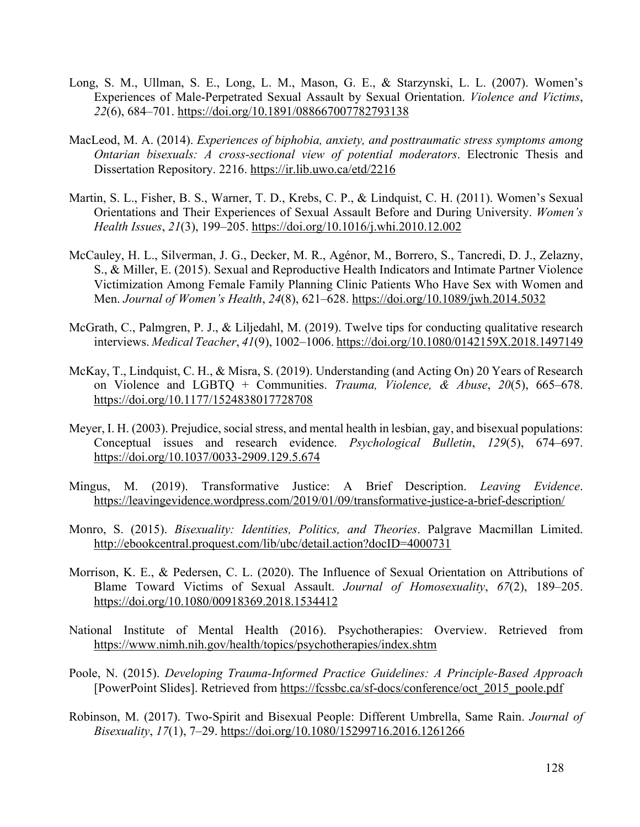- Long, S. M., Ullman, S. E., Long, L. M., Mason, G. E., & Starzynski, L. L. (2007). Women's Experiences of Male-Perpetrated Sexual Assault by Sexual Orientation. *Violence and Victims*, *22*(6), 684–701. https://doi.org/10.1891/088667007782793138
- MacLeod, M. A. (2014). *Experiences of biphobia, anxiety, and posttraumatic stress symptoms among Ontarian bisexuals: A cross-sectional view of potential moderators*. Electronic Thesis and Dissertation Repository. 2216. https://ir.lib.uwo.ca/etd/2216
- Martin, S. L., Fisher, B. S., Warner, T. D., Krebs, C. P., & Lindquist, C. H. (2011). Women's Sexual Orientations and Their Experiences of Sexual Assault Before and During University. *Women's Health Issues*, *21*(3), 199–205. https://doi.org/10.1016/j.whi.2010.12.002
- McCauley, H. L., Silverman, J. G., Decker, M. R., Agénor, M., Borrero, S., Tancredi, D. J., Zelazny, S., & Miller, E. (2015). Sexual and Reproductive Health Indicators and Intimate Partner Violence Victimization Among Female Family Planning Clinic Patients Who Have Sex with Women and Men. *Journal of Women's Health*, *24*(8), 621–628. https://doi.org/10.1089/jwh.2014.5032
- McGrath, C., Palmgren, P. J., & Liljedahl, M. (2019). Twelve tips for conducting qualitative research interviews. *Medical Teacher*, *41*(9), 1002–1006. https://doi.org/10.1080/0142159X.2018.1497149
- McKay, T., Lindquist, C. H., & Misra, S. (2019). Understanding (and Acting On) 20 Years of Research on Violence and LGBTQ + Communities. *Trauma, Violence, & Abuse*, *20*(5), 665–678. https://doi.org/10.1177/1524838017728708
- Meyer, I. H. (2003). Prejudice, social stress, and mental health in lesbian, gay, and bisexual populations: Conceptual issues and research evidence. *Psychological Bulletin*, *129*(5), 674–697. https://doi.org/10.1037/0033-2909.129.5.674
- Mingus, M. (2019). Transformative Justice: A Brief Description. *Leaving Evidence*. https://leavingevidence.wordpress.com/2019/01/09/transformative-justice-a-brief-description/
- Monro, S. (2015). *Bisexuality: Identities, Politics, and Theories*. Palgrave Macmillan Limited. http://ebookcentral.proquest.com/lib/ubc/detail.action?docID=4000731
- Morrison, K. E., & Pedersen, C. L. (2020). The Influence of Sexual Orientation on Attributions of Blame Toward Victims of Sexual Assault. *Journal of Homosexuality*, *67*(2), 189–205. https://doi.org/10.1080/00918369.2018.1534412
- National Institute of Mental Health (2016). Psychotherapies: Overview. Retrieved from https://www.nimh.nih.gov/health/topics/psychotherapies/index.shtm
- Poole, N. (2015). *Developing Trauma-Informed Practice Guidelines: A Principle-Based Approach*  [PowerPoint Slides]. Retrieved from https://fcssbc.ca/sf-docs/conference/oct\_2015\_poole.pdf
- Robinson, M. (2017). Two-Spirit and Bisexual People: Different Umbrella, Same Rain. *Journal of Bisexuality*, *17*(1), 7–29. https://doi.org/10.1080/15299716.2016.1261266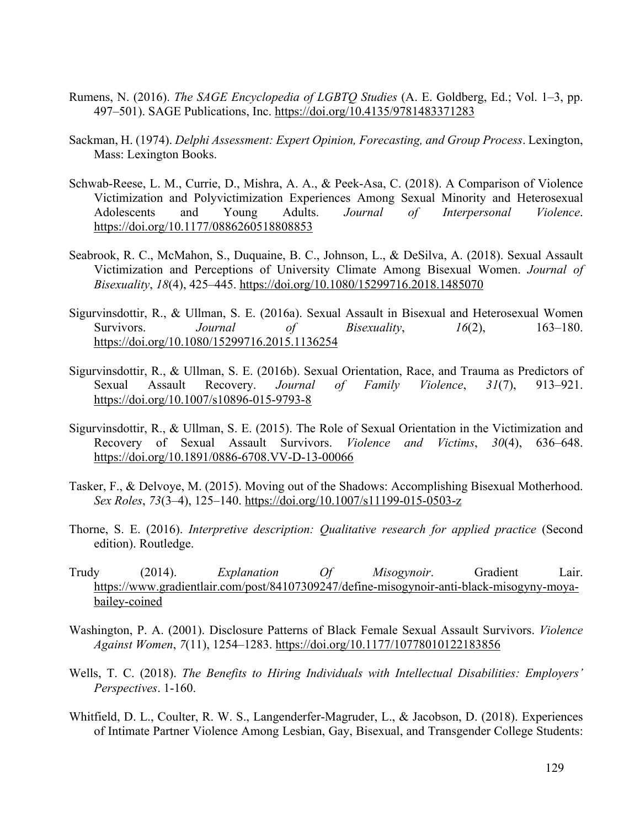- Rumens, N. (2016). *The SAGE Encyclopedia of LGBTQ Studies* (A. E. Goldberg, Ed.; Vol. 1–3, pp. 497–501). SAGE Publications, Inc. https://doi.org/10.4135/9781483371283
- Sackman, H. (1974). *Delphi Assessment: Expert Opinion, Forecasting, and Group Process*. Lexington, Mass: Lexington Books.
- Schwab-Reese, L. M., Currie, D., Mishra, A. A., & Peek-Asa, C. (2018). A Comparison of Violence Victimization and Polyvictimization Experiences Among Sexual Minority and Heterosexual Adolescents and Young Adults. *Journal of Interpersonal Violence*. https://doi.org/10.1177/0886260518808853
- Seabrook, R. C., McMahon, S., Duquaine, B. C., Johnson, L., & DeSilva, A. (2018). Sexual Assault Victimization and Perceptions of University Climate Among Bisexual Women. *Journal of Bisexuality*, *18*(4), 425–445. https://doi.org/10.1080/15299716.2018.1485070
- Sigurvinsdottir, R., & Ullman, S. E. (2016a). Sexual Assault in Bisexual and Heterosexual Women Survivors. *Journal* of *Bisexuality*, 16(2), 163–180. https://doi.org/10.1080/15299716.2015.1136254
- Sigurvinsdottir, R., & Ullman, S. E. (2016b). Sexual Orientation, Race, and Trauma as Predictors of Sexual Assault Recovery. *Journal of Family Violence*, *31*(7), 913–921. https://doi.org/10.1007/s10896-015-9793-8
- Sigurvinsdottir, R., & Ullman, S. E. (2015). The Role of Sexual Orientation in the Victimization and Recovery of Sexual Assault Survivors. *Violence and Victims*, *30*(4), 636–648. https://doi.org/10.1891/0886-6708.VV-D-13-00066
- Tasker, F., & Delvoye, M. (2015). Moving out of the Shadows: Accomplishing Bisexual Motherhood. *Sex Roles*, *73*(3–4), 125–140. https://doi.org/10.1007/s11199-015-0503-z
- Thorne, S. E. (2016). *Interpretive description: Qualitative research for applied practice* (Second edition). Routledge.
- Trudy (2014). *Explanation Of Misogynoir*. Gradient Lair. https://www.gradientlair.com/post/84107309247/define-misogynoir-anti-black-misogyny-moyabailey-coined
- Washington, P. A. (2001). Disclosure Patterns of Black Female Sexual Assault Survivors. *Violence Against Women*, *7*(11), 1254–1283. https://doi.org/10.1177/10778010122183856
- Wells, T. C. (2018). *The Benefits to Hiring Individuals with Intellectual Disabilities: Employers' Perspectives*. 1-160.
- Whitfield, D. L., Coulter, R. W. S., Langenderfer-Magruder, L., & Jacobson, D. (2018). Experiences of Intimate Partner Violence Among Lesbian, Gay, Bisexual, and Transgender College Students: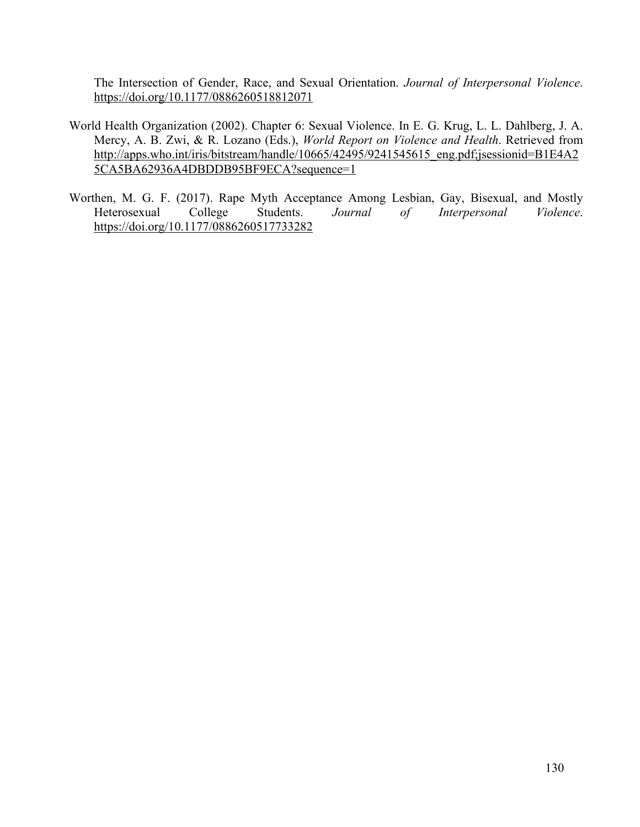The Intersection of Gender, Race, and Sexual Orientation. *Journal of Interpersonal Violence*. https://doi.org/10.1177/0886260518812071

- World Health Organization (2002). Chapter 6: Sexual Violence. In E. G. Krug, L. L. Dahlberg, J. A. Mercy, A. B. Zwi, & R. Lozano (Eds.), *World Report on Violence and Health*. Retrieved from http://apps.who.int/iris/bitstream/handle/10665/42495/9241545615\_eng.pdf;jsessionid=B1E4A2 5CA5BA62936A4DBDDB95BF9ECA?sequence=1
- Worthen, M. G. F. (2017). Rape Myth Acceptance Among Lesbian, Gay, Bisexual, and Mostly Heterosexual College Students. *Journal of Interpersonal Violence*. https://doi.org/10.1177/0886260517733282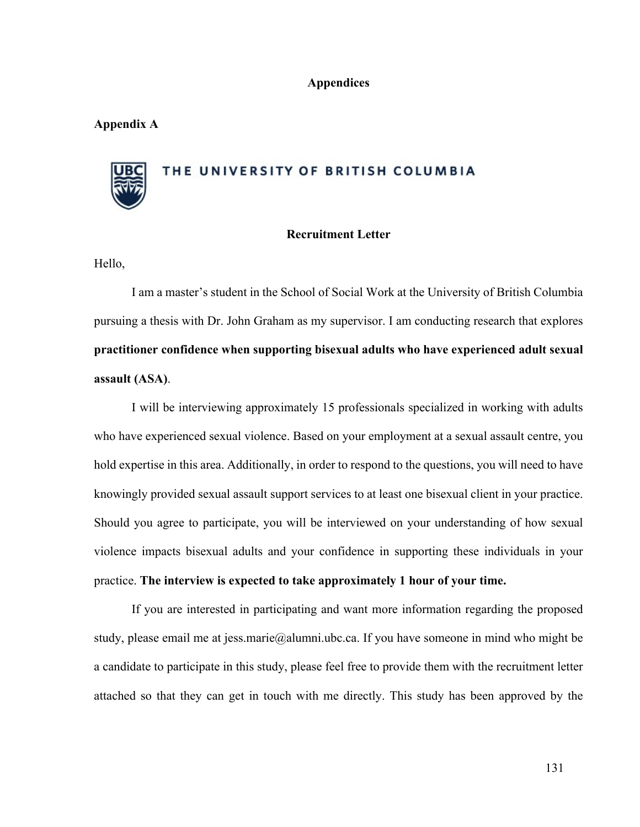#### **Appendices**

#### **Appendix A**

### THE UNIVERSITY OF BRITISH COLUMBIA

#### **Recruitment Letter**

Hello,

I am a master's student in the School of Social Work at the University of British Columbia pursuing a thesis with Dr. John Graham as my supervisor. I am conducting research that explores **practitioner confidence when supporting bisexual adults who have experienced adult sexual assault (ASA)**.

I will be interviewing approximately 15 professionals specialized in working with adults who have experienced sexual violence. Based on your employment at a sexual assault centre, you hold expertise in this area. Additionally, in order to respond to the questions, you will need to have knowingly provided sexual assault support services to at least one bisexual client in your practice. Should you agree to participate, you will be interviewed on your understanding of how sexual violence impacts bisexual adults and your confidence in supporting these individuals in your practice. **The interview is expected to take approximately 1 hour of your time.**

If you are interested in participating and want more information regarding the proposed study, please email me at jess.marie@alumni.ubc.ca. If you have someone in mind who might be a candidate to participate in this study, please feel free to provide them with the recruitment letter attached so that they can get in touch with me directly. This study has been approved by the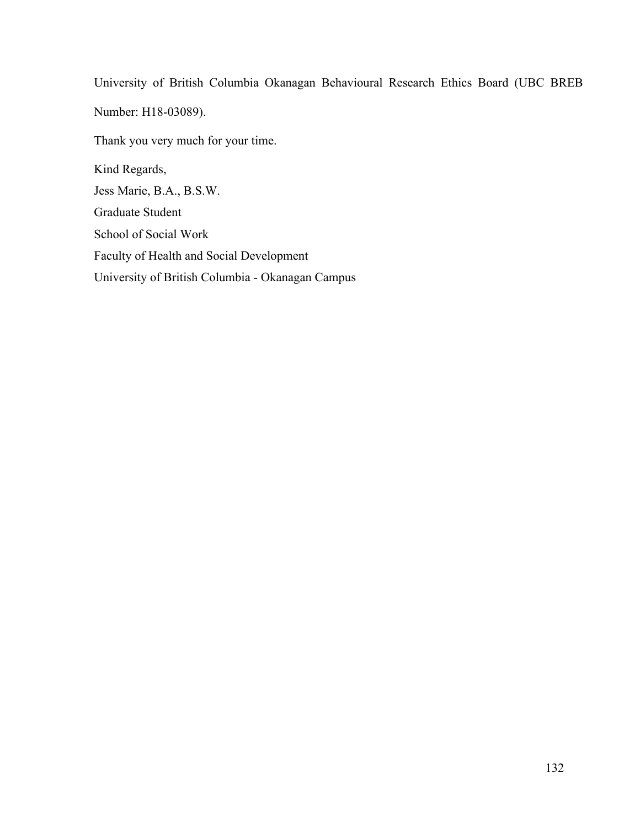University of British Columbia Okanagan Behavioural Research Ethics Board (UBC BREB Number: H18-03089). Thank you very much for your time. Kind Regards, Jess Marie, B.A., B.S.W. Graduate Student School of Social Work Faculty of Health and Social Development

University of British Columbia - Okanagan Campus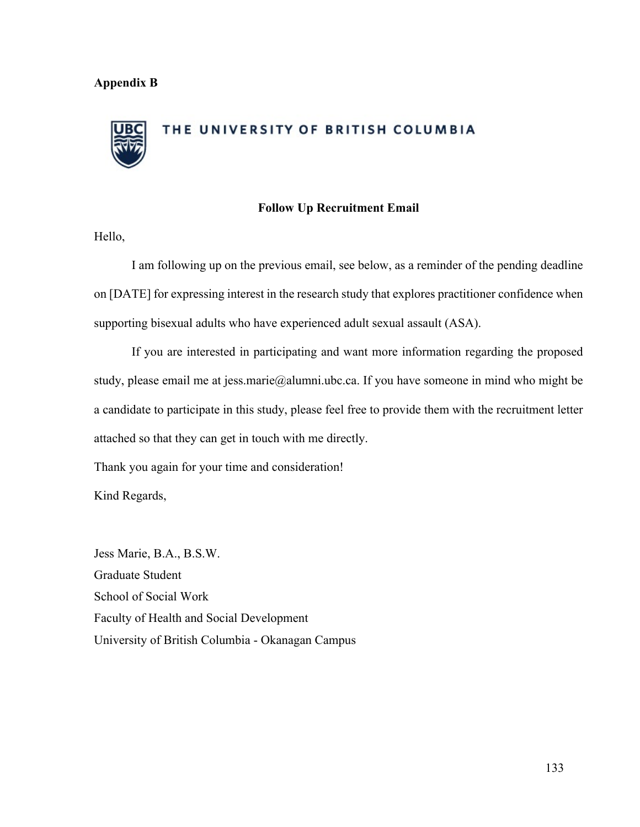### THE UNIVERSITY OF BRITISH COLUMBIA

#### **Follow Up Recruitment Email**

Hello,

I am following up on the previous email, see below, as a reminder of the pending deadline on [DATE] for expressing interest in the research study that explores practitioner confidence when supporting bisexual adults who have experienced adult sexual assault (ASA).

If you are interested in participating and want more information regarding the proposed study, please email me at jess.marie@alumni.ubc.ca. If you have someone in mind who might be a candidate to participate in this study, please feel free to provide them with the recruitment letter attached so that they can get in touch with me directly.

Thank you again for your time and consideration!

Kind Regards,

Jess Marie, B.A., B.S.W. Graduate Student School of Social Work Faculty of Health and Social Development University of British Columbia - Okanagan Campus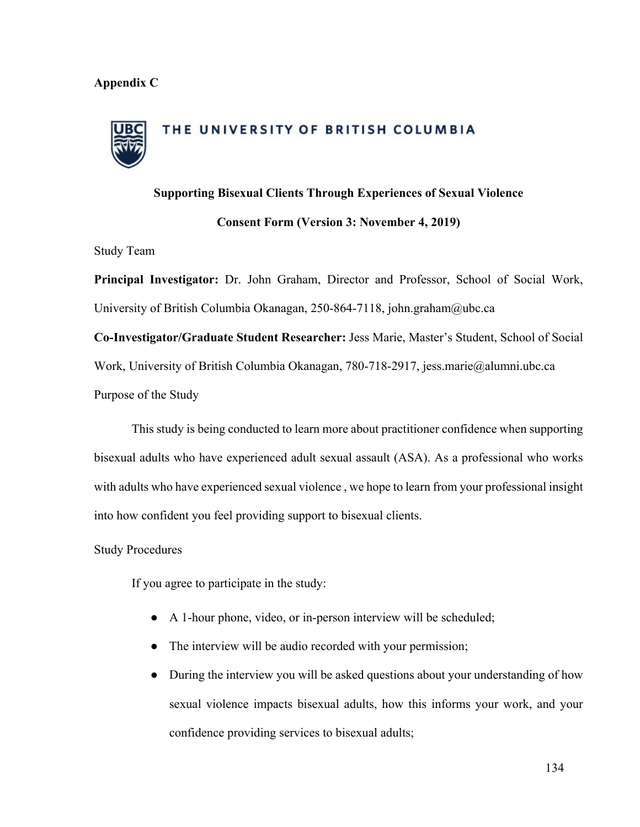#### **Appendix C**

## THE UNIVERSITY OF BRITISH COLUMBIA

### **Supporting Bisexual Clients Through Experiences of Sexual Violence Consent Form (Version 3: November 4, 2019)**

Study Team

**Principal Investigator:** Dr. John Graham, Director and Professor, School of Social Work, University of British Columbia Okanagan, 250-864-7118, john.graham@ubc.ca

**Co-Investigator/Graduate Student Researcher:** Jess Marie, Master's Student, School of Social Work, University of British Columbia Okanagan, 780-718-2917, jess.marie@alumni.ubc.ca Purpose of the Study

This study is being conducted to learn more about practitioner confidence when supporting bisexual adults who have experienced adult sexual assault (ASA). As a professional who works with adults who have experienced sexual violence , we hope to learn from your professional insight into how confident you feel providing support to bisexual clients.

Study Procedures

If you agree to participate in the study:

- A 1-hour phone, video, or in-person interview will be scheduled;
- The interview will be audio recorded with your permission;
- During the interview you will be asked questions about your understanding of how sexual violence impacts bisexual adults, how this informs your work, and your confidence providing services to bisexual adults;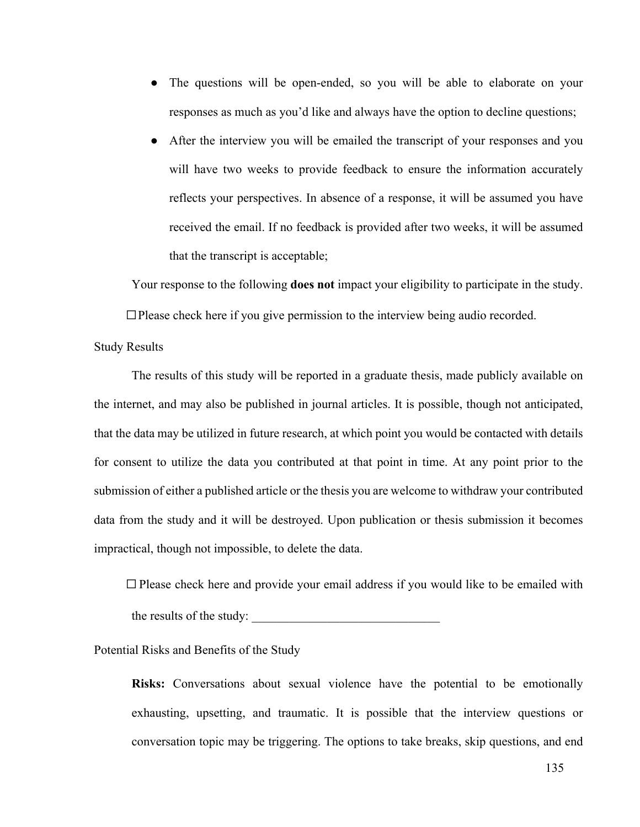- The questions will be open-ended, so you will be able to elaborate on your responses as much as you'd like and always have the option to decline questions;
- After the interview you will be emailed the transcript of your responses and you will have two weeks to provide feedback to ensure the information accurately reflects your perspectives. In absence of a response, it will be assumed you have received the email. If no feedback is provided after two weeks, it will be assumed that the transcript is acceptable;

Your response to the following **does not** impact your eligibility to participate in the study.

 $\Box$  Please check here if you give permission to the interview being audio recorded.

Study Results

The results of this study will be reported in a graduate thesis, made publicly available on the internet, and may also be published in journal articles. It is possible, though not anticipated, that the data may be utilized in future research, at which point you would be contacted with details for consent to utilize the data you contributed at that point in time. At any point prior to the submission of either a published article or the thesis you are welcome to withdraw your contributed data from the study and it will be destroyed. Upon publication or thesis submission it becomes impractical, though not impossible, to delete the data.

 $\Box$  Please check here and provide your email address if you would like to be emailed with

the results of the study:

Potential Risks and Benefits of the Study

**Risks:** Conversations about sexual violence have the potential to be emotionally exhausting, upsetting, and traumatic. It is possible that the interview questions or conversation topic may be triggering. The options to take breaks, skip questions, and end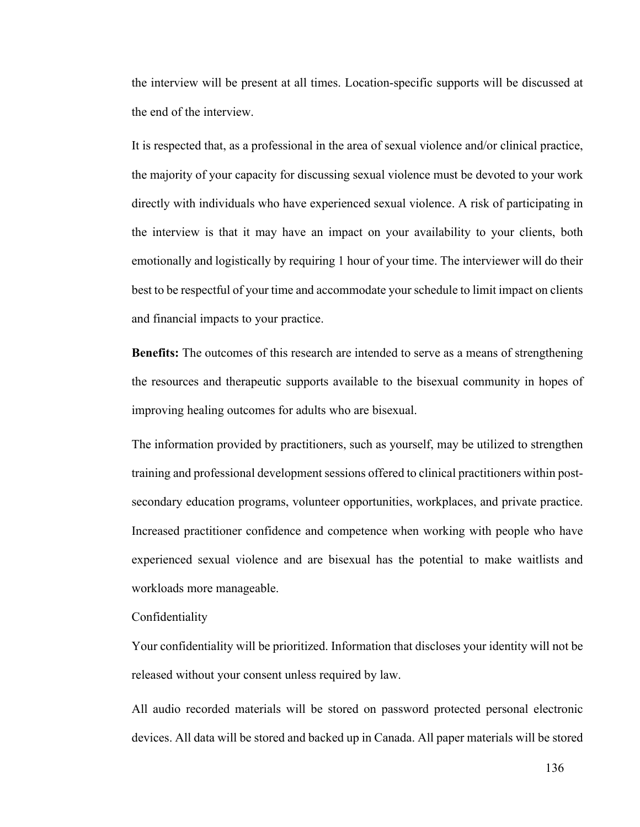the interview will be present at all times. Location-specific supports will be discussed at the end of the interview.

It is respected that, as a professional in the area of sexual violence and/or clinical practice, the majority of your capacity for discussing sexual violence must be devoted to your work directly with individuals who have experienced sexual violence. A risk of participating in the interview is that it may have an impact on your availability to your clients, both emotionally and logistically by requiring 1 hour of your time. The interviewer will do their best to be respectful of your time and accommodate your schedule to limit impact on clients and financial impacts to your practice.

**Benefits:** The outcomes of this research are intended to serve as a means of strengthening the resources and therapeutic supports available to the bisexual community in hopes of improving healing outcomes for adults who are bisexual.

The information provided by practitioners, such as yourself, may be utilized to strengthen training and professional development sessions offered to clinical practitioners within postsecondary education programs, volunteer opportunities, workplaces, and private practice. Increased practitioner confidence and competence when working with people who have experienced sexual violence and are bisexual has the potential to make waitlists and workloads more manageable.

Confidentiality

Your confidentiality will be prioritized. Information that discloses your identity will not be released without your consent unless required by law.

All audio recorded materials will be stored on password protected personal electronic devices. All data will be stored and backed up in Canada. All paper materials will be stored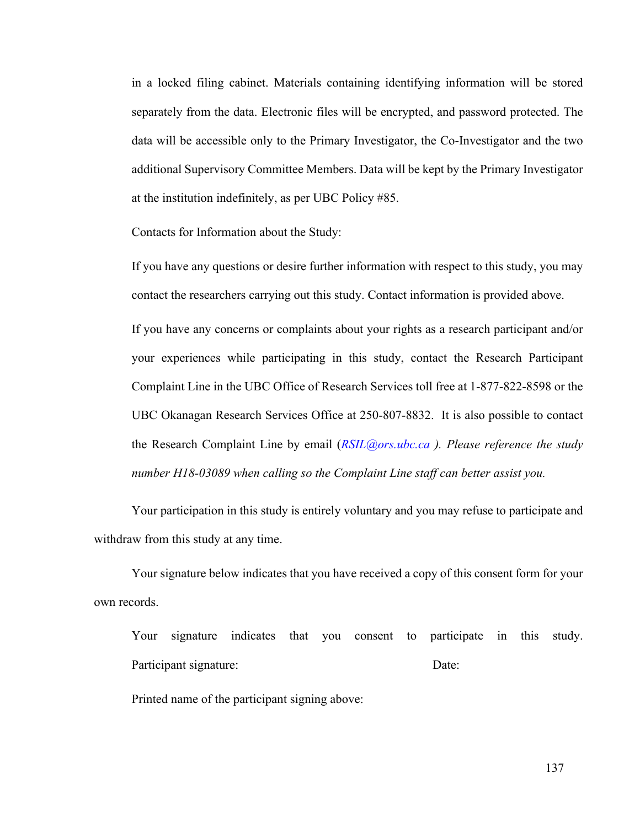in a locked filing cabinet. Materials containing identifying information will be stored separately from the data. Electronic files will be encrypted, and password protected. The data will be accessible only to the Primary Investigator, the Co-Investigator and the two additional Supervisory Committee Members. Data will be kept by the Primary Investigator at the institution indefinitely, as per UBC Policy #85.

Contacts for Information about the Study:

If you have any questions or desire further information with respect to this study, you may contact the researchers carrying out this study. Contact information is provided above.

If you have any concerns or complaints about your rights as a research participant and/or your experiences while participating in this study, contact the Research Participant Complaint Line in the UBC Office of Research Services toll free at 1-877-822-8598 or the UBC Okanagan Research Services Office at 250-807-8832. It is also possible to contact the Research Complaint Line by email (*RSIL@ors.ubc.ca ). Please reference the study number H18-03089 when calling so the Complaint Line staff can better assist you.*

Your participation in this study is entirely voluntary and you may refuse to participate and withdraw from this study at any time.

Your signature below indicates that you have received a copy of this consent form for your own records.

Your signature indicates that you consent to participate in this study. Participant signature: Date:

Printed name of the participant signing above: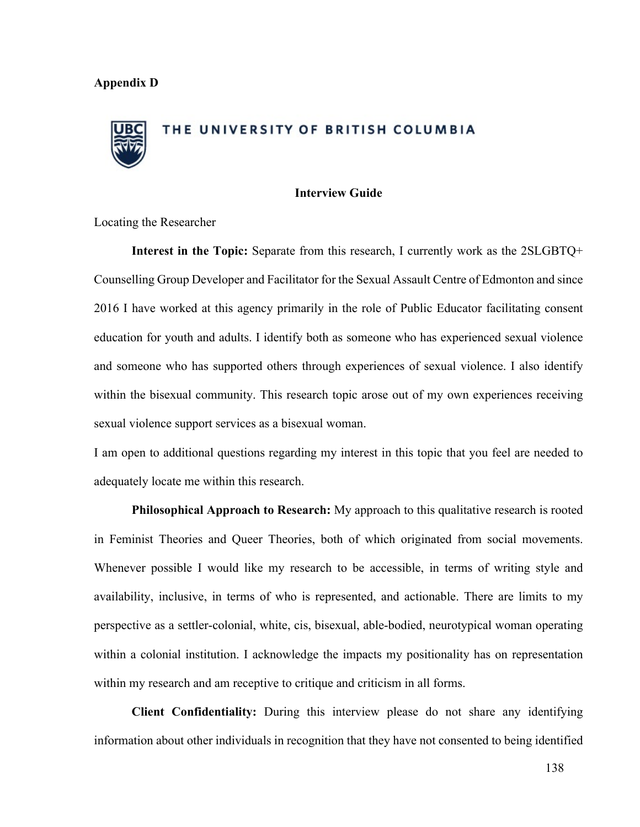# THE UNIVERSITY OF BRITISH COLUMBIA

#### **Interview Guide**

Locating the Researcher

**Interest in the Topic:** Separate from this research, I currently work as the 2SLGBTQ+ Counselling Group Developer and Facilitator for the Sexual Assault Centre of Edmonton and since 2016 I have worked at this agency primarily in the role of Public Educator facilitating consent education for youth and adults. I identify both as someone who has experienced sexual violence and someone who has supported others through experiences of sexual violence. I also identify within the bisexual community. This research topic arose out of my own experiences receiving sexual violence support services as a bisexual woman.

I am open to additional questions regarding my interest in this topic that you feel are needed to adequately locate me within this research.

**Philosophical Approach to Research:** My approach to this qualitative research is rooted in Feminist Theories and Queer Theories, both of which originated from social movements. Whenever possible I would like my research to be accessible, in terms of writing style and availability, inclusive, in terms of who is represented, and actionable. There are limits to my perspective as a settler-colonial, white, cis, bisexual, able-bodied, neurotypical woman operating within a colonial institution. I acknowledge the impacts my positionality has on representation within my research and am receptive to critique and criticism in all forms.

**Client Confidentiality:** During this interview please do not share any identifying information about other individuals in recognition that they have not consented to being identified